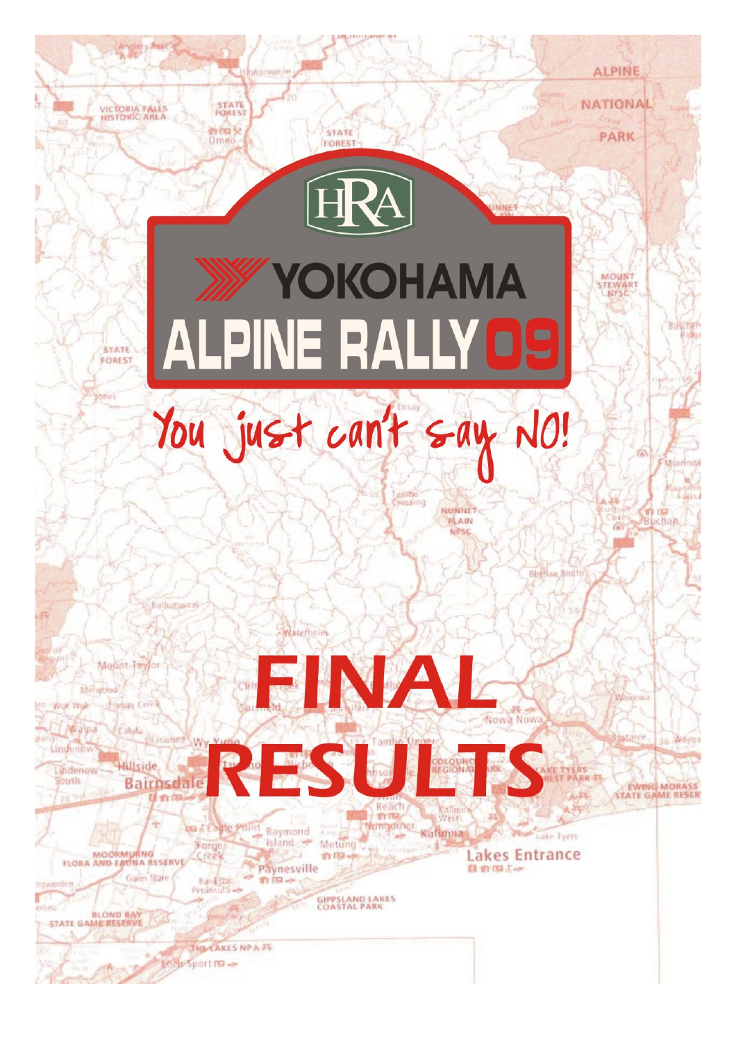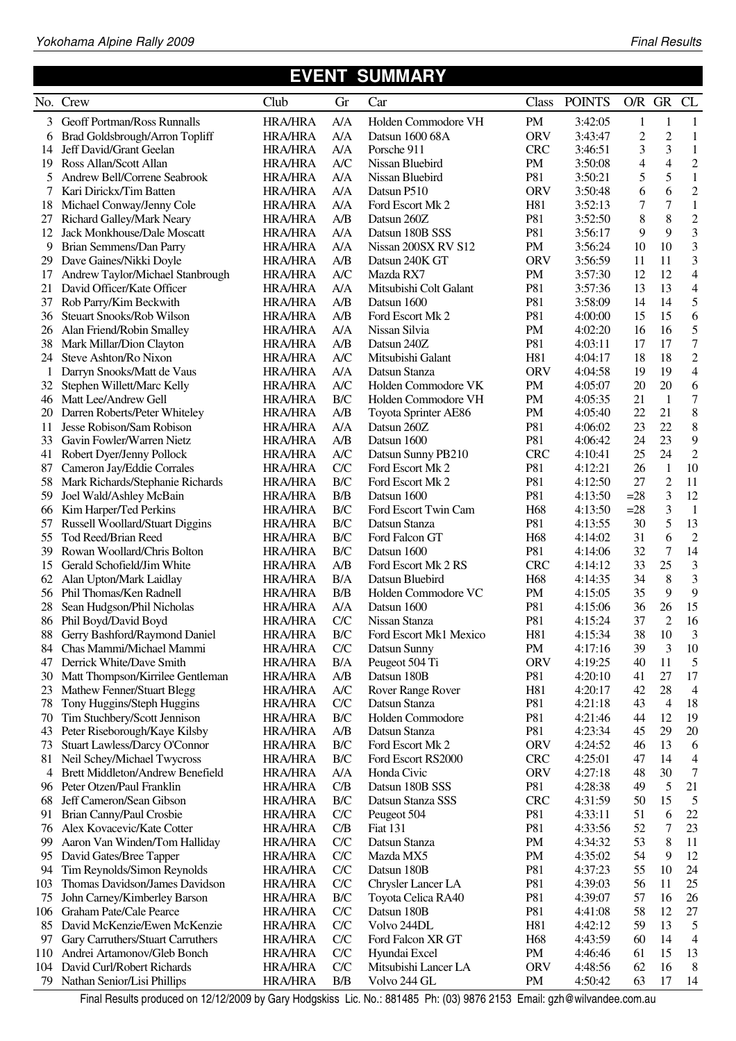#### **EVENT SUMMARY**  No. Crew Club Gr Car Class POINTS O/R GR CL 3 Geoff Portman/Ross Runnalls HRA/HRA A/A Holden Commodore VH PM 3:42:05 1 1 1 6 Brad Goldsbrough/Arron Topliff HRA/HRA A/A Datsun 1600 68A ORV 3:43:47 2 2 1 14 Jeff David/Grant Geelan HRA/HRA A/A Porsche 911 CRC 3:46:51 3 3 1 19 Ross Allan/Scott Allan HRA/HRA A/C Nissan Bluebird PM 3:50:08 4 4 2 5 Andrew Bell/Correne Seabrook HRA/HRA A/A Nissan Bluebird P81 3:50:21 5 5 1 7 Kari Dirickx/Tim Batten HRA/HRA A/A Datsun P510 ORV 3:50:48 6 6 2 18 Michael Conway/Jenny Cole **HRA/HRA** A/A Ford Escort Mk 2 H81 3:52:13 7 7 1 27 Richard Galley/Mark Neary HRA/HRA A/B Datsun 260Z P81 3:52:50 8 8 2 12 Jack Monkhouse/Dale Moscatt HRA/HRA A/A Datsun 180B SSS P81 3:56:17 9 9 3 9 Brian Semmens/Dan Parry HRA/HRA A/A Nissan 200SX RV S12 PM 3:56:24 10 10 3 29 Dave Gaines/Nikki Doyle HRA/HRA A/B Datsun 240K GT ORV 3:56:59 11 11 3 17 Andrew Taylor/Michael Stanbrough HRA/HRA A/C Mazda RX7 PM 3:57:30 12 12 4 21 David Officer/Kate Officer HRA/HRA A/A Mitsubishi Colt Galant P81 3:57:36 13 13 4 37 Rob Parry/Kim Beckwith HRA/HRA A/B Datsun 1600 P81 3:58:09 14 14 5 36 Steuart Snooks/Rob Wilson HRA/HRA A/B Ford Escort Mk 2 P81 4:00:00 15 15 6 26 Alan Friend/Robin Smalley HRA/HRA A/A Nissan Silvia PM 4:02:20 16 16 5 38 Mark Millar/Dion Clayton HRA/HRA A/B Datsun 240Z P81 4:03:11 17 17 7 24 Steve Ashton/Ro Nixon HRA/HRA A/C Mitsubishi Galant H81 4:04:17 18 18 2 1 Darryn Snooks/Matt de Vaus HRA/HRA A/A Datsun Stanza ORV 4:04:58 19 19 4 32 Stephen Willett/Marc Kelly HRA/HRA A/C Holden Commodore VK PM 4:05:07 20 20 6 46 Matt Lee/Andrew Gell HRA/HRA B/C Holden Commodore VH PM 4:05:35 21 1 7 20 Darren Roberts/Peter Whiteley HRA/HRA A/B Toyota Sprinter AE86 PM 4:05:40 22 21 8 11 Jesse Robison/Sam Robison HRA/HRA A/A Datsun 260Z P81 4:06:02 23 22 8 33 Gavin Fowler/Warren Nietz HRA/HRA A/B Datsun 1600 P81 4:06:42 24 23 9 41 Robert Dyer/Jenny Pollock HRA/HRA A/C Datsun Sunny PB210 CRC 4:10:41 25 24 2 87 Cameron Jay/Eddie Corrales HRA/HRA C/C Ford Escort Mk 2 P81 4:12:21 26 1 10 58 Mark Richards/Stephanie Richards HRA/HRA B/C Ford Escort Mk 2 P81 4:12:50 27 2 11 59 Joel Wald/Ashley McBain HRA/HRA B/B Datsun 1600 P81 4:13:50 =28 3 12 66 Kim Harper/Ted Perkins HRA/HRA B/C Ford Escort Twin Cam H68 4:13:50 =28 3 1 57 Russell Woollard/Stuart Diggins HRA/HRA B/C Datsun Stanza P81 4:13:55 30 5 13 55 Tod Reed/Brian Reed HRA/HRA B/C Ford Falcon GT H68 4:14:02 31 6 2 39 Rowan Woollard/Chris Bolton HRA/HRA B/C Datsun 1600 P81 4:14:06 32 7 14 15 Gerald Schofield/Jim White HRA/HRA A/B Ford Escort Mk 2 RS CRC 4:14:12 33 25 3 62 Alan Upton/Mark Laidlay HRA/HRA B/A Datsun Bluebird H68 4:14:35 34 8 3 56 Phil Thomas/Ken Radnell HRA/HRA B/B Holden Commodore VC PM 4:15:05 35 9 9 28 Sean Hudgson/Phil Nicholas HRA/HRA A/A Datsun 1600 P81 4:15:06 36 26 15 86 Phil Boyd/David Boyd HRA/HRA C/C Nissan Stanza P81 4:15:24 37 2 16 88 Gerry Bashford/Raymond Daniel HRA/HRA B/C Ford Escort Mk1 Mexico H81 4:15:34 38 10 3 84 Chas Mammi/Michael Mammi HRA/HRA C/C Datsun Sunny PM 4:17:16 39 3 10 47 Derrick White/Dave Smith HRA/HRA B/A Peugeot 504 Ti ORV 4:19:25 40 11 5 30 Matt Thompson/Kirrilee Gentleman HRA/HRA A/B Datsun 180B P81 4:20:10 41 27 17 23 Mathew Fenner/Stuart Blegg HRA/HRA A/C Rover Range Rover H81 4:20:17 42 28 4 78 Tony Huggins/Steph Huggins HRA/HRA C/C Datsun Stanza P81 4:21:18 43 4 18 70 Tim Stuchbery/Scott Jennison HRA/HRA B/C Holden Commodore P81 4:21:46 44 12 19 43 Peter Riseborough/Kaye Kilsby HRA/HRA A/B Datsun Stanza P81 4:23:34 45 29 20 73 Stuart Lawless/Darcy O'Connor HRA/HRA B/C Ford Escort Mk 2 ORV 4:24:52 46 13 6 81 Neil Schey/Michael Twycross HRA/HRA B/C Ford Escort RS2000 CRC 4:25:01 47 14 4 4 Brett Middleton/Andrew Benefield HRA/HRA A/A Honda Civic ORV 4:27:18 48 30 7 96 Peter Otzen/Paul Franklin HRA/HRA C/B Datsun 180B SSS P81 4:28:38 49 5 21 68 Jeff Cameron/Sean Gibson HRA/HRA B/C Datsun Stanza SSS CRC 4:31:59 50 15 5 91 Brian Canny/Paul Crosbie HRA/HRA C/C Peugeot 504 P81 4:33:11 51 6 22 76 Alex Kovacevic/Kate Cotter HRA/HRA C/B Fiat 131 P81 4:33:56 52 7 23 99 Aaron Van Winden/Tom Halliday HRA/HRA C/C Datsun Stanza PM 4:34:32 53 8 11 95 David Gates/Bree Tapper HRA/HRA C/C Mazda MX5 PM 4:35:02 54 9 12 94 Tim Reynolds/Simon Reynolds<br>
94 Thomas Davidson/James Davidson<br>
103 Thomas Davidson/James Davidson<br>
981 d:39:03 56 11 25 103 Thomas Davidson/James Davidson HRA/HRA C/C Chrysler Lancer LA P81 4:39:03 56 11 75 John Carney/Kimberley Barson HRA/HRA B/C Toyota Celica RA40 P81 4:39:07 57 16 26 106 Graham Pate/Cale Pearce HRA/HRA C/C Datsun 180B P81 4:41:08 58 12 27 85 David McKenzie/Ewen McKenzie HRA/HRA C/C Volvo 244DL H81 4:42:12 59 13 5 97 Gary Carruthers/Stuart Carruthers FIRA/HRA C/C Ford Falcon XR GT H68 4:43:59 60 14 4<br>10 Andrei Artamonov/Gleb Bonch HRA/HRA C/C Hyundai Excel PM 4:46:46 61 15 13 110 Andrei Artamonov/Gleb Bonch HRA/HRA C/C Hyundai Excel PM 4:46:46 61 15 13 104 David Curl/Robert Richards HRA/HRA C/C Mitsubishi Lancer LA ORV 4:48:56 62 16 8 79 Nathan Senior/Lisi Phillips HRA/HRA B/B Volvo 244 GL PM 4:50:42 63 17 14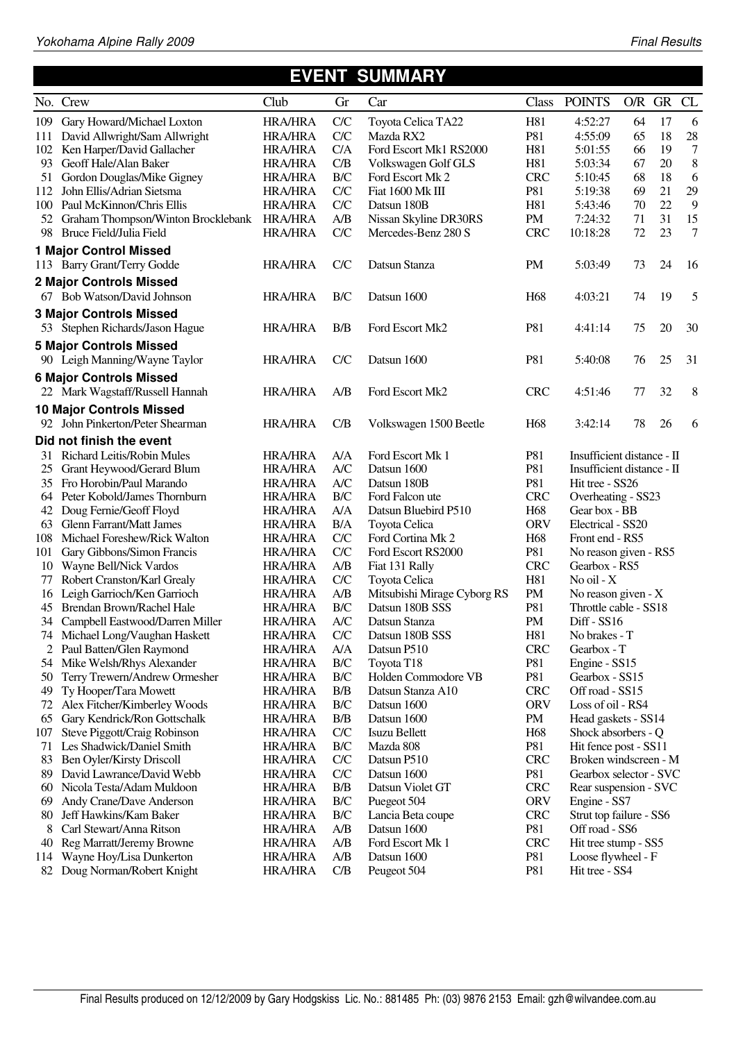## **EVENT SUMMARY**

|     | No. Crew                           | Club           | Gr  | Car                         | Class           | <b>POINTS</b>              | O/R GR |    | CL             |
|-----|------------------------------------|----------------|-----|-----------------------------|-----------------|----------------------------|--------|----|----------------|
| 109 | Gary Howard/Michael Loxton         | <b>HRA/HRA</b> | C/C | Toyota Celica TA22          | H81             | 4:52:27                    | 64     | 17 | 6              |
| 111 | David Allwright/Sam Allwright      | <b>HRA/HRA</b> | C/C | Mazda RX2                   | P81             | 4:55:09                    | 65     | 18 | 28             |
| 102 | Ken Harper/David Gallacher         | <b>HRA/HRA</b> | C/A | Ford Escort Mk1 RS2000      | H81             | 5:01:55                    | 66     | 19 | $\overline{7}$ |
| 93  | Geoff Hale/Alan Baker              | <b>HRA/HRA</b> | C/B | Volkswagen Golf GLS         | H81             | 5:03:34                    | 67     | 20 | 8              |
| 51  | Gordon Douglas/Mike Gigney         | <b>HRA/HRA</b> | B/C | Ford Escort Mk 2            | <b>CRC</b>      | 5:10:45                    | 68     | 18 | 6              |
| 112 | John Ellis/Adrian Sietsma          | <b>HRA/HRA</b> | C/C | Fiat 1600 Mk III            | P81             | 5:19:38                    | 69     | 21 | 29             |
|     | 100 Paul McKinnon/Chris Ellis      | <b>HRA/HRA</b> | C/C | Datsun 180B                 | H81             | 5:43:46                    | 70     | 22 | 9              |
| 52  | Graham Thompson/Winton Brocklebank | <b>HRA/HRA</b> | A/B | Nissan Skyline DR30RS       | PM              | 7:24:32                    | 71     | 31 | 15             |
| 98. | Bruce Field/Julia Field            | <b>HRA/HRA</b> | C/C | Mercedes-Benz 280 S         | <b>CRC</b>      | 10:18:28                   | 72     | 23 | $\tau$         |
|     | <b>1 Major Control Missed</b>      |                |     |                             |                 |                            |        |    |                |
|     | 113 Barry Grant/Terry Godde        | <b>HRA/HRA</b> | C/C | Datsun Stanza               | <b>PM</b>       | 5:03:49                    | 73     | 24 | 16             |
|     | <b>2 Major Controls Missed</b>     |                |     |                             |                 |                            |        |    |                |
|     | 67 Bob Watson/David Johnson        | <b>HRA/HRA</b> | B/C | Datsun 1600                 | H <sub>68</sub> | 4:03:21                    | 74     | 19 | 5              |
|     | <b>3 Major Controls Missed</b>     |                |     |                             |                 |                            |        |    |                |
|     | 53 Stephen Richards/Jason Hague    | <b>HRA/HRA</b> | B/B | Ford Escort Mk2             | P81             | 4:41:14                    | 75     | 20 | 30             |
|     | <b>5 Major Controls Missed</b>     |                |     |                             |                 |                            |        |    |                |
|     | 90 Leigh Manning/Wayne Taylor      | <b>HRA/HRA</b> | C/C | Datsun 1600                 | P81             | 5:40:08                    | 76     | 25 | 31             |
|     | <b>6 Major Controls Missed</b>     |                |     |                             |                 |                            |        |    |                |
|     | 22 Mark Wagstaff/Russell Hannah    | <b>HRA/HRA</b> | A/B | Ford Escort Mk2             | <b>CRC</b>      | 4:51:46                    | 77     | 32 | 8              |
|     | <b>10 Major Controls Missed</b>    |                |     |                             |                 |                            |        |    |                |
|     | 92 John Pinkerton/Peter Shearman   | <b>HRA/HRA</b> | C/B | Volkswagen 1500 Beetle      | H <sub>68</sub> | 3:42:14                    | 78     | 26 | 6              |
|     | Did not finish the event           |                |     |                             |                 |                            |        |    |                |
| 31  | <b>Richard Leitis/Robin Mules</b>  | <b>HRA/HRA</b> | A/A | Ford Escort Mk 1            | P81             | Insufficient distance - II |        |    |                |
| 25  | Grant Heywood/Gerard Blum          | <b>HRA/HRA</b> | A/C | Datsun 1600                 | P81             | Insufficient distance - II |        |    |                |
| 35  | Fro Horobin/Paul Marando           | <b>HRA/HRA</b> | A/C | Datsun 180B                 | P81             | Hit tree - SS26            |        |    |                |
| 64  | Peter Kobold/James Thornburn       | <b>HRA/HRA</b> | B/C | Ford Falcon ute             | <b>CRC</b>      | Overheating - SS23         |        |    |                |
| 42  | Doug Fernie/Geoff Floyd            | <b>HRA/HRA</b> | A/A | Datsun Bluebird P510        | H <sub>68</sub> | Gearbox - BB               |        |    |                |
| 63  | Glenn Farrant/Matt James           | <b>HRA/HRA</b> | B/A | Toyota Celica               | <b>ORV</b>      | Electrical - SS20          |        |    |                |
| 108 | Michael Foreshew/Rick Walton       | <b>HRA/HRA</b> | C/C | Ford Cortina Mk 2           | H <sub>68</sub> | Front end - RS5            |        |    |                |
| 101 | Gary Gibbons/Simon Francis         | <b>HRA/HRA</b> | C/C | Ford Escort RS2000          | P81             | No reason given - RS5      |        |    |                |
| 10  | Wayne Bell/Nick Vardos             | <b>HRA/HRA</b> | A/B | Fiat 131 Rally              | <b>CRC</b>      | Gearbox - RS5              |        |    |                |
| 77  | Robert Cranston/Karl Grealy        | <b>HRA/HRA</b> | C/C | Toyota Celica               | H81             | No oil $-X$                |        |    |                |
| 16  | Leigh Garrioch/Ken Garrioch        | <b>HRA/HRA</b> | A/B | Mitsubishi Mirage Cyborg RS | PM              | No reason given - X        |        |    |                |
| 45  | Brendan Brown/Rachel Hale          | <b>HRA/HRA</b> | B/C | Datsun 180B SSS             | P81             | Throttle cable - SS18      |        |    |                |
| 34  | Campbell Eastwood/Darren Miller    | <b>HRA/HRA</b> | A/C | Datsun Stanza               | PM              | Diff - SS16                |        |    |                |
|     | 74 Michael Long/Vaughan Haskett    | <b>HRA/HRA</b> | C/C | Datsun 180B SSS             | H81             | No brakes - T              |        |    |                |
|     | 2 Paul Batten/Glen Raymond         | <b>HRA/HRA</b> | A/A | Datsun P510                 | <b>CRC</b>      | Gearbox - T                |        |    |                |
| 54  | Mike Welsh/Rhys Alexander          | <b>HRA/HRA</b> | B/C | Toyota T18                  | P81             | Engine - SS15              |        |    |                |
| 50  | Terry Trewern/Andrew Ormesher      | <b>HRA/HRA</b> | B/C | Holden Commodore VB         | P81             | Gearbox - SS15             |        |    |                |
| 49  | Ty Hooper/Tara Mowett              | <b>HRA/HRA</b> | B/B | Datsun Stanza A10           | <b>CRC</b>      | Off road - SS15            |        |    |                |
| 72  | Alex Fitcher/Kimberley Woods       | <b>HRA/HRA</b> | B/C | Datsun 1600                 | <b>ORV</b>      | Loss of oil - RS4          |        |    |                |
| 65  | Gary Kendrick/Ron Gottschalk       | <b>HRA/HRA</b> | B/B | Datsun 1600                 | PM              | Head gaskets - SS14        |        |    |                |
| 107 | Steve Piggott/Craig Robinson       | <b>HRA/HRA</b> | C/C | Isuzu Bellett               | H <sub>68</sub> | Shock absorbers - Q        |        |    |                |
| 71  | Les Shadwick/Daniel Smith          | <b>HRA/HRA</b> | B/C | Mazda 808                   | P81             | Hit fence post - SS11      |        |    |                |
| 83  | Ben Oyler/Kirsty Driscoll          | <b>HRA/HRA</b> | C/C | Datsun P510                 | <b>CRC</b>      | Broken windscreen - M      |        |    |                |
| 89  | David Lawrance/David Webb          | <b>HRA/HRA</b> | C/C | Datsun 1600                 | P81             | Gearbox selector - SVC     |        |    |                |
| 60  | Nicola Testa/Adam Muldoon          | <b>HRA/HRA</b> | B/B | Datsun Violet GT            | <b>CRC</b>      | Rear suspension - SVC      |        |    |                |
| 69  | Andy Crane/Dave Anderson           | <b>HRA/HRA</b> | B/C | Puegeot 504                 | <b>ORV</b>      | Engine - SS7               |        |    |                |
| 80  | Jeff Hawkins/Kam Baker             | <b>HRA/HRA</b> | B/C | Lancia Beta coupe           | <b>CRC</b>      | Strut top failure - SS6    |        |    |                |
| 8   | Carl Stewart/Anna Ritson           | <b>HRA/HRA</b> | A/B | Datsun 1600                 | P81             | Off road - SS6             |        |    |                |
| 40  | Reg Marratt/Jeremy Browne          | <b>HRA/HRA</b> | A/B | Ford Escort Mk 1            | <b>CRC</b>      | Hit tree stump - SS5       |        |    |                |
| 114 | Wayne Hoy/Lisa Dunkerton           | <b>HRA/HRA</b> | A/B | Datsun 1600                 | P81             | Loose flywheel - F         |        |    |                |
|     | 82 Doug Norman/Robert Knight       | <b>HRA/HRA</b> | C/B | Peugeot 504                 | P81             | Hit tree - SS4             |        |    |                |
|     |                                    |                |     |                             |                 |                            |        |    |                |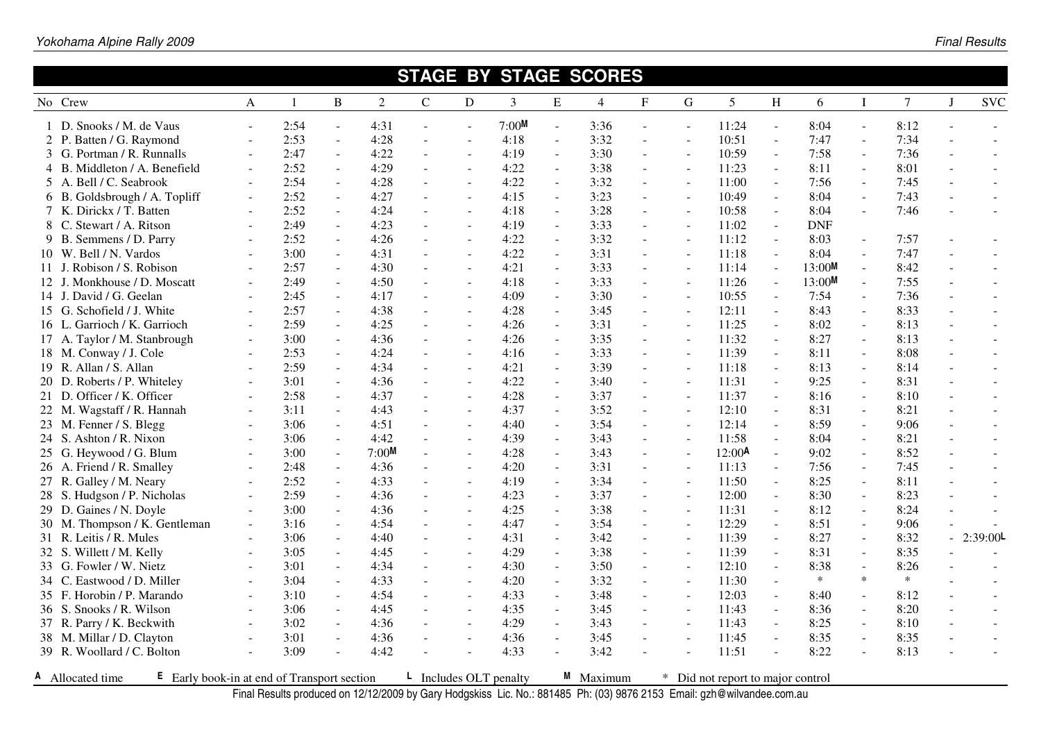|                                                                          |        |      |                          |       |              |                          | <b>STAGE BY STAGE SCORES</b>        |                          |                |                           |                          |                                   |                          |            |                          |                |                          |             |
|--------------------------------------------------------------------------|--------|------|--------------------------|-------|--------------|--------------------------|-------------------------------------|--------------------------|----------------|---------------------------|--------------------------|-----------------------------------|--------------------------|------------|--------------------------|----------------|--------------------------|-------------|
| No Crew                                                                  | A      | 1    | B                        | 2     | $\mathbf{C}$ | ${\bf D}$                | $\overline{3}$                      | ${\bf E}$                | $\overline{4}$ | $\boldsymbol{\mathrm{F}}$ | $\mathbf G$              | 5                                 | H                        | 6          | $\mathbf I$              | $\overline{7}$ | J                        | <b>SVC</b>  |
| 1 D. Snooks / M. de Vaus                                                 | $\sim$ | 2:54 | $\sim$                   | 4:31  | $\sim$       | $\sim$                   | 7:00M                               | $\mathbb{Z}^2$           | 3:36           |                           | $\mathcal{L}$            | 11:24                             | $\overline{a}$           | 8:04       | $\overline{\phantom{a}}$ | 8:12           | $\sim$                   |             |
| 2 P. Batten / G. Raymond                                                 |        | 2:53 | $\omega$                 | 4:28  | $\sim$       | $\overline{\phantom{a}}$ | 4:18                                | $\overline{\phantom{a}}$ | 3:32           |                           | $\sim$                   | 10:51                             | $\overline{\phantom{a}}$ | 7:47       | $\sim$                   | 7:34           | $\overline{a}$           |             |
| 3 G. Portman / R. Runnalls                                               | $\sim$ | 2:47 | $\sim$                   | 4:22  | $\sim$       | $\sim$                   | 4:19                                | $\omega$                 | 3:30           | $\sim$                    | $\sim$                   | 10:59                             | $\equiv$                 | 7:58       | $\blacksquare$           | 7:36           | $\overline{a}$           | $\sim$      |
| 4 B. Middleton / A. Benefield                                            |        | 2:52 | $\sim$                   | 4:29  |              | $\sim$                   | 4:22                                | $\sim$                   | 3:38           |                           | $\sim$                   | 11:23                             | $\sim$                   | 8:11       | $\sim$                   | 8:01           | $\sim$                   |             |
| 5 A. Bell / C. Seabrook                                                  |        | 2:54 | $\mathbf{r}$             | 4:28  |              | $\overline{a}$           | 4:22                                | $\mathcal{L}$            | 3:32           |                           | $\sim$                   | 11:00                             | $\sim$                   | 7:56       | $\sim$                   | 7:45           |                          |             |
| 6 B. Goldsbrough / A. Topliff                                            |        | 2:52 | $\sim$                   | 4:27  |              | $\sim$                   | 4:15                                | $\omega$                 | 3:23           | $\sim$                    | $\sim$                   | 10:49                             | $\mathbf{r}$             | 8:04       | $\sim$                   | 7:43           | $\sim$                   |             |
| 7 K. Dirickx / T. Batten                                                 |        | 2:52 | $\mathbf{r}$             | 4:24  |              | $\sim$                   | 4:18                                | $\omega$                 | 3:28           |                           | $\sim$                   | 10:58                             | $\overline{\phantom{a}}$ | 8:04       | $\overline{\phantom{a}}$ | 7:46           | $\overline{\phantom{a}}$ |             |
| 8 C. Stewart / A. Ritson                                                 |        | 2:49 |                          | 4:23  |              |                          | 4:19                                | $\sim$                   | 3:33           |                           | $\sim$                   | 11:02                             | ÷.                       | <b>DNF</b> |                          |                |                          |             |
| 9 B. Semmens / D. Parry                                                  |        | 2:52 | $\overline{\phantom{a}}$ | 4:26  | $\sim$       | $\overline{\phantom{a}}$ | 4:22                                | $\blacksquare$           | 3:32           | $\sim$                    | $\sim$                   | 11:12                             | $\overline{\phantom{a}}$ | 8:03       | $\blacksquare$           | 7:57           | $\sim$                   |             |
| 10 W. Bell / N. Vardos                                                   | $\sim$ | 3:00 | $\omega$                 | 4:31  | $\sim$       | $\sim$                   | 4:22                                | $\omega$                 | 3:31           | $\sim$                    | $\sim$                   | 11:18                             | $\mathbf{r}$             | 8:04       | $\blacksquare$           | 7:47           | $\sim$                   |             |
| 11 J. Robison / S. Robison                                               | $\sim$ | 2:57 | $\omega$                 | 4:30  | $\sim$       | $\blacksquare$           | 4:21                                | $\omega$                 | 3:33           | $\blacksquare$            | $\blacksquare$           | 11:14                             | $\equiv$                 | 13:00M     | $\blacksquare$           | 8:42           | $\equiv$                 |             |
| 12 J. Monkhouse / D. Moscatt                                             |        | 2:49 | $\mathbf{r}$             | 4:50  |              | $\sim$                   | 4:18                                | $\omega$                 | 3:33           |                           | $\omega$                 | 11:26                             | $\overline{\phantom{a}}$ | 13:00M     | $\sim$                   | 7:55           | $\overline{a}$           |             |
| 14 J. David / G. Geelan                                                  |        | 2:45 | $\blacksquare$           | 4:17  |              | $\sim$                   | 4:09                                | $\omega$                 | 3:30           | $\overline{\phantom{a}}$  | $\blacksquare$           | 10:55                             | $\overline{\phantom{a}}$ | 7:54       | $\sim$                   | 7:36           | $\overline{\phantom{a}}$ |             |
| 15 G. Schofield / J. White                                               |        | 2:57 | $\blacksquare$           | 4:38  | $\sim$       | $\sim$                   | 4:28                                | $\omega$                 | 3:45           | $\sim$                    | $\sim$                   | 12:11                             | $\overline{\phantom{a}}$ | 8:43       | $\blacksquare$           | 8:33           | $\sim$                   |             |
| 16 L. Garrioch / K. Garrioch                                             |        | 2:59 | $\sim$                   | 4:25  |              | $\blacksquare$           | 4:26                                | $\sim$                   | 3:31           |                           | $\blacksquare$           | 11:25                             |                          | 8:02       | $\sim$                   | 8:13           | $\sim$                   |             |
| 17 A. Taylor / M. Stanbrough                                             |        | 3:00 | $\omega$                 | 4:36  |              | $\sim$                   | 4:26                                | $\omega$                 | 3:35           |                           | $\blacksquare$           | 11:32                             | $\overline{\phantom{a}}$ | 8:27       | $\blacksquare$           | 8:13           | $\sim$                   |             |
| 18 M. Conway / J. Cole                                                   |        | 2:53 | $\sim$                   | 4:24  |              | $\sim$                   | 4:16                                | $\omega$                 | 3:33           |                           | $\sim$                   | 11:39                             | $\mathbf{r}$             | 8:11       | $\sim$                   | 8:08           | $\overline{a}$           |             |
| 19 R. Allan / S. Allan                                                   |        | 2:59 | $\omega$                 | 4:34  |              | $\overline{\phantom{a}}$ | 4:21                                | $\omega$                 | 3:39           | $\blacksquare$            | $\blacksquare$           | 11:18                             | $\equiv$                 | 8:13       | $\blacksquare$           | 8:14           | $\overline{\phantom{a}}$ |             |
| 20 D. Roberts / P. Whiteley                                              |        | 3:01 | $\sim$                   | 4:36  | $\sim$       | $\sim$                   | 4:22                                | $\omega$                 | 3:40           | $\sim$                    | $\sim$                   | 11:31                             | $\sim$                   | 9:25       | $\blacksquare$           | 8:31           | $\sim$                   |             |
| 21 D. Officer / K. Officer                                               |        | 2:58 | $\mathbf{r}$             | 4:37  | $\sim$       | $\overline{\phantom{a}}$ | 4:28                                | $\blacksquare$           | 3:37           | $\sim$                    | $\blacksquare$           | 11:37                             | $\equiv$                 | 8:16       | $\blacksquare$           | 8:10           | $\sim$                   | $\sim$      |
| 22 M. Wagstaff / R. Hannah                                               |        | 3:11 | $\mathbf{r}$             | 4:43  | $\sim$       | $\sim$                   | 4:37                                | $\blacksquare$           | 3:52           | $\sim$                    | $\blacksquare$           | 12:10                             | $\overline{\phantom{a}}$ | 8:31       | $\blacksquare$           | 8:21           | $\sim$                   |             |
| 23 M. Fenner / S. Blegg                                                  |        | 3:06 | $\blacksquare$           | 4:51  |              | $\overline{\phantom{a}}$ | 4:40                                | $\blacksquare$           | 3:54           |                           | $\blacksquare$           | 12:14                             | ÷,                       | 8:59       | $\sim$                   | 9:06           | $\overline{\phantom{a}}$ |             |
| 24 S. Ashton / R. Nixon                                                  |        | 3:06 | $\mathbf{r}$             | 4:42  |              | $\overline{a}$           | 4:39                                | $\omega$                 | 3:43           |                           | $\sim$                   | 11:58                             | $\overline{\phantom{a}}$ | 8:04       | $\sim$                   | 8:21           | $\overline{a}$           |             |
| 25 G. Heywood / G. Blum                                                  |        | 3:00 | $\omega$                 | 7:00M |              | $\sim$                   | 4:28                                | $\omega$                 | 3:43           | $\overline{a}$            | $\overline{\phantom{a}}$ | 12:00A                            | $\overline{\phantom{a}}$ | 9:02       | $\overline{a}$           | 8:52           | $\overline{a}$           |             |
| 26 A. Friend / R. Smalley                                                |        | 2:48 | $\omega$                 | 4:36  | $\sim$       | $\overline{a}$           | 4:20                                | $\omega$                 | 3:31           |                           | $\overline{\phantom{a}}$ | 11:13                             | $\overline{\phantom{a}}$ | 7:56       | $\blacksquare$           | 7:45           | $\overline{a}$           |             |
| 27 R. Galley / M. Neary                                                  |        | 2:52 | $\blacksquare$           | 4:33  |              | $\overline{a}$           | 4:19                                | $\sim$                   | 3:34           |                           | $\blacksquare$           | 11:50                             |                          | 8:25       |                          | 8:11           |                          |             |
| 28 S. Hudgson / P. Nicholas                                              |        | 2:59 | $\blacksquare$           | 4:36  | $\sim$       | $\overline{a}$           | 4:23                                | $\omega$                 | 3:37           | $\overline{\phantom{a}}$  | $\blacksquare$           | 12:00                             | $\overline{\phantom{a}}$ | 8:30       | $\blacksquare$           | 8:23           | $\overline{\phantom{a}}$ |             |
| 29 D. Gaines / N. Doyle                                                  |        | 3:00 | $\blacksquare$           | 4:36  | $\sim$       | $\blacksquare$           | 4:25                                | $\sim$                   | 3:38           | $\sim$                    | $\sim$                   | 11:31                             | $\equiv$                 | 8:12       | $\blacksquare$           | 8:24           | $\overline{\phantom{a}}$ |             |
| 30 M. Thompson / K. Gentleman                                            | $\sim$ | 3:16 | $\omega$                 | 4:54  | $\sim$       | $\overline{\phantom{a}}$ | 4:47                                | $\sim$                   | 3:54           | $\sim$                    | $\blacksquare$           | 12:29                             | $\overline{\phantom{a}}$ | 8:51       | $\blacksquare$           | 9:06           |                          |             |
| 31 R. Leitis / R. Mules                                                  |        | 3:06 | $\sim$                   | 4:40  |              | $\sim$                   | 4:31                                | $\omega$                 | 3:42           |                           | $\sim$                   | 11:39                             | L.                       | 8:27       | $\sim$                   | 8:32           | $\overline{a}$           | $2:39:00$ L |
| 32 S. Willett / M. Kelly                                                 |        | 3:05 | $\omega$                 | 4:45  |              | $\sim$                   | 4:29                                | $\omega$                 | 3:38           | $\sim$                    | $\blacksquare$           | 11:39                             | $\overline{\phantom{a}}$ | 8:31       | $\blacksquare$           | 8:35           |                          |             |
| 33 G. Fowler / W. Nietz                                                  |        | 3:01 | $\mathbf{r}$             | 4:34  | $\sim$       | $\sim$                   | 4:30                                | $\omega$                 | 3:50           | $\sim$                    | $\sim$                   | 12:10                             | $\sim$                   | 8:38       | $\blacksquare$           | 8:26           |                          |             |
| 34 C. Eastwood / D. Miller                                               |        | 3:04 | $\mathbf{r}$             | 4:33  |              | $\sim$                   | 4:20                                | $\sim$                   | 3:32           |                           | $\sim$                   | 11:30                             |                          | $\ast$     | $\ast$                   | $\ast$         |                          |             |
| 35 F. Horobin / P. Marando                                               | $\sim$ | 3:10 | $\omega$                 | 4:54  |              | $\sim$                   | 4:33                                | $\omega$                 | 3:48           |                           | $\omega$                 | 12:03                             | $\sim$                   | 8:40       | $\blacksquare$           | 8:12           | $\overline{a}$           |             |
| 36 S. Snooks / R. Wilson                                                 |        | 3:06 | $\omega$                 | 4:45  |              | $\sim$                   | 4:35                                | $\omega$                 | 3:45           | $\overline{\phantom{a}}$  | $\blacksquare$           | 11:43                             | $\equiv$                 | 8:36       | $\overline{a}$           | 8:20           | $\sim$                   |             |
| 37 R. Parry / K. Beckwith                                                | $\sim$ | 3:02 | $\omega$                 | 4:36  |              | $\overline{\phantom{a}}$ | 4:29                                | $\blacksquare$           | 3:43           | $\overline{\phantom{a}}$  | $\sim$                   | 11:43                             | $\equiv$                 | 8:25       | $\overline{\phantom{a}}$ | 8:10           | $\blacksquare$           |             |
| 38 M. Millar / D. Clayton                                                |        | 3:01 | $\omega$                 | 4:36  |              |                          | 4:36                                | $\omega$                 | 3:45           |                           | $\blacksquare$           | 11:45                             | $\blacksquare$           | 8:35       | $\blacksquare$           | 8:35           | $\overline{\phantom{a}}$ |             |
| 39 R. Woollard / C. Bolton                                               | $\sim$ | 3:09 |                          | 4:42  |              | $\overline{a}$           | 4:33                                | $\omega$                 | 3:42           |                           | $\blacksquare$           | 11:51                             | $\overline{\phantom{a}}$ | 8:22       | $\overline{\phantom{a}}$ | 8:13           | $\overline{a}$           |             |
| $\epsilon$ Early book-in at end of Transport section<br>A Allocated time |        |      |                          |       |              |                          | $\blacksquare$ Includes OLT penalty |                          | M Maximum      |                           |                          | * Did not report to major control |                          |            |                          |                |                          |             |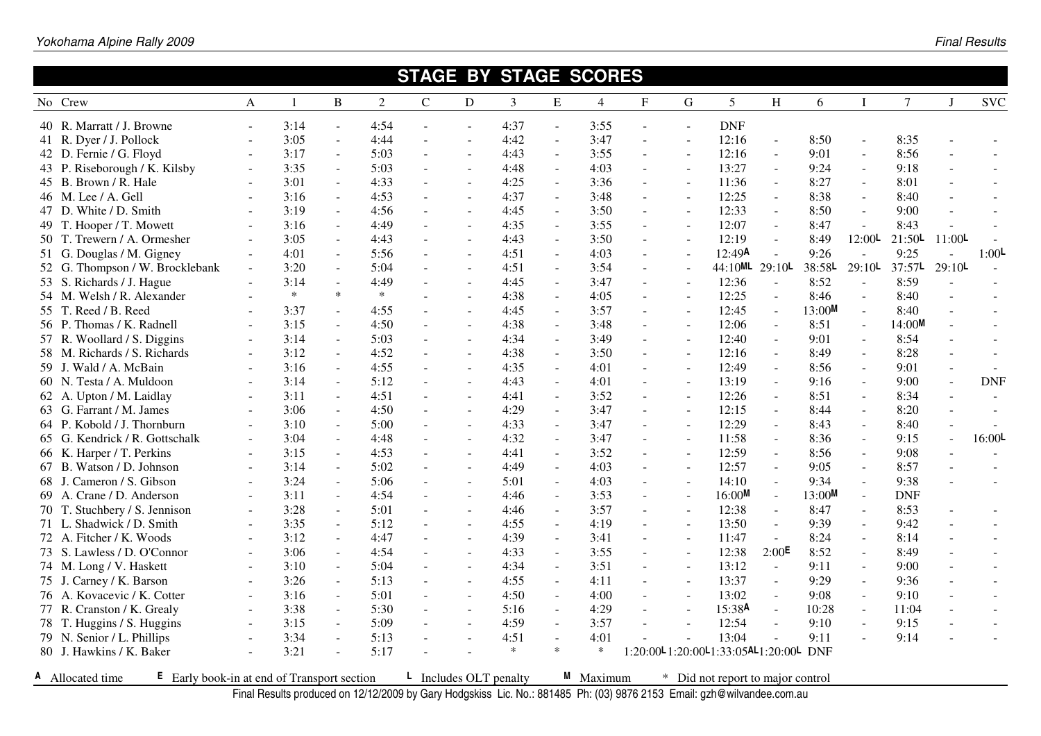|                                                                                 |                          |        |                          |                | <b>STAGE BY</b>                     |                          |                |                | <b>STAGE SCORES</b> |        |                          |                                      |                          |        |                          |            |                          |                    |
|---------------------------------------------------------------------------------|--------------------------|--------|--------------------------|----------------|-------------------------------------|--------------------------|----------------|----------------|---------------------|--------|--------------------------|--------------------------------------|--------------------------|--------|--------------------------|------------|--------------------------|--------------------|
| No Crew                                                                         | A                        | 1      | B                        | $\overline{2}$ | $\mathsf{C}$                        | D                        | $\mathfrak{Z}$ | E              | $\overline{4}$      | F      | $\mathbf G$              | 5                                    | H                        | 6      | I                        | $\tau$     | J                        | <b>SVC</b>         |
| 40 R. Marratt / J. Browne                                                       |                          | 3:14   | $\omega$                 | 4:54           | $\overline{a}$                      | $\sim$                   | 4:37           | $\mathcal{L}$  | 3:55                |        | $\sim$                   | <b>DNF</b>                           |                          |        |                          |            |                          |                    |
| 41 R. Dyer / J. Pollock                                                         |                          | 3:05   | $\overline{a}$           | 4:44           |                                     | L,                       | 4:42           | $\mathbf{r}$   | 3:47                |        | $\sim$                   | 12:16                                | $\overline{a}$           | 8:50   |                          | 8:35       |                          |                    |
| 42 D. Fernie / G. Floyd                                                         |                          | 3:17   | $\sim$                   | 5:03           | $\sim$                              | $\overline{a}$           | 4:43           | $\sim$         | 3:55                |        | $\overline{\phantom{a}}$ | 12:16                                | $\sim$                   | 9:01   | $\sim$                   | 8:56       |                          |                    |
| 43 P. Riseborough / K. Kilsby                                                   |                          | 3:35   | $\sim$                   | 5:03           | $\sim$                              | $\sim$                   | 4:48           | $\blacksquare$ | 4:03                |        | $\blacksquare$           | 13:27                                | $\sim$                   | 9:24   | $\blacksquare$           | 9:18       | $\sim$                   |                    |
| 45 B. Brown / R. Hale                                                           |                          | 3:01   | $\sim$                   | 4:33           |                                     | $\overline{a}$           | 4:25           | $\sim$         | 3:36                |        | $\overline{\phantom{a}}$ | 11:36                                |                          | 8:27   | $\sim$                   | 8:01       |                          |                    |
| 46 M. Lee / A. Gell                                                             |                          | 3:16   | $\overline{\phantom{a}}$ | 4:53           | $\overline{\phantom{a}}$            | $\sim$                   | 4:37           | $\omega$       | 3:48                | $\sim$ | $\blacksquare$           | 12:25                                | $\overline{\phantom{a}}$ | 8:38   | $\omega$                 | 8:40       | $\blacksquare$           |                    |
| 47 D. White / D. Smith                                                          |                          | 3:19   | $\sim$                   | 4:56           | $\blacksquare$                      | $\sim$                   | 4:45           | $\omega$       | 3:50                | $\sim$ | $\blacksquare$           | 12:33                                | $\sim$                   | 8:50   | $\blacksquare$           | 9:00       | $\blacksquare$           |                    |
| 49 T. Hooper / T. Mowett                                                        |                          | 3:16   | $\omega$                 | 4:49           | $\sim$                              | $\blacksquare$           | 4:35           | $\omega$       | 3:55                | $\sim$ | $\blacksquare$           | 12:07                                | $\sim$                   | 8:47   |                          | 8:43       |                          |                    |
| 50 T. Trewern / A. Ormesher                                                     |                          | 3:05   | $\sim$                   | 4:43           |                                     | $\overline{a}$           | 4:43           | $\mathbf{r}$   | 3:50                |        | $\sim$                   | 12:19                                | $\sim$                   | 8:49   | $12:00$ L                | 21:50L     | $11:00$ L                |                    |
| 51 G. Douglas / M. Gigney                                                       |                          | 4:01   | $\overline{\phantom{a}}$ | 5:56           | $\overline{\phantom{a}}$            | $\blacksquare$           | 4:51           | $\mathbb{Z}^2$ | 4:03                |        | $\overline{\phantom{a}}$ | 12:49A                               | $\overline{a}$           | 9:26   | $\mathbb{Z}^2$           | 9:25       |                          | 1:00 <sup>L</sup>  |
| 52 G. Thompson / W. Brocklebank                                                 | $\overline{\phantom{a}}$ | 3:20   | $\sim$                   | 5:04           | $\sim$                              | $\blacksquare$           | 4:51           | $\mathbb{Z}^2$ | 3:54                |        | $\overline{\phantom{a}}$ | $44:10$ ML                           | 29:10                    | 38:58L | $29:10$ L                | 37:57L     | 29:10                    |                    |
| 53 S. Richards / J. Hague                                                       |                          | 3:14   | $\sim$                   | 4:49           | $\sim$                              | L,                       | 4:45           | $\blacksquare$ | 3:47                |        | $\blacksquare$           | 12:36                                | $\overline{a}$           | 8:52   | $\sim$                   | 8:59       |                          |                    |
| 54 M. Welsh / R. Alexander                                                      |                          | $\ast$ | $\ast$                   | $\ast$         | ÷.                                  | $\blacksquare$           | 4:38           | $\omega$       | 4:05                | $\sim$ | $\overline{\phantom{a}}$ | 12:25                                | $\overline{\phantom{a}}$ | 8:46   | $\omega$                 | 8:40       | $\sim$                   | $\sim$             |
| 55 T. Reed / B. Reed                                                            |                          | 3:37   | $\sim$                   | 4:55           | $\sim$                              | $\overline{a}$           | 4:45           | $\blacksquare$ | 3:57                | $\sim$ | $\blacksquare$           | 12:45                                | $\sim$                   | 13:00M | $\overline{\phantom{a}}$ | 8:40       | $\blacksquare$           | $\sim$             |
| 56 P. Thomas / K. Radnell                                                       |                          | 3:15   | $\overline{\phantom{a}}$ | 4:50           |                                     | $\blacksquare$           | 4:38           | $\blacksquare$ | 3:48                |        | $\blacksquare$           | 12:06                                | $\overline{\phantom{a}}$ | 8:51   | $\sim$                   | 14:00M     | $\blacksquare$           |                    |
| 57 R. Woollard / S. Diggins                                                     |                          | 3:14   | $\sim$                   | 5:03           | $\sim$                              | $\overline{a}$           | 4:34           | $\omega$       | 3:49                |        | $\sim$                   | 12:40                                | $\sim$                   | 9:01   | $\sim$                   | 8:54       |                          |                    |
| 58 M. Richards / S. Richards                                                    |                          | 3:12   | $\sim$                   | 4:52           | $\sim$                              | ÷,                       | 4:38           | $\omega$       | 3:50                | $\sim$ | $\overline{\phantom{a}}$ | 12:16                                | $\overline{a}$           | 8:49   | $\sim$                   | 8:28       | $\sim$                   |                    |
| 59 J. Wald / A. McBain                                                          | $\overline{\phantom{a}}$ | 3:16   | $\sim$                   | 4:55           | $\omega$                            | $\blacksquare$           | 4:35           | $\omega$       | 4:01                |        | $\overline{\phantom{a}}$ | 12:49                                | $\sim$                   | 8:56   | $\sim$                   | 9:01       | $\sim$                   |                    |
| 60 N. Testa / A. Muldoon                                                        |                          | 3:14   | $\sim$                   | 5:12           | $\sim$                              | L,                       | 4:43           | $\mathbf{r}$   | 4:01                |        | $\sim$                   | 13:19                                |                          | 9:16   | $\sim$                   | 9:00       | $\overline{a}$           | <b>DNF</b>         |
| 62 A. Upton / M. Laidlay                                                        |                          | 3:11   | $\overline{\phantom{a}}$ | 4:51           | $\overline{\phantom{a}}$            | ÷,                       | 4:41           | $\omega$       | 3:52                | $\sim$ | $\overline{\phantom{a}}$ | 12:26                                | $\overline{a}$           | 8:51   | $\overline{a}$           | 8:34       | $\overline{\phantom{a}}$ |                    |
| 63 G. Farrant / M. James                                                        | $\overline{\phantom{a}}$ | 3:06   | $\sim$                   | 4:50           | $\blacksquare$                      | $\sim$                   | 4:29           | $\omega$       | 3:47                | $\sim$ | $\blacksquare$           | 12:15                                | $\sim$                   | 8:44   | $\sim$                   | 8:20       | $\sim$                   | $\sim$             |
| 64 P. Kobold / J. Thornburn                                                     |                          | 3:10   | $\blacksquare$           | 5:00           | $\sim$                              | $\overline{\phantom{a}}$ | 4:33           | $\blacksquare$ | 3:47                |        | $\sim$                   | 12:29                                | $\sim$                   | 8:43   | $\sim$                   | 8:40       | $\blacksquare$           |                    |
| 65 G. Kendrick / R. Gottschalk                                                  | ÷                        | 3:04   | $\sim$                   | 4:48           | $\sim$                              | $\overline{a}$           | 4:32           | $\sim$         | 3:47                |        | $\sim$                   | 11:58                                | $\overline{a}$           | 8:36   | $\sim$                   | 9:15       | $\overline{\phantom{a}}$ | 16:00 <sup>L</sup> |
| 66 K. Harper / T. Perkins                                                       |                          | 3:15   | $\sim$                   | 4:53           | $\mathbf{r}$                        | $\sim$                   | 4:41           | $\mathbf{r}$   | 3:52                |        | $\mathbf{r}$             | 12:59                                | $\sim$                   | 8:56   | $\sim$                   | 9:08       |                          |                    |
| 67 B. Watson / D. Johnson                                                       | $\overline{\phantom{a}}$ | 3:14   | $\overline{\phantom{a}}$ | 5:02           | $\overline{\phantom{a}}$            | ÷,                       | 4:49           | $\omega$       | 4:03                |        | $\blacksquare$           | 12:57                                | $\overline{a}$           | 9:05   | $\overline{a}$           | 8:57       |                          |                    |
| 68 J. Cameron / S. Gibson                                                       |                          | 3:24   | $\sim$                   | 5:06           |                                     | $\overline{a}$           | 5:01           | $\sim$         | 4:03                |        | $\sim$                   | 14:10                                |                          | 9:34   | $\sim$                   | 9:38       |                          |                    |
| 69 A. Crane / D. Anderson                                                       | $\blacksquare$           | 3:11   | $\sim$                   | 4:54           | $\sim$                              | $\sim$                   | 4:46           | $\blacksquare$ | 3:53                | $\sim$ | $\blacksquare$           | 16:00M                               | $\sim$                   | 13:00M | $\omega$                 | <b>DNF</b> |                          |                    |
| 70 T. Stuchbery / S. Jennison                                                   | ÷,                       | 3:28   | $\overline{\phantom{a}}$ | 5:01           | $\sim$                              | $\overline{a}$           | 4:46           | $\omega$       | 3:57                | $\sim$ | $\overline{\phantom{a}}$ | 12:38                                | $\sim$                   | 8:47   | $\sim$                   | 8:53       | $\sim$                   |                    |
| 71 L. Shadwick / D. Smith                                                       | $\overline{a}$           | 3:35   | $\overline{\phantom{a}}$ | 5:12           | $\sim$                              | $\blacksquare$           | 4:55           | $\blacksquare$ | 4:19                | $\sim$ | $\blacksquare$           | 13:50                                | $\sim$                   | 9:39   | $\sim$                   | 9:42       | $\sim$                   |                    |
| 72 A. Fitcher / K. Woods                                                        | $\overline{\phantom{0}}$ | 3:12   | $\overline{\phantom{a}}$ | 4:47           | $\mathbf{r}$                        | $\overline{a}$           | 4:39           | $\omega$       | 3:41                |        | $\blacksquare$           | 11:47                                |                          | 8:24   | $\overline{a}$           | 8:14       | $\sim$                   |                    |
| 73 S. Lawless / D. O'Connor                                                     |                          | 3:06   | $\sim$                   | 4:54           | $\sim$                              | $\sim$                   | 4:33           | $\mathbb{Z}^2$ | 3:55                | $\sim$ | $\sim$                   | 12:38                                | 2:00E                    | 8:52   | $\sim$                   | 8:49       | $\sim$                   |                    |
| 74 M. Long / V. Haskett                                                         | $\overline{a}$           | 3:10   | $\overline{\phantom{a}}$ | 5:04           | $\sim$                              | $\overline{a}$           | 4:34           | $\omega$       | 3:51                |        | $\overline{\phantom{a}}$ | 13:12                                | $\overline{a}$           | 9:11   | $\sim$                   | 9:00       | $\sim$                   |                    |
| 75 J. Carney / K. Barson                                                        |                          | 3:26   | $\sim$                   | 5:13           |                                     | $\overline{a}$           | 4:55           | $\blacksquare$ | 4:11                |        | $\blacksquare$           | 13:37                                |                          | 9:29   | $\sim$                   | 9:36       |                          |                    |
| 76 A. Kovacevic / K. Cotter                                                     |                          | 3:16   | $\omega$                 | 5:01           | $\sim$                              | $\sim$                   | 4:50           | $\omega$       | 4:00                | $\sim$ | $\blacksquare$           | 13:02                                | $\sim$                   | 9:08   | $\sim$                   | 9:10       | $\sim$                   |                    |
| 77 R. Cranston / K. Grealy                                                      | $\overline{\phantom{a}}$ | 3:38   | $\omega$                 | 5:30           | $\sim$                              | $\sim$                   | 5:16           | $\omega$       | 4:29                | $\sim$ | $\overline{a}$           | 15:38A                               | $\overline{\phantom{a}}$ | 10:28  | $\sim$                   | 11:04      |                          |                    |
| 78 T. Huggins / S. Huggins                                                      | $\overline{\phantom{a}}$ | 3:15   | $\blacksquare$           | 5:09           | $\sim$                              | $\sim$                   | 4:59           | $\blacksquare$ | 3:57                |        | $\blacksquare$           | 12:54                                | $\sim$                   | 9:10   | $\sim$                   | 9:15       | $\blacksquare$           | $\sim$             |
| 79 N. Senior / L. Phillips                                                      | $\sim$                   | 3:34   | $\sim$                   | 5:13           | $\sim$                              |                          | 4:51           | $\sim$         | 4:01                |        | $\sim$                   | 13:04                                |                          | 9:11   |                          | 9:14       |                          |                    |
| 80 J. Hawkins / K. Baker                                                        | $\sim$                   | 3:21   | ÷.                       | 5:17           |                                     | L                        | $\ast$         | $\ast$         | $\ast$              |        |                          | 1:20:00-1:20:00-1:33:05AL1:20:00-DNF |                          |        |                          |            |                          |                    |
| <b>A</b> Allocated time<br>$\epsilon$ Early book-in at end of Transport section |                          |        |                          |                | $\blacksquare$ Includes OLT penalty |                          |                |                | M Maximum           |        |                          | * Did not report to major control    |                          |        |                          |            |                          |                    |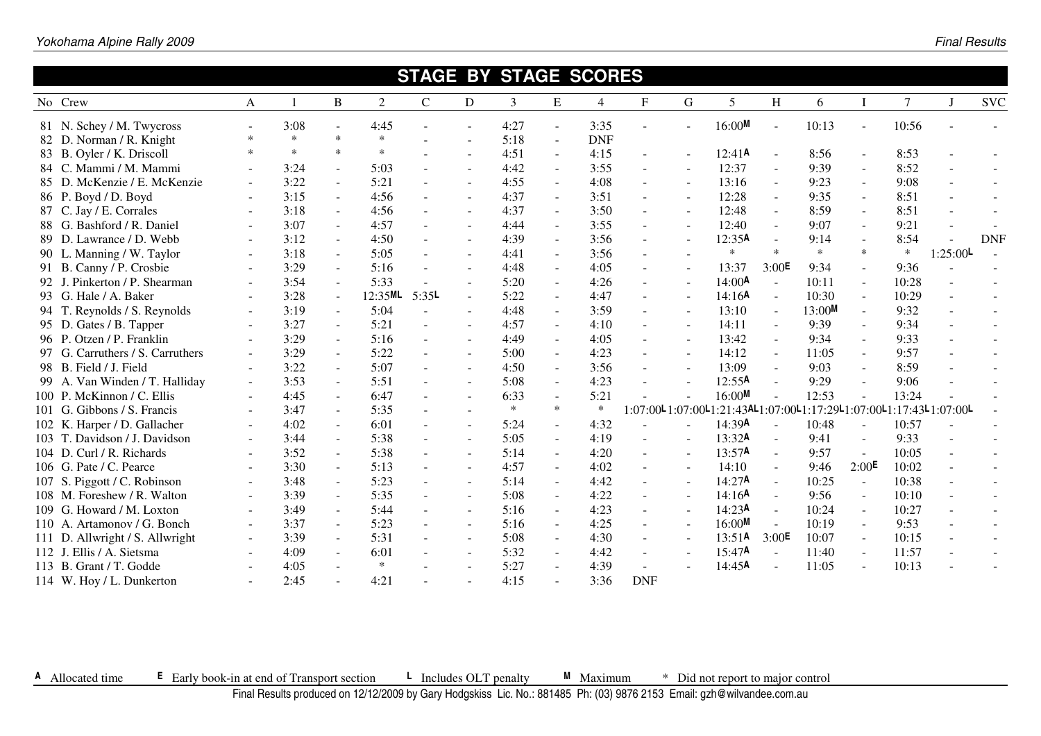|                                  |              |        |                |                |             |                | <b>STAGE BY STAGE SCORES</b> |                           |                |              |                          |                                                           |        |        |                          |                |                |            |
|----------------------------------|--------------|--------|----------------|----------------|-------------|----------------|------------------------------|---------------------------|----------------|--------------|--------------------------|-----------------------------------------------------------|--------|--------|--------------------------|----------------|----------------|------------|
| No Crew                          | $\mathbf{A}$ |        | $\bf{B}$       | $\overline{2}$ | $\mathbf C$ | D              | 3                            | E                         | $\overline{4}$ | $\mathbf{F}$ | G                        | 5                                                         | H      | 6      |                          | $\overline{7}$ |                | <b>SVC</b> |
| 81 N. Schey / M. Twycross        |              | 3:08   |                | 4:45           |             |                | 4:27                         |                           | 3:35           |              |                          | 16:00M                                                    |        | 10:13  |                          | 10:56          |                |            |
| 82 D. Norman / R. Knight         |              | $\ast$ | $\ast$         | $\ast$         |             | $\blacksquare$ | 5:18                         | $\blacksquare$            | <b>DNF</b>     |              |                          |                                                           |        |        |                          |                |                |            |
| 83 B. Oyler / K. Driscoll        |              | $\ast$ | $\ast$         | $\ast$         |             | $\sim$         | 4:51                         | $\sim$                    | 4:15           |              |                          | 12:41A                                                    |        | 8:56   |                          | 8:53           |                |            |
| 84 C. Mammi / M. Mammi           |              | 3:24   | $\sim$         | 5:03           |             | $\sim$         | 4:42                         | $\sim$                    | 3:55           |              | ÷                        | 12:37                                                     |        | 9:39   | $\sim$                   | 8:52           |                |            |
| 85 D. McKenzie / E. McKenzie     |              | 3:22   | $\sim$         | 5:21           |             | $\sim$         | 4:55                         | $\blacksquare$            | 4:08           |              | $\sim$                   | 13:16                                                     | ÷.     | 9:23   | $\overline{\phantom{a}}$ | 9:08           |                |            |
| 86 P. Boyd / D. Boyd             |              | 3:15   | $\mathbf{r}$   | 4:56           |             | $\sim$         | 4:37                         | $\blacksquare$            | 3:51           |              | $\blacksquare$           | 12:28                                                     |        | 9:35   | $\sim$                   | 8:51           |                |            |
| 87 C. Jay / E. Corrales          |              | 3:18   |                | 4:56           |             | $\sim$         | 4:37                         | $\overline{\phantom{a}}$  | 3:50           |              | $\blacksquare$           | 12:48                                                     |        | 8:59   |                          | 8:51           |                |            |
| 88 G. Bashford / R. Daniel       |              | 3:07   |                | 4:57           |             | $\sim$         | 4:44                         | $\overline{\phantom{a}}$  | 3:55           |              | $\sim$                   | 12:40                                                     |        | 9:07   |                          | 9:21           |                |            |
| 89 D. Lawrance / D. Webb         |              | 3:12   |                | 4:50           |             | $\sim$         | 4:39                         | $\overline{\phantom{a}}$  | 3:56           |              | $\overline{\phantom{a}}$ | 12:35A                                                    |        | 9:14   |                          | 8:54           |                | <b>DNF</b> |
| 90 L. Manning / W. Taylor        |              | 3:18   | $\sim$         | 5:05           |             | $\blacksquare$ | 4:41                         | $\blacksquare$            | 3:56           |              | $\sim$                   | $\ast$                                                    | $\ast$ | $\ast$ | $\ast$                   | $\ast$         | $1:25:00$ L    |            |
| 91 B. Canny / P. Crosbie         |              | 3:29   |                | 5:16           |             | $\blacksquare$ | 4:48                         | $\overline{\phantom{a}}$  | 4:05           |              | $\sim$                   | 13:37                                                     | 3:00E  | 9:34   |                          | 9:36           |                |            |
| 92 J. Pinkerton / P. Shearman    |              | 3:54   | $\sim$         | 5:33           |             |                | 5:20                         | $\overline{\phantom{a}}$  | 4:26           |              | $\sim$                   | 14:00A                                                    | $\sim$ | 10:11  | $\blacksquare$           | 10:28          |                |            |
| 93 G. Hale / A. Baker            |              | 3:28   | $\sim$         | 12:35ML        | 5:35L       | $\blacksquare$ | 5:22                         | $\overline{\phantom{a}}$  | 4:47           |              | $\overline{\phantom{a}}$ | 14:16A                                                    |        | 10:30  | $\sim$                   | 10:29          |                |            |
| 94 T. Reynolds / S. Reynolds     |              | 3:19   |                | 5:04           |             | $\sim$         | 4:48                         | $\sim$                    | 3:59           |              | $\sim$                   | 13:10                                                     |        | 13:00M | $\sim$                   | 9:32           |                |            |
| 95 D. Gates / B. Tapper          |              | 3:27   |                | 5:21           |             | $\sim$         | 4:57                         | $\overline{\phantom{a}}$  | 4:10           |              | $\overline{\phantom{a}}$ | 14:11                                                     |        | 9:39   |                          | 9:34           |                |            |
| 96 P. Otzen / P. Franklin        |              | 3:29   | $\sim$         | 5:16           |             | $\sim$         | 4:49                         | $\sim$                    | 4:05           |              | $\sim$                   | 13:42                                                     |        | 9:34   | $\overline{a}$           | 9:33           |                |            |
| 97 G. Carruthers / S. Carruthers |              | 3:29   | $\sim$         | 5:22           |             |                | 5:00                         | $\sim$                    | 4:23           |              |                          | 14:12                                                     |        | 11:05  | $\overline{a}$           | 9:57           |                |            |
| 98 B. Field / J. Field           |              | 3:22   | $\sim$         | 5:07           |             |                | 4:50                         | $\sim$                    | 3:56           |              |                          | 13:09                                                     |        | 9:03   |                          | 8:59           |                |            |
| 99 A. Van Winden / T. Halliday   |              | 3:53   |                | 5:51           |             |                | 5:08                         | $\overline{\phantom{a}}$  | 4:23           |              |                          | 12:55A                                                    |        | 9:29   |                          | 9:06           |                |            |
| 100 P. McKinnon / C. Ellis       |              | 4:45   | $\mathbf{r}$   | 6:47           |             | $\sim$         | 6:33                         | $\blacksquare$            | 5:21           |              |                          | 16:00M                                                    |        | 12:53  |                          | 13:24          |                |            |
| 101 G. Gibbons / S. Francis      |              | 3:47   | $\blacksquare$ | 5:35           |             |                | $\ast$                       | $\ast$                    | $\ast$         |              |                          | 1:07:00-1:17:29-1:07:00-1:17:29-1:07:00-1:17:43-1:07:00-1 |        |        |                          |                |                |            |
| 102 K. Harper / D. Gallacher     |              | 4:02   | $\sim$         | 6:01           |             |                | 5:24                         | $\overline{\phantom{a}}$  | 4:32           |              |                          | 14:39A                                                    |        | 10:48  | $\overline{\phantom{a}}$ | 10:57          |                |            |
| 103 T. Davidson / J. Davidson    |              | 3:44   | $\mathbf{r}$   | 5:38           |             | $\sim$         | 5:05                         | $\sim$                    | 4:19           |              | $\sim$                   | 13:32A                                                    |        | 9:41   | $\sim$                   | 9:33           |                |            |
| 104 D. Curl / R. Richards        |              | 3:52   | $\mathbf{r}$   | 5:38           |             | $\sim$         | 5:14                         | $\sim$                    | 4:20           |              | $\sim$                   | 13:57A                                                    |        | 9:57   |                          | 10:05          |                |            |
| 106 G. Pate / C. Pearce          |              | 3:30   | $\blacksquare$ | 5:13           |             | $\sim$         | 4:57                         | $\blacksquare$            | 4:02           |              | $\blacksquare$           | 14:10                                                     |        | 9:46   | 2:00E                    | 10:02          |                |            |
| 107 S. Piggott / C. Robinson     |              | 3:48   | $\blacksquare$ | 5:23           |             | $\sim$         | 5:14                         | $\blacksquare$            | 4:42           |              | $\overline{\phantom{a}}$ | 14:27 <sup>A</sup>                                        |        | 10:25  | $\blacksquare$           | 10:38          |                |            |
| 108 M. Foreshew / R. Walton      |              | 3:39   | $\equiv$       | 5:35           |             | $\sim$         | 5:08                         | $\blacksquare$            | 4:22           |              | $\blacksquare$           | 14:16A                                                    |        | 9:56   | $\sim$                   | 10:10          | $\overline{a}$ |            |
| 109 G. Howard / M. Loxton        |              | 3:49   | $\omega$       | 5:44           |             | $\sim$         | 5:16                         | $\mathbb{L}^{\mathbb{N}}$ | 4:23           |              | $\sim$                   | 14:23A                                                    |        | 10:24  | $\blacksquare$           | 10:27          | $\overline{a}$ |            |
| 110 A. Artamonov / G. Bonch      |              | 3:37   |                | 5:23           |             | $\mathbf{r}$   | 5:16                         | $\mathbb{Z}^+$            | 4:25           |              | $\sim$                   | $16:00$ M                                                 |        | 10:19  | $\sim$                   | 9:53           |                |            |
| 111 D. Allwright / S. Allwright  |              | 3:39   |                | 5:31           |             | $\sim$         | 5:08                         | $\overline{\phantom{a}}$  | 4:30           |              | $\sim$                   | 13:51A                                                    | 3:00E  | 10:07  | $\blacksquare$           | 10:15          |                |            |
| 112 J. Ellis / A. Sietsma        |              | 4:09   | $\mathbf{r}$   | 6:01           |             | $\sim$         | 5:32                         | $\blacksquare$            | 4:42           | $\sim$       | $\sim$                   | 15:47A                                                    | $\sim$ | 11:40  | $\blacksquare$           | 11:57          |                |            |
| 113 B. Grant / T. Godde          |              | 4:05   |                | $\ast$         |             |                | 5:27                         | $\mathbf{r}$              | 4:39           |              |                          | 14:45A                                                    |        | 11:05  |                          | 10:13          |                |            |
| 114 W. Hoy / L. Dunkerton        |              | 2:45   |                | 4:21           |             |                | 4:15                         |                           | 3:36           | <b>DNF</b>   |                          |                                                           |        |        |                          |                |                |            |

A Allocated time **E** Early book-in at end of Transport section **L** Includes OLT penalty M Maximum \* Did not report to major control Final Results produced on 12/12/2009 by Gary Hodgskiss Lic. No.: 881485 Ph: (03) 9876 2153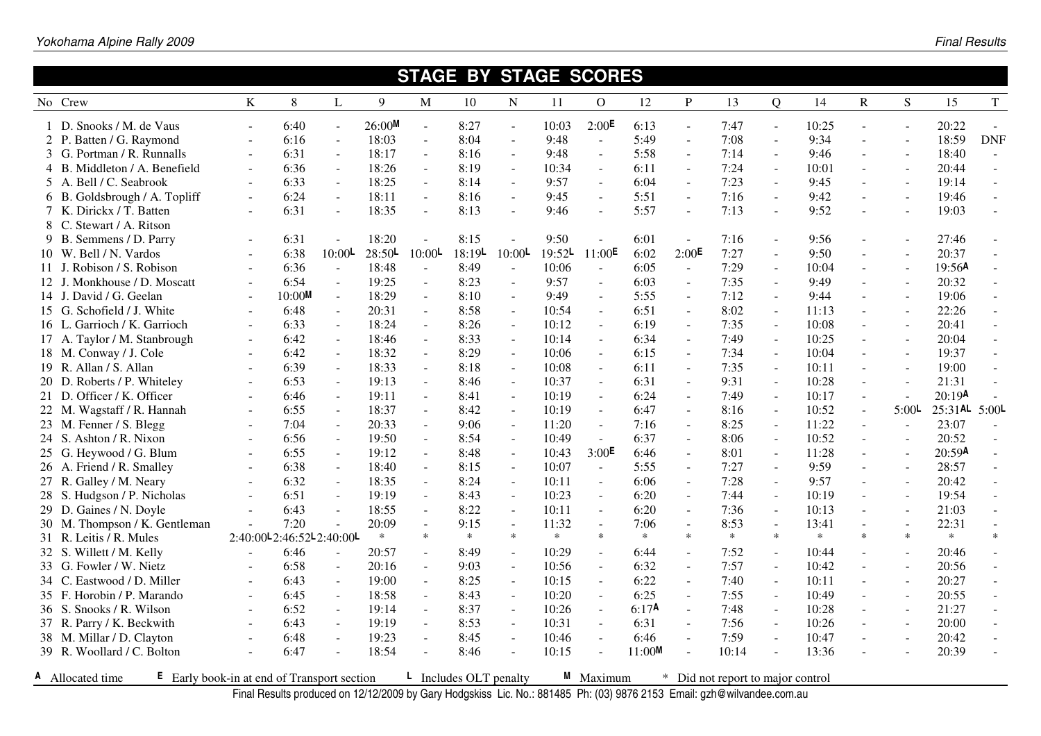|                               |                          |                             |                          |        |                          |        | <b>STAGE BY STAGE SCORES</b> |        |                |        |                             |        |                          |        |                          |                          |            |              |
|-------------------------------|--------------------------|-----------------------------|--------------------------|--------|--------------------------|--------|------------------------------|--------|----------------|--------|-----------------------------|--------|--------------------------|--------|--------------------------|--------------------------|------------|--------------|
| No Crew                       | $\bf K$                  | 8                           | L                        | 9      | M                        | 10     | N                            | 11     | $\overline{O}$ | 12     | $\mathbf{P}$                | 13     | Q                        | 14     | $\mathbb{R}$             | S                        | 15         | T            |
| 1 D. Snooks / M. de Vaus      | $\mathbf{r}$             | 6:40                        | $\sim$                   | 26:00M | $\overline{a}$           | 8:27   | $\sim$                       | 10:03  | 2:00E          | 6:13   | $\mathbf{r}$                | 7:47   | $\mathbf{r}$             | 10:25  | $\overline{a}$           |                          | 20:22      |              |
| 2 P. Batten / G. Raymond      | $\sim$                   | 6:16                        | $\omega$                 | 18:03  | $\sim$                   | 8:04   | $\overline{a}$               | 9:48   | $\mathbb{Z}^2$ | 5:49   | $\overline{a}$              | 7:08   |                          | 9:34   | $\overline{a}$           | $\overline{a}$           | 18:59      | <b>DNF</b>   |
| 3 G. Portman / R. Runnalls    | $\sim$                   | 6:31                        | $\omega$                 | 18:17  | $\sim$                   | 8:16   | $\sim$                       | 9:48   | $\omega$       | 5:58   | $\omega$                    | 7:14   | $\sim$                   | 9:46   | $\sim$                   | $\omega$                 | 18:40      |              |
| 4 B. Middleton / A. Benefield | $\sim$                   | 6:36                        | $\overline{\phantom{a}}$ | 18:26  | $\mathbf{r}$             | 8:19   | $\sim$                       | 10:34  | $\overline{a}$ | 6:11   | $\omega$                    | 7:24   | $\sim$                   | 10:01  | $\sim$                   | $\overline{a}$           | 20:44      |              |
| 5 A. Bell / C. Seabrook       | $\overline{\phantom{a}}$ | 6:33                        | $\blacksquare$           | 18:25  | $\overline{\phantom{a}}$ | 8:14   | $\sim$                       | 9:57   | $\sim$         | 6:04   | $\blacksquare$              | 7:23   | $\sim$                   | 9:45   | $\sim$                   | $\blacksquare$           | 19:14      |              |
| 6 B. Goldsbrough / A. Topliff | $\sim$                   | 6:24                        | $\mathbf{r}$             | 18:11  | $\overline{a}$           | 8:16   | $\sim$                       | 9:45   | $\sim$         | 5:51   | $\mathcal{L}$               | 7:16   |                          | 9:42   | $\sim$                   | ÷.                       | 19:46      |              |
| 7 K. Dirickx / T. Batten      | $\sim$                   | 6:31                        | $\sim$                   | 18:35  | $\overline{\phantom{a}}$ | 8:13   | $\blacksquare$               | 9:46   | $\blacksquare$ | 5:57   | $\blacksquare$              | 7:13   | $\blacksquare$           | 9:52   | $\sim$                   | $\blacksquare$           | 19:03      | $\omega$     |
| 8 C. Stewart / A. Ritson      |                          |                             |                          |        |                          |        |                              |        |                |        |                             |        |                          |        |                          |                          |            |              |
| 9 B. Semmens / D. Parry       | $\sim$                   | 6:31                        | $\sim$                   | 18:20  |                          | 8:15   |                              | 9:50   |                | 6:01   | $\sim$                      | 7:16   | $\sim$                   | 9:56   | $\sim$                   | $\blacksquare$           | 27:46      |              |
| 10 W. Bell / N. Vardos        |                          | 6:38                        | $10:00$ L                | 28:50L | $10:00$ L                | 18:19L | $10:00$ L                    | 19:52L | 11:00E         | 6:02   | 2:00E                       | 7:27   | $\sim$                   | 9:50   | $\sim$                   | $\overline{a}$           | 20:37      |              |
| 11 J. Robison / S. Robison    |                          | 6:36                        | $\omega$                 | 18:48  | $\sim$                   | 8:49   | $\sim$                       | 10:06  | $\sim$         | 6:05   | $\sim$                      | 7:29   | $\sim$                   | 10:04  | $\sim$                   | $\blacksquare$           | 19:56A     | $\omega$     |
| 12 J. Monkhouse / D. Moscatt  |                          | 6:54                        | $\omega$                 | 19:25  | $\omega$                 | 8:23   | $\sim$                       | 9:57   | $\omega$       | 6:03   | $\mathbb{Z}^2$              | 7:35   | $\overline{\phantom{a}}$ | 9:49   | $\sim$                   | $\blacksquare$           | 20:32      |              |
| 14 J. David / G. Geelan       | $\sim$                   | 10:00M                      | $\overline{\phantom{a}}$ | 18:29  | $\blacksquare$           | 8:10   | $\sim$                       | 9:49   | $\sim$         | 5:55   | $\blacksquare$              | 7:12   | $\sim$                   | 9:44   | $\sim$                   | $\blacksquare$           | 19:06      | $\equiv$     |
| 15 G. Schofield / J. White    |                          | 6:48                        | $\sim$                   | 20:31  | $\sim$                   | 8:58   | $\sim$                       | 10:54  | $\sim$         | 6:51   | $\sim$                      | 8:02   |                          | 11:13  | $\overline{a}$           |                          | 22:26      |              |
| 16 L. Garrioch / K. Garrioch  |                          | 6:33                        | $\omega$                 | 18:24  | $\sim$                   | 8:26   | $\sim$                       | 10:12  | $\omega$       | 6:19   | $\omega$                    | 7:35   | $\sim$                   | 10:08  | $\sim$                   | $\overline{a}$           | 20:41      | $\mathbf{u}$ |
| 17 A. Taylor / M. Stanbrough  |                          | 6:42                        | $\omega$                 | 18:46  | $\omega$                 | 8:33   | $\sim$                       | 10:14  | $\omega$       | 6:34   | $\omega$                    | 7:49   | $\sim$                   | 10:25  | $\sim$                   | $\blacksquare$           | 20:04      | $\omega$     |
| 18 M. Conway / J. Cole        | $\sim$                   | 6:42                        | $\mathbf{r}$             | 18:32  | $\mathbf{r}$             | 8:29   | $\sim$                       | 10:06  | $\sim$         | 6:15   | $\omega$                    | 7:34   | $\sim$                   | 10:04  | $\sim$                   | $\overline{a}$           | 19:37      |              |
| 19 R. Allan / S. Allan        |                          | 6:39                        | $\sim$                   | 18:33  | $\sim$                   | 8:18   | $\sim$                       | 10:08  | $\sim$         | 6:11   | $\sim$                      | 7:35   |                          | 10:11  | $\overline{a}$           | $\blacksquare$           | 19:00      |              |
| 20 D. Roberts / P. Whiteley   |                          | 6:53                        | $\omega$                 | 19:13  | $\sim$                   | 8:46   | $\sim$                       | 10:37  | $\sim$         | 6:31   | $\omega$                    | 9:31   | $\sim$                   | 10:28  | $\sim$                   | $\overline{a}$           | 21:31      |              |
| 21 D. Officer / K. Officer    |                          | 6:46                        | $\blacksquare$           | 19:11  | $\sim$                   | 8:41   | $\overline{\phantom{a}}$     | 10:19  | $\sim$         | 6:24   | $\omega$                    | 7:49   | $\sim$                   | 10:17  | $\overline{\phantom{a}}$ | $\omega$                 | 20:19A     |              |
| 22 M. Wagstaff / R. Hannah    | $\sim$                   | 6:55                        | $\overline{\phantom{a}}$ | 18:37  | $\sim$                   | 8:42   | $\sim$                       | 10:19  | $\sim$         | 6:47   | $\mathcal{L}_{\mathcal{A}}$ | 8:16   | $\sim$                   | 10:52  | $\sim$                   | 5:00L                    | $25:31$ AL | $5:00$ L     |
| 23 M. Fenner / S. Blegg       | $\sim$                   | 7:04                        | $\sim$                   | 20:33  | $\sim$                   | 9:06   | $\sim$                       | 11:20  | $\sim$         | 7:16   | $\blacksquare$              | 8:25   | $\sim$                   | 11:22  | $\sim$                   | $\sim$                   | 23:07      |              |
| 24 S. Ashton / R. Nixon       |                          | 6:56                        | $\omega$                 | 19:50  | $\sim$                   | 8:54   | $\sim$                       | 10:49  | $\sim$         | 6:37   | $\omega$                    | 8:06   | $\sim$                   | 10:52  | $\sim$                   | $\overline{a}$           | 20:52      |              |
| 25 G. Heywood / G. Blum       |                          | 6:55                        | $\omega$                 | 19:12  | $\mathbf{r}$             | 8:48   | $\sim$                       | 10:43  | 3:00E          | 6:46   | $\omega$                    | 8:01   | $\sim$                   | 11:28  | $\sim$                   | $\overline{a}$           | 20:59A     |              |
| 26 A. Friend / R. Smalley     | $\sim$                   | 6:38                        | $\omega$                 | 18:40  | $\omega$                 | 8:15   | $\sim$                       | 10:07  | $\omega$       | 5:55   | $\blacksquare$              | 7:27   | $\omega$                 | 9:59   | $\sim$                   | $\blacksquare$           | 28:57      | $\equiv$     |
| 27 R. Galley / M. Neary       | $\sim$                   | 6:32                        | $\omega$                 | 18:35  | $\overline{\phantom{a}}$ | 8:24   | $\sim$                       | 10:11  | $\omega$       | 6:06   | $\blacksquare$              | 7:28   | $\sim$                   | 9:57   | $\sim$                   | $\blacksquare$           | 20:42      |              |
| 28 S. Hudgson / P. Nicholas   | $\blacksquare$           | 6:51                        | $\blacksquare$           | 19:19  | $\sim$                   | 8:43   | $\sim$                       | 10:23  | $\sim$         | 6:20   | $\omega$                    | 7:44   | $\sim$                   | 10:19  | $\sim$                   | $\mathbf{r}$             | 19:54      |              |
| 29 D. Gaines / N. Doyle       | $\sim$                   | 6:43                        | $\sim$                   | 18:55  | $\sim$                   | 8:22   | $\sim$                       | 10:11  | $\sim$         | 6:20   | $\omega$                    | 7:36   | $\omega$                 | 10:13  | $\sim$                   | $\overline{\phantom{a}}$ | 21:03      |              |
| 30 M. Thompson / K. Gentleman |                          | 7:20                        | $\sim$                   | 20:09  | $\overline{\phantom{a}}$ | 9:15   | $\sim$                       | 11:32  | $\sim$         | 7:06   | $\sim$                      | 8:53   | $\sim$                   | 13:41  | $\sim$                   | $\blacksquare$           | 22:31      |              |
| 31 R. Leitis / R. Mules       |                          | 2:40:00 - 2:46:52 - 2:40:00 |                          | $\ast$ | $\ast$                   | $\ast$ | $\ast$                       | $\ast$ | $\ast$         | $\ast$ | $\ast$                      | $\ast$ | $\ast$                   | $\ast$ | $\ast$                   | $\ast$                   | $\ast$     | $\ast$       |
| 32 S. Willett / M. Kelly      |                          | 6:46                        | $\sim$                   | 20:57  | $\mathbf{r}$             | 8:49   | $\sim$                       | 10:29  | $\overline{a}$ | 6:44   | $\mathcal{L}$               | 7:52   | $\sim$                   | 10:44  | $\overline{a}$           | $\sim$                   | 20:46      |              |
| 33 G. Fowler / W. Nietz       |                          | 6:58                        | $\omega$                 | 20:16  | $\sim$                   | 9:03   | $\sim$                       | 10:56  | $\sim$         | 6:32   | $\omega$                    | 7:57   | $\sim$                   | 10:42  | $\sim$                   | $\overline{a}$           | 20:56      | $\omega$     |
| 34 C. Eastwood / D. Miller    |                          | 6:43                        | $\sim$                   | 19:00  | $\sim$                   | 8:25   | $\sim$                       | 10:15  | $\sim$         | 6:22   | $\mathbb{Z}^2$              | 7:40   | $\sim$                   | 10:11  | $\sim$                   | $\blacksquare$           | 20:27      | $\omega$     |
| 35 F. Horobin / P. Marando    | $\sim$                   | 6:45                        | $\blacksquare$           | 18:58  | $\overline{\phantom{a}}$ | 8:43   | $\blacksquare$               | 10:20  | $\sim$         | 6:25   | $\blacksquare$              | 7:55   | $\sim$                   | 10:49  | $\sim$                   | $\blacksquare$           | 20:55      | $\equiv$     |
| 36 S. Snooks / R. Wilson      |                          | 6:52                        | $\sim$                   | 19:14  | $\overline{a}$           | 8:37   | $\sim$                       | 10:26  | $\sim$         | 6:17A  | $\mathbf{r}$                | 7:48   | $\sim$                   | 10:28  | $\overline{a}$           | $\overline{a}$           | 21:27      |              |
| 37 R. Parry / K. Beckwith     |                          | 6:43                        | $\blacksquare$           | 19:19  | $\sim$                   | 8:53   | $\sim$                       | 10:31  | $\sim$         | 6:31   | $\blacksquare$              | 7:56   | $\sim$                   | 10:26  | $\sim$                   | $\blacksquare$           | 20:00      |              |
| 38 M. Millar / D. Clayton     | $\sim$                   | 6:48                        | $\sim$                   | 19:23  | $\sim$                   | 8:45   | $\sim$                       | 10:46  | $\sim$         | 6:46   | $\mathbb{Z}^2$              | 7:59   | $\mathcal{L}$            | 10:47  | $\overline{a}$           | $\overline{a}$           | 20:42      |              |
| 39 R. Woollard / C. Bolton    | $\sim$                   | 6:47                        | $\overline{\phantom{a}}$ | 18:54  | $\overline{\phantom{a}}$ | 8:46   | $\sim$                       | 10:15  |                | 11:00M | $\sim$                      | 10:14  | ÷.                       | 13:36  |                          |                          | 20:39      |              |
|                               |                          |                             |                          |        |                          |        |                              |        |                |        |                             |        |                          |        |                          |                          |            |              |

**<sup>A</sup>** Allocated time **<sup>E</sup>** Early book-in at end of Transport section **<sup>L</sup>** Includes OLT penalty **<sup>M</sup>** Maximum \* Did not report to major control

Final Results produced on 12/12/2009 by Gary Hodgskiss Lic. No.: 881485 Ph: (03) 9876 2153 Email: gzh@wilvandee.com.au

Yokohama Alpine Rally 2009 Final Results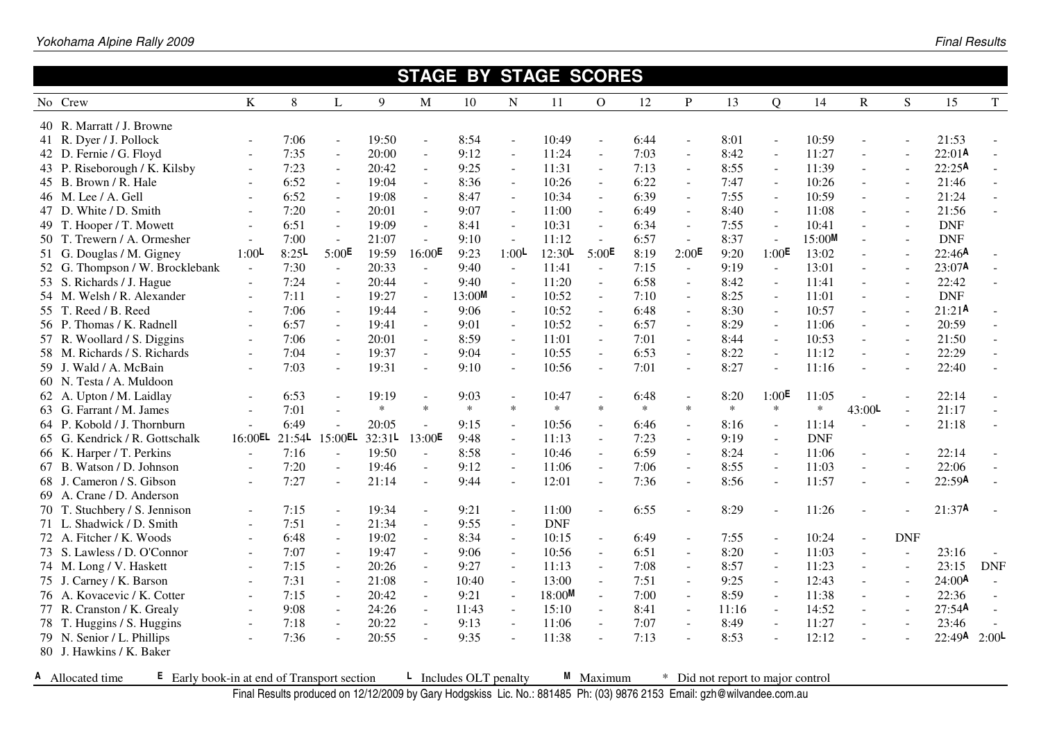|                                 |                          |       |                |           | <b>STAGE BY STAGE SCORES</b> |        |                          |            |                          |        |                |        |                |            |                          |                          |                    |                |
|---------------------------------|--------------------------|-------|----------------|-----------|------------------------------|--------|--------------------------|------------|--------------------------|--------|----------------|--------|----------------|------------|--------------------------|--------------------------|--------------------|----------------|
| No Crew                         | $\bf K$                  | $8\,$ | L              | 9         | M                            | 10     | $\mathbf N$              | 11         | $\mathbf{O}$             | 12     | $\mathbf{P}$   | 13     | Q              | 14         | ${\bf R}$                | S                        | 15                 | $\mathbf T$    |
| 40 R. Marratt / J. Browne       |                          |       |                |           |                              |        |                          |            |                          |        |                |        |                |            |                          |                          |                    |                |
| 41 R. Dyer / J. Pollock         |                          | 7:06  | $\sim$         | 19:50     |                              | 8:54   | $\overline{\phantom{a}}$ | 10:49      | $\sim$                   | 6:44   | $\sim$         | 8:01   |                | 10:59      | $\sim$                   |                          | 21:53              |                |
| 42 D. Fernie / G. Floyd         |                          | 7:35  | $\omega$       | 20:00     | $\sim$                       | 9:12   | $\blacksquare$           | 11:24      | $\overline{\phantom{a}}$ | 7:03   | $\sim$         | 8:42   | $\blacksquare$ | 11:27      | $\blacksquare$           | $\blacksquare$           | 22:01A             | $\sim$         |
| 43 P. Riseborough / K. Kilsby   | $\overline{\phantom{a}}$ | 7:23  | $\blacksquare$ | 20:42     | $\sim$                       | 9:25   | $\blacksquare$           | 11:31      | $\overline{\phantom{a}}$ | 7:13   | $\blacksquare$ | 8:55   | $\blacksquare$ | 11:39      | $\blacksquare$           | $\overline{\phantom{a}}$ | 22:25A             | $\sim$         |
| 45 B. Brown / R. Hale           | $\sim$                   | 6:52  | $\omega$       | 19:04     | $\sim$                       | 8:36   | $\sim$                   | 10:26      | $\omega$                 | 6:22   | $\sim$         | 7:47   | $\sim$         | 10:26      | $\overline{\phantom{a}}$ | $\mathbf{r}$             | 21:46              | $\sim$         |
| 46 M. Lee / A. Gell             | $\sim$                   | 6:52  | $\blacksquare$ | 19:08     | $\sim$                       | 8:47   | $\overline{\phantom{a}}$ | 10:34      | $\sim$                   | 6:39   | $\sim$         | 7:55   | $\blacksquare$ | 10:59      | $\sim$                   | $\sim$                   | 21:24              | $\omega$       |
| 47 D. White / D. Smith          |                          | 7:20  | $\omega$       | 20:01     | $\sim$                       | 9:07   | $\blacksquare$           | 11:00      | $\omega$                 | 6:49   | $\omega$       | 8:40   | $\blacksquare$ | 11:08      | $\overline{\phantom{a}}$ | $\blacksquare$           | 21:56              | $\omega$       |
| 49 T. Hooper / T. Mowett        |                          | 6:51  | $\omega$       | 19:09     | $\sim$                       | 8:41   | $\blacksquare$           | 10:31      | $\sim$                   | 6:34   | $\blacksquare$ | 7:55   | $\sim$         | 10:41      | $\sim$                   | $\sim$                   | <b>DNF</b>         |                |
| 50 T. Trewern / A. Ormesher     | $\sim$                   | 7:00  | $\omega$       | 21:07     | $\sim$                       | 9:10   | $\sim$                   | 11:12      |                          | 6:57   | $\sim$         | 8:37   | $\blacksquare$ | 15:00M     | $\overline{\phantom{a}}$ | $\overline{\phantom{a}}$ | <b>DNF</b>         |                |
| 51 G. Douglas / M. Gigney       | 1:00L                    | 8:25L | 5:00E          | 19:59     | 16:00E                       | 9:23   | $1:00$ L                 | 12:30L     | 5:00E                    | 8:19   | 2:00E          | 9:20   | 1:00E          | 13:02      | $\sim$                   |                          | 22:46A             | $\sim$         |
| 52 G. Thompson / W. Brocklebank | $\sim$                   | 7:30  | $\omega$       | 20:33     | $\omega$                     | 9:40   | $\omega$                 | 11:41      | $\omega$                 | 7:15   | $\omega$       | 9:19   | $\omega$       | 13:01      | $\overline{\phantom{a}}$ | $\sim$                   | 23:07 <sup>A</sup> | $\sim$         |
| 53 S. Richards / J. Hague       | $\sim$                   | 7:24  | $\sim$         | 20:44     | $\sim$                       | 9:40   | $\omega$                 | 11:20      | $\mathbf{r}$             | 6:58   | $\omega$       | 8:42   | $\mathbf{r}$   | 11:41      | $\overline{\phantom{a}}$ | $\sim$                   | 22:42              | $\mathbf{r}$   |
| 54 M. Welsh / R. Alexander      | $\sim$                   | 7:11  | $\omega$       | 19:27     | $\sim$                       | 13:00M | $\overline{\phantom{a}}$ | 10:52      | $\sim$                   | 7:10   | $\sim$         | 8:25   | $\blacksquare$ | 11:01      | $\blacksquare$           | $\blacksquare$           | <b>DNF</b>         |                |
| 55 T. Reed / B. Reed            | $\overline{\phantom{a}}$ | 7:06  | $\sim$         | 19:44     |                              | 9:06   | $\sim$                   | 10:52      | $\sim$                   | 6:48   |                | 8:30   |                | 10:57      | $\sim$                   |                          | 21:21A             | $\overline{a}$ |
| 56 P. Thomas / K. Radnell       |                          | 6:57  | $\blacksquare$ | 19:41     |                              | 9:01   | $\sim$                   | 10:52      | $\blacksquare$           | 6:57   | $\sim$         | 8:29   | $\sim$         | 11:06      | $\overline{\phantom{a}}$ |                          | 20:59              | $\omega$       |
| 57 R. Woollard / S. Diggins     | $\sim$                   | 7:06  | $\sim$         | 20:01     | $\sim$                       | 8:59   | $\omega$                 | 11:01      | $\mathbf{r}$             | 7:01   | $\sim$         | 8:44   | $\sim$         | 10:53      | $\sim$                   | $\sim$                   | 21:50              | $\omega$       |
| 58 M. Richards / S. Richards    | $\sim$                   | 7:04  | $\omega$       | 19:37     | $\sim$                       | 9:04   | $\omega$                 | 10:55      | $\sim$                   | 6:53   | $\sim$         | 8:22   | $\sim$         | 11:12      | $\overline{\phantom{a}}$ | $\sim$                   | 22:29              | $\sim$         |
| 59 J. Wald / A. McBain          |                          | 7:03  | $\sim$         | 19:31     | $\sim$                       | 9:10   | $\sim$                   | 10:56      |                          | 7:01   | $\sim$         | 8:27   |                | 11:16      |                          |                          | 22:40              | $\sim$         |
| 60 N. Testa / A. Muldoon        |                          |       |                |           |                              |        |                          |            |                          |        |                |        |                |            |                          |                          |                    |                |
| 62 A. Upton / M. Laidlay        |                          | 6:53  | $\sim$         | 19:19     |                              | 9:03   | $\overline{a}$           | 10:47      | $\sim$                   | 6:48   | $\omega$       | 8:20   | 1:00E          | 11:05      |                          |                          | 22:14              |                |
| 63 G. Farrant / M. James        | $\overline{a}$           | 7:01  | $\mathcal{L}$  | $\ast$    | $\ast$                       | $\ast$ | $\ast$                   | $\ast$     | $\ast$                   | $\ast$ | $\ast$         | $\ast$ | $\ast$         | $\ast$     | 43:00L                   | $\overline{a}$           | 21:17              |                |
| 64 P. Kobold / J. Thornburn     |                          | 6:49  |                | 20:05     |                              | 9:15   | $\sim$                   | 10:56      | $\sim$                   | 6:46   | $\omega$       | 8:16   |                | 11:14      | $\overline{\phantom{a}}$ | $\sim$                   | 21:18              | $\sim$         |
| 65 G. Kendrick / R. Gottschalk  | $16:00$ EL               | 21:54 | $15:00$ EL     | $32:31$ L | 13:00E                       | 9:48   | $\overline{\phantom{a}}$ | 11:13      | $\sim$                   | 7:23   | $\sim$         | 9:19   |                | <b>DNF</b> |                          |                          |                    |                |
| 66 K. Harper / T. Perkins       | $\sim$                   | 7:16  | $\omega$       | 19:50     | $\sim$                       | 8:58   | $\blacksquare$           | 10:46      | $\blacksquare$           | 6:59   | $\sim$         | 8:24   | $\blacksquare$ | 11:06      | $\blacksquare$           | $\blacksquare$           | 22:14              | $\omega$       |
| 67 B. Watson / D. Johnson       | $\overline{\phantom{a}}$ | 7:20  | $\omega$       | 19:46     | $\sim$                       | 9:12   | $\blacksquare$           | 11:06      | $\sim$                   | 7:06   | $\sim$         | 8:55   | $\blacksquare$ | 11:03      | $\sim$                   | $\overline{a}$           | 22:06              | $\blacksquare$ |
| 68 J. Cameron / S. Gibson       | $\sim$                   | 7:27  | $\blacksquare$ | 21:14     | $\sim$                       | 9:44   | $\sim$                   | 12:01      | $\sim$                   | 7:36   | $\sim$         | 8:56   | $\sim$         | 11:57      | $\overline{\phantom{a}}$ |                          | 22:59A             |                |
| 69 A. Crane / D. Anderson       |                          |       |                |           |                              |        |                          |            |                          |        |                |        |                |            |                          |                          |                    |                |
| 70 T. Stuchbery / S. Jennison   |                          | 7:15  | $\sim$         | 19:34     | $\sim$                       | 9:21   | $\blacksquare$           | 11:00      | $\blacksquare$           | 6:55   | $\omega$       | 8:29   | $\sim$         | 11:26      | $\blacksquare$           |                          | 21:37A             |                |
| 71 L. Shadwick / D. Smith       |                          | 7:51  | $\sim$         | 21:34     | $\sim$                       | 9:55   | $\overline{a}$           | <b>DNF</b> |                          |        |                |        |                |            |                          |                          |                    |                |
| 72 A. Fitcher / K. Woods        | $\sim$                   | 6:48  | $\blacksquare$ | 19:02     | $\sim$                       | 8:34   | $\blacksquare$           | 10:15      | $\sim$                   | 6:49   | $\blacksquare$ | 7:55   | $\blacksquare$ | 10:24      | $\blacksquare$           | <b>DNF</b>               |                    |                |
| 73 S. Lawless / D. O'Connor     |                          | 7:07  | $\sim$         | 19:47     |                              | 9:06   | $\sim$                   | 10:56      | $\sim$                   | 6:51   | $\sim$         | 8:20   |                | 11:03      | $\overline{\phantom{a}}$ | $\sim$                   | 23:16              |                |
| 74 M. Long / V. Haskett         | $\sim$                   | 7:15  | $\omega$       | 20:26     | $\sim$                       | 9:27   | $\blacksquare$           | 11:13      | $\blacksquare$           | 7:08   | $\sim$         | 8:57   | $\blacksquare$ | 11:23      | $\overline{\phantom{a}}$ | $\sim$                   | 23:15              | <b>DNF</b>     |
| 75 J. Carney / K. Barson        |                          | 7:31  | $\sim$         | 21:08     | $\sim$                       | 10:40  | $\blacksquare$           | 13:00      | $\mathbf{r}$             | 7:51   | $\sim$         | 9:25   | $\blacksquare$ | 12:43      | $\overline{\phantom{a}}$ | $\sim$                   | 24:00A             | $\sim$         |
| 76 A. Kovacevic / K. Cotter     | $\sim$                   | 7:15  | $\blacksquare$ | 20:42     | $\sim$                       | 9:21   | $\overline{\phantom{a}}$ | 18:00M     | $\sim$                   | 7:00   | $\sim$         | 8:59   | $\blacksquare$ | 11:38      | $\blacksquare$           | $\blacksquare$           | 22:36              | $\overline{a}$ |
| 77 R. Cranston / K. Grealy      | $\sim$                   | 9:08  | $\sim$         | 24:26     |                              | 11:43  | $\sim$                   | 15:10      | $\sim$                   | 8:41   | $\sim$         | 11:16  | $\blacksquare$ | 14:52      | $\sim$                   | $\sim$                   | 27:54A             |                |
| 78 T. Huggins / S. Huggins      | $\sim$                   | 7:18  | $\blacksquare$ | 20:22     | $\sim$                       | 9:13   | $\blacksquare$           | 11:06      | $\sim$                   | 7:07   | $\sim$         | 8:49   | $\blacksquare$ | 11:27      | $\sim$                   |                          | 23:46              |                |
| 79 N. Senior / L. Phillips      | $\sim$                   | 7:36  |                | 20:55     |                              | 9:35   | $\mathbf{r}$             | 11:38      |                          | 7:13   | $\sim$         | 8:53   | $\sim$         | 12:12      | $\sim$                   |                          | 22:49A             | $2:00$ L       |
| 80 J. Hawkins / K. Baker        |                          |       |                |           |                              |        |                          |            |                          |        |                |        |                |            |                          |                          |                    |                |
|                                 |                          |       |                |           |                              |        |                          |            |                          |        |                |        |                |            |                          |                          |                    |                |

A Allocated time **E** Early book-in at end of Transport section **L** Includes OLT penalty M Maximum \* Did not report to major control Final Results produced on 12/12/2009 by Gary Hodgskiss Lic. No.: 881485 Ph: (03) 9876 2153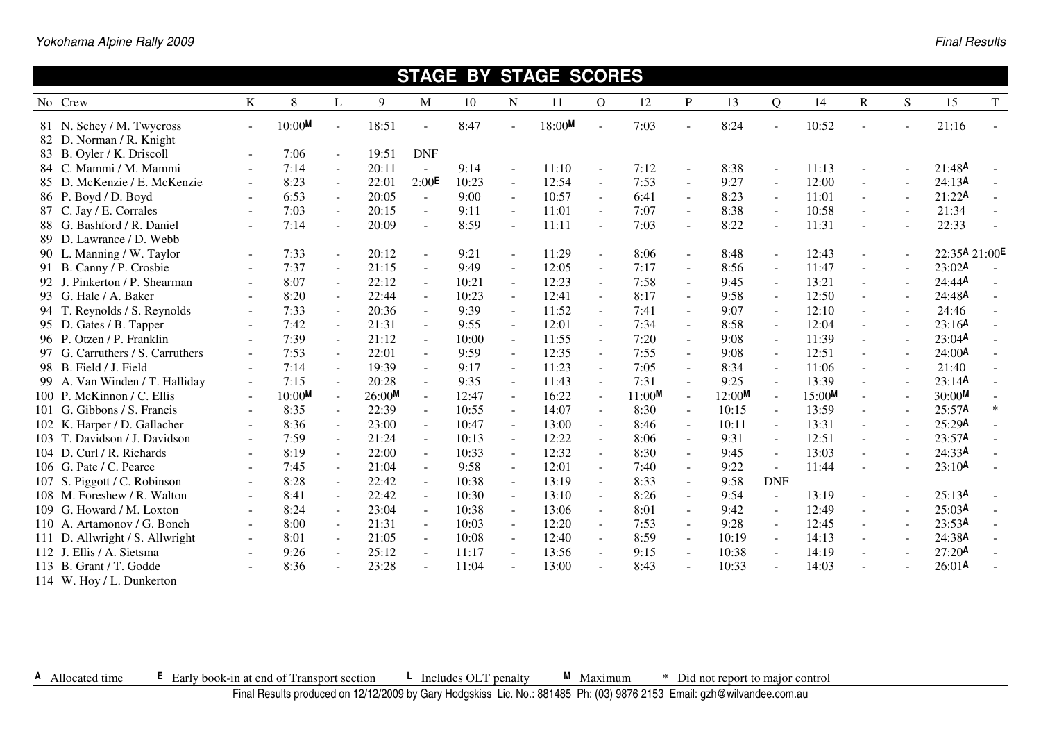|        |                                                        |                          |        |                |        |                |       |           | <b>STAGE BY STAGE SCORES</b> |                          |        |                          |        |                          |        |                |                          |                    |             |
|--------|--------------------------------------------------------|--------------------------|--------|----------------|--------|----------------|-------|-----------|------------------------------|--------------------------|--------|--------------------------|--------|--------------------------|--------|----------------|--------------------------|--------------------|-------------|
|        | No Crew                                                | $\bf K$                  | 8      | L              | 9      | $\mathbf M$    | 10    | ${\bf N}$ | 11                           | $\overline{O}$           | 12     | ${\bf P}$                | 13     | Q                        | 14     | $\mathbf R$    | S                        | 15                 | $\mathbf T$ |
|        | 81 N. Schey / M. Twycross<br>82 D. Norman / R. Knight  | $\sim$                   | 10:00M | $\sim$         | 18:51  |                | 8:47  |           | 18:00M                       | $\sim$                   | 7:03   |                          | 8:24   |                          | 10:52  |                |                          | 21:16              |             |
|        | 83 B. Oyler / K. Driscoll                              |                          | 7:06   | $\blacksquare$ | 19:51  | <b>DNF</b>     |       |           |                              |                          |        |                          |        |                          |        |                |                          |                    |             |
|        | 84 C. Mammi / M. Mammi                                 |                          | 7:14   | $\sim$         | 20:11  | $\sim$         | 9:14  |           | 11:10                        | $\overline{\phantom{a}}$ | 7:12   | $\blacksquare$           | 8:38   | $\blacksquare$           | 11:13  |                |                          | 21:48A             |             |
|        | 85 D. McKenzie / E. McKenzie                           | $\sim$                   | 8:23   | $\sim$         | 22:01  | 2:00E          | 10:23 | $\sim$    | 12:54                        | $\equiv$                 | 7:53   | $\sim$                   | 9:27   | $\overline{\phantom{a}}$ | 12:00  | $\blacksquare$ | $\blacksquare$           | 24:13A             |             |
|        | 86 P. Boyd / D. Boyd                                   |                          | 6:53   | $\sim$         | 20:05  | $\blacksquare$ | 9:00  | $\sim$    | 10:57                        | $\blacksquare$           | 6:41   | $\sim$                   | 8:23   | $\overline{\phantom{a}}$ | 11:01  | $\blacksquare$ | $\blacksquare$           | 21:22A             |             |
|        | 87 C. Jay / E. Corrales                                |                          | 7:03   | $\sim$         | 20:15  | $\omega$       | 9:11  | $\sim$    | 11:01                        | $\blacksquare$           | 7:07   | $\sim$                   | 8:38   | $\overline{\phantom{a}}$ | 10:58  | $\blacksquare$ | $\overline{\phantom{a}}$ | 21:34              |             |
|        | 88 G. Bashford / R. Daniel<br>89 D. Lawrance / D. Webb |                          | 7:14   | $\sim$         | 20:09  | $\blacksquare$ | 8:59  | $\sim$    | 11:11                        | $\blacksquare$           | 7:03   | $\blacksquare$           | 8:22   | $\blacksquare$           | 11:31  |                |                          | 22:33              |             |
|        | 90 L. Manning / W. Taylor                              |                          | 7:33   | $\sim$         | 20:12  | $\omega$       | 9:21  | $\sim$    | 11:29                        | $\blacksquare$           | 8:06   | $\equiv$                 | 8:48   | $\sim$                   | 12:43  | $\sim$         |                          | 22:35A 21:00E      |             |
|        | 91 B. Canny / P. Crosbie                               |                          | 7:37   | $\sim$         | 21:15  | $\sim$         | 9:49  |           | 12:05                        | $\blacksquare$           | 7:17   | $\sim$                   | 8:56   | $\overline{\phantom{a}}$ | 11:47  | $\blacksquare$ |                          | 23:02A             |             |
|        | 92 J. Pinkerton / P. Shearman                          | $\overline{\phantom{a}}$ | 8:07   | $\blacksquare$ | 22:12  | $\omega$       | 10:21 | $\sim$    | 12:23                        | $\blacksquare$           | 7:58   | $\sim$                   | 9:45   | $\overline{\phantom{a}}$ | 13:21  | $\sim$         |                          | 24:44A             |             |
|        | 93 G. Hale / A. Baker                                  |                          | 8:20   | $\sim$         | 22:44  | $\blacksquare$ | 10:23 |           | 12:41                        | $\omega$                 | 8:17   | $\blacksquare$           | 9:58   | $\blacksquare$           | 12:50  | $\blacksquare$ |                          | 24:48A             |             |
|        | 94 T. Reynolds / S. Reynolds                           |                          | 7:33   | $\blacksquare$ | 20:36  | $\omega$       | 9:39  | $\sim$    | 11:52                        | $\omega$                 | 7:41   | $\sim$                   | 9:07   | $\blacksquare$           | 12:10  | $\sim$         |                          | 24:46              |             |
|        | 95 D. Gates / B. Tapper                                |                          | 7:42   | $\blacksquare$ | 21:31  | $\omega$       | 9:55  | $\sim$    | 12:01                        | $\blacksquare$           | 7:34   | $\sim$                   | 8:58   | $\blacksquare$           | 12:04  | $\sim$         |                          | 23:16A             |             |
|        | 96 P. Otzen / P. Franklin                              |                          | 7:39   | $\sim$         | 21:12  | $\mathbf{r}$   | 10:00 |           | 11:55                        | $\omega$                 | 7:20   | $\sim$                   | 9:08   | $\blacksquare$           | 11:39  |                |                          | 23:04A             |             |
|        | 97 G. Carruthers / S. Carruthers                       |                          | 7:53   | $\sim$         | 22:01  | $\blacksquare$ | 9:59  |           | 12:35                        | $\overline{\phantom{a}}$ | 7:55   | $\blacksquare$           | 9:08   | $\blacksquare$           | 12:51  |                |                          | 24:00 <sup>A</sup> |             |
|        | 98 B. Field / J. Field                                 |                          | 7:14   | $\sim$         | 19:39  | $\omega$       | 9:17  |           | 11:23                        | $\blacksquare$           | 7:05   | $\blacksquare$           | 8:34   | $\blacksquare$           | 11:06  |                |                          | 21:40              |             |
|        | 99 A. Van Winden / T. Halliday                         | $\overline{\phantom{a}}$ | 7:15   | $\sim$         | 20:28  | $\blacksquare$ | 9:35  |           | 11:43                        | $\omega$                 | 7:31   | $\sim$                   | 9:25   | $\blacksquare$           | 13:39  |                |                          | 23:14A             |             |
|        | 100 P. McKinnon / C. Ellis                             | $\overline{\phantom{a}}$ | 10:00M | $\blacksquare$ | 26:00M | $\omega$       | 12:47 | $\sim$    | 16:22                        | $\omega$                 | 11:00M | $\overline{\phantom{a}}$ | 12:00M | $\mathbf{r}$             | 15:00M | $\sim$         |                          | 30:00M             |             |
|        | 101 G. Gibbons / S. Francis                            | $\overline{\phantom{a}}$ | 8:35   | $\sim$         | 22:39  | $\omega$       | 10:55 | $\sim$    | 14:07                        | $\blacksquare$           | 8:30   | $\blacksquare$           | 10:15  | $\sim$                   | 13:59  |                |                          | 25:57A             | $\ast$      |
|        | 102 K. Harper / D. Gallacher                           |                          | 8:36   | $\sim$         | 23:00  | $\omega$       | 10:47 |           | 13:00                        | $\blacksquare$           | 8:46   | $\blacksquare$           | 10:11  | $\blacksquare$           | 13:31  |                |                          | 25:29A             |             |
|        | 103 T. Davidson / J. Davidson                          |                          | 7:59   | $\sim$         | 21:24  | $\sim$         | 10:13 |           | 12:22                        | $\blacksquare$           | 8:06   | $\blacksquare$           | 9:31   | $\blacksquare$           | 12:51  |                | $\sim$                   | 23:57 <sup>A</sup> |             |
|        | 104 D. Curl / R. Richards                              |                          | 8:19   | $\sim$         | 22:00  | $\sim$         | 10:33 |           | 12:32                        | $\blacksquare$           | 8:30   | $\blacksquare$           | 9:45   | $\blacksquare$           | 13:03  |                |                          | 24:33A             |             |
|        | 106 G. Pate / C. Pearce                                |                          | 7:45   | $\sim$         | 21:04  | $\omega$       | 9:58  | $\sim$    | 12:01                        | $\omega$                 | 7:40   | $\sim$                   | 9:22   | $\overline{\phantom{a}}$ | 11:44  |                | $\sim$                   | 23:10 <sup>A</sup> |             |
|        | 107 S. Piggott / C. Robinson                           |                          | 8:28   | $\sim$         | 22:42  | $\omega$       | 10:38 | $\sim$    | 13:19                        | $\blacksquare$           | 8:33   | $\sim$                   | 9:58   | <b>DNF</b>               |        |                |                          |                    |             |
|        | 108 M. Foreshew / R. Walton                            |                          | 8:41   | $\sim$         | 22:42  | $\omega$       | 10:30 | $\sim$    | 13:10                        | $\blacksquare$           | 8:26   | $\sim$                   | 9:54   | $\equiv$                 | 13:19  | $\blacksquare$ | $\sim$                   | 25:13A             |             |
|        | 109 G. Howard / M. Loxton                              |                          | 8:24   | $\sim$         | 23:04  | $\omega$       | 10:38 | $\sim$    | 13:06                        | $\blacksquare$           | 8:01   | $\sim$                   | 9:42   | $\equiv$                 | 12:49  | $\blacksquare$ | $\sim$                   | 25:03A             |             |
|        | 110 A. Artamonov / G. Bonch                            |                          | 8:00   | $\blacksquare$ | 21:31  | $\omega$       | 10:03 | $\sim$    | 12:20                        | $\equiv$                 | 7:53   | $\sim$                   | 9:28   | $\overline{\phantom{a}}$ | 12:45  | $\sim$         | $\sim$                   | 23:53A             |             |
|        | 111 D. Allwright / S. Allwright                        | $\sim$                   | 8:01   | $\blacksquare$ | 21:05  | $\omega$       | 10:08 | $\sim$    | 12:40                        | $\equiv$                 | 8:59   | $\sim$                   | 10:19  | $\overline{\phantom{a}}$ | 14:13  | $\blacksquare$ | $\sim$                   | 24:38A             |             |
|        | 112 J. Ellis / A. Sietsma                              | $\sim$                   | 9:26   | $\sim$         | 25:12  | $\omega$       | 11:17 | $\sim$    | 13:56                        | $\overline{\phantom{a}}$ | 9:15   | $\sim$                   | 10:38  | $\equiv$                 | 14:19  | $\sim$         | $\sim$                   | 27:20 <sup>A</sup> |             |
| 113 B. | Grant / T. Godde<br>114 W. Hoy / L. Dunkerton          |                          | 8:36   |                | 23:28  | $\blacksquare$ | 11:04 |           | 13:00                        |                          | 8:43   | $\sim$                   | 10:33  |                          | 14:03  |                |                          | 26:01 <sup>A</sup> |             |

**<sup>A</sup>** Allocated time **<sup>E</sup>** Early book-in at end of Transport section **<sup>L</sup>** Includes OLT penalty **<sup>M</sup>** Maximum \* Did not report to major control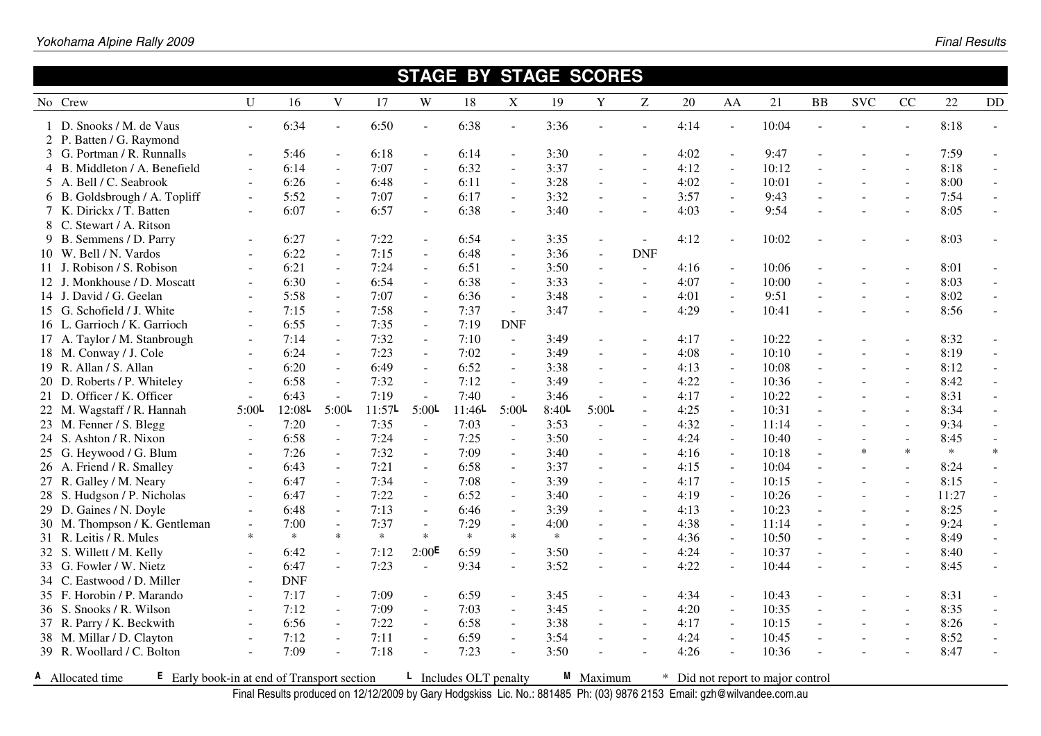|                               |                          |        |                |        |                   | <b>STAGE BY STAGE SCORES</b> |                          |        |                          |            |      |                          |       |                |            |                |        |                             |
|-------------------------------|--------------------------|--------|----------------|--------|-------------------|------------------------------|--------------------------|--------|--------------------------|------------|------|--------------------------|-------|----------------|------------|----------------|--------|-----------------------------|
| No Crew                       | $\mathbf{U}$             | 16     | V              | 17     | W                 | 18                           | X                        | 19     | Y                        | Z          | 20   | AA                       | 21    | <b>BB</b>      | <b>SVC</b> | CC             | 22     | DD                          |
| D. Snooks / M. de Vaus        | $\mathbf{r}$             | 6:34   | $\sim$         | 6:50   | $\overline{a}$    | 6:38                         | $\sim$                   | 3:36   |                          |            | 4:14 | $\sim$                   | 10:04 |                |            |                | 8:18   |                             |
| 2 P. Batten / G. Raymond      |                          |        |                |        |                   |                              |                          |        |                          |            |      |                          |       |                |            |                |        |                             |
| 3 G. Portman / R. Runnalls    |                          | 5:46   | $\blacksquare$ | 6:18   | $\sim$            | 6:14                         | $\blacksquare$           | 3:30   | $\overline{\phantom{a}}$ |            | 4:02 | $\overline{\phantom{a}}$ | 9:47  |                |            |                | 7:59   |                             |
| 4 B. Middleton / A. Benefield |                          | 6:14   | $\sim$         | 7:07   | ÷.                | 6:32                         | $\omega$                 | 3:37   | ÷.                       |            | 4:12 | $\sim$                   | 10:12 |                |            |                | 8:18   |                             |
| 5 A. Bell / C. Seabrook       | $\sim$                   | 6:26   | $\sim$         | 6:48   | $\sim$            | 6:11                         | $\sim$                   | 3:28   | $\mathbf{r}$             | $\sim$     | 4:02 | $\sim$                   | 10:01 |                |            | $\sim$         | 8:00   | $\overline{a}$              |
| 6 B. Goldsbrough / A. Topliff | $\overline{\phantom{a}}$ | 5:52   | $\sim$         | 7:07   | $\mathbf{r}$      | 6:17                         | $\sim$                   | 3:32   | $\overline{a}$           |            | 3:57 | $\sim$                   | 9:43  |                |            | $\sim$         | 7:54   |                             |
| 7 K. Dirickx / T. Batten      | $\sim$                   | 6:07   | $\sim$         | 6:57   | $\sim$            | 6:38                         | $\sim$                   | 3:40   |                          |            | 4:03 | $\sim$                   | 9:54  |                |            | $\overline{a}$ | 8:05   |                             |
| 8 C. Stewart / A. Ritson      |                          |        |                |        |                   |                              |                          |        |                          |            |      |                          |       |                |            |                |        |                             |
| 9 B. Semmens / D. Parry       | $\overline{\phantom{a}}$ | 6:27   | $\sim$         | 7:22   | $\sim$            | 6:54                         | $\sim$                   | 3:35   | $\sim$                   |            | 4:12 |                          | 10:02 |                |            |                | 8:03   |                             |
| 10 W. Bell / N. Vardos        | $\overline{\phantom{a}}$ | 6:22   | $\blacksquare$ | 7:15   | $\blacksquare$    | 6:48                         | $\blacksquare$           | 3:36   | ÷,                       | <b>DNF</b> |      |                          |       |                |            |                |        |                             |
| 11 J. Robison / S. Robison    |                          | 6:21   | $\sim$         | 7:24   | $\sim$            | 6:51                         | $\overline{\phantom{a}}$ | 3:50   | $\blacksquare$           | $\sim$     | 4:16 | $\overline{\phantom{a}}$ | 10:06 |                |            |                | 8:01   |                             |
| 12 J. Monkhouse / D. Moscatt  | $\blacksquare$           | 6:30   | $\sim$         | 6:54   | $\sim$            | 6:38                         | $\blacksquare$           | 3:33   | $\blacksquare$           |            | 4:07 | $\blacksquare$           | 10:00 |                |            |                | 8:03   |                             |
| 14 J. David / G. Geelan       | $\blacksquare$           | 5:58   | $\sim$         | 7:07   | $\sim$            | 6:36                         | $\blacksquare$           | 3:48   |                          |            | 4:01 | $\overline{\phantom{a}}$ | 9:51  |                |            | $\blacksquare$ | 8:02   | $\blacksquare$              |
| 15 G. Schofield / J. White    | $\sim$                   | 7:15   | $\sim$         | 7:58   | $\blacksquare$    | 7:37                         | $\overline{\phantom{a}}$ | 3:47   |                          |            | 4:29 |                          | 10:41 |                |            |                | 8:56   |                             |
| 16 L. Garrioch / K. Garrioch  | $\sim$                   | 6:55   | $\sim$         | 7:35   | $\blacksquare$    | 7:19                         | <b>DNF</b>               |        |                          |            |      |                          |       |                |            |                |        |                             |
| 17 A. Taylor / M. Stanbrough  | $\blacksquare$           | 7:14   | $\mathbf{r}$   | 7:32   | $\sim$            | 7:10                         | $\overline{\phantom{a}}$ | 3:49   | ÷,                       |            | 4:17 | $\blacksquare$           | 10:22 |                |            |                | 8:32   |                             |
| 18 M. Conway / J. Cole        | $\sim$                   | 6:24   | $\mathbf{r}$   | 7:23   | $\sim$            | 7:02                         | $\overline{\phantom{a}}$ | 3:49   | ÷,                       | $\sim$     | 4:08 | $\sim$                   | 10:10 |                |            | $\blacksquare$ | 8:19   | $\overline{a}$              |
| 19 R. Allan / S. Allan        | $\sim$                   | 6:20   | $\blacksquare$ | 6:49   | $\mathbf{r}$      | 6:52                         | $\sim$                   | 3:38   | $\overline{a}$           | $\sim$     | 4:13 | $\blacksquare$           | 10:08 |                |            | $\sim$         | 8:12   | $\mathcal{L}^{\mathcal{A}}$ |
| 20 D. Roberts / P. Whiteley   |                          | 6:58   | $\sim$         | 7:32   | $\mathbf{r}$      | 7:12                         | $\overline{\phantom{a}}$ | 3:49   | $\overline{a}$           | $\sim$     | 4:22 | $\blacksquare$           | 10:36 |                |            |                | 8:42   | $\overline{a}$              |
| 21 D. Officer / K. Officer    |                          | 6:43   | $\overline{a}$ | 7:19   | $\mathbf{r}$      | 7:40                         | $\overline{a}$           | 3:46   |                          |            | 4:17 | $\blacksquare$           | 10:22 |                |            |                | 8:31   | $\overline{a}$              |
| 22 M. Wagstaff / R. Hannah    | $5:00$ L                 | 12:08L | 5:00L          | 11:57L | $5:00$ L          | 11:46L                       | 5:00L                    | 8:40L  | 5:00L                    | $\sim$     | 4:25 | $\blacksquare$           | 10:31 |                |            | $\sim$         | 8:34   | $\overline{a}$              |
| 23 M. Fenner / S. Blegg       | $\overline{\phantom{a}}$ | 7:20   | $\sim$         | 7:35   | $\blacksquare$    | 7:03                         | $\blacksquare$           | 3:53   | $\overline{\phantom{a}}$ | $\sim$     | 4:32 | $\omega$                 | 11:14 |                |            | $\sim$         | 9:34   | $\overline{a}$              |
| 24 S. Ashton / R. Nixon       | $\sim$                   | 6:58   | $\sim$         | 7:24   | $\sim$            | 7:25                         | $\omega$                 | 3:50   | $\sim$                   | $\sim$     | 4:24 | $\mathcal{L}$            | 10:40 | $\sim$         |            |                | 8:45   | $\sim$                      |
| 25 G. Heywood / G. Blum       | $\sim$                   | 7:26   | $\sim$         | 7:32   | $\sim$            | 7:09                         | $\sim$                   | 3:40   | $\mathbf{r}$             | $\sim$     | 4:16 | $\mathbf{r}$             | 10:18 | $\overline{a}$ | $\ast$     | $\ast$         | $\ast$ | $\ast$                      |
| 26 A. Friend / R. Smalley     | $\sim$                   | 6:43   | $\sim$         | 7:21   | $\sim$            | 6:58                         | $\blacksquare$           | 3:37   | $\sim$                   | $\sim$     | 4:15 | $\sim$                   | 10:04 | $\sim$         |            |                | 8:24   |                             |
| 27 R. Galley / M. Neary       |                          | 6:47   | $\sim$         | 7:34   | $\mathbf{r}$      | 7:08                         | $\blacksquare$           | 3:39   | $\sim$                   | $\sim$     | 4:17 | $\blacksquare$           | 10:15 |                |            | $\sim$         | 8:15   | $\overline{a}$              |
| 28 S. Hudgson / P. Nicholas   | $\sim$                   | 6:47   | $\sim$         | 7:22   | $\mathbf{r}$      | 6:52                         | $\blacksquare$           | 3:40   | $\sim$                   | $\sim$     | 4:19 | $\blacksquare$           | 10:26 | $\overline{a}$ |            | $\sim$         | 11:27  |                             |
| 29 D. Gaines / N. Doyle       | $\blacksquare$           | 6:48   | $\sim$         | 7:13   | ÷.                | 6:46                         | $\blacksquare$           | 3:39   | $\overline{a}$           | $\sim$     | 4:13 | $\blacksquare$           | 10:23 |                |            | $\sim$         | 8:25   |                             |
| 30 M. Thompson / K. Gentleman |                          | 7:00   | $\sim$         | 7:37   | $\blacksquare$    | 7:29                         | $\blacksquare$           | 4:00   |                          | $\sim$     | 4:38 | $\blacksquare$           | 11:14 |                |            |                | 9:24   | $\overline{a}$              |
| 31 R. Leitis / R. Mules       | $\ast$                   | $\ast$ | $\ast$         | $\ast$ | $\ast$            | $\ast$                       | $\ast$                   | $\ast$ |                          |            | 4:36 | $\overline{\phantom{a}}$ | 10:50 |                |            |                | 8:49   |                             |
| 32 S. Willett / M. Kelly      |                          | 6:42   |                | 7:12   | $2:00^{\text{E}}$ | 6:59                         |                          | 3:50   |                          |            | 4:24 |                          | 10:37 |                |            |                | 8:40   |                             |
| 33 G. Fowler / W. Nietz       |                          | 6:47   |                | 7:23   |                   | 9:34                         |                          | 3:52   |                          |            | 4:22 |                          | 10:44 |                |            |                | 8:45   |                             |

34 C. Eastwood / D. Miller - DNF

 $7:17$ 

**<sup>A</sup>** Allocated time **<sup>E</sup>** Early book-in at end of Transport section **<sup>L</sup>** Includes OLT penalty **<sup>M</sup>** Maximum \* Did not report to major control Final Results produced on 12/12/2009 by Gary Hodgskiss Lic. No.: 881485 Ph: (03) 9876 2153 Email: gzh@wilvandee.com.au

 35 F. Horobin / P. Marando - 7:17 - 7:09 - 6:59 - 3:45 - - 4:34 - 10:43 - - - 8:31 - 36 S. Snooks / R. Wilson - 7:12 - 7:09 - 7:03 - 3:45 - - 4:20 - 10:35 - - - 8:35 -

37 R. Parry / K. Beckwith - 6:56 - 7:22 - 6:58 - 3:38 - - 4:17 - 10:15 - - - 8:26 -<br>38 M. Millar / D. Clayton - 7:12 - 7:11 - 6:59 - 3:54 - - 4:24 - 10:45 - - - 8:52 -38 M. Millar / D. Clayton - 7:12 - 7:11 - 6:59 - 3:54 - - 4:24 - 10:45 - - - 8:52 -<br>39 R. Woollard / C. Bolton - 7:09 - 7:18 - 7:23 - 3:50 - - 4:26 - 10:36 - - - 8:47 -39 R. Woollard / C. Bolton - 7:09 - 7:18 - 7:23 - 3:50 - - 4:26 - 10:36 - - - 8:47 -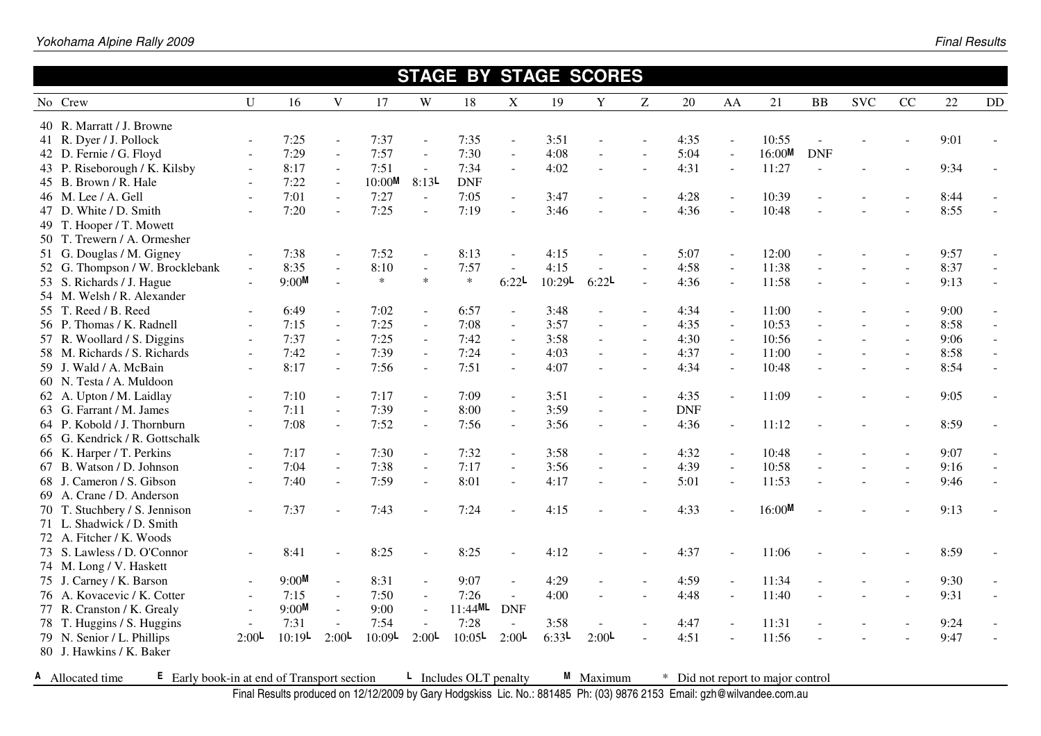|                                                                                 |                |                   |                          |        |                          |                                     |                           |        | <b>STAGE BY STAGE SCORES</b> |                          |                                   |                          |        |            |            |                          |        |                          |
|---------------------------------------------------------------------------------|----------------|-------------------|--------------------------|--------|--------------------------|-------------------------------------|---------------------------|--------|------------------------------|--------------------------|-----------------------------------|--------------------------|--------|------------|------------|--------------------------|--------|--------------------------|
| No Crew                                                                         | $\mathbf{U}$   | 16                | V                        | 17     | W                        | 18                                  | $\mathbf X$               | 19     | $\mathbf Y$                  | $Z_{\rm}$                | 20                                | AA                       | $21\,$ | <b>BB</b>  | <b>SVC</b> | CC                       | $22\,$ | DD                       |
| 40 R. Marratt / J. Browne                                                       |                |                   |                          |        |                          |                                     |                           |        |                              |                          |                                   |                          |        |            |            |                          |        |                          |
| 41 R. Dyer / J. Pollock                                                         |                | 7:25              | $\overline{\phantom{a}}$ | 7:37   | $\overline{\phantom{a}}$ | 7:35                                | $\mathbf{r}$              | 3:51   |                              |                          | 4:35                              | $\overline{a}$           | 10:55  |            |            |                          | 9:01   |                          |
| 42 D. Fernie / G. Floyd                                                         |                | 7:29              | $\overline{\phantom{a}}$ | 7:57   | $\omega$                 | 7:30                                | $\overline{\phantom{a}}$  | 4:08   |                              | $\blacksquare$           | 5:04                              | $\sim$                   | 16:00M | <b>DNF</b> |            |                          |        |                          |
| 43 P. Riseborough / K. Kilsby                                                   | $\sim$         | 8:17              | $\equiv$                 | 7:51   | $\overline{\phantom{a}}$ | 7:34                                | $\sim$                    | 4:02   | $\sim$                       | $\blacksquare$           | 4:31                              | $\blacksquare$           | 11:27  | ÷,         |            |                          | 9:34   |                          |
| 45 B. Brown / R. Hale                                                           |                | 7:22              | $\overline{\phantom{a}}$ | 10:00M | 8:13L                    | <b>DNF</b>                          |                           |        |                              |                          |                                   |                          |        |            |            |                          |        |                          |
| 46 M. Lee / A. Gell                                                             | $\sim$         | 7:01              | $\equiv$                 | 7:27   | $\omega$                 | 7:05                                | $\mathbb{R}^{\mathbb{Z}}$ | 3:47   |                              | $\sim$                   | 4:28                              | $\overline{\phantom{a}}$ | 10:39  |            |            |                          | 8:44   |                          |
| 47 D. White / D. Smith                                                          |                | 7:20              | $\overline{a}$           | 7:25   | $\overline{\phantom{a}}$ | 7:19                                | $\blacksquare$            | 3:46   |                              |                          | 4:36                              | $\blacksquare$           | 10:48  |            |            |                          | 8:55   |                          |
| 49 T. Hooper / T. Mowett                                                        |                |                   |                          |        |                          |                                     |                           |        |                              |                          |                                   |                          |        |            |            |                          |        |                          |
| 50 T. Trewern / A. Ormesher                                                     |                |                   |                          |        |                          |                                     |                           |        |                              |                          |                                   |                          |        |            |            |                          |        |                          |
| 51 G. Douglas / M. Gigney                                                       |                | 7:38              | ÷,                       | 7:52   | $\overline{\phantom{a}}$ | 8:13                                | $\sim$                    | 4:15   |                              |                          | 5:07                              | ÷,                       | 12:00  |            |            |                          | 9:57   |                          |
| 52 G. Thompson / W. Brocklebank                                                 | $\blacksquare$ | 8:35              | $\overline{a}$           | 8:10   | $\overline{\phantom{a}}$ | 7:57                                | $\sim$                    | 4:15   |                              | $\blacksquare$           | 4:58                              | $\sim$                   | 11:38  |            |            |                          | 8:37   |                          |
| 53 S. Richards / J. Hague                                                       |                | 9:00M             | $\overline{a}$           | $\ast$ | $\ast$                   | $\ast$                              | 6:22L                     | 10:29L | 6:22L                        | $\overline{\phantom{a}}$ | 4:36                              | $\sim$                   | 11:58  |            |            |                          | 9:13   | $\overline{a}$           |
| 54 M. Welsh / R. Alexander                                                      |                |                   |                          |        |                          |                                     |                           |        |                              |                          |                                   |                          |        |            |            |                          |        |                          |
| 55 T. Reed / B. Reed                                                            |                | 6:49              | $\overline{\phantom{a}}$ | 7:02   | $\Box$                   | 6:57                                | ÷.                        | 3:48   |                              |                          | 4:34                              | $\overline{\phantom{a}}$ | 11:00  |            |            |                          | 9:00   |                          |
| 56 P. Thomas / K. Radnell                                                       |                | 7:15              | $\equiv$                 | 7:25   | $\overline{\phantom{a}}$ | 7:08                                | $\overline{\phantom{a}}$  | 3:57   | $\overline{a}$               | $\overline{\phantom{a}}$ | 4:35                              | $\omega$                 | 10:53  |            |            | $\sim$                   | 8:58   | $\overline{\phantom{a}}$ |
| 57 R. Woollard / S. Diggins                                                     |                | 7:37              | $\blacksquare$           | 7:25   | $\blacksquare$           | 7:42                                | $\blacksquare$            | 3:58   | $\sim$                       | $\sim$                   | 4:30                              | $\sim$                   | 10:56  |            |            |                          | 9:06   | $\sim$                   |
| 58 M. Richards / S. Richards                                                    | $\blacksquare$ | 7:42              | $\overline{a}$           | 7:39   | $\omega$                 | 7:24                                | $\mathbb{R}^{\mathbb{Z}}$ | 4:03   | $\sim$                       | $\overline{\phantom{a}}$ | 4:37                              | $\omega$                 | 11:00  |            |            | $\blacksquare$           | 8:58   | $\equiv$                 |
| 59 J. Wald / A. McBain                                                          | $\blacksquare$ | 8:17              | $\overline{a}$           | 7:56   | $\blacksquare$           | 7:51                                | $\overline{\phantom{a}}$  | 4:07   | $\sim$                       | $\blacksquare$           | 4:34                              | $\blacksquare$           | 10:48  |            |            | $\overline{\phantom{a}}$ | 8:54   | $\equiv$                 |
| 60 N. Testa / A. Muldoon                                                        |                |                   |                          |        |                          |                                     |                           |        |                              |                          |                                   |                          |        |            |            |                          |        |                          |
| 62 A. Upton / M. Laidlay                                                        | $\sim$         | 7:10              | $\overline{a}$           | 7:17   | $\equiv$                 | 7:09                                | $\mathbf{r}$              | 3:51   |                              |                          | 4:35                              | $\overline{a}$           | 11:09  |            |            |                          | 9:05   |                          |
| 63 G. Farrant / M. James                                                        |                | 7:11              | $\overline{\phantom{a}}$ | 7:39   | $\omega$                 | 8:00                                | $\overline{\phantom{a}}$  | 3:59   | $\sim$                       | $\sim$                   | <b>DNF</b>                        |                          |        |            |            |                          |        |                          |
| 64 P. Kobold / J. Thornburn                                                     | $\sim$         | 7:08              | $\overline{a}$           | 7:52   | $\overline{\phantom{a}}$ | 7:56                                | $\overline{\phantom{a}}$  | 3:56   | $\sim$                       | $\sim$                   | 4:36                              | $\blacksquare$           | 11:12  |            |            |                          | 8:59   |                          |
| 65 G. Kendrick / R. Gottschalk                                                  |                |                   |                          |        |                          |                                     |                           |        |                              |                          |                                   |                          |        |            |            |                          |        |                          |
| 66 K. Harper / T. Perkins                                                       | $\sim$         | 7:17              | $\equiv$                 | 7:30   | $\omega$                 | 7:32                                | $\mathbb{Z}^{\mathbb{Z}}$ | 3:58   |                              | $\sim$                   | 4:32                              | $\blacksquare$           | 10:48  |            |            |                          | 9:07   |                          |
| 67 B. Watson / D. Johnson                                                       | $\sim$         | 7:04              | $\equiv$                 | 7:38   | $\omega$                 | 7:17                                | $\mathbb{R}^{\mathbb{Z}}$ | 3:56   | $\ddot{\phantom{1}}$         | $\overline{\phantom{a}}$ | 4:39                              | $\omega$                 | 10:58  |            |            | $\blacksquare$           | 9:16   |                          |
| 68 J. Cameron / S. Gibson                                                       | $\sim$         | 7:40              | $\overline{\phantom{a}}$ | 7:59   | $\blacksquare$           | 8:01                                | $\blacksquare$            | 4:17   |                              | $\overline{\phantom{a}}$ | 5:01                              | $\blacksquare$           | 11:53  |            |            |                          | 9:46   | $\blacksquare$           |
| 69 A. Crane / D. Anderson                                                       |                |                   |                          |        |                          |                                     |                           |        |                              |                          |                                   |                          |        |            |            |                          |        |                          |
| 70 T. Stuchbery / S. Jennison                                                   |                | 7:37              |                          | 7:43   | $\overline{a}$           | 7:24                                |                           | 4:15   |                              |                          | 4:33                              |                          | 16:00M |            |            |                          | 9:13   |                          |
| 71 L. Shadwick / D. Smith                                                       |                |                   |                          |        |                          |                                     |                           |        |                              |                          |                                   |                          |        |            |            |                          |        |                          |
| 72 A. Fitcher / K. Woods                                                        |                |                   |                          |        |                          |                                     |                           |        |                              |                          |                                   |                          |        |            |            |                          |        |                          |
| 73 S. Lawless / D. O'Connor                                                     | $\sim$         | 8:41              |                          | 8:25   | $\overline{\phantom{a}}$ | 8:25                                |                           | 4:12   |                              |                          | 4:37                              |                          | 11:06  |            |            |                          | 8:59   |                          |
| 74 M. Long / V. Haskett                                                         |                |                   |                          |        |                          |                                     |                           |        |                              |                          |                                   |                          |        |            |            |                          |        |                          |
| 75 J. Carney / K. Barson                                                        | $\blacksquare$ | 9:00M             | $\overline{\phantom{a}}$ | 8:31   | $\omega$                 | 9:07                                | $\blacksquare$            | 4:29   |                              |                          | 4:59                              | $\sim$                   | 11:34  |            |            |                          | 9:30   |                          |
| 76 A. Kovacevic / K. Cotter                                                     | $\sim$         | 7:15              | $\blacksquare$           | 7:50   | $\omega$                 | 7:26                                | $\mathbf{r}$              | 4:00   | $\sim$                       |                          | 4:48                              | $\sim$                   | 11:40  |            |            |                          | 9:31   |                          |
| 77 R. Cranston / K. Grealy                                                      | $\blacksquare$ | 9:00 <sup>M</sup> | $\frac{1}{2}$            | 9:00   | $\omega$                 | $11:44$ ML                          | <b>DNF</b>                |        |                              |                          |                                   |                          |        |            |            |                          |        |                          |
| 78 T. Huggins / S. Huggins                                                      |                | 7:31              | $\overline{a}$           | 7:54   | $\omega$                 | 7:28                                | $\overline{a}$            | 3:58   |                              |                          | 4:47                              |                          | 11:31  |            |            |                          | 9:24   |                          |
| 79 N. Senior / L. Phillips                                                      | $2:00$ L       | 10:19L            | $2:00$ L                 | 10:09L | $2:00$ L                 | 10:05L                              | 2:00L                     | 6:33L  | $2:00$ L                     |                          | 4:51                              |                          | 11:56  |            |            |                          | 9:47   |                          |
| 80 J. Hawkins / K. Baker                                                        |                |                   |                          |        |                          |                                     |                           |        |                              |                          |                                   |                          |        |            |            |                          |        |                          |
| <b>A</b> Allocated time<br>$\epsilon$ Early book-in at end of Transport section |                |                   |                          |        |                          | $\blacksquare$ Includes OLT penalty |                           |        | M Maximum                    |                          | * Did not report to major control |                          |        |            |            |                          |        |                          |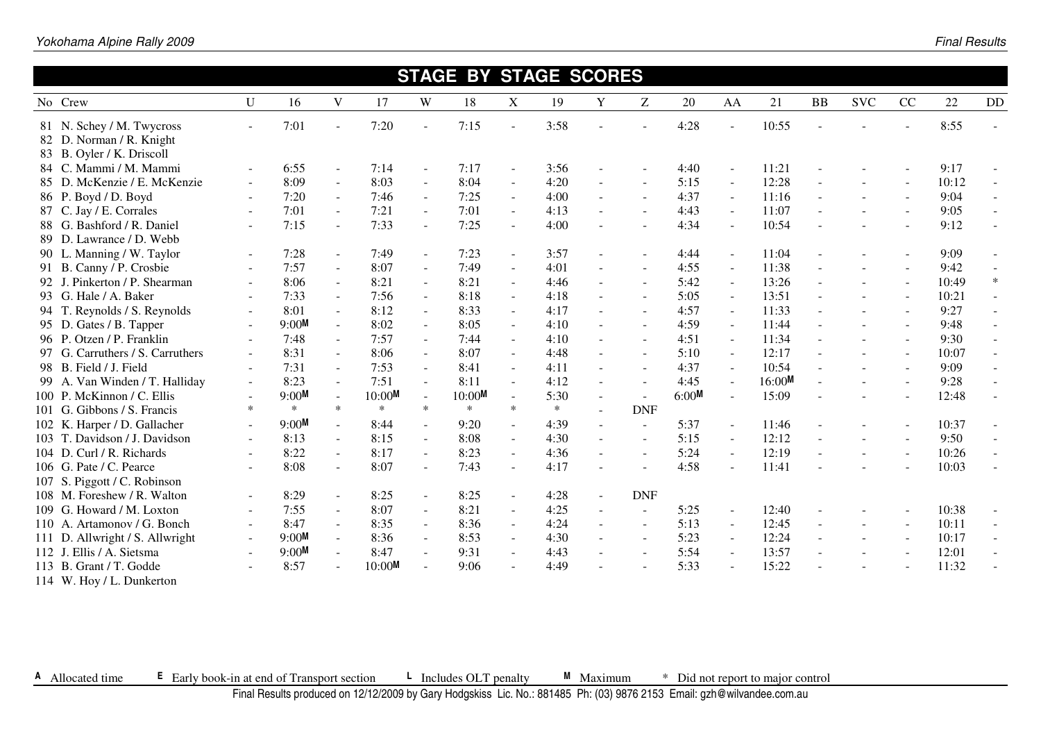|                                                                                    |                          |        |                          |        |                             | <b>STAGE BY STAGE SCORES</b> |                |        |        |                |         |                          |        |                |            |                          |       |                          |
|------------------------------------------------------------------------------------|--------------------------|--------|--------------------------|--------|-----------------------------|------------------------------|----------------|--------|--------|----------------|---------|--------------------------|--------|----------------|------------|--------------------------|-------|--------------------------|
| No Crew                                                                            | $\mathbf{U}$             | 16     | V                        | 17     | W                           | 18                           | X              | 19     | Y      | Z              | 20      | AA                       | 21     | B <sub>B</sub> | <b>SVC</b> | CC                       | 22    | <b>DD</b>                |
| 81 N. Schey / M. Twycross<br>82 D. Norman / R. Knight<br>83 B. Oyler / K. Driscoll |                          | 7:01   |                          | 7:20   | $\sim$                      | 7:15                         |                | 3:58   |        |                | 4:28    |                          | 10:55  |                |            |                          | 8:55  |                          |
| 84 C. Mammi / M. Mammi                                                             |                          | 6:55   | $\sim$                   | 7:14   | $\overline{\phantom{a}}$    | 7:17                         |                | 3:56   |        |                | 4:40    | $\sim$                   | 11:21  |                |            |                          | 9:17  |                          |
| 85 D. McKenzie / E. McKenzie                                                       |                          | 8:09   | $\sim$                   | 8:03   | $\sim$                      | 8:04                         |                | 4:20   |        | ÷.             | 5:15    | $\sim$                   | 12:28  |                |            | $\sim$                   | 10:12 |                          |
| 86 P. Boyd / D. Boyd                                                               |                          | 7:20   | $\sim$                   | 7:46   | $\sim$                      | 7:25                         | $\blacksquare$ | 4:00   | $\sim$ | $\sim$         | 4:37    | $\blacksquare$           | 11:16  |                |            | $\sim$                   | 9:04  |                          |
| 87 C. Jay / E. Corrales                                                            | $\overline{\phantom{a}}$ | 7:01   | $\sim$                   | 7:21   | $\omega$                    | 7:01                         | $\sim$         | 4:13   |        | $\overline{a}$ | 4:43    | $\sim$                   | 11:07  |                |            | $\sim$                   | 9:05  |                          |
| 88 G. Bashford / R. Daniel<br>89 D. Lawrance / D. Webb                             |                          | 7:15   |                          | 7:33   | $\sim$                      | 7:25                         |                | 4:00   |        |                | 4:34    |                          | 10:54  |                |            |                          | 9:12  | $\overline{\phantom{a}}$ |
| 90 L. Manning / W. Taylor                                                          |                          | 7:28   | $\blacksquare$           | 7:49   | $\sim$                      | 7:23                         | $\sim$         | 3:57   |        |                | 4:44    | $\sim$                   | 11:04  |                |            |                          | 9:09  |                          |
| 91 B. Canny / P. Crosbie                                                           |                          | 7:57   | $\sim$                   | 8:07   | $\omega$                    | 7:49                         | $\sim$         | 4:01   |        | $\blacksquare$ | 4:55    | $\sim$                   | 11:38  |                |            |                          | 9:42  |                          |
| 92 J. Pinkerton / P. Shearman                                                      |                          | 8:06   | $\sim$                   | 8:21   | $\sim$                      | 8:21                         | $\sim$         | 4:46   |        | $\blacksquare$ | 5:42    | $\sim$                   | 13:26  |                |            | $\overline{\phantom{a}}$ | 10:49 | $\ast$                   |
| 93 G. Hale / A. Baker                                                              | $\overline{\phantom{a}}$ | 7:33   | $\overline{\phantom{a}}$ | 7:56   | $\sim$                      | 8:18                         | $\sim$         | 4:18   |        | $\blacksquare$ | 5:05    | $\sim$                   | 13:51  |                |            | $\sim$                   | 10:21 |                          |
| 94 T. Reynolds / S. Reynolds                                                       |                          | 8:01   | $\sim$                   | 8:12   | $\blacksquare$              | 8:33                         |                | 4:17   |        | $\blacksquare$ | 4:57    | $\sim$                   | 11:33  |                |            | $\blacksquare$           | 9:27  |                          |
| 95 D. Gates / B. Tapper                                                            |                          | 9:00M  | $\sim$                   | 8:02   | $\sim$                      | 8:05                         | $\sim$         | 4:10   |        | $\blacksquare$ | 4:59    | $\sim$                   | 11:44  |                |            | $\sim$                   | 9:48  | $\overline{\phantom{a}}$ |
| 96 P. Otzen / P. Franklin                                                          |                          | 7:48   |                          | 7:57   | $\sim$                      | 7:44                         |                | 4:10   |        | $\sim$         | 4:51    | $\sim$                   | 11:34  |                |            | $\sim$                   | 9:30  |                          |
| 97 G. Carruthers / S. Carruthers                                                   | $\blacksquare$           | 8:31   | $\sim$                   | 8:06   | $\sim$                      | 8:07                         | $\sim$         | 4:48   |        | ÷.             | 5:10    | $\blacksquare$           | 12:17  |                |            | $\sim$                   | 10:07 | ÷.                       |
| 98 B. Field / J. Field                                                             | $\sim$                   | 7:31   | $\sim$                   | 7:53   | $\sim$                      | 8:41                         | $\sim$         | 4:11   |        | ÷.             | 4:37    | $\blacksquare$           | 10:54  |                |            | $\sim$                   | 9:09  |                          |
| 99 A. Van Winden / T. Halliday                                                     |                          | 8:23   | $\sim$                   | 7:51   | $\sim$                      | 8:11                         | $\sim$         | 4:12   |        | $\blacksquare$ | 4:45    | $\sim$                   | 16:00M |                |            | $\sim$                   | 9:28  |                          |
| 100 P. McKinnon / C. Ellis                                                         |                          | 9:00M  | $\sim$                   | 10:00M | $\omega$                    | 10:00M                       |                | 5:30   |        | $\blacksquare$ | $6:00M$ | $\sim$                   | 15:09  |                |            |                          | 12:48 | $\omega$                 |
| 101 G. Gibbons / S. Francis                                                        | $\ast$                   | $\ast$ | $\ast$                   | $*$    | $\ast$                      | $\ast$                       | $\ast$         | $\ast$ |        | <b>DNF</b>     |         |                          |        |                |            |                          |       |                          |
| 102 K. Harper / D. Gallacher                                                       |                          | 9:00M  |                          | 8:44   | $\mathbf{r}$                | 9:20                         |                | 4:39   |        | $\blacksquare$ | 5:37    | $\sim$                   | 11:46  |                |            |                          | 10:37 |                          |
| 103 T. Davidson / J. Davidson                                                      |                          | 8:13   | $\sim$                   | 8:15   | $\equiv$                    | 8:08                         | $\sim$         | 4:30   |        | $\blacksquare$ | 5:15    | $\blacksquare$           | 12:12  | ÷,             |            | $\overline{\phantom{a}}$ | 9:50  |                          |
| 104 D. Curl / R. Richards                                                          |                          | 8:22   | $\sim$                   | 8:17   | $\equiv$                    | 8:23                         | $\sim$         | 4:36   |        | $\blacksquare$ | 5:24    | $\blacksquare$           | 12:19  | ÷,             |            | $\overline{\phantom{a}}$ | 10:26 |                          |
| 106 G. Pate / C. Pearce                                                            |                          | 8:08   | $\sim$                   | 8:07   | $\omega$                    | 7:43                         | $\sim$         | 4:17   |        | $\blacksquare$ | 4:58    | $\sim$                   | 11:41  |                |            |                          | 10:03 |                          |
| 107 S. Piggott / C. Robinson                                                       |                          |        |                          |        |                             |                              |                |        |        |                |         |                          |        |                |            |                          |       |                          |
| 108 M. Foreshew / R. Walton                                                        |                          | 8:29   | $\sim$                   | 8:25   | $\omega$                    | 8:25                         |                | 4:28   | $\sim$ | <b>DNF</b>     |         |                          |        |                |            |                          |       |                          |
| 109 G. Howard / M. Loxton                                                          | $\sim$                   | 7:55   | $\sim$                   | 8:07   | $\mathbf{r}$                | 8:21                         | $\sim$         | 4:25   | $\sim$ | $\sim$         | 5:25    | $\sim$                   | 12:40  |                |            | $\sim$                   | 10:38 |                          |
| 110 A. Artamonov / G. Bonch                                                        |                          | 8:47   | $\sim$                   | 8:35   | $\blacksquare$              | 8:36                         |                | 4:24   |        | $\sim$         | 5:13    | $\sim$                   | 12:45  | $\blacksquare$ | $\sim$     | $\sim$                   | 10:11 |                          |
| 111 D. Allwright / S. Allwright                                                    |                          | 9:00M  | $\sim$                   | 8:36   | $\blacksquare$              | 8:53                         |                | 4:30   |        | $\sim$         | 5:23    | $\sim$                   | 12:24  | $\sim$         | $\sim$     | $\overline{\phantom{a}}$ | 10:17 |                          |
| 112 J. Ellis / A. Sietsma                                                          |                          | 9:00M  | $\sim$                   | 8:47   | $\mathcal{L}_{\mathcal{A}}$ | 9:31                         | $\sim$         | 4:43   |        | $\mathbf{r}$   | 5:54    | $\overline{\phantom{a}}$ | 13:57  | $\sim$         |            | $\sim$                   | 12:01 |                          |
| 113 B. Grant / T. Godde                                                            |                          | 8:57   |                          | 10:00M | $\sim$                      | 9:06                         |                | 4:49   |        |                | 5:33    |                          | 15:22  |                |            |                          | 11:32 |                          |
| 114 W. Hoy / L. Dunkerton                                                          |                          |        |                          |        |                             |                              |                |        |        |                |         |                          |        |                |            |                          |       |                          |

**<sup>A</sup>** Allocated time **<sup>E</sup>** Early book-in at end of Transport section **<sup>L</sup>** Includes OLT penalty **<sup>M</sup>** Maximum \* Did not report to major control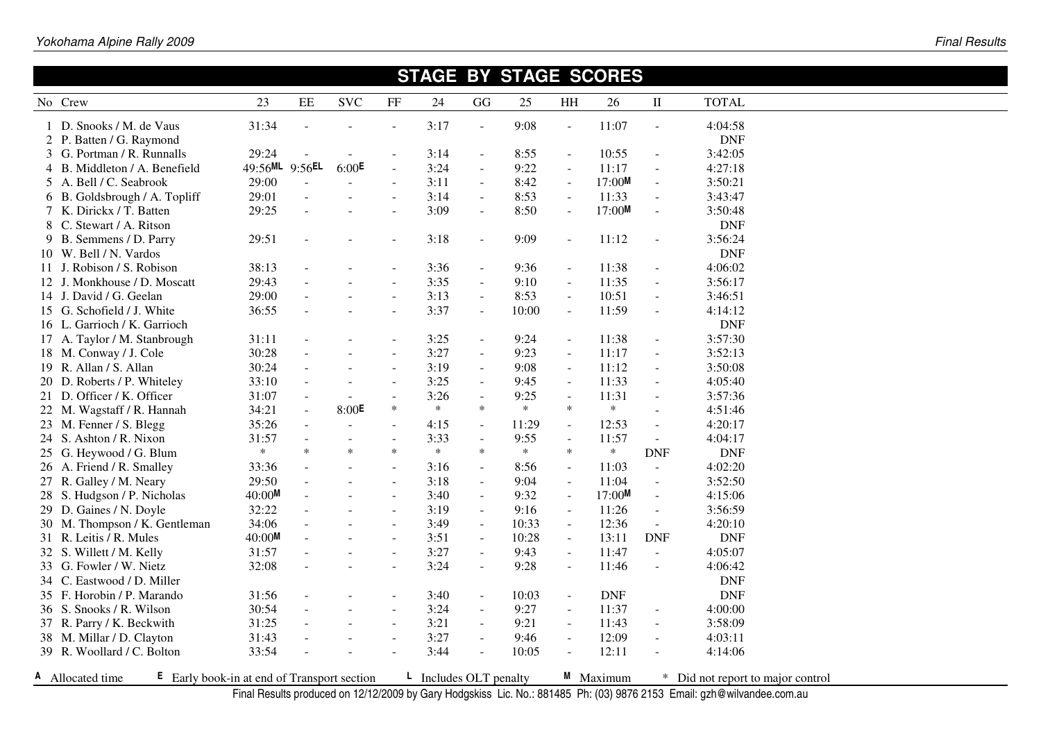#### **STAGE BY STAGE SCORES**

|      | No Crew                                                                  | 23             | EE                       | <b>SVC</b> | FF                       | 24                                  | GG                       | 25     | HH             | 26         | $\rm II$                 | <b>TOTAL</b>                      |
|------|--------------------------------------------------------------------------|----------------|--------------------------|------------|--------------------------|-------------------------------------|--------------------------|--------|----------------|------------|--------------------------|-----------------------------------|
|      | D. Snooks / M. de Vaus                                                   | 31:34          |                          |            |                          | 3:17                                | $\blacksquare$           | 9:08   | $\omega$       | 11:07      | $\equiv$                 | 4:04:58                           |
|      | 2 P. Batten / G. Raymond                                                 |                |                          |            |                          |                                     |                          |        |                |            |                          | <b>DNF</b>                        |
|      | 3 G. Portman / R. Runnalls                                               | 29:24          |                          |            |                          | 3:14                                | $\overline{\phantom{a}}$ | 8:55   | $\blacksquare$ | 10:55      | $\Box$                   | 3:42:05                           |
|      | 4 B. Middleton / A. Benefield                                            | 49:56ML 9:56EL |                          | 6:00E      | $\sim$                   | 3:24                                | $\sim$                   | 9:22   | $\equiv$       | 11:17      | $\overline{\phantom{a}}$ | 4:27:18                           |
|      | 5 A. Bell / C. Seabrook                                                  | 29:00          |                          |            | $\sim$                   | 3:11                                | $\sim$                   | 8:42   | $\mathcal{L}$  | $17:00$ M  | $\Box$                   | 3:50:21                           |
|      | 6 B. Goldsbrough / A. Topliff                                            | 29:01          |                          |            |                          | 3:14                                | $\equiv$                 | 8:53   | $\omega$       | 11:33      | $\frac{1}{2}$            | 3:43:47                           |
|      | 7 K. Dirickx / T. Batten                                                 | 29:25          |                          |            | $\sim$                   | 3:09                                | $\blacksquare$           | 8:50   | $\omega$       | 17:00M     | $\overline{\phantom{a}}$ | 3:50:48                           |
|      | 8 C. Stewart / A. Ritson                                                 |                |                          |            |                          |                                     |                          |        |                |            |                          | $\ensuremath{\mathsf{DNF}}$       |
| 9.   | B. Semmens / D. Parry                                                    | 29:51          |                          |            |                          | 3:18                                | $\blacksquare$           | 9:09   | $\blacksquare$ | 11:12      | $\blacksquare$           | 3:56:24                           |
|      | 10 W. Bell / N. Vardos                                                   |                |                          |            |                          |                                     |                          |        |                |            |                          | <b>DNF</b>                        |
| 11 - | J. Robison / S. Robison                                                  | 38:13          |                          |            |                          | 3:36                                | $\blacksquare$           | 9:36   | $\blacksquare$ | 11:38      | $\blacksquare$           | 4:06:02                           |
|      | 12 J. Monkhouse / D. Moscatt                                             | 29:43          |                          |            | $\overline{a}$           | 3:35                                | $\overline{\phantom{a}}$ | 9:10   | $\equiv$       | 11:35      | $\blacksquare$           | 3:56:17                           |
|      | 14 J. David / G. Geelan                                                  | 29:00          |                          |            |                          | 3:13                                | $\overline{\phantom{a}}$ | 8:53   | $\equiv$       | 10:51      | $\overline{\phantom{a}}$ | 3:46:51                           |
|      | 15 G. Schofield / J. White                                               | 36:55          |                          |            |                          | 3:37                                | $\overline{\phantom{a}}$ | 10:00  | $\blacksquare$ | 11:59      | $\overline{\phantom{a}}$ | 4:14:12                           |
|      | 16 L. Garrioch / K. Garrioch                                             |                |                          |            |                          |                                     |                          |        |                |            |                          | $\ensuremath{\mathsf{DNF}}$       |
|      | 17 A. Taylor / M. Stanbrough                                             | 31:11          |                          |            |                          | 3:25                                | $\blacksquare$           | 9:24   | $\blacksquare$ | 11:38      | $\blacksquare$           | 3:57:30                           |
|      | 18 M. Conway / J. Cole                                                   | 30:28          |                          |            |                          | 3:27                                | $\overline{\phantom{a}}$ | 9:23   | $\blacksquare$ | 11:17      | $\overline{\phantom{a}}$ | 3:52:13                           |
|      | 19 R. Allan / S. Allan                                                   | 30:24          |                          |            |                          | 3:19                                | $\blacksquare$           | 9:08   | $\blacksquare$ | 11:12      | $\blacksquare$           | 3:50:08                           |
|      | 20 D. Roberts / P. Whiteley                                              | 33:10          |                          |            |                          | 3:25                                | $\overline{\phantom{a}}$ | 9:45   | $\omega$       | 11:33      | $\overline{\phantom{a}}$ | 4:05:40                           |
| 21   | D. Officer / K. Officer                                                  | 31:07          |                          |            |                          | 3:26                                | $\blacksquare$           | 9:25   | $\omega$       | 11:31      | $\bar{\phantom{a}}$      | 3:57:36                           |
|      | 22 M. Wagstaff / R. Hannah                                               | 34:21          | $\overline{\phantom{a}}$ | 8:00E      | $\ast$                   | $\ast$                              | $\ast$                   | *      | $\ast$         | $\ast$     | $\sim$                   | 4:51:46                           |
|      | 23 M. Fenner / S. Blegg                                                  | 35:26          |                          |            |                          | 4:15                                | ÷,                       | 11:29  | $\blacksquare$ | 12:53      |                          | 4:20:17                           |
|      | 24 S. Ashton / R. Nixon                                                  | 31:57          |                          |            |                          | 3:33                                | $\overline{a}$           | 9:55   | $\blacksquare$ | 11:57      |                          | 4:04:17                           |
|      | 25 G. Heywood / G. Blum                                                  | $\ast$         | $\ast$                   | $\ast$     | $\ast$                   | $\ast$                              | $\ast$                   | $\ast$ | $\ast$         | $\ast$     | <b>DNF</b>               | <b>DNF</b>                        |
|      | 26 A. Friend / R. Smalley                                                | 33:36          |                          |            |                          | 3:16                                | ÷,                       | 8:56   | $\blacksquare$ | 11:03      | $\frac{1}{2}$            | 4:02:20                           |
|      | 27 R. Galley / M. Neary                                                  | 29:50          |                          |            | $\sim$                   | 3:18                                | $\blacksquare$           | 9:04   | $\blacksquare$ | 11:04      | $\blacksquare$           | 3:52:50                           |
|      | 28 S. Hudgson / P. Nicholas                                              | 40:00M         |                          |            |                          | 3:40                                | $\overline{\phantom{a}}$ | 9:32   | $\blacksquare$ | 17:00M     | $\blacksquare$           | 4:15:06                           |
|      | 29 D. Gaines / N. Doyle                                                  | 32:22          |                          |            |                          | 3:19                                | $\overline{a}$           | 9:16   | $\blacksquare$ | 11:26      | $\bar{\phantom{a}}$      | 3:56:59                           |
|      | 30 M. Thompson / K. Gentleman                                            | 34:06          |                          |            | $\overline{\phantom{a}}$ | 3:49                                | $\blacksquare$           | 10:33  | $\omega$       | 12:36      | $\bar{\phantom{a}}$      | 4:20:10                           |
|      | 31 R. Leitis / R. Mules                                                  | 40:00M         |                          |            | $\sim$                   | 3:51                                | $\blacksquare$           | 10:28  | $\sim$         | 13:11      | <b>DNF</b>               | <b>DNF</b>                        |
|      | 32 S. Willett / M. Kelly                                                 | 31:57          |                          |            | $\sim$                   | 3:27                                | ÷,                       | 9:43   | $\blacksquare$ | 11:47      | $\overline{\phantom{a}}$ | 4:05:07                           |
|      | 33 G. Fowler / W. Nietz                                                  | 32:08          |                          |            |                          | 3:24                                |                          | 9:28   | $\blacksquare$ | 11:46      |                          | 4:06:42                           |
|      | 34 C. Eastwood / D. Miller                                               |                |                          |            |                          |                                     |                          |        |                |            |                          | <b>DNF</b>                        |
|      | 35 F. Horobin / P. Marando                                               | 31:56          |                          |            |                          | 3:40                                | $\blacksquare$           | 10:03  | $\blacksquare$ | <b>DNF</b> |                          | <b>DNF</b>                        |
|      | 36 S. Snooks / R. Wilson                                                 | 30:54          |                          |            | $\sim$                   | 3:24                                | $\blacksquare$           | 9:27   | $\blacksquare$ | 11:37      | $\overline{\phantom{a}}$ | 4:00:00                           |
|      | 37 R. Parry / K. Beckwith                                                | 31:25          |                          |            |                          | 3:21                                | $\blacksquare$           | 9:21   | $\blacksquare$ | 11:43      | $\blacksquare$           | 3:58:09                           |
|      | 38 M. Millar / D. Clayton                                                | 31:43          |                          |            |                          | 3:27                                | $\overline{a}$           | 9:46   | $\blacksquare$ | 12:09      | $\overline{\phantom{a}}$ | 4:03:11                           |
|      | 39 R. Woollard / C. Bolton                                               | 33:54          |                          |            |                          | 3:44                                | $\overline{\phantom{a}}$ | 10:05  | $\blacksquare$ | 12:11      | $\overline{\phantom{a}}$ | 4:14:06                           |
|      | $\epsilon$ Early book-in at end of Transport section<br>A Allocated time |                |                          |            |                          | $\blacksquare$ Includes OLT penalty |                          |        |                | M Maximum  |                          | * Did not report to major control |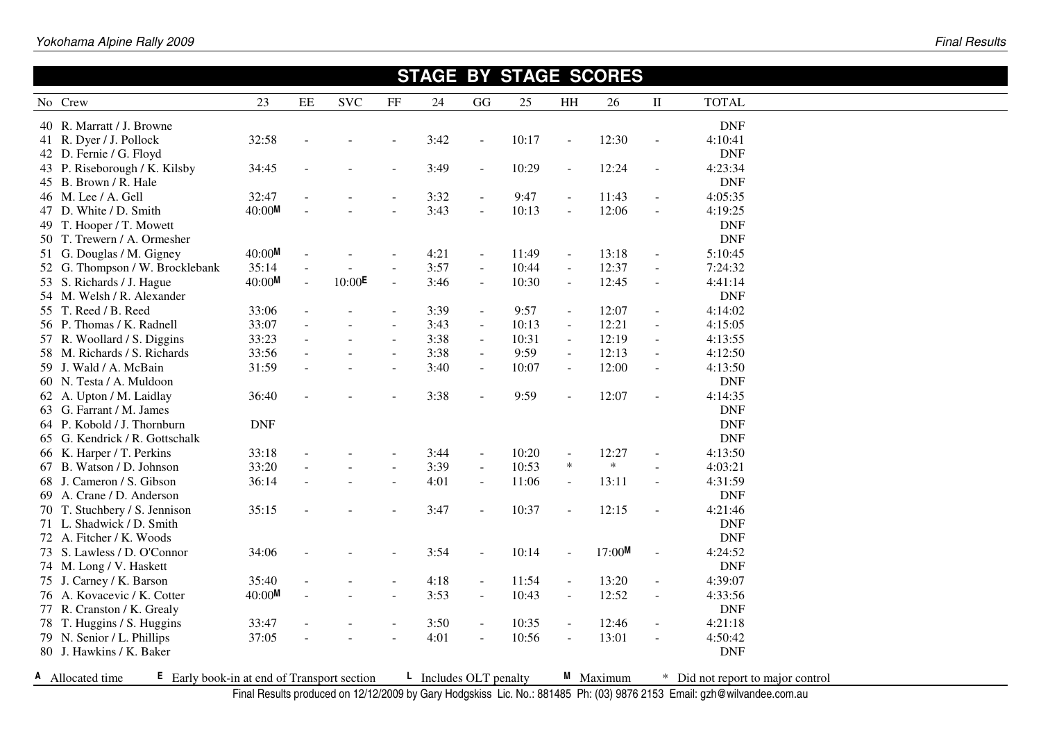### **STAGE BY STAGE SCORES**

| No Crew                                                                | 23              | EE             | <b>SVC</b> | $\rm FF$ | 24                                  | GG             | 25    | HH                       | 26             | $\rm II$                 | <b>TOTAL</b>                      |  |
|------------------------------------------------------------------------|-----------------|----------------|------------|----------|-------------------------------------|----------------|-------|--------------------------|----------------|--------------------------|-----------------------------------|--|
| 40 R. Marratt / J. Browne                                              |                 |                |            |          |                                     |                |       |                          |                |                          | <b>DNF</b>                        |  |
| 41 R. Dyer / J. Pollock                                                | 32:58           |                |            |          | 3:42                                | $\sim$         | 10:17 | $\overline{\phantom{a}}$ | 12:30          | $\overline{\phantom{a}}$ | 4:10:41                           |  |
| 42 D. Fernie / G. Floyd                                                |                 |                |            |          |                                     |                |       |                          |                |                          | <b>DNF</b>                        |  |
| 43 P. Riseborough / K. Kilsby                                          | 34:45           |                |            |          | 3:49                                | $\sim$         | 10:29 | $\overline{\phantom{a}}$ | 12:24          | $\overline{\phantom{a}}$ | 4:23:34                           |  |
| 45 B. Brown / R. Hale                                                  |                 |                |            |          |                                     |                |       |                          |                |                          | <b>DNF</b>                        |  |
| 46 M. Lee / A. Gell                                                    | 32:47           |                |            |          | 3:32                                | $\sim$         | 9:47  |                          | 11:43          | $\overline{\phantom{a}}$ | 4:05:35                           |  |
|                                                                        | 40:00M          |                |            |          | 3:43                                |                | 10:13 |                          | 12:06          |                          |                                   |  |
| 47 D. White / D. Smith                                                 |                 |                |            |          |                                     | $\blacksquare$ |       |                          |                | $\overline{\phantom{a}}$ | 4:19:25<br><b>DNF</b>             |  |
| 49 T. Hooper / T. Mowett<br>50 T. Trewern / A. Ormesher                |                 |                |            |          |                                     |                |       |                          |                |                          | <b>DNF</b>                        |  |
|                                                                        | 40:00M          |                |            |          |                                     |                | 11:49 |                          | 13:18          |                          |                                   |  |
| 51 G. Douglas / M. Gigney                                              |                 |                |            |          | 4:21                                |                |       | $\blacksquare$           |                | $\bar{\phantom{a}}$      | 5:10:45                           |  |
| 52 G. Thompson / W. Brocklebank                                        | 35:14<br>40:00M | $\overline{a}$ | 10:00E     |          | 3:57<br>3:46                        | $\sim$         | 10:44 | $\overline{\phantom{a}}$ | 12:37<br>12:45 | $\equiv$                 | 7:24:32                           |  |
| 53 S. Richards / J. Hague                                              |                 | $\overline{a}$ |            |          |                                     |                | 10:30 | $\overline{\phantom{a}}$ |                | $\overline{\phantom{a}}$ | 4:41:14                           |  |
| 54 M. Welsh / R. Alexander                                             |                 |                |            |          |                                     |                |       |                          |                |                          | <b>DNF</b>                        |  |
| 55 T. Reed / B. Reed                                                   | 33:06           |                |            |          | 3:39                                | $\blacksquare$ | 9:57  | $\overline{\phantom{a}}$ | 12:07          | $\equiv$                 | 4:14:02                           |  |
| 56 P. Thomas / K. Radnell                                              | 33:07           |                |            |          | 3:43                                | $\blacksquare$ | 10:13 | $\blacksquare$           | 12:21          | $\frac{1}{2}$            | 4:15:05                           |  |
| 57 R. Woollard / S. Diggins                                            | 33:23           |                |            |          | 3:38                                | $\blacksquare$ | 10:31 | $\blacksquare$           | 12:19          | $\frac{1}{2}$            | 4:13:55                           |  |
| 58 M. Richards / S. Richards                                           | 33:56           |                |            |          | 3:38                                | $\sim$         | 9:59  | $\overline{\phantom{a}}$ | 12:13          | $\blacksquare$           | 4:12:50                           |  |
| 59 J. Wald / A. McBain                                                 | 31:59           |                |            |          | 3:40                                | $\sim$         | 10:07 | $\overline{\phantom{a}}$ | 12:00          | $\blacksquare$           | 4:13:50                           |  |
| 60 N. Testa / A. Muldoon                                               |                 |                |            |          |                                     |                |       |                          |                |                          | <b>DNF</b>                        |  |
| 62 A. Upton / M. Laidlay                                               | 36:40           |                |            |          | 3:38                                |                | 9:59  |                          | 12:07          | $\overline{\phantom{a}}$ | 4:14:35                           |  |
| 63 G. Farrant / M. James                                               |                 |                |            |          |                                     |                |       |                          |                |                          | $\ensuremath{\mathsf{DNF}}$       |  |
| 64 P. Kobold / J. Thornburn                                            | <b>DNF</b>      |                |            |          |                                     |                |       |                          |                |                          | <b>DNF</b>                        |  |
| 65 G. Kendrick / R. Gottschalk                                         |                 |                |            |          |                                     |                |       |                          |                |                          | <b>DNF</b>                        |  |
| 66 K. Harper / T. Perkins                                              | 33:18           |                |            |          | 3:44                                | $\blacksquare$ | 10:20 | $\overline{\phantom{a}}$ | 12:27          | $\overline{\phantom{a}}$ | 4:13:50                           |  |
| 67 B. Watson / D. Johnson                                              | 33:20           |                |            |          | 3:39                                | $\sim$         | 10:53 | $\ast$                   | $\ast$         |                          | 4:03:21                           |  |
| 68 J. Cameron / S. Gibson                                              | 36:14           |                |            |          | 4:01                                |                | 11:06 |                          | 13:11          |                          | 4:31:59                           |  |
| 69 A. Crane / D. Anderson                                              |                 |                |            |          |                                     |                |       |                          |                |                          | <b>DNF</b>                        |  |
| 70 T. Stuchbery / S. Jennison                                          | 35:15           |                |            |          | 3:47                                | $\sim$         | 10:37 | $\overline{\phantom{a}}$ | 12:15          | $\overline{\phantom{a}}$ | 4:21:46                           |  |
| 71 L. Shadwick / D. Smith                                              |                 |                |            |          |                                     |                |       |                          |                |                          | <b>DNF</b>                        |  |
| 72 A. Fitcher / K. Woods                                               |                 |                |            |          |                                     |                |       |                          |                |                          | <b>DNF</b>                        |  |
| 73 S. Lawless / D. O'Connor                                            | 34:06           |                |            |          | 3:54                                |                | 10:14 |                          | 17:00M         |                          | 4:24:52                           |  |
| 74 M. Long / V. Haskett                                                |                 |                |            |          |                                     |                |       |                          |                |                          | <b>DNF</b>                        |  |
| 75 J. Carney / K. Barson                                               | 35:40           |                |            |          | 4:18                                | $\blacksquare$ | 11:54 | $\overline{\phantom{a}}$ | 13:20          | $\blacksquare$           | 4:39:07                           |  |
| 76 A. Kovacevic / K. Cotter                                            | 40:00M          |                |            |          | 3:53                                | $\sim$         | 10:43 | $\overline{a}$           | 12:52          | $\blacksquare$           | 4:33:56                           |  |
| 77 R. Cranston / K. Grealy                                             |                 |                |            |          |                                     |                |       |                          |                |                          | <b>DNF</b>                        |  |
| 78 T. Huggins / S. Huggins                                             | 33:47           |                |            |          | 3:50                                | $\sim$         | 10:35 | $\sim$                   | 12:46          | $\overline{\phantom{a}}$ | 4:21:18                           |  |
| 79 N. Senior / L. Phillips                                             | 37:05           |                |            |          | 4:01                                | $\sim$         | 10:56 | $\overline{\phantom{a}}$ | 13:01          | $\overline{\phantom{a}}$ | 4:50:42                           |  |
| 80 J. Hawkins / K. Baker                                               |                 |                |            |          |                                     |                |       |                          |                |                          | $\ensuremath{\mathsf{DNF}}$       |  |
| A Allocated time<br><b>E</b> Early book-in at end of Transport section |                 |                |            |          | $\blacksquare$ Includes OLT penalty |                |       |                          | M Maximum      |                          | * Did not report to major control |  |
|                                                                        |                 |                |            |          |                                     |                |       |                          |                |                          |                                   |  |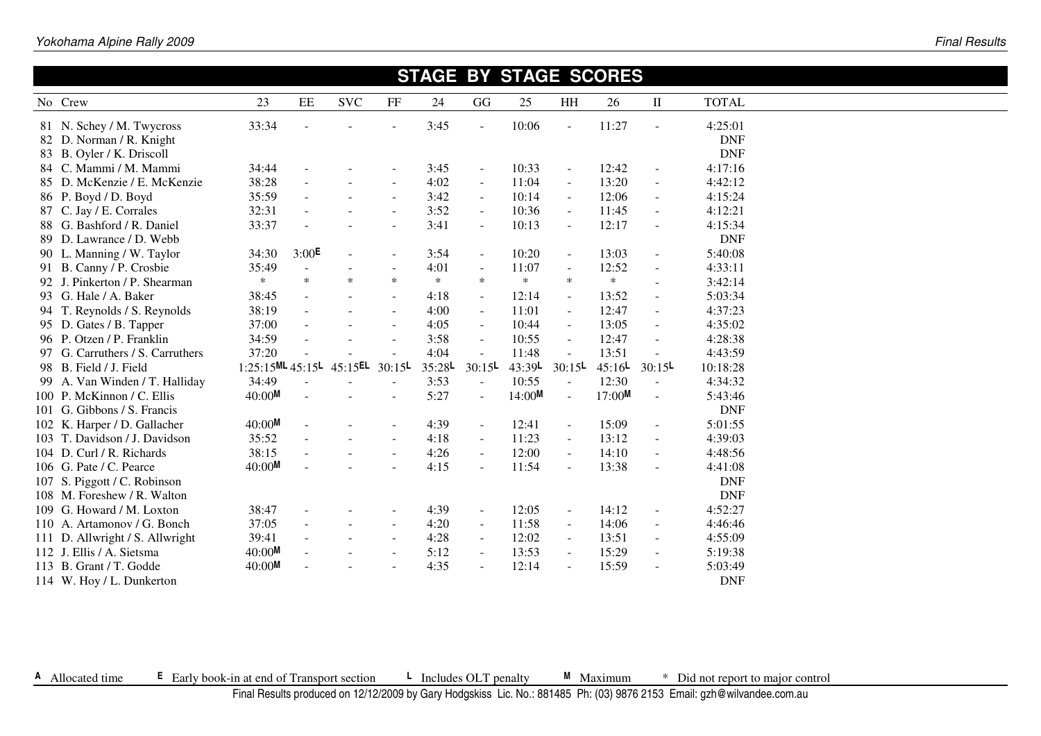### **STAGE BY STAGE SCORES**

|    | No Crew                          | 23                              | EE             | <b>SVC</b> | $\rm FF$       | 24     | GG                       | 25     | HH                       | 26     | $\rm II$                 | <b>TOTAL</b> |  |
|----|----------------------------------|---------------------------------|----------------|------------|----------------|--------|--------------------------|--------|--------------------------|--------|--------------------------|--------------|--|
|    | 81 N. Schey / M. Twycross        | 33:34                           |                |            |                | 3:45   | $\overline{\phantom{a}}$ | 10:06  | $\overline{\phantom{a}}$ | 11:27  | $\overline{\phantom{a}}$ | 4:25:01      |  |
|    | 82 D. Norman / R. Knight         |                                 |                |            |                |        |                          |        |                          |        |                          | <b>DNF</b>   |  |
|    | 83 B. Oyler / K. Driscoll        |                                 |                |            |                |        |                          |        |                          |        |                          | <b>DNF</b>   |  |
|    | 84 C. Mammi / M. Mammi           | 34:44                           |                |            |                | 3:45   | $\blacksquare$           | 10:33  | $\overline{\phantom{a}}$ | 12:42  | $\frac{1}{2}$            | 4:17:16      |  |
|    | 85 D. McKenzie / E. McKenzie     | 38:28                           |                |            |                | 4:02   | $\blacksquare$           | 11:04  | $\blacksquare$           | 13:20  | $\blacksquare$           | 4:42:12      |  |
|    | 86 P. Boyd / D. Boyd             | 35:59                           |                |            |                | 3:42   | $\blacksquare$           | 10:14  | $\overline{\phantom{a}}$ | 12:06  | $\blacksquare$           | 4:15:24      |  |
| 87 | C. Jay / E. Corrales             | 32:31                           |                |            |                | 3:52   | $\blacksquare$           | 10:36  | $\blacksquare$           | 11:45  | $\blacksquare$           | 4:12:21      |  |
|    | 88 G. Bashford / R. Daniel       | 33:37                           |                |            |                | 3:41   | $\blacksquare$           | 10:13  | $\blacksquare$           | 12:17  | $\overline{\phantom{a}}$ | 4:15:34      |  |
|    | 89 D. Lawrance / D. Webb         |                                 |                |            |                |        |                          |        |                          |        |                          | <b>DNF</b>   |  |
|    | 90 L. Manning / W. Taylor        | 34:30                           | 3:00E          |            | $\blacksquare$ | 3:54   | $\blacksquare$           | 10:20  | $\blacksquare$           | 13:03  | $\blacksquare$           | 5:40:08      |  |
| 91 | B. Canny / P. Crosbie            | 35:49                           | $\blacksquare$ |            |                | 4:01   | $\equiv$                 | 11:07  | $\bar{\mathcal{L}}$      | 12:52  | $\overline{\phantom{a}}$ | 4:33:11      |  |
|    | 92 J. Pinkerton / P. Shearman    | $\ast$                          | $\ast$         | $\ast$     | $\ast$         | $\ast$ | $\ast$                   | $\ast$ | $\ast$                   | $\ast$ | $\overline{a}$           | 3:42:14      |  |
|    | 93 G. Hale / A. Baker            | 38:45                           |                |            |                | 4:18   | $\blacksquare$           | 12:14  | $\blacksquare$           | 13:52  | $\blacksquare$           | 5:03:34      |  |
|    | 94 T. Reynolds / S. Reynolds     | 38:19                           |                |            |                | 4:00   | $\blacksquare$           | 11:01  | $\blacksquare$           | 12:47  | $\blacksquare$           | 4:37:23      |  |
|    | 95 D. Gates / B. Tapper          | 37:00                           |                |            |                | 4:05   | $\blacksquare$           | 10:44  | $\blacksquare$           | 13:05  | $\blacksquare$           | 4:35:02      |  |
|    | 96 P. Otzen / P. Franklin        | 34:59                           |                |            |                | 3:58   | $\blacksquare$           | 10:55  | $\overline{\phantom{a}}$ | 12:47  | $\overline{\phantom{a}}$ | 4:28:38      |  |
|    | 97 G. Carruthers / S. Carruthers | 37:20                           |                |            |                | 4:04   | $\overline{\phantom{a}}$ | 11:48  | $\blacksquare$           | 13:51  | $\blacksquare$           | 4:43:59      |  |
|    | 98 B. Field / J. Field           | 1:25:15ML 45:15L 45:15EL 30:15L |                |            |                | 35:28L | 30:15L                   | 43:39L | 30:15L                   | 45:16L | 30:15L                   | 10:18:28     |  |
|    | 99 A. Van Winden / T. Halliday   | 34:49                           | $\overline{a}$ |            |                | 3:53   | $\overline{\phantom{a}}$ | 10:55  | $\mathbb{Z}^2$           | 12:30  | $\overline{\phantom{a}}$ | 4:34:32      |  |
|    | 100 P. McKinnon / C. Ellis       | 40:00M                          | $\overline{a}$ |            |                | 5:27   | $\blacksquare$           | 14:00M | $\mathbf{r}$             | 17:00M | $\overline{\phantom{a}}$ | 5:43:46      |  |
|    | 101 G. Gibbons / S. Francis      |                                 |                |            |                |        |                          |        |                          |        |                          | <b>DNF</b>   |  |
|    | 102 K. Harper / D. Gallacher     | 40:00M                          | $\blacksquare$ |            | $\sim$         | 4:39   | $\blacksquare$           | 12:41  | $\blacksquare$           | 15:09  | $\overline{\phantom{a}}$ | 5:01:55      |  |
|    | 103 T. Davidson / J. Davidson    | 35:52                           | $\blacksquare$ |            | $\blacksquare$ | 4:18   | $\sim$                   | 11:23  | $\blacksquare$           | 13:12  | $\overline{\phantom{a}}$ | 4:39:03      |  |
|    | 104 D. Curl / R. Richards        | 38:15                           | $\equiv$       |            | $\blacksquare$ | 4:26   | $\blacksquare$           | 12:00  | $\blacksquare$           | 14:10  | $\blacksquare$           | 4:48:56      |  |
|    | 106 G. Pate / C. Pearce          | 40:00M                          |                |            | $\mathbf{r}$   | 4:15   | $\omega$                 | 11:54  | $\blacksquare$           | 13:38  | $\blacksquare$           | 4:41:08      |  |
|    | 107 S. Piggott / C. Robinson     |                                 |                |            |                |        |                          |        |                          |        |                          | <b>DNF</b>   |  |
|    | 108 M. Foreshew / R. Walton      |                                 |                |            |                |        |                          |        |                          |        |                          | <b>DNF</b>   |  |
|    | 109 G. Howard / M. Loxton        | 38:47                           |                |            |                | 4:39   | $\sim$                   | 12:05  | $\blacksquare$           | 14:12  | $\overline{\phantom{a}}$ | 4:52:27      |  |
|    | 110 A. Artamonov / G. Bonch      | 37:05                           |                |            | $\blacksquare$ | 4:20   | $\blacksquare$           | 11:58  | $\blacksquare$           | 14:06  | $\blacksquare$           | 4:46:46      |  |
|    | 111 D. Allwright / S. Allwright  | 39:41                           |                | ۰          | $\sim$         | 4:28   | $\sim$                   | 12:02  | $\blacksquare$           | 13:51  | $\overline{\phantom{a}}$ | 4:55:09      |  |
|    | 112 J. Ellis / A. Sietsma        | $40:00$ M                       | $\equiv$       |            | $\blacksquare$ | 5:12   | $\blacksquare$           | 13:53  | $\blacksquare$           | 15:29  | $\overline{\phantom{a}}$ | 5:19:38      |  |
|    | 113 B. Grant / T. Godde          | 40:00M                          |                |            |                | 4:35   | $\overline{a}$           | 12:14  | $\blacksquare$           | 15:59  | $\overline{a}$           | 5:03:49      |  |
|    | 114 W. Hoy / L. Dunkerton        |                                 |                |            |                |        |                          |        |                          |        |                          | <b>DNF</b>   |  |

**<sup>A</sup>** Allocated time **<sup>E</sup>** Early book-in at end of Transport section **<sup>L</sup>** Includes OLT penalty **<sup>M</sup>** Maximum \* Did not report to major control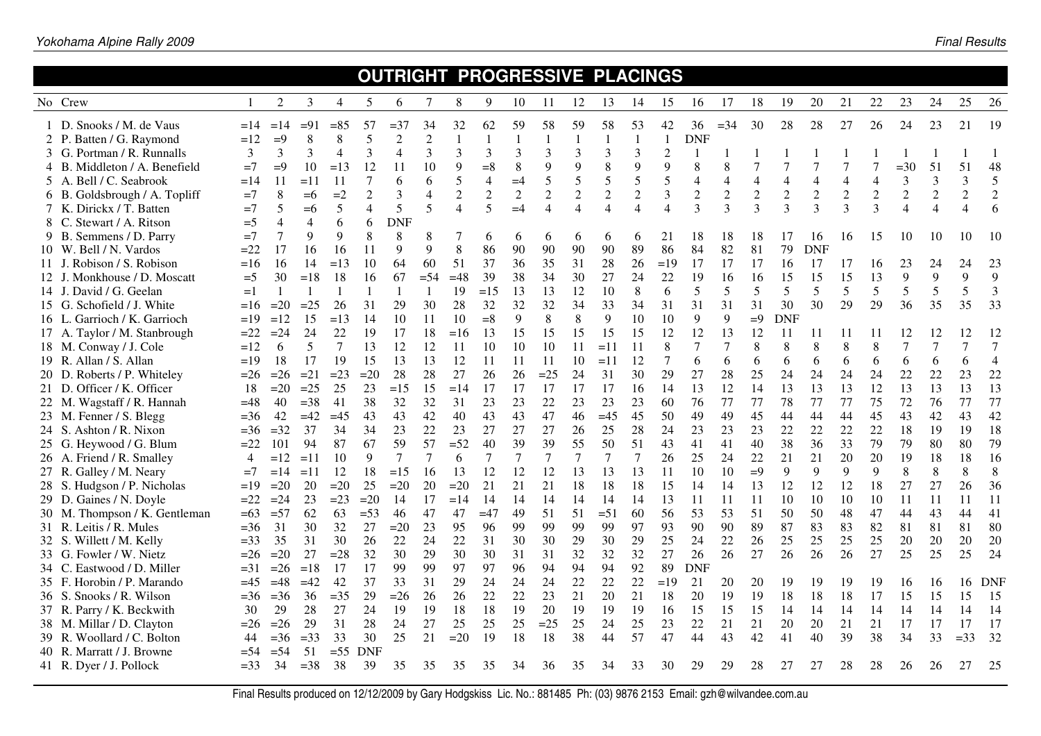### **OUTRIGHT PROGRESSIVE PLACINGS**

| No Crew                       |                | $\overline{2}$           | 3              | 4              | 5              | 6              | $\overline{7}$           | 8                        | 9              | 10             | 11             | 12                    | 13             | 14             | 15             | 16             | 17             | 18             | 19             | 20             | 21             | 22             | 23             | 24             | 25             | 26             |
|-------------------------------|----------------|--------------------------|----------------|----------------|----------------|----------------|--------------------------|--------------------------|----------------|----------------|----------------|-----------------------|----------------|----------------|----------------|----------------|----------------|----------------|----------------|----------------|----------------|----------------|----------------|----------------|----------------|----------------|
| 1 D. Snooks / M. de Vaus      | $=14$          | $=14$                    | $=91$          | $= 85$         | 57             | $=37$          | 34                       | 32                       | 62             | 59             | 58             | 59                    | 58             | 53             | 42             | 36             | $=$ 34         | 30             | 28             | 28             | 27             | 26             | 24             | 23             | 21             | 19             |
| 2 P. Batten / G. Raymond      | $=12$          | $=9$                     | 8              | 8              | 5              | $\sqrt{2}$     | $\mathfrak 2$            | $\overline{1}$           | $\mathbf{1}$   |                | $\mathbf{1}$   | $\mathbf{1}$          |                | 1              | 1              | <b>DNF</b>     |                |                |                |                |                |                |                |                |                |                |
| 3 G. Portman / R. Runnalls    | 3              | 3                        | 3              | $\overline{4}$ | $\overline{3}$ | $\overline{4}$ | 3                        | 3                        | 3              | 3              | 3              | 3                     | 3              | 3              | $\sqrt{2}$     |                |                |                |                |                |                |                |                |                |                |                |
| 4 B. Middleton / A. Benefield | $=7$           | $=9$                     | 10             | $=13$          | 12             | 11             | 10                       | 9                        | $= 8$          | 8              | 9              | 9                     | 8              | 9              | 9              | 8              | 8              | $\overline{7}$ | $\overline{7}$ | $\tau$         | 7              | $\overline{7}$ | $=30$          | 51             | 51             | 48             |
| 5 A. Bell / C. Seabrook       | $=14$          | 11                       | $=11$          | 11             | $\overline{7}$ | 6              | 6                        | 5                        | $\overline{4}$ | $=4$           | 5              | 5                     | 5              | 5              | 5              | $\overline{4}$ | $\overline{4}$ | $\overline{4}$ | $\overline{4}$ | $\overline{4}$ | $\overline{4}$ | $\overline{4}$ | 3              | 3              | 3              | 5              |
| 6 B. Goldsbrough / A. Topliff | $=7$           | 8                        | $=6$           | $=2$           | $\overline{2}$ | 3              | $\overline{4}$           | $\overline{2}$           | $\overline{2}$ | $\overline{2}$ | $\overline{2}$ | $\overline{2}$        | $\overline{c}$ | $\sqrt{2}$     | $\mathfrak{Z}$ | $\overline{2}$ | $\sqrt{2}$     | $\sqrt{2}$     | $\sqrt{2}$     | $\overline{2}$ | $\sqrt{2}$     | $\sqrt{2}$     | $\overline{2}$ | $\sqrt{2}$     | $\overline{2}$ | 2              |
| 7 K. Dirickx / T. Batten      | $=7$           | 5                        | $=6$           | 5              | $\overline{4}$ | 5              | $\overline{\phantom{0}}$ | $\overline{\mathcal{L}}$ | 5              | $=4$           | $\Delta$       | $\boldsymbol{\Delta}$ | $\Delta$       | $\overline{4}$ | $\overline{4}$ | 3              | 3              | 3              | $\overline{3}$ | $\overline{3}$ | 3              | 3              | $\Delta$       | $\overline{4}$ | $\overline{A}$ | 6              |
| 8 C. Stewart / A. Ritson      | $=5$           | $\overline{\mathcal{A}}$ | $\overline{4}$ | 6              | 6              | <b>DNF</b>     |                          |                          |                |                |                |                       |                |                |                |                |                |                |                |                |                |                |                |                |                |                |
| 9 B. Semmens / D. Parry       | $=7$           | $\overline{7}$           | 9              | 9              | 8              | 8              | 8                        | 7                        | 6              | 6              | 6              | 6                     | 6              | 6              | 21             | 18             | 18             | 18             |                | 16             | 16             | 15             | 10             | 10             |                | -10            |
| 10 W. Bell / N. Vardos        | $=22$          | 17                       | 16             | 16             | 11             | 9              | 9                        | 8                        | 86             | 90             | 90             | 90                    | 90             | 89             | 86             | 84             | 82             | 81             | 79             | <b>DNF</b>     |                |                |                |                |                |                |
| 11 J. Robison / S. Robison    | $=16$          | 16                       | 14             | $=13$          | 10             | 64             | 60                       | 51                       | 37             | 36             | 35             | 31                    | 28             | 26             | $=19$          | 17             | 17             | 17             | 16             | 17             | 17             | 16             | 23             | 24             | 24             | 23             |
| 12 J. Monkhouse / D. Moscatt  | $=$ 5          | 30                       | $=18$          | 18             | 16             | 67             | $=$ 54                   | $=48$                    | 39             | 38             | 34             | 30                    | 27             | 24             | 22             | 19             | 16             | 16             | 15             | 15             | 15             | 13             | 9              | 9              | 9              | 9              |
| 14 J. David / G. Geelan       | $=1$           | $\overline{1}$           | $\mathbf{1}$   |                | $\mathbf{1}$   |                | $\mathbf{1}$             | 19                       | $=15$          | 13             | 13             | 12                    | 10             | 8              | 6              | 5              | 5              | 5              | 5              | 5              | 5              | 5              | 5              | 5              | 5              | 3              |
| 15 G. Schofield / J. White    | $=16$          | $=20$                    | $=25$          | 26             | 31             | 29             | 30                       | 28                       | 32             | 32             | 32             | 34                    | 33             | 34             | 31             | 31             | 31             | 31             | 30             | 30             | 29             | 29             | 36             | 35             | 35             | 33             |
| 16 L. Garrioch / K. Garrioch  | $=19$          | $=12$                    | 15             | $=13$          | 14             | 10             | 11                       | 10                       | $=8$           | 9              | 8              | 8                     | 9              | 10             | 10             | 9              | 9              | $=9$           | <b>DNF</b>     |                |                |                |                |                |                |                |
| 17 A. Taylor / M. Stanbrough  | $=22$          | $=24$                    | 24             | 22             | 19             | 17             | 18                       | $=16$                    | 13             | 15             | 15             | 15                    | 15             | 15             | 12             | 12             | 13             | 12             | 11             | 11             | 11             | 11             | 12             | 12             | 12             | 12             |
| 18 M. Conway / J. Cole        | $=12$          | 6                        | 5              | $\tau$         | 13             | 12             | 12                       | 11                       | 10             | 10             | 10             | 11                    | $=11$          | 11             | 8              | $\tau$         | $\overline{7}$ | 8              | $\,8\,$        | 8              | 8              | $\,$ 8 $\,$    | 7              | $\tau$         | 7              | $\tau$         |
| 19 R. Allan / S. Allan        | $=19$          | 18                       | 17             | 19             | 15             | 13             | 13                       | 12                       | 11             | 11             | 11             | 10                    | $=11$          | 12             | 7              | 6              | 6              | 6              | 6              | 6              | 6              | 6              | 6              | 6              | 6              | $\overline{4}$ |
| 20 D. Roberts / P. Whiteley   | $=26$          | $=26$                    | $=21$          | $=23$          | $=20$          | 28             | 28                       | 27                       | 26             | 26             | $=25$          | 24                    | 31             | 30             | 29             | 27             | 28             | 25             | 24             | 24             | 24             | 24             | 22             | 22             | 23             | 22             |
| 21 D. Officer / K. Officer    | 18             | $=20$                    | $=25$          | 25             | 23             | $=15$          | 15                       | $=14$                    | 17             | 17             | 17             | 17                    | 17             | 16             | 14             | 13             | 12             | 14             | 13             | 13             | 13             | 12             | 13             | 13             | 13             | 13             |
| 22 M. Wagstaff / R. Hannah    | $=48$          | 40                       | $=38$          | 41             | 38             | 32             | 32                       | 31                       | 23             | 23             | 22             | 23                    | 23             | 23             | 60             | 76             | 77             | 77             | 78             | 77             | 77             | 75             | 72             | 76             | 77             | 77             |
| 23 M. Fenner / S. Blegg       | $=36$          | 42                       | $=42$          | $=45$          | 43             | 43             | 42                       | 40                       | 43             | 43             | 47             | 46                    | $=45$          | 45             | 50             | 49             | 49             | 45             | 44             | 44             | 44             | 45             | 43             | 42             | 43             | 42             |
| 24 S. Ashton / R. Nixon       | $=36$          | $=32$                    | 37             | 34             | 34             | 23             | 22                       | 23                       | 27             | 27             | 27             | 26                    | 25             | 28             | 24             | 23             | 23             | 23             | 22             | 22             | 22             | 22             | 18             | 19             | 19             | 18             |
| 25 G. Heywood / G. Blum       | $=22$          | 101                      | 94             | 87             | 67             | 59             | 57                       | $=52$                    | 40             | 39             | 39             | 55                    | 50             | 51             | 43             | 41             | 41             | 40             | 38             | 36             | 33             | 79             | 79             | 80             | 80             | 79             |
| 26 A. Friend / R. Smalley     | $\overline{4}$ | $=12$                    | $=11$          | 10             | 9              | $\overline{7}$ | $\tau$                   | 6                        | 7              | 7              | 7              | $\overline{7}$        | 7              | $\tau$         | 26             | 25             | 24             | 22             | 21             | 21             | 20             | 20             | 19             | 18             | 18             | 16             |
| 27 R. Galley / M. Neary       | $=7$           | $=14$                    | $=11$          | 12             | 18             | $=15$          | 16                       | 13                       | 12             | 12             | 12             | 13                    | 13             | 13             | 11             | 10             | 10             | $=9$           | 9              | 9              | 9              | 9              | 8              | 8              | 8              | 8              |
| 28 S. Hudgson / P. Nicholas   | $=19$          | $=20$                    | 20             | $=20$          | 25             | $=20$          | 20                       | $=20$                    | 21             | 21             | 21             | 18                    | 18             | 18             | 15             | 14             | 14             | 13             | 12             | 12             | 12             | 18             | 27             | 27             | 26             | 36             |
| 29 D. Gaines / N. Doyle       | $=22$          | $= 24$                   | 23             | $=23$          | $=20$          | 14             | 17                       | $=14$                    | 14             | 14             | 14             | 14                    | 14             | 14             | 13             | 11             | 11             | 11             | 10             | 10             | 10             | 10             | 11             | 11             | 11             | 11             |
| 30 M. Thompson / K. Gentleman | $=63$          | $=57$                    | 62             | 63             | $=53$          | 46             | 47                       | 47                       | $=47$          | 49             | 51             | 51                    | $=51$          | 60             | 56             | 53             | 53             | 51             | 50             | 50             | 48             | 47             | 44             | 43             | 44             | 41             |
| 31 R. Leitis / R. Mules       | $=36$          | 31                       | 30             | 32             | 27             | $=20$          | 23                       | 95                       | 96             | 99             | 99             | 99                    | 99             | 97             | 93             | 90             | 90             | 89             | 87             | 83             | 83             | 82             | 81             | 81             | 81             | 80             |
| 32 S. Willett / M. Kelly      | $= 33$         | 35                       | 31             | 30             | 26             | 22             | 24                       | 22                       | 31             | 30             | 30             | 29                    | 30             | 29             | 25             | 24             | 22             | 26             | 25             | 25             | 25             | 25             | 20             | 20             | 20             | 20             |
| 33 G. Fowler / W. Nietz       | $=26$          | $=20$                    | 27             | $=28$          | 32             | 30             | 29                       | 30                       | 30             | 31             | 31             | 32                    | 32             | 32             | 27             | 26             | 26             | 27             | 26             | 26             | 26             | 27             | 25             | 25             | 25             | 24             |
| 34 C. Eastwood / D. Miller    | $=31$          | $=26$                    | $=18$          | 17             | 17             | 99             | 99                       | 97                       | 97             | 96             | 94             | 94                    | 94             | 92             | 89             | <b>DNF</b>     |                |                |                |                |                |                |                |                |                |                |
| 35 F. Horobin / P. Marando    | $=45$          | $=48$                    | $=42$          | 42             | 37             | 33             | 31                       | 29                       | 24             | 24             | 24             | 22                    | 22             | 22             | $=19$          | 21             | 20             | 20             | 19             | 19             | 19             | 19             | 16             | 16             | 16             | <b>DNF</b>     |
| 36 S. Snooks / R. Wilson      | $=36$          | $=36$                    | 36             | $=35$          | 29             | $=26$          | 26                       | 26                       | 22             | 22             | 23             | 21                    | 20             | 21             | 18             | 20             | 19             | 19             | 18             | 18             | 18             | 17             | 15             | 15             | 15             | 15             |
| 37 R. Parry / K. Beckwith     | 30             | 29                       | 28             | 27             | 24             | 19             | 19                       | 18                       | 18             | 19             | 20             | 19                    | 19             | 19             | 16             | 15             | 15             | 15             | 14             | 14             | 14             | 14             | 14             | 14             | 14             | 14             |
| 38 M. Millar / D. Clayton     | $=26$          | $=26$                    | 29             | 31             | 28             | 24             | 27                       | 25                       | 25             | 25             | $=25$          | 25                    | 24             | 25             | 23             | 22             | 21             | 21             | 20             | 20             | 21             | 21             | 17             | 17             | 17             | 17             |
| 39 R. Woollard / C. Bolton    | 44             | $=36$                    | $=33$          | 33             | 30             | 25             | 21                       | $=20$                    | 19             | 18             | 18             | 38                    | 44             | 57             | 47             | 44             | 43             | 42             | 41             | 40             | 39             | 38             | 34             | 33             | $=$ 33         | 32             |
| 40 R. Marratt / J. Browne     | $= 54$         | $= 54$                   | 51             | $=55$          | <b>DNF</b>     |                |                          |                          |                |                |                |                       |                |                |                |                |                |                |                |                |                |                |                |                |                |                |
| 41 R. Dyer / J. Pollock       | $= 33$         | 34                       | $=38$          | 38             | 39             | 35             | 35                       | 35                       | 35             |                | 36             |                       |                | 33             | 30             | 29             | 29             | 28             |                |                | 28             | 28             | 26             | 26             |                | 25             |
|                               |                |                          |                |                |                |                |                          |                          |                |                |                |                       |                |                |                |                |                |                |                |                |                |                |                |                |                |                |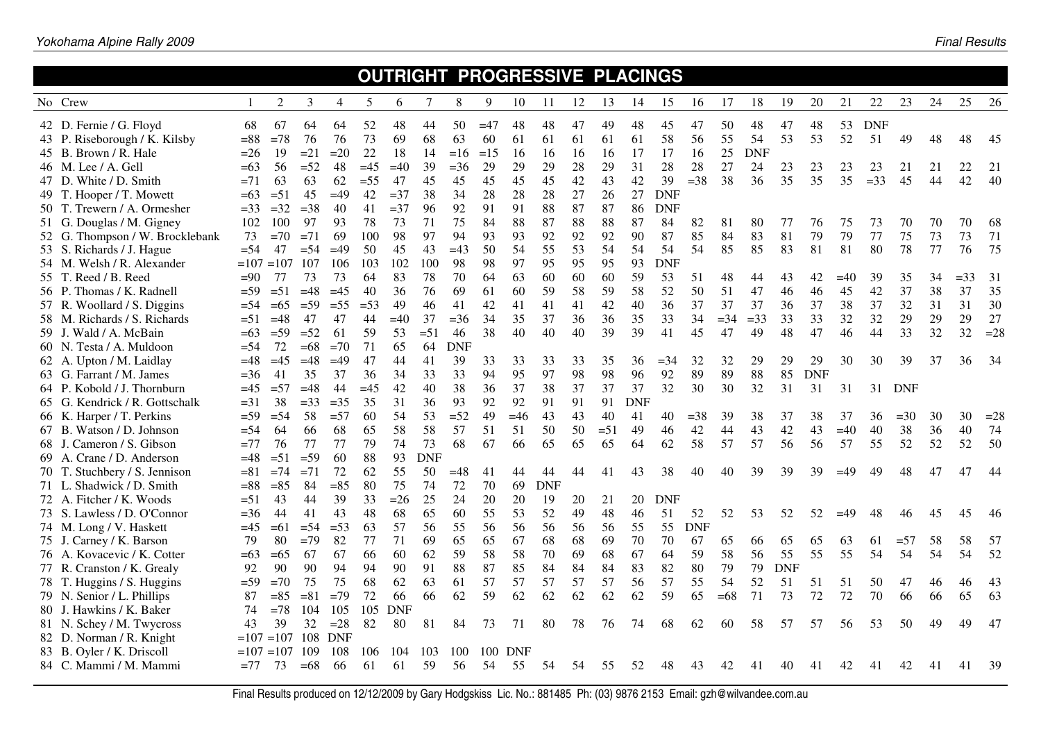#### **OUTRIGHT PROGRESSIVE PLACINGS**

| No Crew                         |        | $\overline{c}$    | 3      | $\boldsymbol{\varDelta}$ | 5      | 6          | $\tau$     | 8          | 9     | 10         | 11         | 12     | 13     | 14         | 15         | 16         | 17     | 18         | 19         | 20         | 21    | 22         | 23         | 24 | 25     | 26    |
|---------------------------------|--------|-------------------|--------|--------------------------|--------|------------|------------|------------|-------|------------|------------|--------|--------|------------|------------|------------|--------|------------|------------|------------|-------|------------|------------|----|--------|-------|
| 42 D. Fernie / G. Floyd         | 68     | 67                | 64     | 64                       | 52     | 48         | 44         | 50         | $=47$ | 48         | 48         | 47     | 49     | 48         | 45         | 47         | 50     | 48         | 47         | 48         | 53    | <b>DNF</b> |            |    |        |       |
| 43 P. Riseborough / K. Kilsby   | $= 88$ | $=78$             | 76     | 76                       | 73     | 69         | 68         | 63         | 60    | 61         | 61         | 61     | 61     | 61         | 58         | 56         | 55     | 54         | 53         | 53         | 52    | 51         | 49         | 48 | 48     | 45    |
| 45 B. Brown / R. Hale           | $=26$  | 19                | $=21$  | $=20$                    | 22     | 18         | 14         | $=16$      | $=15$ | 16         | 16         | 16     | 16     | 17         | 17         | 16         | 25     | <b>DNF</b> |            |            |       |            |            |    |        |       |
| 46 M. Lee / A. Gell             | $= 63$ | 56                | $=52$  | 48                       | $=45$  | $=40$      | 39         | $=36$      | 29    | 29         | 29         | $28\,$ | 29     | 31         | 28         | 28         | 27     | 24         | 23         | 23         | 23    | 23         | 21         | 21 | 22     | 21    |
| 47 D. White / D. Smith          | $=71$  | 63                | 63     | 62                       | $=55$  | 47         | 45         | 45         | 45    | 45         | 45         | 42     | 43     | 42         | 39         | $=38$      | 38     | 36         | 35         | 35         | 35    | $=33$      | 45         | 44 | 42     | 40    |
| 49 T. Hooper / T. Mowett        | $=63$  | $=51$             | 45     | $=49$                    | 42     | $=37$      | 38         | 34         | 28    | 28         | 28         | $27\,$ | 26     | 27         | <b>DNF</b> |            |        |            |            |            |       |            |            |    |        |       |
| 50 T. Trewern / A. Ormesher     | $=33$  | $=32$             | $=38$  | 40                       | 41     | $=37$      | 96         | 92         | 91    | 91         | 88         | 87     | 87     | 86         | <b>DNF</b> |            |        |            |            |            |       |            |            |    |        |       |
| 51 G. Douglas / M. Gigney       | 102    | 100               | 97     | 93                       | 78     | 73         | 71         | 75         | 84    | 88         | 87         | 88     | 88     | 87         | 84         | 82         | 81     | 80         | 77         | 76         | 75    | 73         | 70         | 70 | 70     | 68    |
| 52 G. Thompson / W. Brocklebank | 73     | $=70$             | $=71$  | 69                       | 100    | 98         | 97         | 94         | 93    | 93         | 92         | 92     | 92     | 90         | 87         | 85         | 84     | 83         | 81         | 79         | 79    | 77         | 75         | 73 | 73     | 71    |
| 53 S. Richards / J. Hague       | $= 54$ | 47                | $=$ 54 | $=49$                    | 50     | 45         | 43         | $=43$      | 50    | 54         | 55         | 53     | 54     | 54         | 54         | 54         | 85     | 85         | 83         | 81         | 81    | 80         | 78         | 77 | 76     | 75    |
| 54 M. Welsh / R. Alexander      |        | $=107=107$        | 107    | 106                      | 103    | 102        | 100        | 98         | 98    | 97         | 95         | 95     | 95     | 93         | <b>DNF</b> |            |        |            |            |            |       |            |            |    |        |       |
| 55 T. Reed / B. Reed            | $=90$  | 77                | 73     | 73                       | 64     | 83         | 78         | 70         | 64    | 63         | 60         | 60     | 60     | 59         | 53         | 51         | 48     | 44         | 43         | 42         | $=40$ | 39         | 35         | 34 | $= 33$ | 31    |
| 56 P. Thomas / K. Radnell       | $= 59$ | $= 51$            | $=48$  | $=45$                    | 40     | 36         | 76         | 69         | 61    | 60         | 59         | 58     | 59     | 58         | 52         | 50         | 51     | 47         | 46         | 46         | 45    | 42         | 37         | 38 | 37     | 35    |
| 57 R. Woollard / S. Diggins     | $= 54$ | $=65$             | $=$ 59 | $=$ 55                   | $=$ 53 | 49         | 46         | 41         | 42    | 41         | 41         | 41     | 42     | 40         | 36         | 37         | 37     | 37         | 36         | 37         | 38    | 37         | 32         | 31 | 31     | 30    |
| 58 M. Richards / S. Richards    | $= 51$ | $=48$             | 47     | 47                       | 44     | $=40$      | 37         | $= 36$     | 34    | 35         | 37         | 36     | 36     | 35         | 33         | 34         | $=$ 34 | $=33$      | 33         | 33         | 32    | 32         | 29         | 29 | 29     | 27    |
| 59 J. Wald / A. McBain          | $=63$  | $=$ 59            | $=52$  | 61                       | 59     | 53         | $=51$      | 46         | 38    | 40         | 40         | 40     | 39     | 39         | 41         | 45         | 47     | 49         | 48         | 47         | 46    | 44         | 33         | 32 | 32     | $=28$ |
| 60 N. Testa / A. Muldoon        | $= 54$ | 72                | $=68$  | $=70$                    | 71     | 65         | 64         | <b>DNF</b> |       |            |            |        |        |            |            |            |        |            |            |            |       |            |            |    |        |       |
| 62 A. Upton / M. Laidlay        | $=48$  | $=45$             | $=48$  | $=49$                    | 47     | 44         | 41         | 39         | 33    | 33         | 33         | 33     | 35     | 36         | $= 34$     | 32         | 32     | 29         | 29         | 29         | 30    | 30         | 39         | 37 | 36     | 34    |
| 63 G. Farrant / M. James        | $=36$  | 41                | 35     | 37                       | 36     | 34         | 33         | 33         | 94    | 95         | 97         | 98     | 98     | 96         | 92         | 89         | 89     | 88         | 85         | <b>DNF</b> |       |            |            |    |        |       |
| 64 P. Kobold / J. Thornburn     | $=45$  | $=57$             | $=48$  | 44                       | $=45$  | 42         | 40         | 38         | 36    | 37         | 38         | 37     | 37     | 37         | 32         | 30         | 30     | 32         | 31         | 31         | 31    | 31         | <b>DNF</b> |    |        |       |
| 65 G. Kendrick / R. Gottschalk  | $=31$  | 38                | $=33$  | $=35$                    | 35     | 31         | 36         | 93         | 92    | 92         | 91         | 91     | 91     | <b>DNF</b> |            |            |        |            |            |            |       |            |            |    |        |       |
| 66 K. Harper / T. Perkins       | $=$ 59 | $=$ 54            | 58     | $=57$                    | 60     | 54         | 53         | $=52$      | 49    | $=46$      | 43         | 43     | 40     | 41         | 40         | $=38$      | 39     | 38         | 37         | 38         | 37    | 36         | $=30$      | 30 | 30     | $=28$ |
| 67 B. Watson / D. Johnson       | $= 54$ | 64                | 66     | 68                       | 65     | 58         | 58         | 57         | 51    | 51         | 50         | 50     | $= 51$ | 49         | 46         | 42         | 44     | 43         | 42         | 43         | $=40$ | 40         | 38         | 36 | 40     | 74    |
| 68 J. Cameron / S. Gibson       | $=77$  | 76                | 77     | 77                       | 79     | 74         | 73         | 68         | 67    | 66         | 65         | 65     | 65     | 64         | 62         | 58         | 57     | 57         | 56         | 56         | 57    | 55         | 52         | 52 | 52     | 50    |
| 69 A. Crane / D. Anderson       | $=48$  | $=51$             | $=$ 59 | 60                       | 88     | 93         | <b>DNF</b> |            |       |            |            |        |        |            |            |            |        |            |            |            |       |            |            |    |        |       |
| 70 T. Stuchbery / S. Jennison   | $= 81$ | $=74$             | $=71$  | 72                       | 62     | 55         | 50         | $=48$      | 41    | 44         | 44         | 44     | 41     | 43         | 38         | 40         | 40     | 39         | 39         | 39         | $=49$ | 49         | 48         | 47 | 47     | 44    |
| 71 L. Shadwick / D. Smith       | $= 88$ | $= 85$            | 84     | $= 85$                   | 80     | 75         | 74         | 72         | 70    | 69         | <b>DNF</b> |        |        |            |            |            |        |            |            |            |       |            |            |    |        |       |
| 72 A. Fitcher / K. Woods        | $= 51$ | 43                | 44     | 39                       | 33     | $=26$      | 25         | 24         | 20    | 20         | 19         | 20     | 21     | 20         | <b>DNF</b> |            |        |            |            |            |       |            |            |    |        |       |
| 73 S. Lawless / D. O'Connor     | $=36$  | 44                | 41     | 43                       | 48     | 68         | 65         | 60         | 55    | 53         | 52         | 49     | 48     | 46         | 51         | 52         | 52     | 53         | 52         | 52         | $=49$ | 48         | 46         | 45 | 45     | 46    |
| 74 M. Long / V. Haskett         | $=45$  | $=61$             | $= 54$ | $= 53$                   | 63     | 57         | 56         | 55         | 56    | 56         | 56         | 56     | 56     | 55         | 55         | <b>DNF</b> |        |            |            |            |       |            |            |    |        |       |
| 75 J. Carney / K. Barson        | 79     | 80                | $=79$  | 82                       | 77     | 71         | 69         | 65         | 65    | 67         | 68         | 68     | 69     | 70         | 70         | 67         | 65     | 66         | 65         | 65         | 63    | 61         | $=57$      | 58 | 58     | 57    |
| 76 A. Kovacevic / K. Cotter     | $= 63$ | $=65$             | 67     | 67                       | 66     | 60         | 62         | 59         | 58    | 58         | 70         | 69     | 68     | 67         | 64         | 59         | 58     | 56         | 55         | 55         | 55    | 54         | 54         | 54 | 54     | 52    |
| 77 R. Cranston / K. Grealy      | 92     | 90                | 90     | 94                       | 94     | 90         | 91         | 88         | 87    | 85         | 84         | 84     | 84     | 83         | 82         | 80         | 79     | 79         | <b>DNF</b> |            |       |            |            |    |        |       |
| 78 T. Huggins / S. Huggins      | $= 59$ | $=70$             | 75     | 75                       | 68     | 62         | 63         | 61         | 57    | 57         | 57         | 57     | 57     | 56         | 57         | 55         | 54     | 52         | 51         | 51         | 51    | 50         | 47         | 46 | 46     | 43    |
| 79 N. Senior / L. Phillips      | 87     | $= 85$            | $= 81$ | $=79$                    | 72     | 66         | 66         | 62         | 59    | 62         | 62         | 62     | 62     | 62         | 59         | 65         | $=68$  | 71         | 73         | 72         | 72    | 70         | 66         | 66 | 65     | 63    |
| 80 J. Hawkins / K. Baker        | 74     | $=78$             | 104    | 105                      | 105    | <b>DNF</b> |            |            |       |            |            |        |        |            |            |            |        |            |            |            |       |            |            |    |        |       |
| 81 N. Schey / M. Twycross       | 43     | 39                | 32     | $=28$                    | 82     | 80         | 81         | 84         | 73    | 71         | 80         | 78     | 76     | 74         | 68         | 62         | 60     | 58         | 57         | 57         | 56    | 53         | 50         | 49 | 49     | 47    |
| 82 D. Norman / R. Knight        |        | $=107$ $=107$ 108 |        | <b>DNF</b>               |        |            |            |            |       |            |            |        |        |            |            |            |        |            |            |            |       |            |            |    |        |       |
| 83 B. Oyler / K. Driscoll       |        | $=107=107$        | 109    | 108                      | 106    | 104        | 103        | 100        | 100   | <b>DNF</b> |            |        |        |            |            |            |        |            |            |            |       |            |            |    |        |       |
| 84 C. Mammi / M. Mammi          | $=77$  | 73                | $=68$  | 66                       | 61     | 61         | 59         | 56         | 54    | 55         | .54        | 54     | 55     | 52         |            | 43         | 42     | 41         |            |            | 42    | 41         | 42         | 41 | 41     | 39    |
|                                 |        |                   |        |                          |        |            |            |            |       |            |            |        |        |            |            |            |        |            |            |            |       |            |            |    |        |       |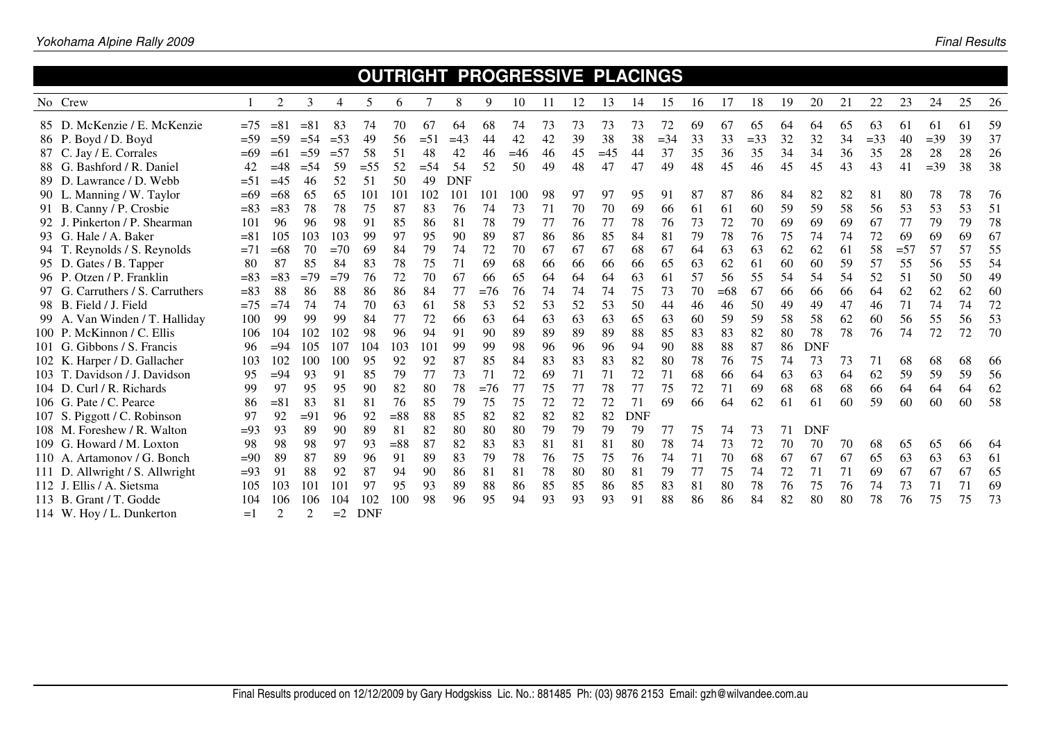### **OUTRIGHT PROGRESSIVE PLACINGS**

| No Crew                          |        | 2      | 3              | 4      | 5          | 6      |        | 8          | 9     | 10    | 11 | 12 | 13    | 14         | 15     | 16 | 17    | 18     | 19 | 20         | 21 | 22     | 23    | 24     | 25 | 26  |
|----------------------------------|--------|--------|----------------|--------|------------|--------|--------|------------|-------|-------|----|----|-------|------------|--------|----|-------|--------|----|------------|----|--------|-------|--------|----|-----|
| 85 D. McKenzie / E. McKenzie     | $=75$  | $= 81$ | $= 81$         | 83     | 74         | 70     | 67     | 64         | 68    | 74    | 73 | 73 | 73    | 73         | 72     | 69 | 67    | 65     | 64 | 64         | 65 | 63     | 61    | 61     | 61 | 59  |
| 86 P. Boyd / D. Boyd             | $=$ 59 | $=$ 59 | $= 54$         | $=$ 53 | 49         | 56     | $=51$  | $=43$      | 44    | 42    | 42 | 39 | 38    | 38         | $= 34$ | 33 | 33    | $=$ 33 | 32 | 32         | 34 | $= 33$ | 40    | $=$ 39 | 39 | 37  |
| 87 C. Jay / E. Corrales          | $=69$  | $=61$  | $=$ 59         | $=57$  | 58         | 51     | 48     | 42         | 46    | $=46$ | 46 | 45 | $=45$ | 44         | 37     | 35 | 36    | 35     | 34 | 34         | 36 | 35     | 28    | 28     | 28 | 26  |
| 88 G. Bashford / R. Daniel       | 42     | $=48$  | $=$ 54         | 59     | $=55$      | 52     | $= 54$ | 54         | 52    | 50    | 49 | 48 | 47    | 47         | 49     | 48 | 45    | 46     | 45 | 45         | 43 | 43     | 41    | $=39$  | 38 | 38  |
| 89 D. Lawrance / D. Webb         | $= 51$ | $=45$  | 46             | 52     | 51         | 50     | 49     | <b>DNF</b> |       |       |    |    |       |            |        |    |       |        |    |            |    |        |       |        |    |     |
| 90 L. Manning / W. Taylor        | $=69$  | $=68$  | 65             | 65     | 101        | 101    | 102    | 101        | 101   | 100   | 98 | 97 | 97    | 95         | 91     | 87 | 87    | 86     | 84 | 82         | 82 | 81     | 80    | 78     | 78 | 76  |
| 91 B. Canny / P. Crosbie         | $= 83$ | $= 83$ | 78             | 78     | 75         | 87     | 83     | 76         | 74    | 73    | 71 | 70 | 70    | 69         | 66     | 61 | 61    | 60     | 59 | 59         | 58 | 56     | 53    | 53     | 53 | 51  |
| 92 J. Pinkerton / P. Shearman    | 101    | 96     | 96             | 98     | 91         | 85     | 86     | 81         | 78    | 79    | 77 | 76 | 77    | 78         | 76     | 73 | 72    | 70     | 69 | 69         | 69 | 67     | 77    | 79     | 79 | 78  |
| 93 G. Hale / A. Baker            | $= 81$ | 105    | 103            | 103    | 99         | 97     | 95     | 90         | 89    | 87    | 86 | 86 | 85    | 84         | 81     | 79 | 78    | 76     | 75 | 74         | 74 | 72     | 69    | 69     | 69 | 67  |
| 94 T. Reynolds / S. Reynolds     | $=71$  | $=68$  | 70             | $=70$  | 69         | 84     | 79     | 74         | 72    | 70    | 67 | 67 | 67    | 68         | 67     | 64 | 63    | 63     | 62 | 62         | 61 | 58     | $=57$ | 57     | 57 | 55  |
| 95 D. Gates / B. Tapper          | 80     | 87     | 85             | 84     | 83         | 78     | 75     | 71         | 69    | 68    | 66 | 66 | 66    | 66         | 65     | 63 | 62    | 61     | 60 | 60         | 59 | 57     | 55    | 56     | 55 | 54  |
| 96 P. Otzen / P. Franklin        | $= 83$ | $= 83$ | $=79$          | $=79$  | 76         | 72     | 70     | 67         | 66    | 65    | 64 | 64 | 64    | 63         | 61     | 57 | 56    | 55     | 54 | 54         | 54 | 52     | 51    | 50     | 50 | 49  |
| 97 G. Carruthers / S. Carruthers | $= 83$ | 88     | 86             | 88     | 86         | 86     | 84     | 77         | $=76$ | 76    | 74 | 74 | 74    | 75         | 73     | 70 | $=68$ | 67     | 66 | 66         | 66 | 64     | 62    | 62     | 62 | 60  |
| 98 B. Field / J. Field           | $=75$  | $=74$  | 74             | 74     | 70         | 63     | 61     | 58         | 53    | 52    | 53 | 52 | 53    | 50         | 44     | 46 | 46    | 50     | 49 | 49         | 47 | 46     | 71    | 74     | 74 | 72  |
| 99 A. Van Winden / T. Halliday   | 100    | 99     | 99             | 99     | 84         | 77     | 72     | 66         | 63    | 64    | 63 | 63 | 63    | 65         | 63     | 60 | 59    | 59     | 58 | 58         | 62 | 60     | 56    | 55     | 56 | 53  |
| 100 P. McKinnon / C. Ellis       | 106    | 104    | 102            | 102    | 98         | 96     | 94     | 91         | 90    | 89    | 89 | 89 | 89    | 88         | 85     | 83 | 83    | 82     | 80 | 78         | 78 | 76     | 74    | 72     | 72 | 70  |
| 101 G. Gibbons / S. Francis      | 96     | $= 94$ | 105            | 107    | 104        | 103    | 101    | 99         | 99    | 98    | 96 | 96 | 96    | 94         | 90     | 88 | 88    | 87     | 86 | <b>DNF</b> |    |        |       |        |    |     |
| 102 K. Harper / D. Gallacher     | 103    | 102    | 100            | 100    | 95         | 92     | 92     | 87         | 85    | 84    | 83 | 83 | 83    | 82         | 80     | 78 | 76    | 75     | 74 | 73         | 73 | 71     | 68    | 68     | 68 | 66  |
| 103 T. Davidson / J. Davidson    | 95     | $= 94$ | 93             | 91     | 85         | 79     | 77     | 73         | 71    | 72    | 69 | 71 | 71    | 72         | 71     | 68 | 66    | 64     | 63 | 63         | 64 | 62     | 59    | 59     | 59 | 56  |
| 104 D. Curl / R. Richards        | 99     | 97     | 95             | 95     | 90         | 82     | 80     | 78         | $=76$ | 77    | 75 | 77 | 78    | 77         | 75     | 72 | 71    | 69     | 68 | 68         | 68 | 66     | 64    | 64     | 64 | 62  |
| 106 G. Pate / C. Pearce          | 86     | $= 81$ | 83             | 81     | 81         | 76     | 85     | 79         | 75    | 75    | 72 | 72 | 72    | 71         | 69     | 66 | 64    | 62     | 61 | 61         | 60 | 59     | 60    | 60     | 60 | 58  |
| 107 S. Piggott / C. Robinson     | 97     | 92     | $= 91$         | 96     | 92         | $= 88$ | 88     | 85         | 82    | 82    | 82 | 82 | 82    | <b>DNF</b> |        |    |       |        |    |            |    |        |       |        |    |     |
| 108 M. Foreshew / R. Walton      | $=93$  | 93     | 89             | 90     | 89         | 81     | 82     | 80         | 80    | 80    | 79 | 79 | 79    | 79         | 77     | 75 | 74    | 73     |    | <b>DNF</b> |    |        |       |        |    |     |
| 109 G. Howard / M. Loxton        | 98     | 98     | 98             | 97     | 93         | $= 88$ | 87     | 82         | 83    | 83    | 81 | 81 | 81    | 80         | 78     | 74 | 73    | 72     | 70 | 70         | 70 | 68     | 65    | 65     | 66 | -64 |
| 110 A. Artamonov / G. Bonch      | $= 90$ | 89     | 87             | 89     | 96         | 91     | 89     | 83         | 79    | 78    | 76 | 75 | 75    | 76         | 74     | 71 | 70    | 68     | 67 | 67         | 67 | 65     | 63    | 63     | 63 | -61 |
| 111 D. Allwright / S. Allwright  | $=93$  | 91     | 88             | 92     | 87         | 94     | 90     | 86         | 81    | 81    | 78 | 80 | 80    | 81         | 79     | 77 | 75    | 74     | 72 | 71         | 71 | 69     | 67    | 67     | 67 | 65  |
| 112 J. Ellis / A. Sietsma        | 105    | 103    | 101            | 101    | 97         | 95     | 93     | 89         | 88    | 86    | 85 | 85 | 86    | 85         | 83     | 81 | 80    | 78     | 76 | 75         | 76 | 74     | 73    | 71     | 71 | 69  |
| 113 B. Grant / T. Godde          | 104    | 106    | 106            | 104    | 102        | 100    | 98     | 96         | 95    | 94    | 93 | 93 | 93    | 91         | 88     | 86 | 86    | 84     | 82 | 80         | 80 | 78     | 76    | 75     | 75 | 73  |
| 114 W. Hoy / L. Dunkerton        | $=1$   |        | $\overline{2}$ | $=2$   | <b>DNF</b> |        |        |            |       |       |    |    |       |            |        |    |       |        |    |            |    |        |       |        |    |     |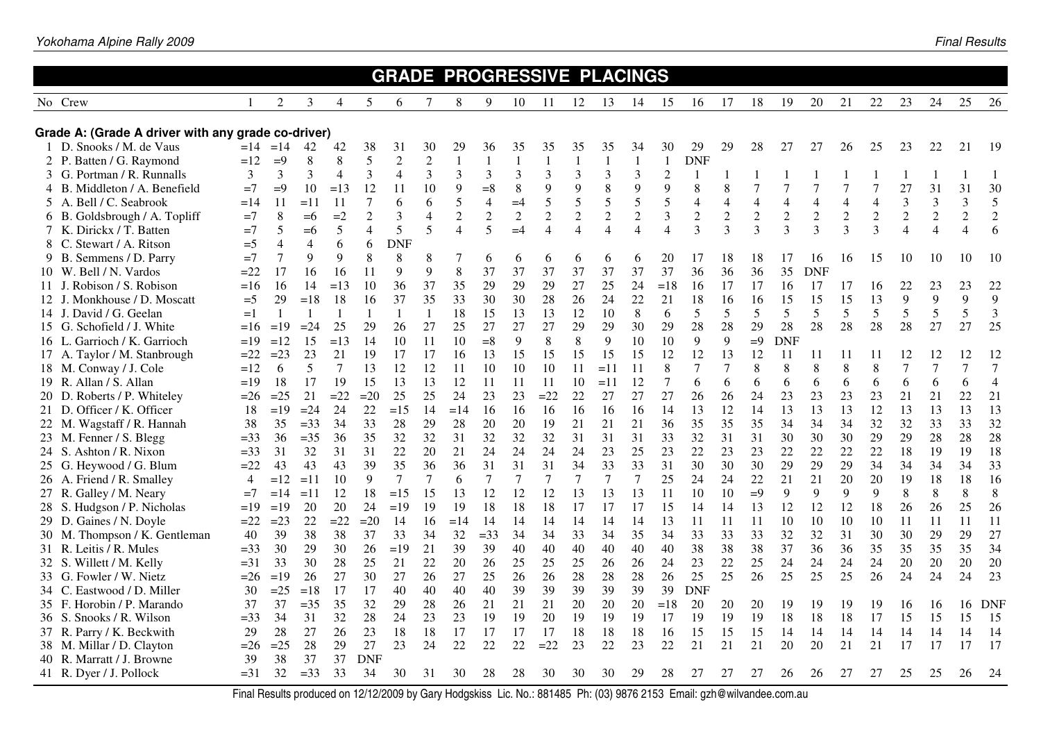|                                                    |                |                |                |                |                |                |                |                |                  |                |                |                | <b>GRADE PROGRESSIVE PLACINGS</b> |                |                |                |                |                |                |                |                |                |                |                |                          |                |
|----------------------------------------------------|----------------|----------------|----------------|----------------|----------------|----------------|----------------|----------------|------------------|----------------|----------------|----------------|-----------------------------------|----------------|----------------|----------------|----------------|----------------|----------------|----------------|----------------|----------------|----------------|----------------|--------------------------|----------------|
| No Crew                                            |                | 2              | 3              | $\overline{4}$ | 5              | 6              | 7              | 8              | 9                | 10             | 11             | 12             | 13                                | 14             | 15             | 16             | 17             | 18             | 19             | 20             | 21             | 22             | 23             | 24             | 25                       | 26             |
| Grade A: (Grade A driver with any grade co-driver) |                |                |                |                |                |                |                |                |                  |                |                |                |                                   |                |                |                |                |                |                |                |                |                |                |                |                          |                |
| 1 D. Snooks / M. de Vaus                           | $=14$          | $=14$          | 42             | 42             | 38             | 31             | 30             | 29             | 36               | 35             | 35             | 35             | 35                                | 34             | 30             | 29             | 29             | 28             | 27             | 27             | 26             | 25             | 23             | 22             | 21                       | -19            |
| 2 P. Batten / G. Raymond                           | $=12$          | $=9$           | 8              | 8              | 5              | $\overline{2}$ | $\mathfrak{2}$ | $\mathbf{1}$   | $\mathbf{1}$     | $\mathbf{1}$   | $\mathbf{1}$   | $\mathbf{1}$   | 1                                 | $\mathbf{1}$   | $\mathbf{1}$   | <b>DNF</b>     |                |                |                |                |                |                |                |                |                          |                |
| 3 G. Portman / R. Runnalls                         | 3              | 3              | 3              | $\overline{4}$ | 3              | $\overline{4}$ | 3              | 3              | 3                | 3              | 3              | 3              | 3                                 | 3              | $\overline{2}$ | 1              | 1              | $\mathbf{1}$   |                |                |                |                |                | $\mathbf{1}$   |                          |                |
| 4 B. Middleton / A. Benefield                      | $=7$           | $=9$           | 10             | $=13$          | 12             | 11             | 10             | 9              | $= 8$            | 8              | 9              | 9              | 8                                 | 9              | 9              | 8              | 8              | $\tau$         | $\overline{7}$ | $\overline{7}$ | 7              | $\tau$         | 27             | 31             | 31                       | 30             |
| 5 A. Bell / C. Seabrook                            | $=14$          | 11             | $=11$          | 11             | $\overline{7}$ | 6              | 6              | 5              | $\overline{4}$   | $=4$           | 5              | 5              | 5                                 | 5              | 5              | 4              | $\overline{4}$ | $\overline{4}$ | 4              | $\overline{4}$ | $\overline{4}$ | $\overline{4}$ | 3              | 3              | $\overline{3}$           | 5              |
| B. Goldsbrough / A. Topliff<br>6                   | $=7$           | 8              | $=6$           | $=2$           | $\overline{c}$ | 3              | $\overline{4}$ | $\sqrt{2}$     | $\boldsymbol{2}$ | $\overline{2}$ | $\sqrt{2}$     | $\overline{c}$ | $\overline{2}$                    | $\sqrt{2}$     | $\mathfrak{Z}$ | $\overline{c}$ | $\sqrt{2}$     | $\sqrt{2}$     | $\sqrt{2}$     | $\sqrt{2}$     | $\sqrt{2}$     | $\overline{c}$ | $\overline{c}$ | $\overline{c}$ | $\overline{2}$           | $\sqrt{2}$     |
| 7 K. Dirickx / T. Batten                           | $=7$           | 5              | $=6$           | 5              | $\overline{4}$ | 5              | 5              | $\overline{4}$ | 5                | $=4$           | $\overline{4}$ | $\overline{4}$ | $\overline{4}$                    | $\overline{4}$ | $\overline{4}$ | $\overline{3}$ | 3              | $\overline{3}$ | 3              | $\overline{3}$ | 3              | $\overline{3}$ | $\overline{4}$ | $\overline{4}$ | $\overline{\mathcal{A}}$ | 6              |
| 8 C. Stewart / A. Ritson                           | $=$ 5          | $\overline{4}$ | $\overline{4}$ | 6              | 6              | <b>DNF</b>     |                |                |                  |                |                |                |                                   |                |                |                |                |                |                |                |                |                |                |                |                          |                |
| B. Semmens / D. Parry<br>9                         | $=7$           | $\overline{7}$ | 9              | 9              | 8              | 8              | 8              | 7              | 6                | 6              | 6              | 6              | 6                                 | 6              | 20             | 17             | 18             | 18             |                | 16             | 16             | 15             | 10             | 10             | 10                       | -10            |
| 10 W. Bell / N. Vardos                             | $=22$          | 17             | 16             | 16             | 11             | 9              | 9              | $\,8\,$        | 37               | 37             | 37             | 37             | 37                                | 37             | 37             | 36             | 36             | 36             | 35             | <b>DNF</b>     |                |                |                |                |                          |                |
| 11 J. Robison / S. Robison                         | $=16$          | 16             | 14             | $=13$          | 10             | 36             | 37             | 35             | 29               | 29             | 29             | 27             | 25                                | 24             | $=18$          | 16             | 17             | 17             | 16             | 17             | 17             | 16             | 22             | 23             | 23                       | 22             |
| . Monkhouse / D. Moscatt<br>12 J.                  | $=$ 5          | 29             | $=18$          | 18             | 16             | 37             | 35             | 33             | 30               | 30             | 28             | 26             | 24                                | 22             | 21             | 18             | 16             | 16             | 15             | 15             | 15             | 13             | 9              | $\overline{9}$ | 9                        | 9              |
| 14 J. David / G. Geelan                            | $=1$           |                |                | $\overline{1}$ |                | $\mathbf{1}$   | 1              | 18             | 15               | 13             | 13             | 12             | 10                                | 8              | 6              | 5              | 5              | 5              | 5              | 5              | 5              | 5              | 5              | 5              | 5                        | $\mathfrak{Z}$ |
| 15 G. Schofield / J. White                         | $=16$          | $=19$          | $= 24$         | 25             | 29             | 26             | 27             | 25             | 27               | 27             | 27             | 29             | 29                                | 30             | 29             | 28             | 28             | 29             | 28             | 28             | 28             | 28             | 28             | 27             | 27                       | 25             |
| 16 L. Garrioch / K. Garrioch                       | $=19$          | $=12$          | 15             | $=13$          | 14             | 10             | 11             | 10             | $= 8$            | 9              | 8              | 8              | 9                                 | 10             | 10             | 9              | 9              | $=9$           | <b>DNF</b>     |                |                |                |                |                |                          |                |
| 17 A. Taylor / M. Stanbrough                       | $=22$          | $=23$          | 23             | 21             | 19             | 17             | 17             | 16             | 13               | 15             | 15             | 15             | 15                                | 15             | 12             | 12             | 13             | 12             | 11             | 11             | 11             | 11             | 12             | 12             | 12                       | 12             |
| 18 M. Conway / J. Cole                             | $=12$          | 6              | 5              | $\overline{7}$ | 13             | 12             | 12             | 11             | 10               | 10             | 10             | 11             | $=11$                             | 11             | 8              | 7              | 7              | 8              | 8              | 8              | 8              | 8              | 7              | $\tau$         | 7                        | 7              |
| 19 R. Allan / S. Allan                             | $=19$          | 18             | 17             | 19             | 15             | 13             | 13             | 12             | 11               | 11             | 11             | 10             | $=11$                             | 12             | $\overline{7}$ | 6              | 6              | 6              | 6              | 6              | 6              | 6              | 6              | 6              | 6                        | $\overline{4}$ |
| 20 D. Roberts / P. Whiteley                        | $=26$          | $=25$          | 21             | $=22$          | $=20$          | 25             | 25             | 24             | 23               | 23             | $=22$          | 22             | 27                                | 27             | 27             | 26             | 26             | 24             | 23             | 23             | 23             | 23             | 21             | 21             | 22                       | 21             |
| 21 D. Officer / K. Officer                         | 18             | $=19$          | $=24$          | 24             | 22             | $=15$          | 14             | $=14$          | 16               | 16             | 16             | 16             | 16                                | 16             | 14             | 13             | 12             | 14             | 13             | 13             | 13             | 12             | 13             | 13             | 13                       | 13             |
| 22 M. Wagstaff / R. Hannah                         | 38             | 35             | $=$ 33         | 34             | 33             | 28             | 29             | 28             | 20               | 20             | 19             | 21             | 21                                | 21             | 36             | 35             | 35             | 35             | 34             | 34             | 34             | 32             | 32             | 33             | 33                       | 32             |
| 23 M. Fenner / S. Blegg                            | $=$ 33         | 36             | $=35$          | 36             | 35             | 32             | 32             | 31             | 32               | 32             | 32             | 31             | 31                                | 31             | 33             | 32             | 31             | 31             | 30             | 30             | 30             | 29             | 29             | 28             | 28                       | 28             |
| 24 S. Ashton / R. Nixon                            | $=$ 33         | 31             | 32             | 31             | 31             | 22             | 20             | 21             | 24               | 24             | 24             | 24             | 23                                | 25             | 23             | 22             | 23             | 23             | 22             | 22             | 22             | 22             | 18             | 19             | 19                       | 18             |
| 25 G. Heywood / G. Blum                            | $=22$          | 43             | 43             | 43             | 39             | 35             | 36             | 36             | 31               | 31             | 31             | 34             | 33                                | 33             | 31             | 30             | 30             | 30             | 29             | 29             | 29             | 34             | 34             | 34             | 34                       | 33             |
| 26 A. Friend / R. Smalley                          | $\overline{4}$ | $=12$          | $=11$          | 10             | 9              | $\tau$         | $\overline{7}$ | 6              | $\overline{7}$   | $\overline{7}$ | $\tau$         | $\tau$         | $\overline{7}$                    | $\tau$         | 25             | 24             | 24             | 22             | 21             | 21             | 20             | 20             | 19             | 18             | 18                       | 16             |
| 27 R. Galley / M. Neary                            | $=7$           | $=14$          | $=11$          | 12             | 18             | $=15$          | 15             | 13             | 12               | 12             | 12             | 13             | 13                                | 13             | 11             | 10             | 10             | $=9$           | 9              | 9              | 9              | 9              | 8              | 8              | 8                        | $\,8\,$        |
| 28 S. Hudgson / P. Nicholas                        | $=19$          | $=19$          | 20             | 20             | 24             | $=19$          | 19             | 19             | 18               | 18             | 18             | 17             | 17                                | 17             | 15             | 14             | 14             | 13             | 12             | 12             | 12             | 18             | 26             | 26             | 25                       | 26             |
| D. Gaines / N. Doyle<br>29                         | $=22$          | $=23$          | 22             | $=22$          | $=20$          | 14             | 16             | $=14$          | 14               | 14             | 14             | 14             | 14                                | 14             | 13             | 11             | 11             | 11             | 10             | 10             | 10             | 10             | 11             | 11             | 11                       | 11             |
| 30 M. Thompson / K. Gentleman                      | 40             | 39             | 38             | 38             | 37             | 33             | 34             | 32             | $=$ 33           | 34             | 34             | 33             | 34                                | 35             | 34             | 33             | 33             | 33             | 32             | 32             | 31             | 30             | 30             | 29             | 29                       | 27             |
| 31 R. Leitis / R. Mules                            | $=$ 33         | 30             | 29             | 30             | 26             | $=19$          | 21             | 39             | 39               | 40             | 40             | 40             | 40                                | 40             | 40             | 38             | 38             | 38             | 37             | 36             | 36             | 35             | 35             | 35             | 35                       | 34             |
| S. Willett / M. Kelly<br>32                        | $=31$          | 33             | 30             | 28             | 25             | 21             | 22             | 20             | 26               | 25             | 25             | 25             | 26                                | 26             | 24             | 23             | 22             | 25             | 24             | 24             | 24             | 24             | 20             | 20             | 20                       | 20             |
| 33 G. Fowler / W. Nietz                            | $=26$          | $=19$          | 26             | 27             | 30             | 27             | 26             | 27             | 25               | 26             | 26             | 28             | 28                                | 28             | 26             | 25             | 25             | 26             | 25             | 25             | 25             | 26             | 24             | 24             | 24                       | 23             |
| 34 C. Eastwood / D. Miller                         | 30             | $=25$          | $=18$          | 17             | 17             | 40             | 40             | 40             | 40               | 39             | 39             | 39             | 39                                | 39             | 39             | <b>DNF</b>     |                |                |                |                |                |                |                |                |                          |                |
| 35 F. Horobin / P. Marando                         | 37             | 37             | $=35$          | 35             | 32             | 29             | 28             | 26             | 21               | 21             | 21             | 20             | 20                                | 20             | $=18$          | 20             | 20             | 20             | 19             | 19             | 19             | 19             | 16             | 16             | 16                       | <b>DNF</b>     |
| 36 S. Snooks / R. Wilson                           | $=$ 33         | 34             | 31             | 32             | 28             | 24             | 23             | 23             | 19               | 19             | 20             | 19             | 19                                | 19             | 17             | 19             | 19             | 19             | 18             | 18             | 18             | 17             | 15             | 15             | 15                       | 15             |
| 37 R. Parry / K. Beckwith                          | 29             | 28             | 27             | 26             | 23             | 18             | 18             | 17             | 17               | 17             | 17             | 18             | 18                                | 18             | 16             | 15             | 15             | 15             | 14             | 14             | 14             | 14             | 14             | 14             | 14                       | 14             |
| 38 M. Millar / D. Clayton                          | $=26$          | $=25$          | 28             | 29             | 27             | 23             | 24             | 22             | 22               | 22             | $=22$          | 23             | 22                                | 23             | 22             | 21             | 21             | 21             | 20             | 20             | 21             | 21             | 17             | 17             | 17                       | 17             |
| 40 R. Marratt / J. Browne                          | 39             | 38             | 37             | 37             | <b>DNF</b>     |                |                |                |                  |                |                |                |                                   |                |                |                |                |                |                |                |                |                |                |                |                          |                |
| 41 R. Dyer / J. Pollock                            | $=$ 31         | 32             | $=$ 33         | 33             | 34             | 30             | 31             | 30             | 28               | 28             | 30             | 30             | 30                                | 29             | 28             | 27             | 27             | 27             | 26             | 26             | 27             | 27             | 25             | 25             | 26                       | 24             |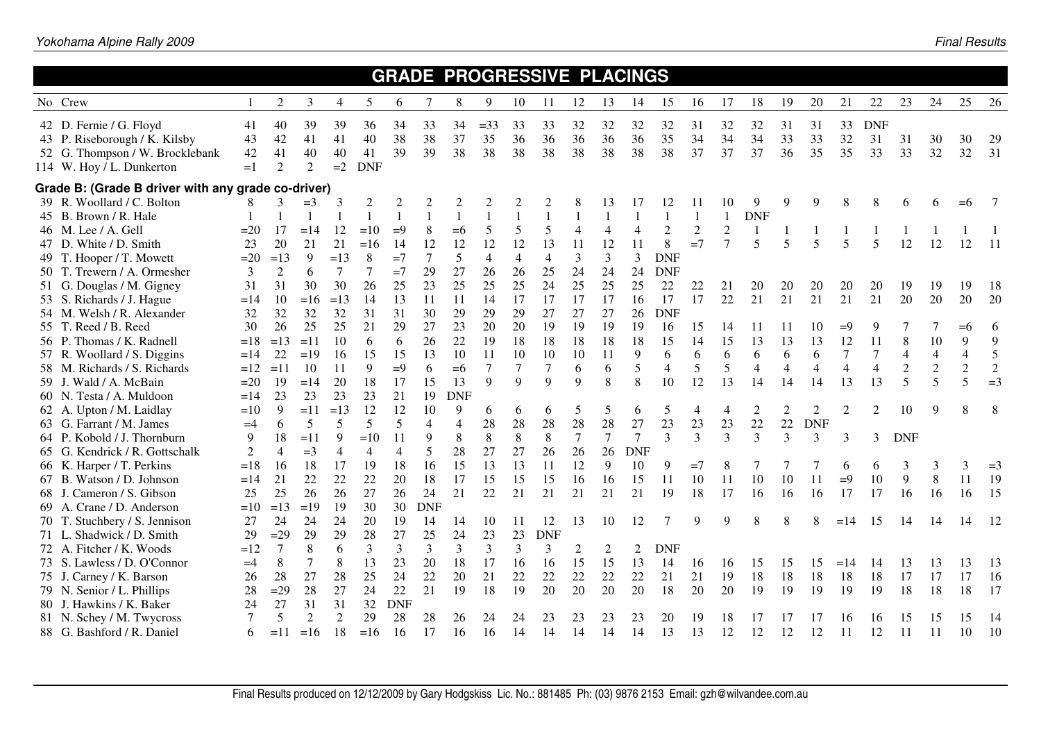## **GRADE PROGRESSIVE PLACINGS**

| No Crew                                                                                     |                | $\overline{2}$ | 3              | $\overline{4}$ | 5              | 6              |                | 8              | 9                 | 10             | 11             | 12             | 13             | 14             | 15             | 16             | 17             | 18             | 19                      | 20             | 21             | 22                       | 23             | 24               | 25             | 26         |
|---------------------------------------------------------------------------------------------|----------------|----------------|----------------|----------------|----------------|----------------|----------------|----------------|-------------------|----------------|----------------|----------------|----------------|----------------|----------------|----------------|----------------|----------------|-------------------------|----------------|----------------|--------------------------|----------------|------------------|----------------|------------|
| 42 D. Fernie / G. Floyd<br>43 P. Riseborough / K. Kilsby<br>52 G. Thompson / W. Brocklebank | 41<br>43<br>42 | 40<br>42<br>41 | 39<br>41<br>40 | 39<br>41<br>40 | 36<br>40<br>41 | 34<br>38<br>39 | 33<br>38<br>39 | 34<br>37<br>38 | $=33$<br>35<br>38 | 33<br>36<br>38 | 33<br>36<br>38 | 32<br>36<br>38 | 32<br>36<br>38 | 32<br>36<br>38 | 32<br>35<br>38 | 31<br>34<br>37 | 32<br>34<br>37 | 32<br>34<br>37 | 31<br>33<br>36          | 31<br>33<br>35 | 33<br>32<br>35 | <b>DNF</b><br>31<br>33   | 31<br>33       | 30<br>32         | 30<br>32       | 29<br>31   |
| 114 W. Hoy / L. Dunkerton                                                                   | $=1$           | $\overline{2}$ | $\overline{2}$ | $=2$           | <b>DNF</b>     |                |                |                |                   |                |                |                |                |                |                |                |                |                |                         |                |                |                          |                |                  |                |            |
| Grade B: (Grade B driver with any grade co-driver)                                          |                |                |                |                |                |                |                |                |                   |                |                |                |                |                |                |                |                |                |                         |                |                |                          |                |                  |                |            |
| 39 R. Woollard / C. Bolton                                                                  |                |                | $=$ 3          |                |                |                | 2              | 2              | 2                 |                |                |                | 13             |                | 12             |                | 10             | 9              | 9                       | q              |                |                          |                |                  | =6             |            |
| 45 B. Brown / R. Hale                                                                       |                |                |                |                |                |                |                | $\mathbf{1}$   |                   | $\overline{1}$ | $\mathbf{1}$   |                |                |                | $\mathbf{1}$   |                |                | <b>DNF</b>     |                         |                |                |                          |                |                  |                |            |
| 46 M. Lee / A. Gell                                                                         | $=20$          | 17             | $=14$          | 12             | $=10$          | $=9$           | 8              | $=6$           | 5                 | 5              | 5              | $\overline{4}$ | $\overline{4}$ | $\overline{4}$ | $\overline{2}$ | $\overline{c}$ | $\overline{c}$ |                |                         |                |                |                          |                |                  |                |            |
| 47 D. White / D. Smith                                                                      | 23             | 20             | 21             | 21             | $=16$          | 14             | 12             | 12             | 12                | 12             | 13             | 11             | 12             | 11             | 8              | $=7$           | $\overline{7}$ | 5              | $\overline{\mathbf{S}}$ | 5              | 5              | $\overline{\phantom{0}}$ | 12             | 12               | 12             | $-11$      |
| 49 T. Hooper / T. Mowett                                                                    | $=20$          | $=13$          | 9              | $=13$          | $\,$ 8 $\,$    | $=7$           | 7              | $\mathfrak{S}$ | 4                 | $\overline{4}$ | $\overline{4}$ | 3              | 3              | 3              | <b>DNF</b>     |                |                |                |                         |                |                |                          |                |                  |                |            |
| 50 T. Trewern / A. Ormesher                                                                 | 3              | $\overline{2}$ | 6              | $\tau$         | 7              | $=7$           | 29             | 27             | 26                | 26             | 25             | 24             | 24             | 24             | <b>DNF</b>     |                |                |                |                         |                |                |                          |                |                  |                |            |
| 51 G. Douglas / M. Gigney                                                                   | 31             | 31             | 30             | 30             | 26             | 25             | 23             | 25             | 25                | 25             | 24             | 25             | 25             | 25             | 22             | 22             | 21             | 20             | 20                      | 20             | 20             | 20                       | 19             | 19               | 19             | -18        |
| 53 S. Richards / J. Hague                                                                   | $=14$          | 10             | $=16$          | $=13$          | 14             | 13             | 11             | 11             | 14                | 17             | 17             | 17             | 17             | 16             | 17             | 17             | 22             | 21             | 21                      | 21             | 21             | 21                       | 20             | 20               | 20             | 20         |
| 54 M. Welsh / R. Alexander                                                                  | 32             | 32             | 32             | 32             | 31             | 31             | 30             | 29             | 29                | 29             | 27             | 27             | 27             | 26             | <b>DNF</b>     |                |                |                |                         |                |                |                          |                |                  |                |            |
| 55 T. Reed / B. Reed                                                                        | 30             | 26             | 25             | 25             | 21             | 29             | 27             | 23             | 20                | 20             | 19             | 19             | 19             | 19             | 16             | 15             | 14             | 11             | 11                      | 10             | $=9$           |                          |                |                  | $= 6$          | 6          |
| 56 P. Thomas / K. Radnell                                                                   | $=18$          | $=13$          | $=11$          | 10             | 6              | 6              | 26             | 22             | 19                | 18             | 18             | 18             | 18             | 18             | 15             | 14             | 15             | 13             | 13                      | 13             | 12             | 11                       | 8              | 10               | 9              | 9          |
| 57 R. Woollard / S. Diggins                                                                 | $=14$          | 22             | $=19$          | 16             | 15             | 15             | 13             | 10             | 11                | 10             | 10             | 10             | 11             | 9              | 6              | 6              | 6              | 6              | 6                       | 6              | $\tau$         |                          | $\overline{4}$ | $\overline{4}$   | $\overline{A}$ | 5          |
| 58 M. Richards / S. Richards                                                                | $=12$          | $=11$          | 10             | 11             | 9              | $=9$           | 6              | $=6$           | 7                 |                |                | 6              | 6              | 5              | $\overline{4}$ | 5              | 5              | $\overline{4}$ | $\overline{4}$          | $\overline{4}$ | $\overline{4}$ | $\overline{4}$           | $\sqrt{2}$     | $\boldsymbol{2}$ | $\sqrt{2}$     | $\sqrt{2}$ |
| 59 J. Wald / A. McBain                                                                      | $=20$          | 19             | $=14$          | 20             | 18             | 17             | 15             | 13             | 9                 | 9              | 9              | 9              | 8              | 8              | 10             | 12             | 13             | 14             | 14                      | 14             | 13             | 13                       | 5              | 5                | 5              | $=3$       |
| 60 N. Testa / A. Muldoon                                                                    | $=14$          | 23             | 23             | 23             | 23             | 21             | 19             | <b>DNF</b>     |                   |                |                |                |                |                |                |                |                |                |                         |                |                |                          |                |                  |                |            |
| 62 A. Upton / M. Laidlay                                                                    | $=10$          | 9              | $=11$          | $=13$          | 12             | 12             | 10             | 9              | 6                 | 6              | 6              | 5              | 5              | 6              | 5              | 4              |                | $\overline{2}$ | 2                       | $\mathfrak{2}$ | $\overline{c}$ |                          | 10             | 9                |                | 8          |
| 63 G. Farrant / M. James                                                                    | $=4$           | 6              | 5              | 5              | 5              | 5              | $\overline{4}$ | $\overline{4}$ | 28                | 28             | 28             | 28             | 28             | 27             | 23             | 23             | 23             | 22             | 22                      | <b>DNF</b>     |                |                          |                |                  |                |            |
| 64 P. Kobold / J. Thornburn                                                                 | 9              | 18             | $=11$          | 9              | $=10$          | 11             | 9              | 8              | 8                 | 8              | 8              | 7              | 7              | $\tau$         | 3              | 3              | 3              | 3              | 3                       | 3              | 3              | 3                        | <b>DNF</b>     |                  |                |            |
| 65 G. Kendrick / R. Gottschalk                                                              | 2              | 4              | $=$ 3          | $\overline{4}$ | 4              | 4              | 5              | 28             | 27                | 27             | 26             | 26             | 26             | <b>DNF</b>     |                |                |                |                |                         |                |                |                          |                |                  |                |            |
| 66 K. Harper / T. Perkins                                                                   | $=18$          | 16             | 18             | 17             | 19             | 18             | 16             | 15             | 13                | 13             | 11             | 12             | 9              | 10             | 9              | $=7$           | 8              |                |                         |                | 6              | 6                        | 3              | 3                | 3              | $=$ 3      |
| 67 B. Watson / D. Johnson                                                                   | $=14$          | 21             | 22             | 22             | 22             | 20             | 18             | 17             | 15                | 15             | 15             | 16             | 16             | 15             | 11             | 10             | 11             | 10             | 10                      | 11             | $=9$           | 10                       | 9              | $\,$ 8 $\,$      | 11             | 19         |
| 68 J. Cameron / S. Gibson                                                                   | 25             | 25             | 26             | 26             | 27             | 26             | 24             | 21             | 22                | 21             | 21             | 21             | 21             | 21             | 19             | 18             | 17             | 16             | 16                      | 16             | 17             | 17                       | 16             | 16               | 16             | 15         |
| 69 A. Crane / D. Anderson                                                                   | $=10$          | $=13$          | $=19$          | 19             | 30             | 30             | <b>DNF</b>     |                |                   |                |                |                |                |                |                |                |                |                |                         |                |                |                          |                |                  |                |            |
| 70 T. Stuchbery / S. Jennison                                                               | 27             | 24             | 24             | 24             | 20             | 19             | 14             | 14             | 10                | 11             | 12             | 13             | 10             | 12             |                | 9              |                |                |                         | 8              | $=14$          | 15                       | 14             | 14               | 14             | -12        |
| 71 L. Shadwick / D. Smith                                                                   | 29             | $=29$          | 29             | 29             | 28             | 27             | 25             | 24             | 23                | 23             | <b>DNF</b>     |                |                |                |                |                |                |                |                         |                |                |                          |                |                  |                |            |
| 72 A. Fitcher / K. Woods                                                                    | $=12$          | $\overline{7}$ | 8              | 6              | 3              | 3              | 3              | 3              | 3                 | 3              | 3              | $\overline{c}$ | $\overline{2}$ | $\mathfrak{2}$ | <b>DNF</b>     |                |                |                |                         |                |                |                          |                |                  |                |            |
| 73 S. Lawless / D. O'Connor                                                                 | $=4$           | 8              | 7              | 8              | 13             | 23             | 20             | 18             | 17                | 16             | 16             | 15             | 15             | 13             | 14             | 16             | 16             | 15             | 15                      | 15             | $=14$          | 14                       | 13             | 13               | 13             | 13         |
| 75 J. Carney / K. Barson                                                                    | 26             | 28             | 27             | 28             | 25             | 24             | 22             | 20             | 21                | 22             | 22             | 22             | 22             | 22             | 21             | 21             | 19             | 18             | 18                      | $18\,$         | 18             | 18                       | 17             | 17               | 17             | 16         |
| 79 N. Senior / L. Phillips                                                                  | 28             | $=29$          | 28             | 27             | 24             | 22             | 21             | 19             | 18                | 19             | 20             | 20             | 20             | 20             | 18             | 20             | 20             | 19             | 19                      | 19             | 19             | 19                       | 18             | 18               | 18             | 17         |
| 80 J. Hawkins / K. Baker                                                                    | 24<br>7        | 27<br>5        | 31             | 31             | 32             | <b>DNF</b>     |                |                |                   |                |                |                |                |                |                |                |                |                |                         |                |                |                          |                |                  |                |            |
| 81 N. Schey / M. Twycross                                                                   |                |                | $\overline{2}$ | $\mathfrak{2}$ | 29             | 28             | 28             | 26             | 24                | 24             | 23             | 23             | 23             | 23             | 20             | 19             | 18             |                |                         |                | 16             | l6                       | 15             | 15               | 15             | -14        |
| 88 G. Bashford / R. Daniel                                                                  | 6              | $=11$          | $=16$          | 18             | $=16$          | 16             | 17             | 16             | 16                | 14             | 14             | 14             | 14             | 14             | 13             | 13             | 12             | 12             | 12                      | 12             | 11             | 12                       | 11             | 11               | 10             | -10        |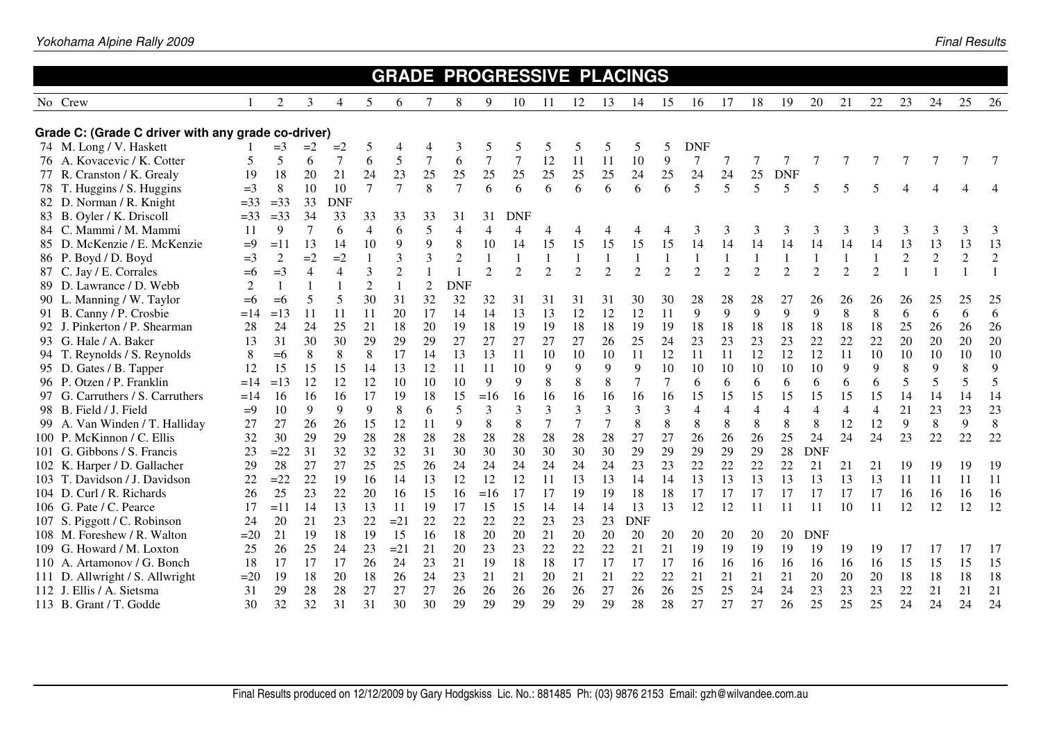|                                                    |                |                |                |                |                |       |                  |                |                | <b>GRADE PROGRESSIVE PLACINGS</b> |                |                |                |                |                |                |                |                |                |                             |                |                |                |                |                |                |
|----------------------------------------------------|----------------|----------------|----------------|----------------|----------------|-------|------------------|----------------|----------------|-----------------------------------|----------------|----------------|----------------|----------------|----------------|----------------|----------------|----------------|----------------|-----------------------------|----------------|----------------|----------------|----------------|----------------|----------------|
| No Crew                                            |                | 2              | 3              | $\overline{4}$ | 5              | 6     | 7                | 8              | 9              | 10                                | 11             | 12             | 13             | 14             | 15             | 16             | 17             | 18             | 19             | 20                          | 21             | 22             | 23             | 24             | 25             | 26             |
| Grade C: (Grade C driver with any grade co-driver) |                |                |                |                |                |       |                  |                |                |                                   |                |                |                |                |                |                |                |                |                |                             |                |                |                |                |                |                |
| 74 M. Long / V. Haskett                            |                | $=$ 3          | $=2$           | $=2$           | 5              | 4     | 4                | 3              | 5              | 5                                 | 5              |                | 5              | 5              | 5              | <b>DNF</b>     |                |                |                |                             |                |                |                |                |                |                |
| 76 A. Kovacevic / K. Cotter                        | 5              | 5              | 6              | $\overline{7}$ | 6              | 5     | $\boldsymbol{7}$ | 6              | $\overline{7}$ | $\overline{7}$                    | 12             | 11             | 11             | 10             | 9              | 7              |                | 7              |                |                             |                |                |                |                |                |                |
| 77 R. Cranston / K. Grealy                         | 19             | 18             | 20             | 21             | 24             | 23    | 25               | 25             | 25             | 25                                | 25             | 25             | 25             | 24             | 25             | 24             | 24             | 25             | <b>DNF</b>     |                             |                |                |                |                |                |                |
| 78 T. Huggins / S. Huggins                         | $=$ 3          | 8              | 10             | 10             | $\overline{7}$ | 7     | 8                | $\overline{7}$ | 6              | 6                                 | 6              | 6              | 6              | 6              | 6              | 5              | 5              | 5              | 5              | 5                           | 5              |                |                |                |                |                |
| 82 D. Norman / R. Knight                           | $= 33$         | $=$ 33         | 33             | <b>DNF</b>     |                |       |                  |                |                |                                   |                |                |                |                |                |                |                |                |                |                             |                |                |                |                |                |                |
| 83 B. Oyler / K. Driscoll                          | $= 33$         | $= 33$         | 34             | 33             | 33             | 33    | 33               | 31             | 31             | <b>DNF</b>                        |                |                |                |                |                |                |                |                |                |                             |                |                |                |                |                |                |
| 84 C. Mammi / M. Mammi                             | 11             | 9              | 7              | 6              | $\overline{4}$ | 6     | 5                | $\overline{4}$ | $\overline{4}$ | $\overline{4}$                    | 4              | 4              | 4              | 4              | 4              | 3              | 3              | 3              | 3              | 3                           | 3              | 3              | 3              | 3              | 3              | 3              |
| 85 D. McKenzie / E. McKenzie                       | $=9$           | $=11$          | 13             | 14             | 10             | 9     | 9                | $\,8\,$        | 10             | 14                                | 15             | 15             | 15             | 15             | 15             | 14             | 14             | 14             | 14             | 14                          | 14             | 14             | 13             | 13             | 13             | 13             |
| 86 P. Boyd / D. Boyd                               | $=3$           | $\overline{2}$ | $=2$           | $=2$           |                | 3     | 3                | $\overline{c}$ |                | $\mathbf{1}$                      | $\mathbf{1}$   |                |                |                |                |                |                | $\mathbf{1}$   |                | 1                           | $\mathbf{1}$   |                | $\overline{2}$ | $\overline{2}$ | $\overline{2}$ | $\overline{2}$ |
| 87 C. Jay / E. Corrales                            | $=6$           | $=3$           | $\overline{4}$ | $\overline{4}$ | 3              | 2     | $\mathbf{1}$     |                | 2              | $\overline{2}$                    | $\overline{2}$ | $\overline{c}$ | $\overline{2}$ | $\overline{2}$ | $\overline{2}$ | $\overline{2}$ | $\overline{2}$ | $\overline{2}$ | $\overline{2}$ | $\mathcal{D}_{\mathcal{L}}$ | $\overline{2}$ | $\overline{2}$ |                |                |                | $\mathbf{1}$   |
| 89 D. Lawrance / D. Webb                           | $\overline{2}$ |                |                |                | $\overline{2}$ |       | $\overline{2}$   | <b>DNF</b>     |                |                                   |                |                |                |                |                |                |                |                |                |                             |                |                |                |                |                |                |
| 90 L. Manning / W. Taylor                          | $= 6$          | $= 6$          | 5              | 5              | 30             | 31    | 32               | 32             | 32             | 31                                | 31             | 31             | 31             | 30             | 30             | 28             | 28             | 28             | 27             | 26                          | 26             | 26             | 26             | 25             | 25             | 25             |
| 91 B. Canny / P. Crosbie                           | $=14$          | $=13$          | 11             | 11             | 11             | 20    | 17               | 14             | 14             | 13                                | 13             | 12             | 12             | 12             | 11             | 9              | 9              | 9              | 9              | 9                           | 8              | 8              | 6              | 6              | 6              | 6              |
| 92 J. Pinkerton / P. Shearman                      | 28             | 24             | 24             | 25             | 21             | 18    | 20               | 19             | 18             | 19                                | 19             | 18             | 18             | 19             | 19             | 18             | 18             | 18             | 18             | 18                          | 18             | 18             | 25             | 26             | 26             | 26             |
| 93 G. Hale / A. Baker                              | 13             | 31             | 30             | 30             | 29             | 29    | 29               | 27             | 27             | 27                                | 27             | 27             | 26             | 25             | 24             | 23             | 23             | 23             | 23             | 22                          | 22             | 22             | 20             | 20             | 20             | 20             |
| 94 T. Reynolds / S. Reynolds                       | 8              | $=6$           | 8              | 8              | 8              | 17    | 14               | 13             | 13             | 11                                | 10             | 10             | 10             | 11             | 12             | 11             | 11             | 12             | 12             | 12                          | 11             | 10             | 10             | 10             | 10             | 10             |
| 95 D. Gates / B. Tapper                            | 12             | 15             | 15             | 15             | 14             | 13    | 12               | 11             | 11             | 10                                | 9              | 9              | 9              | 9              | 10             | 10             | 10             | 10             | 10             | 10                          | 9              | q              | 8              | 9              | 8              | 9              |
| 96 P. Otzen / P. Franklin                          | $=14$          | $=13$          | 12             | 12             | 12             | 10    | 10               | 10             | 9              | 9                                 | 8              | 8              | 8              | 7              | 7              | 6              | 6              | 6              | 6              | 6                           | 6              | 6              | 5              | 5              | 5              | 5              |
| 97 G. Carruthers / S. Carruthers                   | $=14$          | 16             | 16             | 16             | 17             | 19    | 18               | 15             | $=16$          | 16                                | 16             | 16             | 16             | 16             | 16             | 15             | 15             | 15             | 15             | 15                          | 15             | 15             | 14             | 14             | 14             | 14             |
| 98 B. Field / J. Field                             | $=9$           | 10             | 9              | 9              | 9              | 8     | 6                | 5              | 3              | 3                                 | 3              | 3              | 3              | 3              | 3              | 4              | 4              | $\overline{4}$ | $\overline{4}$ | 4                           | $\overline{4}$ | $\overline{4}$ | 21             | 23             | 23             | 23             |
| 99 A. Van Winden / T. Halliday                     | 27             | 27             | 26             | 26             | 15             | 12    | 11               | 9              | 8              | 8                                 | 7              |                | $\overline{7}$ | 8              | 8              | 8              | 8              | 8              | 8              | 8                           | 12             | 12             | 9              | 8              | 9              | 8              |
| 100 P. McKinnon / C. Ellis                         | 32             | 30             | 29             | 29             | 28             | 28    | 28               | 28             | 28             | 28                                | 28             | 28             | 28             | 27             | 27             | 26             | 26             | 26             | 25             | 24                          | 24             | 24             | 23             | 22             | 22             | 22             |
| 101 G. Gibbons / S. Francis                        | 23             | $=22$          | 31             | 32             | 32             | 32    | 31               | 30             | 30             | 30                                | 30             | 30             | 30             | 29             | 29             | 29             | 29             | 29             | 28             | <b>DNF</b>                  |                |                |                |                |                |                |
| 102 K. Harper / D. Gallacher                       | 29             | 28             | 27             | 27             | 25             | 25    | 26               | 24             | 24             | 24                                | 24             | 24             | 24             | 23             | 23             | 22             | 22             | 22             | 22             | 21                          | 21             | 21             | 19             | 19             | 19             | 19             |
| 103 T. Davidson / J. Davidson                      | 22             | $=22$          | 22             | 19             | 16             | 14    | 13               | 12             | 12             | 12                                | 11             | 13             | 13             | 14             | 14             | 13             | 13             | 13             | 13             | 13                          | 13             | 13             | 11             | 11             | 11             | 11             |
| 104 D. Curl / R. Richards                          | 26             | 25             | 23             | 22             | 20             | 16    | 15               | 16             | $=16$          | 17                                | 17             | 19             | 19             | 18             | 18             | 17             | 17             | 17             | 17             | 17                          | 17             | 17             | 16             | 16             | 16             | 16             |
| 106 G. Pate / C. Pearce                            | 17             | $=11$          | 14             | 13             | 13             | 11    | 19               | 17             | 15             | 15                                | 14             | 14             | 14             | 13             | 13             | 12             | 12             | 11             |                | 11                          | 10             | 11             | 12             | 12             | 12             | 12             |
| 107 S. Piggott / C. Robinson                       | 24             | 20             | 21             | 23             | 22             | $=21$ | 22               | 22             | 22             | 22                                | 23             | 23             | 23             | <b>DNF</b>     |                |                |                |                |                |                             |                |                |                |                |                |                |
| 108 M. Foreshew / R. Walton                        | $=20$          | 21             | 19             | 18             | 19             | 15    | 16               | 18             | 20             | 20                                | 21             | 20             | 20             | 20             | 20             | 20             | 20             | 20             | 20             | <b>DNF</b>                  |                |                |                |                |                |                |
| 109 G. Howard / M. Loxton                          | 25             | 26             | 25             | 24             | 23             | $=21$ | 21               | 20             | 23             | 23                                | 22             | 22             | 22             | 21             | 21             | 19             | 19             | 19             | 19             | 19                          | 19             | 19             | 17             | 17             |                | 17             |
| 110 A. Artamonov / G. Bonch                        | 18             | 17             | 17             | 17             | 26             | 24    | 23               | 21             | 19             | 18                                | 18             | 17             | 17             | 17             | 17             | 16             | 16             | 16             | 16             | 16                          | 16             | 16             | 15             | 15             | 15             | 15             |
| 111 D. Allwright / S. Allwright                    | $=20$          | 19             | 18             | 20             | 18             | 26    | 24               | 23             | 21             | 21                                | 20             | 21             | 21             | 22             | 22             | 21             | 21             | 21             | 21             | 20                          | 20             | 20             | 18             | 18             | 18             | 18             |
| 112 J. Ellis / A. Sietsma                          | 31             | 29             | 28             | 28             | 27             | 27    | 27               | 26             | 26             | 26                                | 26             | 26             | 27             | 26             | 26             | 25             | 25             | 24             | 24             | 23                          | 23             | 23             | 22             | 21             | 21             | 21             |
| 113 B. Grant / T. Godde                            | 30             | 32             | 32             | 31             | 31             | 30    | 30               | 29             | 29             | 29                                | 29             | 29             | 29             | 28             | 28             | 27             | 27             | 27             | 26             | 25                          | 25             | 25             | 24             | 24             | 24             | 24             |

Yokohama Alpine Rally 2009 Final Results

ı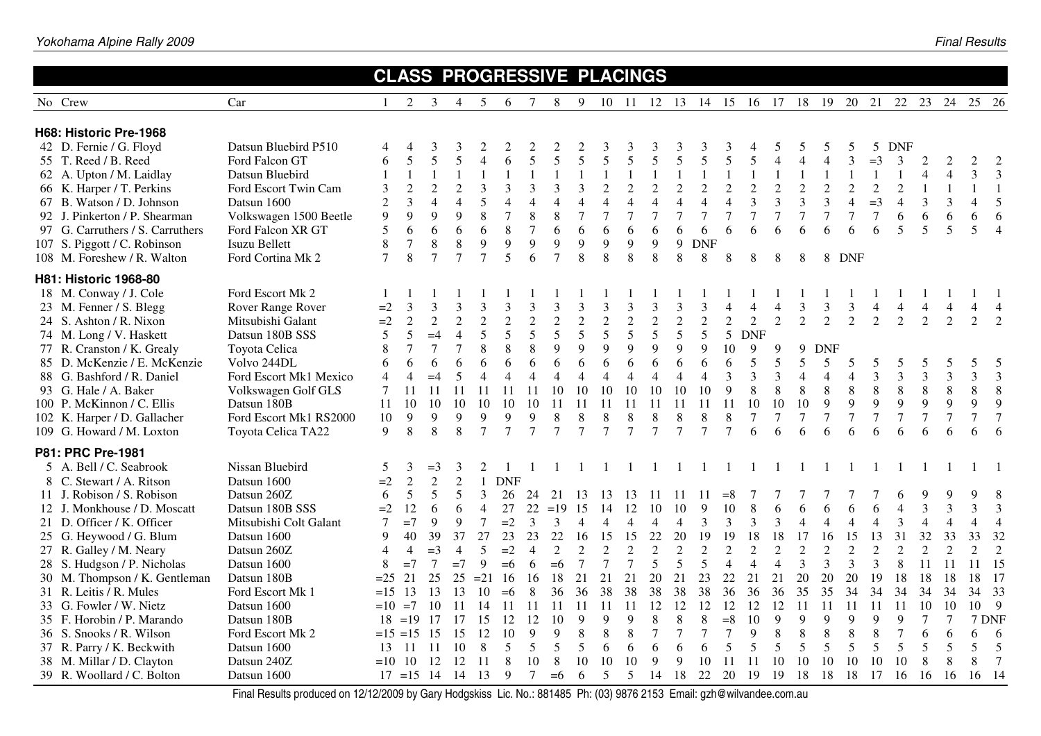|                                  |                        |                |                  |                |                |                         | <b>CLASS PROGRESSIVE PLACINGS</b> |                |                |                |                |                |                |                          |                          |                |                |                |                |                          |                |                |                |                |                             |                          |                |
|----------------------------------|------------------------|----------------|------------------|----------------|----------------|-------------------------|-----------------------------------|----------------|----------------|----------------|----------------|----------------|----------------|--------------------------|--------------------------|----------------|----------------|----------------|----------------|--------------------------|----------------|----------------|----------------|----------------|-----------------------------|--------------------------|----------------|
| No Crew                          | Car                    |                | $\overline{2}$   | $\mathfrak{Z}$ | $\overline{4}$ | 5                       | 6                                 | $\tau$         | 8              | 9              |                | 10 11 12 13    |                |                          | 14                       | 15             | 16             | 17             |                | 18 19                    | 20 21          |                | 22             | 23             | 24                          | 25 26                    |                |
| H68: Historic Pre-1968           |                        |                |                  |                |                |                         |                                   |                |                |                |                |                |                |                          |                          |                |                |                |                |                          |                |                |                |                |                             |                          |                |
| 42 D. Fernie / G. Floyd          | Datsun Bluebird P510   | 4              |                  |                |                |                         |                                   |                |                |                |                |                |                |                          |                          |                |                |                |                |                          |                | 5              | DNF            |                |                             |                          |                |
| 55 T. Reed / B. Reed             | Ford Falcon GT         | 6              | 5                | 5              | 5              | $\overline{4}$          | 6                                 | 5              | 5              | 5              | 5              | 5              | 5              | $\overline{\phantom{0}}$ | $\overline{\phantom{0}}$ |                | 5              | $\overline{4}$ | $\overline{4}$ | $\overline{4}$           | 3              | $=$ 3          | 3              |                | $\mathcal{D}_{\mathcal{L}}$ | 2                        | $\overline{2}$ |
| 62 A. Upton / M. Laidlay         | Datsun Bluebird        |                |                  | $\overline{1}$ | $\mathbf{1}$   | $\overline{1}$          |                                   |                |                |                |                |                | $\mathbf{1}$   | $\mathbf{1}$             |                          |                |                |                |                |                          |                | $\overline{1}$ |                |                | 4                           | 3                        | $\mathfrak{Z}$ |
| 66 K. Harper / T. Perkins        | Ford Escort Twin Cam   | 3              | $\boldsymbol{2}$ | $\overline{2}$ | $\overline{2}$ | 3                       | 3                                 |                | 3              | 3              | $\overline{2}$ | $\overline{2}$ | $\overline{2}$ | $\sqrt{2}$               | $\boldsymbol{2}$         | $\mathfrak{2}$ | $\overline{c}$ | $\sqrt{2}$     | $\sqrt{2}$     | $\overline{2}$           | $\overline{2}$ | $\overline{2}$ | $\overline{2}$ |                | $\mathbf{1}$                |                          | $\mathbf{1}$   |
| 67 B. Watson / D. Johnson        | Datsun 1600            | $\overline{2}$ | 3                | $\overline{4}$ | $\overline{4}$ | 5                       | $\overline{4}$                    |                | $\overline{4}$ | $\overline{4}$ | $\overline{4}$ | $\overline{4}$ | $\overline{4}$ | $\overline{4}$           | $\overline{4}$           | $\overline{4}$ | $\mathfrak{Z}$ | $\mathfrak{Z}$ | 3              | 3                        | $\overline{4}$ | $=3$           | $\overline{4}$ | 3              | 3                           | $\overline{4}$           | 5              |
| 92 J. Pinkerton / P. Shearman    | Volkswagen 1500 Beetle | 9              | 9                | 9              | 9              | 8                       | $\overline{7}$                    | 8              | 8              | $\overline{7}$ | $\overline{7}$ | $\tau$         | $\overline{7}$ | $\overline{7}$           | $\tau$                   | $\tau$         | $\overline{7}$ | $\overline{7}$ | 7              | $\tau$                   | $\tau$         | $\tau$         | 6              | 6              | 6                           | 6                        | 6              |
| 97 G. Carruthers / S. Carruthers | Ford Falcon XR GT      | 5              | 6                | 6              | 6              | 6                       | 8                                 |                | 6              | 6              | 6              | 6              | 6              | 6                        | 6                        | 6              | 6              | 6              | 6              | 6                        | 6              | 6              | 5              | 5              | 5                           | 5                        | $\overline{4}$ |
| 107 S. Piggott / C. Robinson     | Isuzu Bellett          | 8              | $\overline{7}$   | 8              | 8              | 9                       | 9                                 | 9              | 9              | 9              | 9              | 9              | 9              | 9                        | <b>DNF</b>               |                |                |                |                |                          |                |                |                |                |                             |                          |                |
| 108 M. Foreshew / R. Walton      | Ford Cortina Mk 2      | $\tau$         | $\mathbf{8}$     | $\tau$         | $\overline{7}$ | $\tau$                  | $\overline{\mathcal{L}}$          | 6              | $\overline{7}$ | 8              | 8              | 8              | 8              | 8                        | 8                        | 8              | 8              | 8              | 8              |                          | 8 DNF          |                |                |                |                             |                          |                |
| H81: Historic 1968-80            |                        |                |                  |                |                |                         |                                   |                |                |                |                |                |                |                          |                          |                |                |                |                |                          |                |                |                |                |                             |                          |                |
| 18 M. Conway / J. Cole           | Ford Escort Mk 2       |                |                  |                |                |                         |                                   |                |                |                |                |                |                |                          |                          |                |                |                |                |                          |                |                |                |                |                             |                          |                |
| 23 M. Fenner / S. Blegg          | Rover Range Rover      | $=2$           | 3                | 3              | 3              | $\overline{\mathbf{3}}$ | 3                                 | 3              | 3              | 3              | 3              | 3              | $\overline{3}$ | 3                        | 3                        | $\overline{4}$ | $\overline{4}$ | $\overline{4}$ | $\mathfrak{Z}$ | 3                        | 3              | $\overline{4}$ | 4              | $\Delta$       | $\overline{4}$              | $\boldsymbol{\varDelta}$ | 4              |
| 24 S. Ashton / R. Nixon          | Mitsubishi Galant      | $=2$           | $\overline{c}$   | $\sqrt{2}$     | $\overline{2}$ | $\sqrt{2}$              | $\sqrt{2}$                        | $\overline{c}$ | $\overline{c}$ | $\overline{c}$ | $\sqrt{2}$     | $\mathfrak{2}$ | $\overline{2}$ | $\sqrt{2}$               | $\sqrt{2}$               | $\mathfrak{2}$ | $\sqrt{2}$     | $\overline{c}$ | $\overline{2}$ | $\overline{2}$           | $\overline{2}$ | $\overline{2}$ | $\overline{2}$ | $\mathfrak{D}$ | $\mathcal{L}$               | $\mathcal{L}$            | $\overline{2}$ |
| 74 M. Long / V. Haskett          | Datsun 180B SSS        | 5              | 5                | $=4$           | $\overline{4}$ | 5                       | 5                                 | 5              | 5              | 5              | 5              | 5              | 5              | 5                        | 5                        | 5 <sup>5</sup> | <b>DNF</b>     |                |                |                          |                |                |                |                |                             |                          |                |
| 77 R. Cranston / K. Grealy       | Toyota Celica          | 8              |                  | $\overline{7}$ | $\overline{7}$ | 8                       | 8                                 | 8              | 9              | 9              | 9              | 9              | 9              | 9                        | 9                        | 10             | 9              | 9              | 9              | <b>DNF</b>               |                |                |                |                |                             |                          |                |
| 85 D. McKenzie / E. McKenzie     | Volvo 244DL            | 6              | 6                | 6              | 6              | 6                       | 6                                 | 6              | 6              | 6              | 6              | 6              | 6              | 6                        | 6                        | 6              | 5              | 5              | 5              | 5                        | 5              | 5              |                |                |                             | 5                        | 5              |
| 88 G. Bashford / R. Daniel       | Ford Escort Mk1 Mexico | 4              | $\overline{4}$   | $=4$           | 5              | $\overline{4}$          | $\overline{4}$                    | 4              | $\overline{4}$ | $\overline{4}$ | $\overline{4}$ | 4              | $\overline{4}$ | $\overline{4}$           | $\overline{4}$           | 3              | $\overline{3}$ | $\mathfrak{Z}$ | $\overline{4}$ | $\overline{4}$           | $\overline{4}$ | 3              | 3              | 3              | 3                           | $\overline{3}$           | $\mathfrak{Z}$ |
| 93 G. Hale / A. Baker            | Volkswagen Golf GLS    | $\overline{7}$ | 11               | -11            | 11             | 11                      | 11                                | 11             | 10             | 10             | 10             | 10             | 10             | 10                       | 10                       | 9              | 8              | 8              | 8              | 8                        | 8              | 8              | $\,8\,$        | $\,8\,$        | $\,8\,$                     | 8                        | $\,8\,$        |
| 100 P. McKinnon / C. Ellis       | Datsun 180B            | 11             | 10               | 10             | 10             | 10                      | 10                                | 10             | 11             | 11             | 11             | 11             | 11             | 11                       | 11                       | 11             | 10             | 10             | 10             | 9                        | 9              | 9              | 9              | 9              | 9                           | 9                        | 9              |
| 102 K. Harper / D. Gallacher     | Ford Escort Mk1 RS2000 | 10             | 9                | 9              | 9              | 9                       | 9                                 | 9              | 8              | 8              | $\,8\,$        | 8              | $\,8\,$        | $\,8\,$                  | 8                        | 8              | $\overline{7}$ | 7              | 7              | 7                        | $\tau$         | $\tau$         | $\tau$         | $\tau$         | $\tau$                      | $\tau$                   | $\tau$         |
| 109 G. Howard / M. Loxton        | Toyota Celica TA22     | 9              | 8                | 8              | 8              | $\tau$                  | $\overline{7}$                    | $\tau$         | $\overline{7}$ | $\overline{7}$ | $\tau$         | $\overline{7}$ | $\tau$         | $\overline{7}$           | $\tau$                   |                | 6              | 6              | 6              | 6                        | 6              | 6              | 6              | 6              | 6                           | 6                        | 6              |
| P81: PRC Pre-1981                |                        |                |                  |                |                |                         |                                   |                |                |                |                |                |                |                          |                          |                |                |                |                |                          |                |                |                |                |                             |                          |                |
| 5 A. Bell / C. Seabrook          | Nissan Bluebird        | 5              | 3                | $=$ 3          | 3              | 2                       |                                   |                |                |                |                |                |                |                          |                          |                |                |                |                |                          |                |                |                |                |                             |                          |                |
| 8 C. Stewart / A. Ritson         | Datsun 1600            | $=2$           | $\overline{c}$   | $\sqrt{2}$     | $\overline{2}$ | $\overline{1}$          | <b>DNF</b>                        |                |                |                |                |                |                |                          |                          |                |                |                |                |                          |                |                |                |                |                             |                          |                |
| 11 J. Robison / S. Robison       | Datsun 260Z            | 6              | 5                | 5              | 5              | 3                       | 26                                | 24             | 21             | 13             | 13             | 13             | 11             |                          |                          | $=$ 8          |                |                |                |                          |                |                | 6              |                |                             | 9                        | 8              |
| 12 J. Monkhouse / D. Moscatt     | Datsun 180B SSS        | $=2$           | 12               | 6              | 6              | $\overline{4}$          | 27                                | 22             | $=19$          | 15             | 14             | 12             | 10             | 10                       | 9                        | 10             | $\,8\,$        | 6              | 6              | 6                        | 6              | 6              | $\overline{4}$ | 3              | 3                           | $\overline{3}$           | $\mathfrak{Z}$ |
| 21 D. Officer / K. Officer       | Mitsubishi Colt Galant | $\tau$         | $=7$             | 9              | 9              | $\overline{7}$          | $=2$                              | 3              | 3              | 4              | $\overline{4}$ | 4              | $\overline{4}$ | $\overline{4}$           | 3                        | 3              | 3              | 3              | $\overline{4}$ | $\overline{\mathcal{A}}$ | $\Delta$       | $\overline{4}$ | 3              | $\overline{4}$ | $\overline{4}$              | $\overline{4}$           | $\overline{4}$ |
| 25 G. Heywood / G. Blum          | Datsun 1600            | 9              | 40               | 39             | 37             | 27                      | 23                                | 23             | 22             | 16             | 15             | 15             | 22             | 20                       | 19                       | 19             | 18             | 18             | 17             | 16                       | 15             | 13             | 31             | 32             | 33                          | 33                       | 32             |
| 27 R. Galley / M. Neary          | Datsun 260Z            | 4              | $\overline{4}$   | $=$ 3          | $\overline{4}$ | 5                       | $=2$                              | $\overline{4}$ | $\overline{2}$ | $\overline{2}$ | $\overline{2}$ | $\overline{2}$ | 2              | $\overline{2}$           | $\overline{2}$           | 2              | $\overline{2}$ | $\overline{2}$ | $\overline{2}$ | 2                        | $\overline{2}$ | $\overline{2}$ | $\overline{2}$ | 2              | 2                           | $\overline{2}$           | $\overline{2}$ |
| 28 S. Hudgson / P. Nicholas      | Datsun 1600            | 8              | $=7$             | $\overline{7}$ | $=7$           | 9                       | $=6$                              | 6              | $=6$           | $\overline{7}$ | $\tau$         | $\overline{7}$ | 5              | 5                        | 5                        | $\overline{4}$ | $\overline{4}$ | $\overline{4}$ | 3              | 3                        | 3              | 3              | 8              | 11             | 11                          | 11                       | 15             |
| 30 M. Thompson / K. Gentleman    | Datsun 180B            | $=25$          | 21               | 25             | 25             | $=21$                   | 16                                | 16             | 18             | 21             | 21             | 21             | 20             | 21                       | 23                       | 22             | 21             | 21             | 20             | 20                       | 20             | 19             | 18             | 18             | 18                          | 18                       | 17             |
| 31 R. Leitis / R. Mules          | Ford Escort Mk 1       | $=15$          | 13               | 13             | 13             | 10                      | $=6$                              | 8              | 36             | 36             | 38             | 38             | 38             | 38                       | 38                       | 36             | 36             | 36             | 35             | 35                       | 34             | 34             | 34             | 34             | 34                          | 34 33                    |                |
| 33 G. Fowler / W. Nietz          | Datsun 1600            | $=10$ $=7$     |                  | 10             | -11            | 14                      | -11                               | 11             | 11             | 11             | 11             | -11            | 12             | 12                       | 12                       | 12             | 12             | 12             | 11             | -11                      | -11            | -11            | -11            | 10             | 10                          | 10                       | $\overline{9}$ |
| 35 F. Horobin / P. Marando       | Datsun 180B            | 18             | $=19$            | 17             | 17             | 15                      | 12                                | 12             | 10             | 9              | 9              | 9              | $\,8\,$        | 8                        | 8                        | $= 8$          | 10             | 9              | 9              | 9                        | 9              | 9              | 9              |                | 7                           |                          | 7 DNF          |
| 36 S. Snooks / R. Wilson         | Ford Escort Mk 2       | $=15 = 15$     |                  | 15             | 15             | 12                      | 10                                | 9              | 9              | 8              | $\,8\,$        | 8              | $\tau$         | $\tau$                   | 7                        | $\overline{7}$ | 9              | $\,8\,$        | $\,8\,$        | $\,8\,$                  | 8              | 8              | $\tau$         | 6              | 6                           | 6                        | 6              |
| 37 R. Parry / K. Beckwith        | Datsun 1600            | 13             | - 11             | -11            | 10             | 8                       | 5                                 | 5              | 5              | 5              | 6              | 6              | 6              | 6                        | 6                        | 5              | 5              | 5              | 5              | 5                        | 5              | 5              | 5              | 5              | 5                           | 5                        | 5              |
| 38 M. Millar / D. Clayton        | Datsun 240Z            | $=10$ 10       |                  | 12             | 12             | 11                      | 8                                 | 10             | 8              | 10             | 10             | 10             | 9              | 9                        | 10                       | 11             | 11             | 10             | 10             | 10                       | 10             | 10             | 10             | 8              | 8                           | 8                        | $\overline{7}$ |
| 39 R. Woollard / C. Bolton       | Datsun 1600            |                | $17 = 15$        | 14             | 14             | 13                      | 9                                 | $\tau$         | $=6$           | 6              | 5              | 5              | 14             | 18                       | 22                       | 20             | 19             | 19             | 18             | 18                       | 18             | 17             | 16             | 16             | 16                          | 16                       | 14             |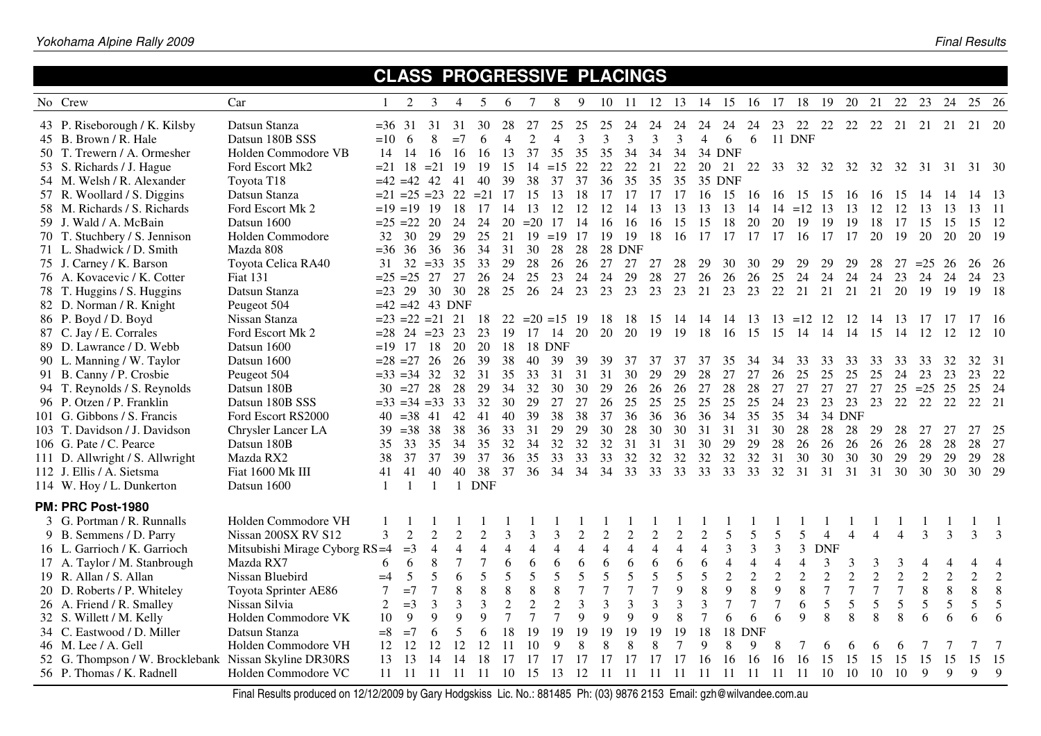#### **CLASS PROGRESSIVE PLACINGS**

| No Crew                                                                               | Car                                                     |                     | 2                           | 3              | $\overline{4}$   | 5                             | 6                          |                | 8                          | 9              | 10             | 11             | 12             | 13             | 14                   | 15                       | 16             | 17             | 18               | 19               | 20                            | 21             | 22             | 23                | 24             | 25 26          |               |
|---------------------------------------------------------------------------------------|---------------------------------------------------------|---------------------|-----------------------------|----------------|------------------|-------------------------------|----------------------------|----------------|----------------------------|----------------|----------------|----------------|----------------|----------------|----------------------|--------------------------|----------------|----------------|------------------|------------------|-------------------------------|----------------|----------------|-------------------|----------------|----------------|---------------|
| 43 P. Riseborough / K. Kilsby<br>45 B. Brown / R. Hale<br>50 T. Trewern / A. Ormesher | Datsun Stanza<br>Datsun 180B SSS<br>Holden Commodore VB | $=10 \quad 6$<br>14 | $=36$ 31<br>-14             | -31<br>8<br>16 | 31<br>$=7$<br>16 | 30<br>6<br>16                 | 28<br>$\overline{4}$<br>13 | 37             | 25<br>$\overline{4}$<br>35 | 25<br>3<br>35  | 25<br>3<br>35  | 24<br>3<br>34  | 24<br>3<br>34  | 24<br>3<br>34  | 24<br>$\overline{4}$ | 24<br>6<br><b>34 DNF</b> | 24<br>6        |                | 11 DNF           |                  | 23 22 22 22 22 21 21 21 21 20 |                |                |                   |                |                |               |
| 53 S. Richards / J. Hague<br>54 M. Welsh / R. Alexander                               | Ford Escort Mk2<br>Toyota T18                           |                     | $= 21$ 18<br>$=42$ $=42$ 42 | $=21$          | -19<br>41        | 19<br>40                      | 15<br>39                   | 14<br>38       | $=15$<br>37                | 22<br>37       | 22<br>36       | 22<br>35       | 21<br>35       | 22<br>35       | 20                   | 21<br>35 DNF             |                |                | 22 33 32 32      |                  | 32                            |                |                | 32 32 31 31 31 30 |                |                |               |
| 57 R. Woollard / S. Diggins                                                           | Datsun Stanza                                           |                     |                             |                |                  | $=21$ $=25$ $=23$ 22 $=21$ 17 |                            | 15             | 13                         | 18             | 17             | 17             | 17             | 17             | 16                   | 15                       | -16            | - 16           | -15              | 15               | -16                           | -16            | -15            |                   |                | 14 13          |               |
| 58 M. Richards / S. Richards                                                          | Ford Escort Mk 2                                        |                     | $=19$ $=19$                 | 19             | 18               | 17                            | 14                         | 13             | 12                         | 12             | 12             | 14             | 13             | 13             | 13                   | 13                       | 14             | 14             | $=12$            | 13               | 13                            | 12             | 12             | 13                |                | 13 11          |               |
| 59 J. Wald / A. McBain                                                                | Datsun 1600                                             |                     | $=25 = 22$                  | 20             | 24               | 24                            | 20                         | $=20$          | 17                         | 14             | 16             | 16             | 16             | 15             | 15                   | 18                       | 20             | 20             | 19               | 19               | 19                            | 18             | 17             | 15                | 15             | 15 12          |               |
| 70 T. Stuchbery / S. Jennison                                                         | Holden Commodore                                        | 32                  | 30                          | 29             | 29               | 25                            | 21                         | 19             | $=19$                      | -17            | 19             | 19             | 18             | 16             | 17                   | 17                       | 17             | 17             | 16               | 17               | 17                            | 20             | 19             | 20                | 20             | 20 19          |               |
| 71 L. Shadwick / D. Smith                                                             | Mazda 808                                               |                     | $=36$ 36                    | 36             | 36               | 34                            | 31                         | 30             | 28                         | 28             |                | <b>28 DNF</b>  |                |                |                      |                          |                |                |                  |                  |                               |                |                |                   |                |                |               |
| 75 J. Carney / K. Barson                                                              | Toyota Celica RA40                                      | 31                  | 32                          | $=33$ 35       |                  | 33                            | 29                         | 28             | 26                         | 26             | 27             | 27             | 27             | 28             | 29                   | 30                       | 30             | 29             | 29               | 29               | 29                            | 28             | 27             | $=25$             | -26            | 26 26          |               |
| 76 A. Kovacevic / K. Cotter                                                           | <b>Fiat 131</b>                                         |                     | $=25 = 25$                  | 27             | 27               | 26                            | 24                         | 25             | 23                         | 24             | 24             | 29             | 28             | 27             | 26                   | 26                       | 26             | 25             | 24               | 24               | 24                            | 24             | 23             | 24                | 24             | 24 23          |               |
| 78 T. Huggins / S. Huggins                                                            | Datsun Stanza                                           |                     | $= 23$ 29                   | 30             | 30               | 28                            | 25                         | 26             | 24                         | 23             | 23             | 23             | 23             | 23             | 21                   | 23                       | 23             | 22             | 21               | 21               | 21                            | 21             | 20             | 19                | 19             | 19 18          |               |
| 82 D. Norman / R. Knight                                                              | Peugeot 504                                             |                     | $=42$ =42 43 DNF            |                |                  |                               |                            |                |                            |                |                |                |                |                |                      |                          |                |                |                  |                  |                               |                |                |                   |                |                |               |
| 86 P. Boyd / D. Boyd                                                                  | Nissan Stanza                                           |                     | $= 23 = 22 = 21$ 21         |                |                  | -18                           | 22                         |                | $=20$ = 15                 | -19            | -18            | 18             | 15             | 14             | 14                   | 14                       | 13             | 13             | $=12$            | -12              | -12                           | -14            | -13            |                   | -17            | 17 16          |               |
| 87 C. Jay / E. Corrales                                                               | Ford Escort Mk 2                                        |                     | $= 28$ 24                   | $=23$          | 23               | 23                            | 19                         | 17             | 14                         | 20             | 20             | 20             | 19             | 19             | 18                   | 16                       | 15             | 15             | 14               | 14               | 14                            | 15             | 14             | 12                | 12             | $12 \quad 10$  |               |
| 89 D. Lawrance / D. Webb                                                              | Datsun 1600                                             |                     | $=19$ 17                    | 18             | 20               | 20                            | 18                         |                | <b>18 DNF</b>              |                |                |                |                |                |                      |                          |                |                |                  |                  |                               |                |                |                   |                |                |               |
| 90 L. Manning / W. Taylor                                                             | Datsun 1600                                             |                     | $= 28 = 27$                 | 26             | 26               | 39                            | 38                         | 40             | 39                         | 39             | 39             | 37             | 37             | 37             | 37                   | 35                       | 34             | 34             | 33               | 33               | 33                            | 33             | 33             |                   |                | 32 31          |               |
| 91 B. Canny / P. Crosbie                                                              | Peugeot 504                                             |                     | $=33 = 34$ 32               |                | 32               | 31                            | 35                         | 33             | 31                         | 31             | 31             | 30             | 29             | 29             | 28                   | 27                       | 27             | 26             | 25               | 25               | 25                            | 25             | 24             | 23                | 23             | 23             | 22            |
| 94 T. Reynolds / S. Reynolds                                                          | Datsun 180B                                             |                     | $30 = 27$                   | 28             | 28               | 29                            | 34                         | 32             | 30                         | 30             | 29             | 26             | 26             | 26             | 27                   | 28                       | 28             | 27             | 27               | 27               | 27                            | 27             |                | $25 = 25$         | 25             | 25             | 24            |
| 96 P. Otzen / P. Franklin                                                             | Datsun 180B SSS                                         |                     | $=33$ $=34$ $=33$ 33        |                |                  | 32                            | 30                         | 29             | 27                         | 27             | 26             | 25             | 25             | 25             | 25                   | 25                       | 25             | 24             | 23               | 23               | 23                            | 23             |                | 22 22 22          |                | 22 21          |               |
| 101 G. Gibbons / S. Francis                                                           | Ford Escort RS2000                                      |                     | $40 = 38$ 41                |                | 42               | 41                            | 40                         | 39             | 38                         | 38             | 37             | 36             | 36             | 36             | 36                   | 34                       | 35             | 35             | 34               |                  | 34 DNF                        |                |                |                   |                |                |               |
| 103 T. Davidson / J. Davidson                                                         | Chrysler Lancer LA                                      |                     | $39 = 38$                   | 38             | 38               | 36                            | 33                         | 31             | 29                         | 29             | 30             | 28             | 30             | 30             | 31                   | 31                       | 31             | 30             | 28               | 28               | 28                            | 29             | 28             | 27                | 27             | 27             | -25           |
| 106 G. Pate / C. Pearce                                                               | Datsun 180B                                             | 35                  | 33                          | 35             | 34               | 35                            | 32                         | 34             | 32                         | 32             | 32             | 31             | 31             | 31             | 30                   | 29                       | 29             | 28             | 26               | 26               | 26                            | 26             | 26             | 28                | 28             | 28 27          |               |
| 111 D. Allwright / S. Allwright                                                       | Mazda RX2                                               | 38                  | 37                          | 37             | 39               | 37                            | 36                         | 35             | 33                         | 33             | 33             | 32             | 32             | 32             | 32                   | 32                       | 32             | 31             | 30               | 30               | 30                            | 30             | 29             | 29                | 29             | 29             | 28            |
| 112 J. Ellis / A. Sietsma                                                             | Fiat 1600 Mk III                                        | 41                  | 41                          | 40             | 40               | 38                            | 37                         | 36             | 34                         | 34             | 34             | 33             | 33             | 33             | 33                   | 33                       | 33             | 32             | 31               | 31               | 31                            | 31             | 30             | 30                | 30             | 30 29          |               |
| 114 W. Hoy / L. Dunkerton                                                             | Datsun 1600                                             |                     | $\mathbf{1}$                | $\overline{1}$ |                  | 1 DNF                         |                            |                |                            |                |                |                |                |                |                      |                          |                |                |                  |                  |                               |                |                |                   |                |                |               |
| PM: PRC Post-1980                                                                     |                                                         |                     |                             |                |                  |                               |                            |                |                            |                |                |                |                |                |                      |                          |                |                |                  |                  |                               |                |                |                   |                |                |               |
| 3 G. Portman / R. Runnalls                                                            | Holden Commodore VH                                     |                     |                             |                |                  |                               |                            |                |                            |                |                |                |                |                |                      |                          |                |                |                  |                  |                               |                |                |                   |                |                |               |
| 9 B. Semmens / D. Parry                                                               | Nissan 200SX RV S12                                     | 3                   | $\overline{2}$              | 2              | $\overline{2}$   | $\overline{2}$                | 3                          |                | 3                          | $\overline{2}$ | $\overline{2}$ | $\overline{2}$ | $\overline{2}$ | $\overline{c}$ | $\overline{2}$       | 5                        | 5              | 5              | 5                | $\overline{4}$   | $\overline{4}$                | $\overline{4}$ | $\overline{4}$ | $\mathbf{3}$      | 3              | 3              | $\mathcal{E}$ |
| 16 L. Garrioch / K. Garrioch                                                          | Mitsubishi Mirage Cyborg RS=4                           |                     | $=3$                        | $\overline{4}$ | $\overline{4}$   | $\overline{4}$                | $\overline{4}$             | $\overline{4}$ | $\overline{4}$             | $\overline{4}$ | $\overline{4}$ | $\overline{4}$ | $\overline{4}$ | $\overline{4}$ | $\overline{4}$       | 3                        | $\overline{3}$ | 3              | 3                | <b>DNF</b>       |                               |                |                |                   |                |                |               |
| 17 A. Taylor / M. Stanbrough                                                          | Mazda RX7                                               | 6                   | 6                           | 8              | $\overline{7}$   | $\tau$                        | 6                          | 6              | 6                          | 6              | 6              | 6              | 6              | 6              | 6                    | $\overline{4}$           | $\overline{4}$ | $\overline{4}$ | $\overline{4}$   | 3                | 3                             | 3              | 3              |                   |                | $\overline{4}$ | 4             |
| 19 R. Allan / S. Allan                                                                | Nissan Bluebird                                         | $=4$                | 5                           | 5              | 6                | 5                             | 5                          | 5              | 5                          | 5              | $\mathfrak{S}$ | 5              | 5              | 5              | 5                    | $\boldsymbol{2}$         | $\sqrt{2}$     | $\sqrt{2}$     | $\boldsymbol{2}$ | $\boldsymbol{2}$ | $\overline{2}$                | $\overline{2}$ | $\overline{2}$ | $\overline{2}$    | $\overline{2}$ | $\sqrt{2}$     | $\sqrt{2}$    |
| 20 D. Roberts / P. Whiteley                                                           | Toyota Sprinter AE86                                    | 7                   | $=7$                        | 7              | 8                | $\,8\,$                       | $\,8\,$                    | 8              | $\,8\,$                    | $\overline{7}$ | $\tau$         |                | $\overline{7}$ | 9              | $\,8\,$              | 9                        | $8\,$          | 9              | $\,8\,$          | $\tau$           | $\overline{7}$                | $\tau$         | $\tau$         | 8                 | $\,8\,$        | $\,8\,$        | $\,8\,$       |
| 26 A. Friend / R. Smalley                                                             | Nissan Silvia                                           | 2                   | $=3$                        | 3              | 3                | $\overline{3}$                | $\boldsymbol{2}$           | $\sqrt{2}$     |                            | $\mathfrak{Z}$ | 3              | 3              | $\overline{3}$ | $\mathfrak{Z}$ | $\mathfrak{Z}$       | $\overline{7}$           | $\overline{7}$ | $\overline{7}$ | 6                | 5                | 5                             | 5              | 5              | 5                 | 5              | 5              | 5             |
| 32 S. Willett / M. Kelly                                                              | Holden Commodore VK                                     | 10                  | 9                           | 9              | 9                | 9                             | $\overline{7}$             | $\overline{7}$ | $rac{2}{7}$                | 9              | 9              | 9              | 9              | $\,8\,$        | $\overline{7}$       |                          | 6              | 6              | 9                | 8                | 8                             | 8              | 8              |                   | 6              | 6              | 6             |
| 34 C. Eastwood / D. Miller                                                            | Datsun Stanza                                           | $=$ 8               | $=7$                        | 6              | 5                | 6                             | 18                         | 19             | 19                         | 19             | 19             | 19             | 19             | 19             | 18                   |                          | <b>18 DNF</b>  |                |                  |                  |                               |                |                |                   |                |                |               |
| 46 M. Lee / A. Gell                                                                   | Holden Commodore VH                                     | 12                  | 12                          | 12             | 12               | 12                            | 11                         | 10             | 9                          | 8              | $8\,$          |                | 8              |                | 9                    |                          | 9              | 8              |                  | 6                | 6                             | 6              |                |                   |                |                |               |
| 52 G. Thompson / W. Brocklebank Nissan Skyline DR30RS                                 |                                                         | 13                  | 13                          | 14             | 14               | 18                            |                            |                |                            | 17             | 17             |                |                | 17             | 16                   | 16                       | 16             | 16             | 16               | 15               | 15                            | 15             | 15             | 15                | 15             | 15             | 15            |
| 56 P. Thomas / K. Radnell                                                             | Holden Commodore VC                                     |                     | 11 11                       | -11            | <b>11</b>        | 11                            | 10                         | 15             | 13                         | 12             | -11            | 11             | 11             | 11             | 11                   | 11                       | 11             | 11             | 11               | 10               | 10                            | 10             | 10             | 9                 | 9              | 9              | 9             |
|                                                                                       |                                                         |                     |                             |                |                  |                               |                            |                |                            |                |                |                |                |                |                      |                          |                |                |                  |                  |                               |                |                |                   |                |                |               |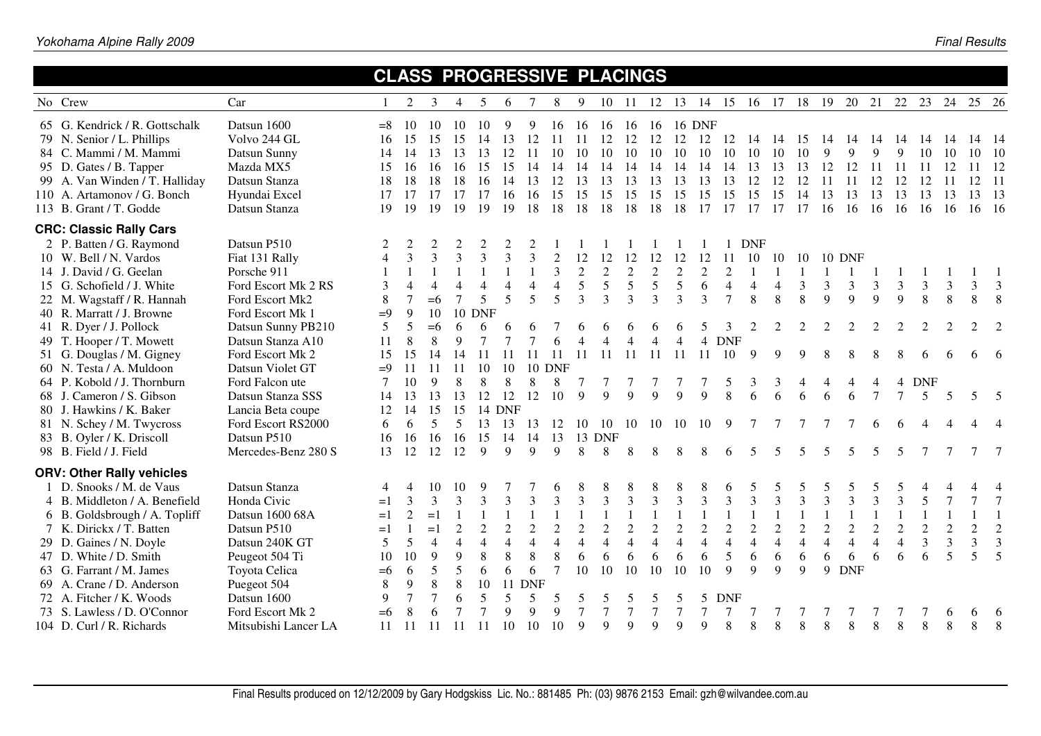#### **CLASS PROGRESSIVE PLACINGS** No Crew Car Car 1 2 3 4 5 6 7 8 9 10 11 12 13 14 15 16 17 18 19 20 21 22 23 24 25 26 65 G. Kendrick / R. Gottschalk Datsun 1600 =8 10 10 10 10 9 9 16 16 16 16 16 16 DNF 79 N. Senior / L. Phillips Volvo 244 GL 16 15 15 15 14 13 12 11 11 12 12 12 12 12 12 14 14 15 14 14 14 14 14 14 14 14  $\overline{10}$  84 C. Mammi / M. Mammi Datsun Sunny 14 14 13 13 13 12 11 10 10 10 10 10 10 10 10 10 10 10 9 9 9 9 10 10 10 10  $12$ 95 D. Gates / B. Tapper Mazda MX5 15 16 16 16 15 15 14 14 14 14 14 14 14 14 14 14 13 13 13 12 12 11 11 11 12 11  $12 \quad 11$ 99 A. Van Winden / T. Halliday Datsun Stanza 18 18 18 18 18 16 14 13 12 13 13 13 13 13 13 13 13 12 12 12 11 11 12 12 12 11 110 A. Artamonov / G. Bonch Hyundai Excel 17 17 17 17 17 16 16 15 15 15 15 15 15 15 15 15 15 14 13 13 13 13 13 13 13 13  $16 \quad 16$ 113 B. Grant / T. Godde Datsun Stanza 19 19 19 19 19 19 18 18 18 18 18 18 18 17 17 17 17 17 16 16 16 16 16 16 16 16 **CRC: Classic Rally Cars** 2 P. Batten / G. Raymond Datsun P510 2 2 2 2 2 2 2 1 1 1 1 1 1 1 1 DNF 10 W. Bell / N. Vardos Fiat 131 Rally 4 3 3 3 3 3 3 2 12 12 12 12 12 12 11 10 10 10 10 DNF 14 J. David / G. Geelan Porsche 911 1 1 1 1 1 1 1 3 2 2 2 2 2 2 2 1 1 1 1 1 1 1 1 1 1 1  $\mathbf{3}$ 15 G. Schofield / J. White Ford Escort Mk 2 RS 3 4 4 4 4 4 4 4 4 5 5 5 5 5 5 6 4 4 4 4 3 3 3 3 3 3 3 3  $\mathbf{R}$ 22 M. Wagstaff / R. Hannah Ford Escort Mk2 8 7 = 6 7 5 5 5 5 3 3 3 3 3 3 3 7 8 8 8 9 9 9 9 8 8 8 40 R. Marratt / J. Browne Ford Escort Mk 1  $=9$  9 10 10 DNF 41 R. Dyer / J. Pollock Datsun Sunny PB210 5 5 = 6 6 6 6 6 7 6 6 6 6 6 6 6 5 3 2 2 2 2 2 2 2 2 2 2 2 2 49 T. Hooper / T. Mowett Datsun Stanza A10 11 8 8 9 7 7 7 6 4 4 4 4 4 4 DNF<br>51 G. Douglas / M. Gigney Ford Escort Mk 2 15 15 14 14 11 11 11 11 11 11 11 11 11 11 10 51 G. Douglas / M. Gigney Ford Escort Mk 2 15 15 14 14 11 11 11 11 11 11 11 11 11 11 10 9 9 9 8 8 8 8 6 6 6 6 60 N. Testa / A. Muldoon Datsun Violet GT  $=9$  11 11 11 10 10 DNF 64 P. Kobold / J. Thornburn Ford Falcon ute 7 10 9 8 8 8 8 8 7 7 7 7 7 7 5 3 3 4 4 4 4 4 DNF 68 J. Cameron / S. Gibson Datsun Stanza SSS 14 13 13 13 12 12 12 10 9 9 9 9 9 9 8 6 6 6 6 6 7 7 5 5 5 5 80 J. Hawkins / K. Baker Lancia Beta coupe 12 14 15 15 14 DNF 81 N. Schey / M. Twycross Ford Escort RS2000 6 6 5 5 13 13 13 12 10 10 10 10 10 10 9 7 7 7 7 7 6 6 4 4 4 4 83 B. Oyler / K. Driscoll Datsun P510 16 16 16 16 16 15 14 14 13 13 DNF 98 B. Field / J. Field Mercedes-Benz 280 S 13 12 12 12 9 9 9 9 8 8 8 8 8 8 8 6 5 5 5 5 5 5 5 5 7 7 7 7 **ORV: Other Rally vehicles**  1 D. Snooks / M. de Vaus Datsun Stanza 4 4 10 10 9 7 7 6 8 8 8 8 8 8 6 5 5 5 5 5 5 5 4 4 4 4  $\overline{7}$  4 B. Middleton / A. Benefield Honda Civic =1 3 3 3 3 3 3 3 3 3 3 3 3 3 3 3 3 3 3 3 3 3 5 7 7 7 6 B. Goldsbrough / A. Topliff Datsun 1600 68A =1 2 =1 1 1 1 1 1 1 1 1 1 1 1 1 1 1 1 1 1 1 1 1 1 1 1  $\mathcal{D}$  7 K. Dirickx / T. Batten Datsun P510 =1 1 =1 2 2 2 2 2 2 2 2 2 2 2 2 2 2 2 2 2 2 2 2 2 2 2  $\mathcal{E}$  29 D. Gaines / N. Doyle Datsun 240K GT 5 5 4 4 4 4 4 4 4 4 4 4 4 4 4 4 4 4 4 4 4 4 3 3 3 3 5 47 D. White / D. Smith Peugeot 504 Ti 10 10 9 9 8 8 8 8 6 6 6 6 6 6 5 6 6 6 6 6 6 6 6 5 5 5 63 G. Farrant / M. James Toyota Celica =6 6 5 5 6 6 6 7 10 10 10 10 10 10 9 9 9 9 9 DNF 69 A. Crane / D. Anderson Puegeot 504 8 9 8 8 10 11 DNF 72 A. Fitcher / K. Woods Datsun 1600 9 7 7 6 5 5 5 5 5 5 5 5 5 5 DNF 73 S. Lawless / D. O'Connor Ford Escort Mk 2 =6 8 6 7 7 9 9 9 7 7 7 7 7 7 7 7 7 7 7 7 7 7 7 6 6 6 -8 104 D. Curl / R. Richards Mitsubishi Lancer LA 11 11 11 11 11 10 10 10 9 9 9 9 9 9 8 8 8 8 8 8 8 8 8 8 8 8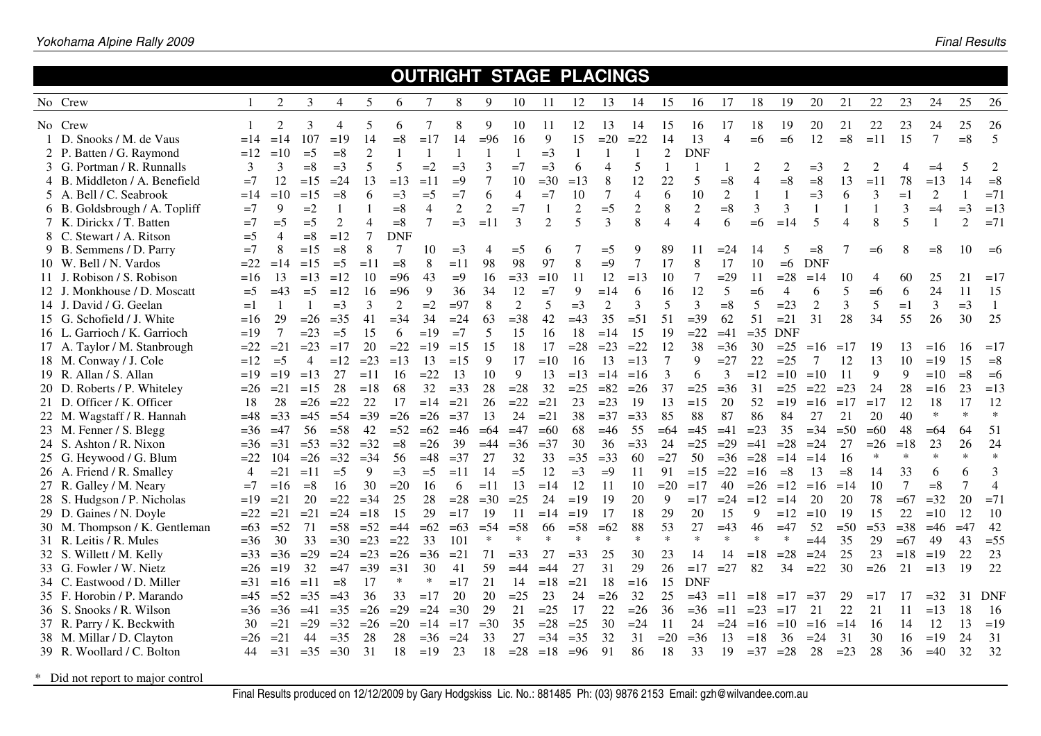#### **OUTRIGHT STAGE PLACINGS**

| No Crew                       |                | $\overline{2}$ | 3              | $\overline{4}$ | 5               | 6              | $\overline{7}$ | 8              | 9              | 10             | 11             | 12                       | 13             | 14             | 15             | 16             | 17             | 18             | 19             | 20             | 21             | 22           | 23                      | 24             | 25             | 26             |
|-------------------------------|----------------|----------------|----------------|----------------|-----------------|----------------|----------------|----------------|----------------|----------------|----------------|--------------------------|----------------|----------------|----------------|----------------|----------------|----------------|----------------|----------------|----------------|--------------|-------------------------|----------------|----------------|----------------|
| No Crew                       |                | $\mathfrak{D}$ | 3              |                | 5               | 6              | $\overline{7}$ | 8              | 9              | 10             | 11             | 12                       | 13             | 14             | 15             | 16             | 17             | 18             | 19             | 20             | 21             | 22           | 23                      | 24             | 25             | 26             |
| D. Snooks / M. de Vaus        | $=14$          | $=14$          | 107            | $=19$          | 14              | $=8$           | $=17$          | 14             | $=96$          | 16             | 9              | 15                       | $=20$          | $=22$          | 14             | 13             | $\overline{4}$ | $=6$           | $=6$           | 12             | $= 8$          | $=11$        | 15                      | $\overline{7}$ | $= 8$          | 5              |
| 2 P. Batten / G. Raymond      | $=12$          | $=10$          | $=5$           | $= 8$          | $\overline{2}$  |                |                |                |                |                | $=$ 3          | $\mathbf{1}$             |                | $\mathbf{1}$   | 2              | <b>DNF</b>     |                |                |                |                |                |              |                         |                |                |                |
| 3 G. Portman / R. Runnalls    | 3              | 3              | $= 8$          | $=$ 3          | 5               | 5              | $=2$           | $=$ 3          | 3              | $=7$           | $=$ 3          | 6                        | $\overline{4}$ | 5              | $\mathbf{1}$   |                |                | 2              | 2              | $=$ 3          | 2              | 2            |                         | $=4$           | 5              | 2              |
| 4 B. Middleton / A. Benefield | $=7$           | 12             | $=15$          | $=24$          | 13              | $=13$          | $=11$          | $=9$           | $\tau$         | 10             | $=30$          | $=13$                    | 8              | 12             | 22             | 5              | $= 8$          | $\overline{4}$ | $= 8$          | $= 8$          | 13             | $=11$        | 78                      | $=13$          | 14             | $= 8$          |
| 5 A. Bell / C. Seabrook       | $=14$          | $=10$          | $=15$          | $=8$           | 6               | $=$ 3          | $=5$           | $=7$           | 6              | $\overline{4}$ | $=7$           | 10                       |                | $\overline{4}$ | 6              | 10             | $\overline{2}$ |                |                | $=$ 3          | 6              | 3            | $=1$                    | 2              |                | $=71$          |
| 6 B. Goldsbrough / A. Topliff | $=7$           | 9              | $=2$           |                |                 | $= 8$          | $\overline{4}$ | $\overline{2}$ | $\mathfrak{2}$ | $=7$           | $\overline{1}$ | $\overline{2}$           | $=$ 5          | $\sqrt{2}$     | 8              | $\mathfrak{2}$ | $= 8$          | 3              | 3              | $\mathbf{1}$   | 1              | $\mathbf{1}$ | 3                       | $=4$           | $=$ 3          | $=13$          |
| 7 K. Dirickx / T. Batten      | $=7$           | $=5$           | $=5$           | $\mathfrak{2}$ | $\overline{4}$  | $=8$           | $\overline{7}$ | $=$ 3          | $=11$          | 3              | $\overline{2}$ | $\overline{\phantom{0}}$ | $\overline{3}$ | 8              | $\overline{4}$ | $\overline{4}$ | 6              | $=6$           | $=14$          | 5              | $\overline{4}$ | 8            | $\overline{\mathbf{5}}$ | $\overline{1}$ | $\overline{2}$ | $=71$          |
| 8 C. Stewart / A. Ritson      | $=5$           | 4              | $= 8$          | $=12$          | $7\phantom{.0}$ | <b>DNF</b>     |                |                |                |                |                |                          |                |                |                |                |                |                |                |                |                |              |                         |                |                |                |
| 9 B. Semmens / D. Parry       | $=7$           | 8              | $=15$          | $=8$           | 8               | $\tau$         | 10             | $=$ 3          | 4              | $=$ 5          | 6              |                          | $=$ 5          | 9              | 89             |                | $=2.4$         | 14             |                | $= 8$          |                | =6           |                         | $= 8$          | 10             | $= 6$          |
| 10 W. Bell / N. Vardos        | $=22$          | $=14$          | $=15$          | $=$ 5          | $=11$           | $=8$           | 8              | $=11$          | 98             | 98             | 97             | 8                        | $=9$           | $\tau$         | 17             | 8              | 17             | 10             | $=6$           | <b>DNF</b>     |                |              |                         |                |                |                |
| 11 J. Robison / S. Robison    | $=16$          | 13             | $=13$          | $=12$          | 10              | $= 96$         | 43             | $=9$           | 16             | $=33$          | $=10$          | 11                       | 12             | $=13$          | 10             |                | $=29$          | 11             | $=28$          | $=14$          | 10             | 4            | 60                      | 25             | 21             | $=17$          |
| 12 J. Monkhouse / D. Moscatt  | $=5$           | $=43$          | $=5$           | $=12$          | 16              | $=96$          | 9              | 36             | 34             | 12             | $=7$           | 9                        | $=14$          | 6              | 16             | 12             | 5              | $=6$           | $\overline{4}$ | 6              | 5              | $=6$         | 6                       | 24             | 11             | 15             |
| 14 J. David / G. Geelan       | $=1$           | $\overline{1}$ |                | $=$ 3          | 3               | $\overline{2}$ | $=2$           | $=97$          | 8              | $\overline{c}$ | 5              | $=$ 3                    | $\overline{2}$ | 3              | 5              | 3              | $= 8$          | 5              | $=23$          | $\overline{2}$ | 3              | 5            | $=1$                    | $\mathfrak{Z}$ | $=3$           | $\overline{1}$ |
| 15 G. Schofield / J. White    | $=16$          | 29             | $=26$          | $=35$          | 41              | $=$ 34         | 34             | $=24$          | 63             | $=38$          | 42             | $=43$                    | 35             | $=51$          | 51             | $=39$          | 62             | 51             | $=21$          | 31             | 28             | 34           | 55                      | 26             | 30             | 25             |
| 16 L. Garrioch / K. Garrioch  | $=19$          | $\overline{7}$ | $= 23$         | $=$ 5          | 15              | 6              | $=19$          | $=7$           | 5              | 15             | 16             | 18                       | $=14$          | 15             | 19             | $=22$          | $=41$          | $=35$          | <b>DNF</b>     |                |                |              |                         |                |                |                |
| 17 A. Taylor / M. Stanbrough  | $=22$          | $=21$          | $=23$          | $=17$          | 20              | $=22$          | $=19$          | $=15$          | 15             | 18             | 17             | $=28$                    | $=23$          | $=22$          | 12             | 38             | $=36$          | 30             | $=25$          | $=16$          | $=17$          | 19           | 13                      | $=16$          | 16             | $=17$          |
| 18 M. Conway / J. Cole        | $=12$          | $=$ 5          | $\overline{4}$ | $=12$          | $=23$           | $=13$          | 13             | $=15$          | 9              | 17             | $=10$          | 16                       | 13             | $=13$          | 7              | 9              | $=27$          | 22             | $=25$          |                | 12             | 13           | 10                      | $=19$          | 15             | $=8$           |
| 19 R. Allan / S. Allan        | $=19$          | $=19$          | $=13$          | 27             | $=11$           | 16             | $=22$          | 13             | 10             | 9              | 13             | $=13$                    | $=14$          | $=16$          | 3              | 6              | 3              | $=12$          | $=10$          | $=10$          | 11             | 9            | 9                       | $=10$          | $= 8$          | $=6$           |
| 20 D. Roberts / P. Whiteley   | $=26$          | $=21$          | $=15$          | 28             | $=18$           | 68             | 32             | $=33$          | 28             | $=28$          | 32             | $=25$                    | $= 82$         | $=26$          | 37             | $=25$          | $=36$          | 31             | $=25$          | $=22$          | $=23$          | 24           | 28                      | $=16$          | 23             | $=13$          |
| 21 D. Officer / K. Officer    | 18             | 28             | $=26$          | $=22$          | 22              | 17             | $=14$          | $=21$          | 26             | $=22$          | $=21$          | 23                       | $=23$          | 19             | 13             | $=15$          | 20             | 52             | $=19$          | $=16$          | $=17$          | $=17$        | 12                      | 18             | 17             | 12             |
| 22 M. Wagstaff / R. Hannah    | $=48$          | $=33$          | $=45$          | $= 54$         | $=39$           | $=26$          | $=26$          | $=37$          | 13             | 24             | $=21$          | 38                       | $=37$          | $=33$          | 85             | 88             | 87             | 86             | 84             | 27             | 21             | 20           | 40                      | $\ast$         | $\ast$         | $\ast$         |
| 23 M. Fenner / S. Blegg       | $=36$          | $=47$          | .56            | $= 58$         | 42              | $=52$          | $=62$          | $=46$          | $=64$          | $=47$          | $=60$          | 68                       | $=46$          | 55             | $=64$          | $=45$          | $=41$          | $=23$          | 35             | $= 34$         | $=50$          | $=60$        | 48                      | $=64$          | 64             | 51             |
| 24 S. Ashton / R. Nixon       | $=36$          | $=31$          | $= 53$         | $=32$          | $=32$           | $=8$           | $=26$          | 39             | $=44$          | $=36$          | $=37$          | 30                       | 36             | $=$ 33         | 24             | $=25$          | $=29$          | $=41$          | $=28$          | $=24$          | 27             | $=26$        | $=18$                   | 23             | 26             | 24             |
| 25 G. Heywood / G. Blum       | $=22$          | 104            | $=26$          | $=32$          | $=34$           | 56             | $=48$          | $=37$          | 27             | 32             | 33             | $=35$                    | $=$ 33         | 60             | $=27$          | 50             | $=36$          | $=28$          | $=14$          | $=14$          | 16             | $\ast$       | $\ast$                  |                | $\star$        | $\ast$         |
| 26 A. Friend / R. Smalley     | $\overline{4}$ | $=21$          | $=11$          | $=$ 5          | 9               | $=$ 3          | $=$ 5          | $=11$          | 14             | $=$ 5          | 12             | $=3$                     | $=9$           | 11             | 91             | $=15$          | $=22$          | $=16$          | $=8$           | 13             | $=$ 8          | 14           | 33                      | 6              | 6              | 3              |
| 27 R. Galley / M. Neary       | $=7$           | $=16$          | $=$ 8          | 16             | 30              | $=20$          | 16             | 6              | $=11$          | 13             | $=14$          | 12                       | -11            | 10             | $=20$          | $=17$          | 40             | $=26$          | $=12$          | $=16$          | $=14$          | 10           | 7                       | $= 8$          | 7              | $\overline{4}$ |
| 28 S. Hudgson / P. Nicholas   | $=19$          | $=21$          | 20             | $=22$          | $=34$           | 25             | 28             | $=28$          | $=30$          | $=25$          | 24             | $=19$                    | 19             | 20             | 9              | $=17$          | $=24$          | $=12$          | $=14$          | 20             | 20             | 78           | $=67$                   | $=32$          | 20             | $=71$          |
| 29 D. Gaines / N. Doyle       | $=22$          | $=21$          | $=21$          | $=24$          | $=18$           | 15             | 29             | $=17$          | 19             | 11             | $=14$          | $=19$                    | 17             | 18             | 29             | 20             | 15             | 9              | $=12$          | $=10$          | 19             | 15           | 22                      | $=10$          | 12             | 10             |
| 30 M. Thompson / K. Gentleman | $=63$          | $= 52$         | 71             | $= 58$         | $=52$           | $=44$          | $=62$          | $= 63$         | $= 54$         | $=58$          | 66             | $=$ 58                   | $=62$          | 88             | 53             | 27             | $=43$          | 46             | $=47$          | 52             | $=50$          | $=$ 53       | $=38$                   | $=46$          | $=47$          | 42             |
| 31 R. Leitis / R. Mules       | $=36$          | 30             | 33             | $=30$          | $=23$           | $=22$          | 33             | 101            | $\ast$         | $\ast$         | $\ast$         | $\ast$                   | $\ast$         | $\ast$         | $\ast$         | $\ast$         | $\ast$         | *              | $\ast$         | $=44$          | 35             | 29           | $=67$                   | 49             | 43             | $=$ 55         |
| 32 S. Willett / M. Kelly      | $=33$          | $=36$          | $=29$          | $=24$          | $=23$           | $=26$          | $=36$          | $=21$          | 71             | $=$ 33         | 27             | $=$ 33                   | 25             | 30             | 23             | 14             | 14             | $=18$          | $=28$          | $=24$          | 25             | 23           | $=18$                   | $=19$          | 22             | 23             |
| 33 G. Fowler / W. Nietz       | $=26$          | $=19$          | 32             | $=47$          | $=39$           | $=31$          | 30             | 41             | 59             | $=44$          | $=44$          | 27                       | 31             | 29             | 26             | $=17$          | $=27$          | 82             | 34             | $=22$          | 30             | $=26$        | 21                      | $=13$          | 19             | 22             |
| 34 C. Eastwood / D. Miller    | $=31$          | $=16$          | $=11$          | $=$ 8          | 17              | $\ast$         | *              | $=17$          | 21             | 14             | $=18$          | $=21$                    | 18             | $=16$          | 15             | <b>DNF</b>     |                |                |                |                |                |              |                         |                |                |                |
| 35 F. Horobin / P. Marando    | $=45$          | $=52$          | $=35$          | $=43$          | 36              | 33             | $=17$          | 20             | 20             | $=25$          | 23             | 24                       | $=26$          | 32             | 25             | $=43$          | $=11$          | $=18$          | $=17$          | $=37$          | 29             | $=17$        | 17                      | $=32$          | 31             | <b>DNF</b>     |
| 36 S. Snooks / R. Wilson      | $=36$          | $=36$          | $=41$          | $=35$          | $=26$           | $=29$          | $=24$          | $=30$          | 29             | 21             | $=25$          | 17                       | 22             | $=26$          | 36             | $=36$          | $=11$          | $=23$          | $=17$          | 21             | 22             | 21           | 11                      | $=13$          | 18             | 16             |
| 37 R. Parry / K. Beckwith     | 30             | $=21$          | $=29$          | $=32$          | $=26$           | $=20$          | $=14$          | $=17$          | $=30$          | 35             | $=28$          | $=25$                    | 30             | $=24$          | 11             | 24             | $=24$          | $=16$          | $=10$          | $=16$          | $=14$          | 16           | 14                      | 12             | 13             | $=19$          |
| 38 M. Millar / D. Clayton     | $=26$          | $=21$          | 44             | $=35$          | 28              | 28             | $=36$          | $=24$          | 33             | 27             | $=$ 34         | $=35$                    | 32             | 31             | $=20$          | $=36$          | 13             | $=18$          | 36             | $=24$          | 31             | 30           | 16                      | $=19$          | 24             | 31             |
| 39 R. Woollard / C. Bolton    | 44             | $=31$          | $=35$          | $=30$          | 31              | 18             | $=19$          | 23             | 18             | $=28$          | $=18$          | $= 96$                   | 91             | 86             | 18             | 33             | 19             | $=37$          | $=28$          | 28             | $=23$          | 28           | 36                      | $=40$          | 32             | 32             |
|                               |                |                |                |                |                 |                |                |                |                |                |                |                          |                |                |                |                |                |                |                |                |                |              |                         |                |                |                |

\* Did not report to major control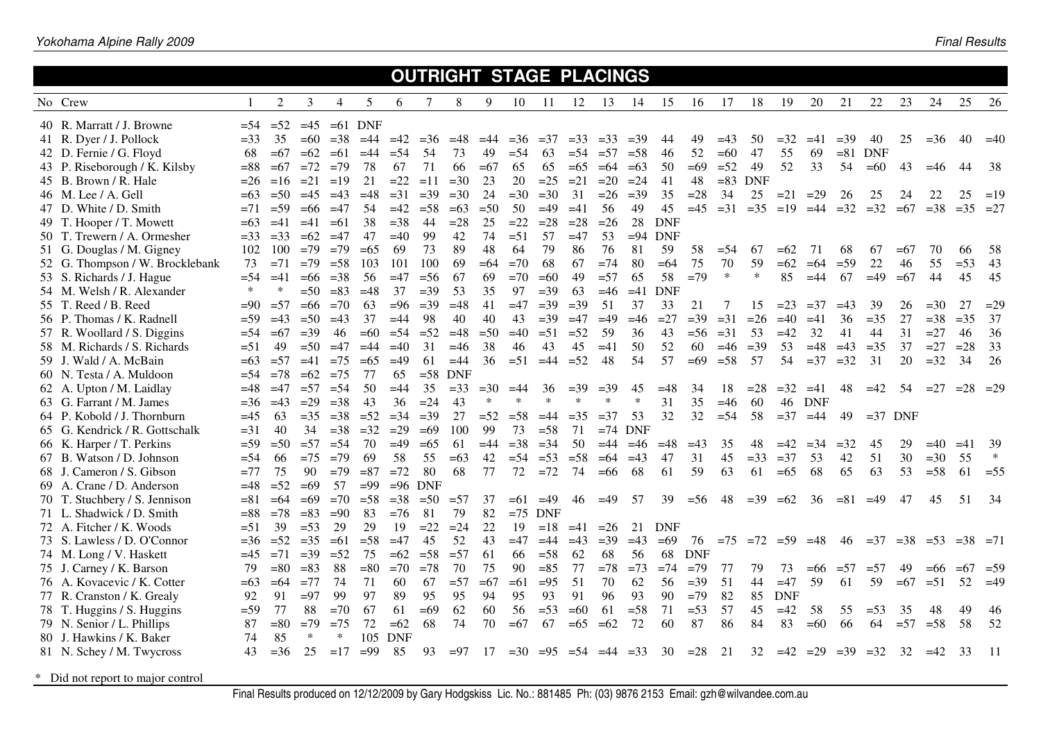|                                                                                                                                           | <b>OUTRIGHT STAGE PLACINGS</b>                                                                                                                                                                                                                                                                                                                                                                                           |        |             |                             |        |             |             |        |            |             |             |                               |             |        |           |            |             |                          |             |             |             |                         |                               |           |        |             |        |
|-------------------------------------------------------------------------------------------------------------------------------------------|--------------------------------------------------------------------------------------------------------------------------------------------------------------------------------------------------------------------------------------------------------------------------------------------------------------------------------------------------------------------------------------------------------------------------|--------|-------------|-----------------------------|--------|-------------|-------------|--------|------------|-------------|-------------|-------------------------------|-------------|--------|-----------|------------|-------------|--------------------------|-------------|-------------|-------------|-------------------------|-------------------------------|-----------|--------|-------------|--------|
| 8<br>10<br>No Crew<br>2<br>3<br>7<br>9<br>11<br>12<br>13<br>14<br>15<br>16<br>17<br>18<br>19<br>23<br>24<br>4<br>5<br>6<br>20<br>21<br>22 |                                                                                                                                                                                                                                                                                                                                                                                                                          |        |             |                             |        |             |             |        |            |             |             |                               |             | 25     | 26        |            |             |                          |             |             |             |                         |                               |           |        |             |        |
|                                                                                                                                           |                                                                                                                                                                                                                                                                                                                                                                                                                          |        |             |                             |        |             |             |        |            |             |             |                               |             |        |           |            |             |                          |             |             |             |                         |                               |           |        |             |        |
|                                                                                                                                           | 40 R. Marratt / J. Browne                                                                                                                                                                                                                                                                                                                                                                                                |        |             | $=54$ $=52$ $=45$ $=61$ DNF |        |             |             |        |            |             |             |                               |             |        |           |            |             |                          |             |             |             |                         |                               |           |        |             |        |
|                                                                                                                                           | 41 R. Dyer / J. Pollock                                                                                                                                                                                                                                                                                                                                                                                                  | $= 33$ | 35          | $=60$                       | $=38$  | $=44$ $=42$ |             | $=36$  | $=48$      |             | $=44$ $=36$ | $=37$                         | $=33$ $=33$ |        | $=39$     | 44         | 49          | $=43$                    | 50          | $=$ 32      | $=41$       | $=39$                   | 40                            | 25        | $=36$  | 40          | $=40$  |
|                                                                                                                                           | 42 D. Fernie / G. Floyd                                                                                                                                                                                                                                                                                                                                                                                                  | 68     | $=67$       | $=62$                       | $=61$  | $=44$       | $= 54$      | 54     | 73         | 49          | $= 54$      | 63                            | $= 54$      | $= 57$ | $= 58$    | 46         | 52          | $=60$                    | 47          | 55          | 69          | $= 81$                  | <b>DNF</b>                    |           |        |             |        |
|                                                                                                                                           | 43 P. Riseborough / K. Kilsby                                                                                                                                                                                                                                                                                                                                                                                            | $= 88$ |             | $=67$ $=72$                 | $=79$  | 78          | 67          | 71     | 66         | $=67$       | 65          | 65                            | $=65$       | $=64$  | $=63$     | 50         | $=69$       | $=52$                    | 49          | 52          | 33          | 54                      | $=60$                         | 43        | $=46$  | 44          | 38     |
|                                                                                                                                           | 45 B. Brown / R. Hale                                                                                                                                                                                                                                                                                                                                                                                                    | $=26$  |             | $=16$ $=21$                 | $=19$  | 21          | $=22$       | $=11$  | $=30$      | 23          | 20          | $=25$                         | $=21$       | $=20$  | $=24$     | 41         | 48          | $= 83$ DNF               |             |             |             |                         |                               |           |        |             |        |
|                                                                                                                                           | $=31$<br>$=39$<br>$=30$<br>$=30$<br>$=30$<br>31<br>$=26$<br>$=39$<br>35<br>$=28$<br>34<br>25<br>46 M. Lee / A. Gell<br>$=63$<br>$= 50$<br>$=45$<br>$=43$<br>$=48$<br>24<br>$= 21$ $= 29$<br>26<br>25<br>22<br>24<br>54<br>$=50$<br>50<br>56<br>49<br>45<br>$=45$ $=31$<br>$=35$<br>$= 19$ $= 44$<br>$=32$<br>$=71$<br>$= 59$<br>$=47$<br>$=42$<br>$=$ 58<br>$=63$<br>$=49$<br>$=41$<br>$=32$<br>$=67$<br>$= 38$<br>$=66$ |        |             |                             |        |             |             |        |            |             |             |                               |             |        |           | 25         | $=19$       |                          |             |             |             |                         |                               |           |        |             |        |
|                                                                                                                                           | 47 D. White / D. Smith<br>38<br>$=38$<br>44<br>$=22$<br>$=28$<br>28<br><b>DNF</b><br>$=63$<br>$=41$<br>$=41$<br>$=61$<br>$=28$<br>25<br>$=28$<br>$=26$                                                                                                                                                                                                                                                                   |        |             |                             |        |             |             |        |            |             |             |                               |             |        |           | $=35$      | $=27$       |                          |             |             |             |                         |                               |           |        |             |        |
|                                                                                                                                           | 49 T. Hooper / T. Mowett<br>74<br>57<br>53<br>$=40$<br>99<br>42<br>$= 51$<br>$=47$<br>$= 94$<br><b>DNF</b><br>$=$ 33<br>$=33$ $=62$<br>$=47$<br>47                                                                                                                                                                                                                                                                       |        |             |                             |        |             |             |        |            |             |             |                               |             |        |           |            |             |                          |             |             |             |                         |                               |           |        |             |        |
|                                                                                                                                           | 50 T. Trewern / A. Ormesher<br>48<br>79<br>76<br>102<br>100<br>$=79$<br>$=79$<br>73<br>89<br>64<br>86<br>81<br>59<br>$= 65$<br>69<br>58<br>$= 54$<br>67<br>$=62$<br>68<br>67<br>$=67$<br>70<br>71                                                                                                                                                                                                                        |        |             |                             |        |             |             |        |            |             |             |                               |             |        |           |            |             |                          |             |             |             |                         |                               |           |        |             |        |
|                                                                                                                                           | 51 G. Douglas / M. Gigney<br>73<br>$=79$<br>101<br>100<br>69<br>68<br>67<br>80<br>$=64$<br>$=$ 59<br>46<br>$=71$<br>$=64$                                                                                                                                                                                                                                                                                                |        |             |                             |        |             |             |        |            |             |             |                               |             |        |           | 66         | 58          |                          |             |             |             |                         |                               |           |        |             |        |
|                                                                                                                                           | $=70$<br>$=74$<br>75<br>70<br>59<br>$=62$ $=64$<br>22<br>55<br>$=$ 53<br>$=58$<br>52 G. Thompson / W. Brocklebank<br>103<br>$\ast$<br>$\ast$<br>$=66$ $=38$                                                                                                                                                                                                                                                              |        |             |                             |        |             |             |        |            |             |             |                               |             |        |           | 43         |             |                          |             |             |             |                         |                               |           |        |             |        |
|                                                                                                                                           | 53 S. Richards / J. Hague                                                                                                                                                                                                                                                                                                                                                                                                | $= 54$ | $=41$       |                             |        | 56          | $=47$       | $= 56$ | 67         | 69          | $=70$       | $=60$                         | 49          | $=57$  | 65        | 58         | $=79$       |                          |             | 85          | $=44$       | 67                      | $=49$                         | $=67$     | 44     | 45          | 45     |
|                                                                                                                                           | 54 M. Welsh / R. Alexander                                                                                                                                                                                                                                                                                                                                                                                               | $\ast$ | $\ast$      | $=50$                       | $= 83$ | $=48$       | 37          | $=39$  | 53         | 35          | 97          | $=$ 39                        | 63          | $=46$  | $=41$     | <b>DNF</b> |             |                          |             |             |             |                         |                               |           |        |             |        |
|                                                                                                                                           | 55 T. Reed / B. Reed                                                                                                                                                                                                                                                                                                                                                                                                     | $=90$  | $=57$       | $=66$                       | $=70$  | 63          | $= 96$      | $=39$  | $=48$      | 41          | $=47$       | $=39$                         | $=39$       | 51     | 37        | 33         | 21          | 7                        | 15          | $=23$       | $=37$       | $=43$                   | 39                            | 26        | $=30$  | 27          | $=29$  |
|                                                                                                                                           | 56 P. Thomas / K. Radnell                                                                                                                                                                                                                                                                                                                                                                                                | $=$ 59 | $=43$       | $=50$                       | $=43$  | 37          | $=44$       | 98     | 40         | 40          | 43          | $=39$                         | $=47$ $=49$ |        | $=46$     | $=27$      | $=39$       | $=31$                    | $=26$       | $=40$ $=41$ |             | 36                      | $=35$                         | 27        | $=38$  | $=35$       | 37     |
|                                                                                                                                           | 57 R. Woollard / S. Diggins                                                                                                                                                                                                                                                                                                                                                                                              | $= 54$ | $=67$ $=39$ |                             | 46     |             | $=60$ $=54$ | $= 52$ | $=48$      | $=$ 50      | $=40$       | $=51$                         | $=52$       | 59     | 36        | 43         | $= 56 = 31$ |                          | 53          | $=42$       | 32          | 41                      | 44                            | 31        | $=27$  | 46          | 36     |
|                                                                                                                                           | 58 M. Richards / S. Richards                                                                                                                                                                                                                                                                                                                                                                                             | $= 51$ | 49          | $= 50$                      | $=47$  | $=44$       | $=40$       | 31     | $=46$      | 38          | 46          | 43                            | 45          | $=41$  | 50        | 52         | 60          | $=46$                    | $=39$       | 53          | $=48$       | $=43$                   | $=35$                         | 37        | $=27$  | $=28$       | 33     |
|                                                                                                                                           | 59 J. Wald / A. McBain                                                                                                                                                                                                                                                                                                                                                                                                   | $=63$  | $=57$       | $=41$                       | $= 75$ | $= 65$      | $=49$       | 61     | $=44$      | 36          | $=51$       | $=44$                         | $=52$       | 48     | 54        | 57         | $=69$       | $=$ 58                   | 57          | 54          | $=37$       | $=32$                   | 31                            | 20        | $=32$  | 34          | 26     |
|                                                                                                                                           | 60 N. Testa / A. Muldoon                                                                                                                                                                                                                                                                                                                                                                                                 | $= 54$ | $=78$       | $=62$                       | $=75$  | 77          | 65          | $= 58$ | <b>DNF</b> |             |             |                               |             |        |           |            |             |                          |             |             |             |                         |                               |           |        |             |        |
|                                                                                                                                           | 62 A. Upton / M. Laidlay                                                                                                                                                                                                                                                                                                                                                                                                 | $=48$  | $=47$       | $=57$                       | $=$ 54 | 50          | $=44$       | 35     | $= 33$     | $=30$ $=44$ |             | 36                            | $=39$       | $=39$  | 45        | $=48$      | 34          | 18                       | $=28$       | $=32$ $=41$ |             | 48                      | $=42$                         | 54        | $=27$  | $= 28 = 29$ |        |
|                                                                                                                                           | 63 G. Farrant / M. James                                                                                                                                                                                                                                                                                                                                                                                                 | $=36$  | $=43$       | $=29$                       | $=38$  | 43          | 36          | $= 24$ | 43         | $\ast$      | $\ast$      | $\ast$                        | $\ast$      | $\ast$ | $\ast$    | 31         | 35          | $=46$                    | 60          |             | 46 DNF      |                         |                               |           |        |             |        |
|                                                                                                                                           | 64 P. Kobold / J. Thornburn                                                                                                                                                                                                                                                                                                                                                                                              | $=45$  | 63          | $=35$                       | $=38$  | $= 52$      | $=34$       | $=39$  | 27         |             | $=52 = 58$  | $=44$                         | $=35$       | $=37$  | 53        | 32         | 32          | $= 54$                   | 58          | $=37$       | $=44$       | 49                      |                               | $=37$ DNF |        |             |        |
|                                                                                                                                           | 65 G. Kendrick / R. Gottschalk                                                                                                                                                                                                                                                                                                                                                                                           | $=31$  | 40          | 34                          | $=38$  | $=32$       | $=29$       | $=69$  | 100        | 99          | 73          | $=$ 58                        | 71          |        | $=74$ DNF |            |             |                          |             |             |             |                         |                               |           |        |             |        |
|                                                                                                                                           | 66 K. Harper / T. Perkins                                                                                                                                                                                                                                                                                                                                                                                                | $=$ 59 | $= 50$      | $=57$                       | $= 54$ | 70          | $=49$       | $= 65$ | 61         |             | $=44$ $=38$ | $= 34$                        | 50          | $=44$  | $=46$     | $=48$      | $=43$       | 35                       | 48          |             | $=42$ $=34$ | $=32$                   | 45                            | 29        | $=40$  | $=41$       | 39     |
|                                                                                                                                           | 67 B. Watson / D. Johnson                                                                                                                                                                                                                                                                                                                                                                                                | $=$ 54 | 66          | $=75$                       | $=79$  | 69          | 58          | 55     | $=63$      | 42          | $=$ 54      | $=53$                         | $= 58$      | $=64$  | $=43$     | 47         | 31          | 45                       | $=33$       | $=37$       | 53          | 42                      | 51                            | 30        | $=30$  | 55          | $\ast$ |
|                                                                                                                                           | 68 J. Cameron / S. Gibson                                                                                                                                                                                                                                                                                                                                                                                                | $=77$  | 75          | 90                          | $=79$  | $= 87$      | $=72$       | 80     | 68         | 77          | 72          | $=72$                         | 74          | $=66$  | 68        | 61         | 59          | 63                       | 61          | $= 65$      | 68          | 65                      | 63                            | 53        | $=58$  | 61          | $= 55$ |
|                                                                                                                                           | 69 A. Crane / D. Anderson                                                                                                                                                                                                                                                                                                                                                                                                | $=48$  | $=52$       | $=69$                       | 57     | $=99$       | $=96$ DNF   |        |            |             |             |                               |             |        |           |            |             |                          |             |             |             |                         |                               |           |        |             |        |
|                                                                                                                                           | 70 T. Stuchbery / S. Jennison                                                                                                                                                                                                                                                                                                                                                                                            | $= 81$ | $=64$       | $=69$                       | $=70$  | $= 58$      | $=38$       | $=$ 50 | $= 57$     | 37          | $=61$       | $=49$                         | 46          | $=49$  | .57       | 39         | $=$ 56      | 48                       | $=39$ $=62$ |             | 36          | $= 81$ $= 49$           |                               | 47        | 45     | 51          | - 34   |
|                                                                                                                                           | 71 L. Shadwick / D. Smith                                                                                                                                                                                                                                                                                                                                                                                                | $= 88$ | $=78$       | $= 83$                      | $=90$  | 83          | $=76$       | 81     | 79         | 82          | $=75$       | <b>DNF</b>                    |             |        |           |            |             |                          |             |             |             |                         |                               |           |        |             |        |
|                                                                                                                                           | 72 A. Fitcher / K. Woods                                                                                                                                                                                                                                                                                                                                                                                                 | $= 51$ | 39          | $= 53$                      | 29     | 29          | 19          | $=22$  | $=24$      | 22          | 19          | $=18$                         | $=41$       | $=26$  | 21        | <b>DNF</b> |             |                          |             |             |             |                         |                               |           |        |             |        |
|                                                                                                                                           | 73 S. Lawless / D. O'Connor                                                                                                                                                                                                                                                                                                                                                                                              | $=36$  |             | $=52$ $=35$                 | $=61$  | $=$ 58      | $=47$       | 45     | 52         | 43          | $=47$       | $=44$                         | $=43$       | $=39$  | $=43$     | $=69$      |             | $76 = 75 = 72 = 59 = 48$ |             |             |             | - 46                    | $=37$ $=38$ $=53$ $=38$ $=71$ |           |        |             |        |
|                                                                                                                                           | 74 M. Long / V. Haskett                                                                                                                                                                                                                                                                                                                                                                                                  | $=45$  |             | $= 71$ $= 39$               | $=52$  | 75          | $=62$       | $= 58$ | $= 57$     | 61          | 66          | $=58$                         | 62          | 68     | 56        | 68         | <b>DNF</b>  |                          |             |             |             |                         |                               |           |        |             |        |
|                                                                                                                                           | 75 J. Carney / K. Barson                                                                                                                                                                                                                                                                                                                                                                                                 | 79     | $= 80$      | $= 83$                      | 88     | $= 80$      | $=70$       | $=78$  | 70         | 75          | 90          | $= 85$                        | 77          | $=78$  | $=73$     | $=74$      | $=79$       | 77                       | 79          | 73          | $= 66$      | $=57$                   | $=57$                         | 49        | $=66$  | $= 67$      | $=$ 59 |
|                                                                                                                                           | 76 A. Kovacevic / K. Cotter                                                                                                                                                                                                                                                                                                                                                                                              | $=63$  | $= 64$      | $=77$                       | 74     | 71          | 60          | 67     | $=57$      | $=67$       | $=61$       | $=95$                         | 51          | 70     | 62        | 56         | $=39$       | 51                       | 44          | $=47$       | 59          | 61                      | 59                            | $=67$     | $=51$  | 52          | $=49$  |
|                                                                                                                                           | 77 R. Cranston / K. Grealy                                                                                                                                                                                                                                                                                                                                                                                               | 92     | 91          | $=97$                       | 99     | 97          | 89          | 95     | 95         | 94          | 95          | 93                            | 91          | 96     | 93        | 90         | $=79$       | 82                       | 85          | <b>DNF</b>  |             |                         |                               |           |        |             |        |
|                                                                                                                                           | 78 T. Huggins / S. Huggins                                                                                                                                                                                                                                                                                                                                                                                               | $=$ 59 | 77          | 88                          | $=70$  | 67          | 61          | $=69$  | 62         | 60          | 56          | $=$ 53                        | $=60$       | 61     | $=58$     | 71         | $=53$       | 57                       | 45          | $=42$       | 58          | 55                      | $= 53$                        | 35        | 48     | 49          | 46     |
|                                                                                                                                           | 79 N. Senior / L. Phillips                                                                                                                                                                                                                                                                                                                                                                                               | 87     | $= 80$      | $=79$                       | $= 75$ | 72          | $=62$       | 68     | 74         | 70          | $=67$       | 67                            | $= 65$      | $=62$  | 72        | 60         | 87          | 86                       | 84          | 83          | $=60$       | 66                      | 64                            | $=57$     | $= 58$ | 58          | 52     |
|                                                                                                                                           | 80 J. Hawkins / K. Baker                                                                                                                                                                                                                                                                                                                                                                                                 | 74     | 85          | ∗                           | ∗      | 105         | <b>DNF</b>  |        |            |             |             |                               |             |        |           |            |             |                          |             |             |             |                         |                               |           |        |             |        |
|                                                                                                                                           | 81 N. Schey / M. Twycross                                                                                                                                                                                                                                                                                                                                                                                                | 43     | $=36$       | 25                          | $=17$  | $=99$       | 85          | 93     |            | $= 97$ 17   |             | $=30$ $=95$ $=54$ $=44$ $=33$ |             |        |           |            | $30 = 28$   | 21                       | 32          |             |             | $=42$ $=29$ $=39$ $=32$ |                               | 32        | $=42$  | 33          | - 11   |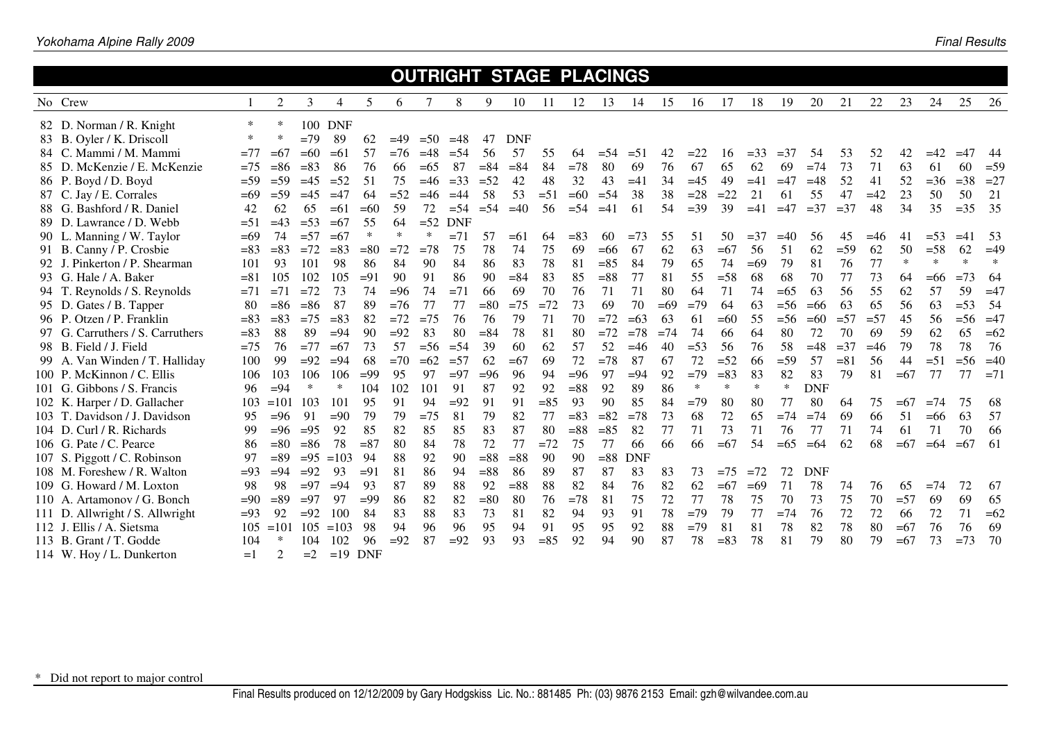| OUTRIGHT STAGE PLACINGS          |        |                |        |            |            |        |        |            |        |            |        |        |        |            |       |        |        |        |        |            |        |       |        |        |        |        |
|----------------------------------|--------|----------------|--------|------------|------------|--------|--------|------------|--------|------------|--------|--------|--------|------------|-------|--------|--------|--------|--------|------------|--------|-------|--------|--------|--------|--------|
| No Crew                          |        | 2              | 3      | 4          | 5          | 6      | 7      | 8          | 9      | 10         | 11     | 12     | 13     | 14         | 15    | 16     | 17     | 18     | 19     | 20         | 21     | 22    | 23     | 24     | 25     | 26     |
| 82 D. Norman / R. Knight         |        | *              | 100    | <b>DNF</b> |            |        |        |            |        |            |        |        |        |            |       |        |        |        |        |            |        |       |        |        |        |        |
| 83 B. Oyler / K. Driscoll        | ∗      | *              | $=79$  | 89         | 62         | $=49$  | $= 50$ | $=48$      | 47     | <b>DNF</b> |        |        |        |            |       |        |        |        |        |            |        |       |        |        |        |        |
| 84 C. Mammi / M. Mammi           | $= 77$ | $= 67$         | $=60$  | $=61$      | 57         | $=76$  | $=48$  | $= 54$     | 56     | 57         | 55     | -64    | $= 54$ | $= 51$     | 42    | $=22$  | 16     | =33    | $=$ 37 | 54         | 53     | 52    | 42     | $=42$  | $=47$  | 44     |
| 85 D. McKenzie / E. McKenzie     | $=75$  | $= 86$         | $= 83$ | 86         | 76         | 66     | $=65$  | 87         | $= 84$ | $= 84$     | 84     | $=78$  | 80     | 69         | 76    | 67     | 65     | 62     | 69     | $=74$      | 73     | 71    | 63     | 61     | 60     | $=$ 59 |
| 86 P. Boyd / D. Boyd             | $=$ 59 | $=$ 59         | $=45$  | $=52$      | 51         | 75     | $=46$  | $=33$      | $=52$  | 42         | 48     | 32     | 43     | $=41$      | 34    | $=45$  | 49     | $=41$  | $=47$  | $=48$      | 52     | 41    | 52     | $=36$  | $=38$  | $=27$  |
| 87 C. Jay / E. Corrales          | $=69$  | $=$ 59         | $=45$  | $=47$      | 64         | $=52$  | $=46$  | $=44$      | 58     | 53         | $=51$  | $=60$  | $=$ 54 | 38         | 38    | $=28$  | $=22$  | 21     | 61     | 55         | 47     | $=42$ | 23     | 50     | 50     | 21     |
| 88 G. Bashford / R. Daniel       | 42     | 62             | 65     | $=61$      | $=60$      | 59     | 72     | $=$ 54     | $=$ 54 | $=40$      | 56     | $=$ 54 | $=41$  | 61         | 54    | $=39$  | 39     | $=41$  | $=47$  | $=37$      | $=37$  | 48    | 34     | 35     | $=35$  | 35     |
| 89 D. Lawrance / D. Webb         | $= 51$ | $=43$          | $=53$  | $=67$      | 55         | 64     | $=52$  | <b>DNF</b> |        |            |        |        |        |            |       |        |        |        |        |            |        |       |        |        |        |        |
| 90 L. Manning / W. Taylor        | $=69$  | 74             | $=57$  | $=67$      | $\ast$     | $\ast$ | $\ast$ | $=71$      | .57    | $=61$      | 64     | $= 83$ | 60     | $=73$      | 55    | 51     | 50     | $=$ 37 | $=40$  | 56         | 45     | $=46$ | 41     | $= 53$ | $=41$  | -53    |
| 91 B. Canny / P. Crosbie         | $= 83$ | $= 83$         | $=72$  | $= 83$     | $= 80$     | $=72$  | $=78$  | 75         | 78     | 74         | 75     | 69     | $=66$  | 67         | 62    | 63     | $= 67$ | 56     | 51     | 62         | $=$ 59 | 62    | 50     | $=58$  | 62     | $=49$  |
| 92 J. Pinkerton / P. Shearman    | 101    | 93             | 101    | 98         | 86         | 84     | 90     | 84         | 86     | 83         | 78     | 81     | $=85$  | 84         | 79    | 65     | 74     | $=69$  | 79     | 81         | 76     | 77    | $\ast$ | $\ast$ | $\ast$ | $\ast$ |
| 93 G. Hale / A. Baker            | $= 81$ | 105            | 102    | 105        | $=91$      | 90     | 91     | 86         | 90     | $= 84$     | 83     | 85     | $= 88$ | 77         | 81    | 55     | $=58$  | 68     | 68     | 70         | 77     | 73    | -64    | $=66$  | $=73$  | -64    |
| 94 T. Reynolds / S. Reynolds     | $=71$  | $=71$          | $=72$  | 73         | 74         | $=96$  | 74     | $=71$      | 66     | 69         | 70     | 76     | 71     | 71         | 80    | 64     | 71     | 74     | $=65$  | 63         | 56     | 55    | 62     | 57     | 59     | $=47$  |
| 95 D. Gates / B. Tapper          | 80     | $= 86$         | $= 86$ | 87         | 89         | $=76$  | 77     | 77         | $= 80$ | $=75$      | $=72$  | 73     | 69     | 70         | $=69$ | $=79$  | 64     | 63     | $=$ 56 | $=66$      | 63     | 65    | 56     | 63     | $=$ 53 | 54     |
| 96 P. Otzen / P. Franklin        | $= 83$ | $= 83$         | $=75$  | $= 83$     | 82         | $=72$  | $=75$  | 76         | 76     | 79         | 71     | 70     | $=72$  | $=63$      | 63    | 61     | $=60$  | 55     | $=$ 56 | $=60$      | $=57$  | $=57$ | 45     | 56     | $=$ 56 | $=47$  |
| 97 G. Carruthers / S. Carruthers | $= 83$ | 88             | 89     | $=94$      | 90         | $=92$  | 83     | 80         | $= 84$ | 78         | 81     | 80     | $=72$  | $=78$      | $=74$ | 74     | 66     | 64     | 80     | 72         | 70     | 69    | 59     | 62     | 65     | $=62$  |
| 98 B. Field / J. Field           | $=75$  | 76             | $=77$  | $=67$      | 73         | 57     | $=$ 56 | $= 54$     | 39     | 60         | 62     | 57     | 52     | $=46$      | 40    | $= 53$ | 56     | 76     | 58     | $=48$      | $=37$  | $=46$ | 79     | 78     | 78     | 76     |
| 99 A. Van Winden / T. Halliday   | 100    | 99             | $=92$  | $= 94$     | 68         | $=70$  | $=62$  | $=57$      | 62     | $=67$      | 69     | 72     | $=78$  | 87         | 67    | 72     | $=52$  | 66     | $= 59$ | 57         | $= 81$ | 56    | 44     | $=51$  | $=$ 56 | $=40$  |
| 100 P. McKinnon / C. Ellis       | 106    | 103            | 106    | 106        | $=99$      | 95     | 97     | $= 97$     | $= 96$ | 96         | 94     | $= 96$ | 97     | $= 94$     | 92    | $=79$  | $= 83$ | 83     | 82     | 83         | 79     | 81    | $=67$  | 77     | 77     | $=71$  |
| 101 G. Gibbons / S. Francis      | 96     | $= 94$         | ∗      | $\ast$     | 104        | 102    | 101    | 91         | 87     | 92         | 92     | $= 88$ | 92     | 89         | 86    | $\ast$ | $\ast$ | $\ast$ | $\ast$ | <b>DNF</b> |        |       |        |        |        |        |
| 102 K. Harper / D. Gallacher     | 103    | $=101$         | 103    | 101        | 95         | 91     | 94     | $=92$      | 91     | 91         | $= 85$ | 93     | 90     | 85         | 84    | $=79$  | 80     | 80     | 77     | 80         | 64     | 75    | $=67$  | $=74$  | 75     | -68    |
| 103 T. Davidson / J. Davidson    | 95     | $= 96$         | 91     | $=90$      | 79         | 79     | $=75$  | 81         | 79     | 82         | 77     | $= 83$ | $= 82$ | $=78$      | 73    | 68     | 72     | 65     | $=74$  | $=74$      | 69     | 66    | 51     | $=66$  | 63     | 57     |
| 104 D. Curl / R. Richards        | 99     | $= 96$         | $=95$  | 92         | 85         | 82     | 85     | 85         | 83     | 87         | 80     | $= 88$ | $= 85$ | 82         | 77    | 71     | 73     | 71     | 76     | 77         | 71     | 74    | 61     | 71     | 70     | -66    |
| 106 G. Pate / C. Pearce          | 86     | $= 80$         | $= 86$ | 78         | $= 87$     | 80     | 84     | 78         | 72     | 77         | $=72$  | 75     | 77     | 66         | 66    | 66     | $=67$  | 54     | $= 65$ | $=64$      | 62     | 68    | $=67$  | $=64$  | $=67$  | -61    |
| 107 S. Piggott / C. Robinson     | 97     | $= 89$         | $=95$  | $=103$     | 94         | 88     | 92     | 90         | $= 88$ | $= 88$     | 90     | 90     | $= 88$ | <b>DNF</b> |       |        |        |        |        |            |        |       |        |        |        |        |
| 108 M. Foreshew / R. Walton      | $=93$  | $= 94$         | $=92$  | 93         | $=91$      | 81     | 86     | 94         | $= 88$ | 86         | 89     | 87     | 87     | 83         | 83    | 73     | $=75$  | $=72$  | 72     | <b>DNF</b> |        |       |        |        |        |        |
| 109 G. Howard / M. Loxton        | 98     | 98             | $= 97$ | $= 94$     | 93         | 87     | 89     | 88         | 92     | $= 88$     | 88     | 82     | 84     | 76         | 82    | 62     | $=67$  | $=69$  | 71     | 78         | 74     | 76    | 65     | $=74$  | 72     | 67     |
| 110 A. Artamonov / G. Bonch      | $= 90$ | $= 89$         | $= 97$ | 97         | $=99$      | 86     | 82     | 82         | $= 80$ | 80         | 76     | $=78$  | 81     | 75         | 72    | 77     | 78     | 75     | 70     | 73         | 75     | 70    | $=57$  | 69     | 69     | 65     |
| 111 D. Allwright / S. Allwright  | $=93$  | 92             | $=92$  | 100        | 84         | 83     | 88     | 83         | 73     | 81         | 82     | 94     | 93     | 91         | 78    | $=79$  | 79     | 77     | $=74$  | 76         | 72     | 72    | 66     | 72     | 71     | $=62$  |
| 112 J. Ellis / A. Sietsma        | 105    | $=101$         | 105    | $=103$     | 98         | 94     | 96     | 96         | 95     | 94         | 91     | 95     | 95     | 92         | 88    | $=79$  | 81     | 81     | 78     | 82         | 78     | 80    | $=67$  | 76     | 76     | 69     |
| 113 B. Grant / T. Godde          | 104    | ∗              | 104    | 102        | 96         | $=92$  | 87     | $=92$      | 93     | 93         | $= 85$ | 92     | 94     | 90         | 87    | 78     | $= 83$ | 78     | 81     | 79         | 80     | 79    | $=67$  | 73     | $=73$  | 70     |
| 114 W. Hoy / L. Dunkerton        | $=1$   | $\mathfrak{D}$ | $=2$   | $=19$      | <b>DNF</b> |        |        |            |        |            |        |        |        |            |       |        |        |        |        |            |        |       |        |        |        |        |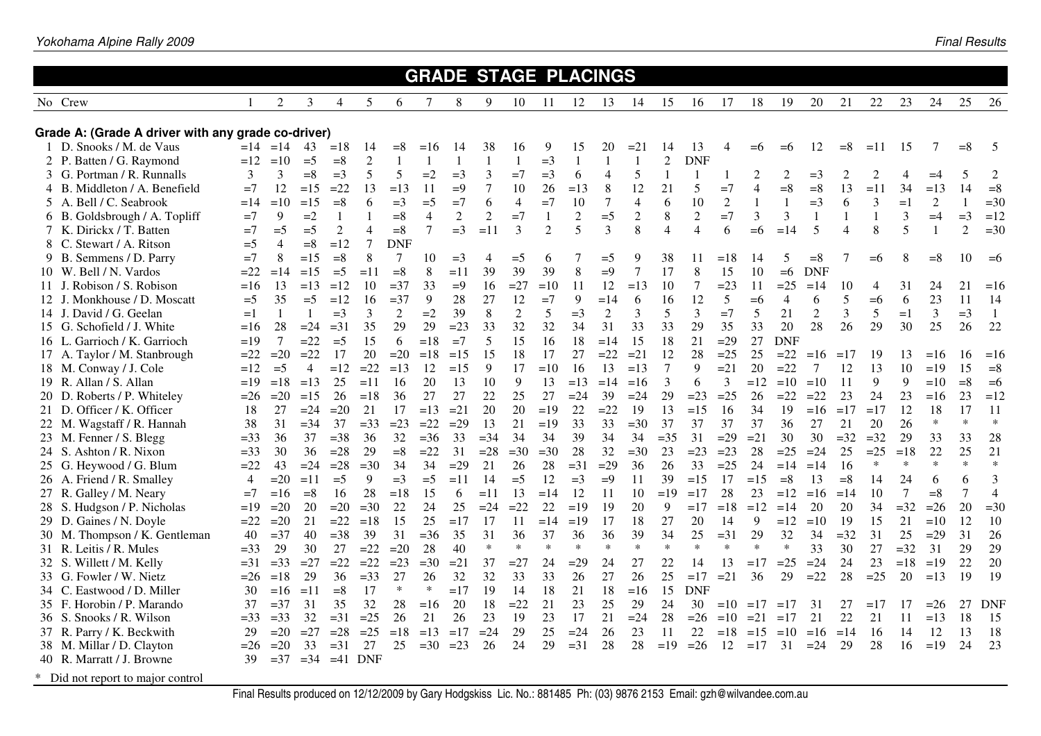|                                                    |                |                |                 |                |                |            | <b>GRADE</b>   |                |                |                |                | <b>STAGE PLACINGS</b> |                |                  |                  |                |                |                |                |                |                |                |        |                |                |                |
|----------------------------------------------------|----------------|----------------|-----------------|----------------|----------------|------------|----------------|----------------|----------------|----------------|----------------|-----------------------|----------------|------------------|------------------|----------------|----------------|----------------|----------------|----------------|----------------|----------------|--------|----------------|----------------|----------------|
| No Crew                                            |                | 2              | 3               | $\overline{4}$ | 5              | 6          | 7              | 8              | 9              | 10             | 11             | 12                    | 13             | 14               | 15               | 16             | 17             | 18             | 19             | 20             | 21             | 22             | 23     | 24             | 25             | 26             |
|                                                    |                |                |                 |                |                |            |                |                |                |                |                |                       |                |                  |                  |                |                |                |                |                |                |                |        |                |                |                |
| Grade A: (Grade A driver with any grade co-driver) |                |                |                 |                |                |            |                |                |                |                |                |                       |                |                  |                  |                |                |                |                |                |                |                |        |                |                |                |
| 1 D. Snooks / M. de Vaus                           |                | $= 14 = 14$    | 43              | $=18$          | 14             | $=$ 8      | $=16$          | 14             | 38             | 16             | 9              | 15                    | 20             | $=21$            | 14               | 13             |                | $= 6$          | $= 6$          | 12             | $=$ 8          | $=11$          | 15     |                | $=$ 8          | 5              |
| 2 P. Batten / G. Raymond                           |                | $=12$ $=10$    | $=$ 5           | $= 8$          | $\overline{2}$ |            |                | $\mathbf{1}$   | $\mathbf{1}$   |                | $=$ 3          | $\mathbf{1}$          |                | $\overline{1}$   | $\boldsymbol{2}$ | <b>DNF</b>     |                |                |                |                |                |                |        |                |                |                |
| 3 G. Portman / R. Runnalls                         | 3              | 3              | $= 8$           | $=3$           | 5              | 5          | $=2$           | $=3$           | $\mathfrak{Z}$ | $=7$           | $=3$           | 6                     | 4              | 5                | $\mathbf{1}$     |                |                | 2              | $\mathfrak{2}$ | $=3$           | 2              | $\overline{c}$ |        | $=4$           | 5              | $\overline{2}$ |
| 4 B. Middleton / A. Benefield                      | $=7$           | 12             | $=15$           | $=22$          | 13             | $=13$      | 11             | $=9$           | 7              | 10             | 26             | $=13$                 | 8              | 12               | 21               | 5              | $=7$           | $\overline{4}$ | $= 8$          | $= 8$          | 13             | $=11$          | 34     | $=13$          | 14             | $=8$           |
| 5 A. Bell / C. Seabrook                            | $=14$          | $=10$          | $=15$           | $= 8$          | 6              | $=3$       | $=5$           | $=7$           | 6              | $\overline{4}$ | $=7$           | 10                    | 7              | $\overline{4}$   | 6                | 10             | $\overline{2}$ | $\mathbf{1}$   | $\mathbf{1}$   | $=3$           | 6              | 3              | $=1$   | $\overline{2}$ | -1             | $=30$          |
| 6 B. Goldsbrough / A. Topliff                      | $=7$           | 9              | $=2$            | $\mathbf{1}$   | $\overline{1}$ | $=8$       | $\overline{4}$ | $\overline{2}$ | $\overline{c}$ | $=7$           | $\overline{1}$ | $\sqrt{2}$            | $= 5$          | $\boldsymbol{2}$ | $\,8\,$          | $\overline{2}$ | $=7$           | 3              | 3              | $\mathbf{1}$   | 1              | $\mathbf{1}$   | 3      | $=4$           | $=$ 3          | $=12$          |
| 7 K. Dirickx / T. Batten                           | $=7$           | $=$ 5          | $=$ 5           | $\mathfrak{2}$ | $\overline{4}$ | $= 8$      | $\tau$         | $=$ 3          | $=11$          | 3              | $\overline{2}$ | 5                     | 3              | 8                | $\overline{4}$   | $\overline{4}$ | 6              | $=6$           | $=14$          | 5              | $\overline{4}$ | 8              | 5      | $\overline{1}$ | $\overline{2}$ | $=30$          |
| 8 C. Stewart / A. Ritson                           | $=$ 5          | $\overline{4}$ | $=$ 8           | $=12$          | $\tau$         | <b>DNF</b> |                |                |                |                |                |                       |                |                  |                  |                |                |                |                |                |                |                |        |                |                |                |
| 9 B. Semmens / D. Parry                            | $=7$           | 8              | $=15$           | $= 8$          | 8              | 7          | 10             | $=$ 3          | $\overline{4}$ | $=$ 5          | 6              |                       | $=$ 5          | 9                | 38               | 11             | $=18$          | 14             | 5              | $=$ 8          |                | $= 6$          | 8      | $=$ 8          | 10             | $=6$           |
| 10 W. Bell / N. Vardos                             | $=22$          | $=14$          | $=15$           | $=$ 5          | $=11$          | $= 8$      | 8              | $=11$          | 39             | 39             | 39             | $\,8\,$               | $=9$           | $\overline{7}$   | 17               | 8              | 15             | 10             | $=6$           | <b>DNF</b>     |                |                |        |                |                |                |
| 11 J. Robison / S. Robison                         | $=16$          | 13             | $=13$           | $=12$          | 10             | $=37$      | 33             | $=9$           | 16             | $=27$          | $=10$          | 11                    | 12             | $=13$            | 10               |                | $=23$          | 11             | $=25$          | $=14$          | 10             | 4              | 31     | 24             | 21             | $=16$          |
| 12 J. Monkhouse / D. Moscatt                       | $=$ 5          | 35             | $=5$            | $=12$          | 16             | $=37$      | 9              | 28             | 27             | 12             | $=7$           | 9                     | $=14$          | 6                | 16               | 12             | 5              | $=6$           | $\overline{4}$ | 6              | 5              | $=6$           | 6      | 23             | 11             | 14             |
| 14 J. David / G. Geelan                            | $=1$           | $\overline{1}$ |                 | $=$ 3          | 3              | 2          | $=2$           | 39             | 8              | $\overline{2}$ | 5              | $=3$                  | $\overline{2}$ | 3                | 5                | 3              | $=7$           | 5              | 21             | $\overline{2}$ | 3              | 5              | $=1$   | 3              | $=$ 3          | $\mathbf{1}$   |
| 15 G. Schofield / J. White                         | $=16$          | 28             | $=24$           | $=31$          | 35             | 29         | 29             | $=23$          | 33             | 32             | 32             | 34                    | 31             | 33               | 33               | 29             | 35             | 33             | 20             | 28             | 26             | 29             | 30     | 25             | 26             | 22             |
| 16 L. Garrioch / K. Garrioch                       | $=19$          | 7              | $=22$           | $=$ 5          | 15             | 6          | $=18$          | $=7$           | 5              | 15             | 16             | 18                    | $=14$          | 15               | 18               | 21             | $=29$          | 27             | <b>DNF</b>     |                |                |                |        |                |                |                |
| 17 A. Taylor / M. Stanbrough                       | $=22$          | $=20$          | $=22$           | 17             | 20             | $=20$      | $=18$          | $=15$          | 15             | 18             | 17             | 27                    | $=22$          | $=21$            | 12               | 28             | $=25$          | 25             | $=22$          | $=16$          | $=17$          | 19             | 13     | $=16$          | 16             | $=16$          |
| 18 M. Conway / J. Cole                             | $=12$          | $=$ 5          | $\overline{4}$  | $=12$          | $=22$          | $=13$      | 12             | $=15$          | 9              | 17             | $=10$          | 16                    | 13             | $=13$            | $\tau$           | 9              | $=21$          | 20             | $=2.2$         | 7              | 12             | 13             | 10     | $=19$          | 15             | $= 8$          |
| 19 R. Allan / S. Allan                             | $=19$          | $=18$          | $=13$           | 25             | $=11$          | -16        | 20             | 13             | 10             | 9              | 13             | $=13$                 | $=14$          | $=16$            | 3                | 6              | 3              | $=12$          | $=10$          | $=10$          | 11             | 9              | 9      | $=10$          | $= 8$          | $=6$           |
| 20 D. Roberts / P. Whiteley                        | $=26$          | $=20$          | $=15$           | 26             | $=18$          | 36         | 27             | 27             | 22             | 25             | 27             | $=24$                 | 39             | $=24$            | 29               | $=23$          | $=25$          | 26             | $=22$          | $=22$          | 23             | 24             | 23     | $=16$          | 23             | $=12$          |
| 21 D. Officer / K. Officer                         | 18             | 27             | $=24$           | $=20$          | 21             | 17         | $=13$          | $=21$          | 20             | 20             | $=19$          | 22                    | $=22$          | 19               | 13               | $=15$          | 16             | 34             | 19             | $=16$          | $=17$          | $=17$          | 12     | 18             | 17             | 11             |
| 22 M. Wagstaff / R. Hannah                         | 38             | 31             | $= 34$          | 37             | $=33$          | $=23$      | $=22$          | $=29$          | 13             | 21             | $=19$          | 33                    | 33             | $=30$            | 37               | 37             | 37             | 37             | 36             | 27             | 21             | 20             | 26     | $\ast$         | $\ast$         | $\ast$         |
| 23 M. Fenner / S. Blegg                            | $=$ 33         | 36             | 37              | $=38$          | 36             | 32         | $=36$          | 33             | $=34$          | 34             | 34             | 39                    | 34             | 34               | $= 35$           | 31             | $=29$          | $=21$          | 30             | 30             | $= 32$         | $=32$          | 29     | 33             | 33             | 28             |
| 24 S. Ashton / R. Nixon                            | $=$ 33         | 30             | 36              | $=28$          | 29             | $=8$       | $=22$          | 31             | $=28$          | $=30$          | $=30$          | 28                    | 32             | $=30$            | 23               | $=23$          | $=23$          | 28             | $=25$          | $=24$          | 25             | $=25$          | $=18$  | 22             | 25             | 21             |
| 25 G. Heywood / G. Blum                            | $=22$          | 43             | $= 24$          | $=28$          | $=30$          | 34         | 34             | $=29$          | 21             | 26             | 28             | $=31$                 | $=29$          | 36               | 26               | 33             | $=25$          | 24             | $=14$          | $=14$          | 16             | $\ast$         | $\ast$ | $\ast$         | $\ast$         | $\ast$         |
| 26 A. Friend / R. Smalley                          | $\overline{4}$ | $=20$          | $=11$           | $=5$           | 9              | $=$ 3      | $=5$           | $=11$          | 14             | $=5$           | 12             | $=3$                  | $=9$           | 11               | 39               | $=15$          | 17             | $=15$          | $=8$           | 13             | $=$ 8          | 14             | 24     | 6              | 6              | 3              |
| 27 R. Galley / M. Neary                            | $=7$           | $=16$          | $= 8$           | 16             | 28             | $=18$      | 15             | 6              | $=11$          | 13             | $=14$          | 12                    | -11            | 10               | $=19$            | $=17$          | 28             | 23             | $=12$          | $=16$          | $=14$          | 10             | $\tau$ | $=$ 8          | 7              | $\overline{4}$ |
| 28 S. Hudgson / P. Nicholas                        | $=19$          | $=20$          | 20              | $=20$          | $=30$          | 22         | 24             | 25             | $=24$          | $=22$          | 22             | $=19$                 | 19             | 20               | 9                | $=17$          | $=18$          | $=12$          | $=14$          | 20             | 20             | 34             | $=32$  | $=26$          | 20             | $=30$          |
| 29 D. Gaines / N. Doyle                            | $=22$          | $=20$          | 21              | $=22$          | $=18$          | 15         | 25             | $=17$          | 17             | 11             | $=14$          | $=19$                 | 17             | 18               | 27               | 20             | 14             | 9              | $=12$          | $=10$          | 19             | 15             | 21     | $=10$          | 12             | 10             |
| 30 M. Thompson / K. Gentleman                      | 40             | $=37$          | 40              | $=38$          | 39             | 31         | $= 36$         | 35             | 31             | 36             | 37             | 36                    | 36             | 39               | 34               | 25             | $=31$          | 29             | 32             | 34             | $=$ 32         | 31             | 25     | $=29$          | 31             | 26             |
| 31 R. Leitis / R. Mules                            | $=$ 33         | 29             | 30              | 27             | $=22$          | $=20$      | 28             | 40             | $\ast$         | $\ast$         | $\ast$         | $\ast$                | $\ast$         | $\ast$           | $\ast$           | $\ast$         | $\ast$         | $\ast$         | $\ast$         | 33             | 30             | 27             | $=32$  | 31             | 29             | 29             |
| 32 S. Willett / M. Kelly                           | $=$ 31         | $=33$          | $=27$           | $=22$          | $=22$          | $=23$      | $=30$          | $=21$          | 37             | $=27$          | 24             | $=29$                 | 24             | 27               | 22               | 14             | 13             | $=17$          | $=25$          | $= 24$         | 24             | 23             | $=18$  | $=19$          | 22             | 20             |
| 33 G. Fowler / W. Nietz                            | $=26$          | $=18$          | 29              | 36             | $= 33$         | 27         | 26             | 32             | 32             | 33             | 33             | 26                    | 27             | 26               | 25               | $=17$          | $=21$          | 36             | 29             | $=22$          | 28             | $=25$          | 20     | $=13$          | 19             | 19             |
| 34 C. Eastwood / D. Miller                         | 30             | $=16$          | $=11$           | $= 8$          | 17             | $\ast$     | *              | $=17$          | 19             | 14             | 18             | 21                    | 18             | $=16$            | 15               | <b>DNF</b>     |                |                |                |                |                |                |        |                |                |                |
| 35 F. Horobin / P. Marando                         | 37             | $=37$          | 31              | 35             | 32             | 28         | $=16$          | 20             | 18             | $=22$          | 21             | 23                    | 25             | 29               | 24               | 30             | $=10$          | $=17$          | $=17$          | 31             | 27             | $=17$          | 17     | $=26$          | 27             | <b>DNF</b>     |
| 36 S. Snooks / R. Wilson                           | $=33$          | $=33$          | 32              | $= 31$         | $=25$          | 26         | 21             | 26             | 23             | 19             | 23             | 17                    | 21             | $= 24$           | 28               | $=26$          | $=10$          | $=21$          | $=17$          | 21             | 22             | 21             | 11     | $=13$          | 18             | 15             |
| 37 R. Parry / K. Beckwith                          | 29             | $=20$          | $=27$           | $=28$          | $=25$          | $=18$      | $=13$          | $=17$          | $=24$          | 29             | 25             | $=24$                 | 26             | 23               | 11               | 22             | $=18$          | $=15$          | $=10$          | $=16$          | $=14$          | 16             | 14     | 12             | 13             | 18             |
| 38 M. Millar / D. Clayton                          | $=26$          | $=20$          | 33              | $= 31$         | 27             | 25         | $=30$          | $=23$          | 26             | 24             | 29             | $=31$                 | 28             | 28               | $=19$            | $=26$          | 12             | $=17$          | 31             | $=24$          | 29             | 28             | 16     | $=19$          | 24             | 23             |
| 40 R. Marratt / J. Browne                          | 39             | $=37$          | $=34$ $=41$ DNF |                |                |            |                |                |                |                |                |                       |                |                  |                  |                |                |                |                |                |                |                |        |                |                |                |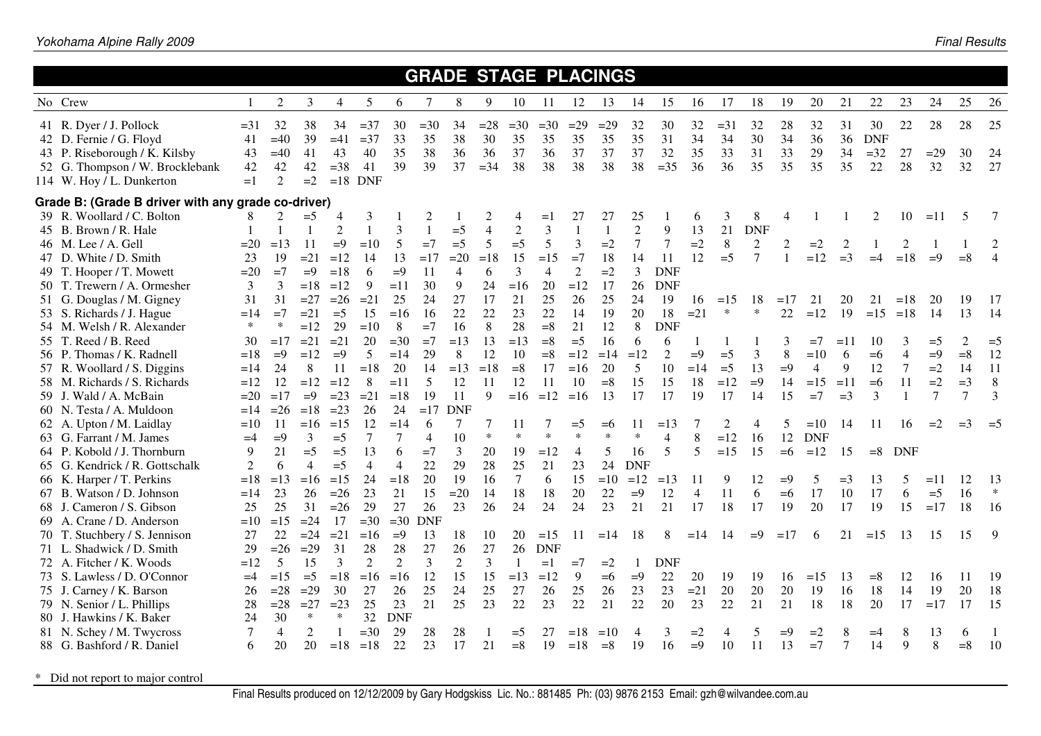#### **GRADE STAGE PLACINGS**  No Crew 1 2 3 4 5 6 7 8 9 10 11 12 13 14 15 16 17 18 19 20 21 22 23 24 25 26 41 R. Dyer / J. Pollock =31 32 38 34 =37 30 =30 34 =28 =30 =30 =29 =29 32 30 32 =31 32 28 32 31 30 22 28 28 25 42 D. Fernie / G. Floyd 41 =40 39 =41 =37 33 35 38 30 35 35 35 35 35 31 34 34 30 34 36 36 DNF 43 P. Riseborough / K. Kilsby 43 =40 41 43 40 35 38 36 36 37 36 37 37 37 32 35 33 31 33 29 34 =32 27 =29 30 24  $27$  52 G. Thompson / W. Brocklebank 42 42 42 =38 41 39 39 37 =34 38 38 38 38 38 =35 36 36 35 35 35 35 22 28 32 32 27 114 W. Hoy / L. Dunkerton  $=1$  2  $=2$   $=18$  DNF **Grade B: (Grade B driver with any grade co-driver)**  39 R. Woollard / C. Bolton 8 2 =5 4 3 1 2 1 2 4 =1 27 27 25 1 6 3 8 4 1 1 2 10 =11 5 7 45 B. Brown / R. Hale 1 1 1 1 2 1 3 1 = 5 4 2 3 1 1 2 9 13 21 DNF 46 M. Lee / A. Gell  $=20$  =13 11 =9 =10 5 =7 =5 5 =5 5 3 =2 7 7 =2 8 2 2 =2 2 1 2 1 1 2  $\overline{4}$ 47 D. White / D. Smith 23 19 = 21 = 12 14 13 = 17 = 20 = 18 15 = 15 = 7 18 14 11 12 = 5 7 1 = 12 = 3 = 4 = 18 = 9 = 8 49 T. Hooper / T. Mowett  $=20 = 7 = 9 = 18 = 6 = 9 = 11 = 4 = 6 = 3 = 4 = 2 = 2 = 3 = 5$  DNF 50 T. Trewern / A. Ormesher 3 3 =18 =12 9 =11 30 9 24 =16 20 =12 17 26 DNF 51 G. Douglas / M. Gigney 31 31 =27 =26 =21 25 24 27 17 21 25 26 25 24 19 16 =15 18 =17 21 20 21 =18 20 19 17 53 S. Richards / J. Hague =14 =7 =21 =5 15 =16 16 22 22 23 22 14 19 20 18 =21 \* \* 22 =12 19 =15 =18 14 13 14<br>54 M. Welsh / R. Alexander \* \* =12 29 =10 8 =7 16 8 28 =8 21 12 8 DNF 54 M. Welsh / R. Alexander \* \* =12 29 =10 8 =7 16 8 28 =8 21 12 8 DNF 55 T. Reed / B. Reed 30 =17 =21 =21 20 =30 =7 =13 13 =13 =8 =5 16 6 6 1 1 1 3 =7 =11 10 3 =5 2 =5 12 56 P. Thomas / K. Radnell =  $\begin{array}{cccccccc} =18 & =9 & =12 & =9 & 5 & =14 & 29 & 8 & 12 & 10 & =8 & =12 & =14 & =12 & 2 & =9 & =5 & 3 & 8 & =10 & 6 & =6 & 4 & =9 & =8 \end{array}$  57 R. Woollard / S. Diggins =14 24 8 11 =18 20 14 =13 =18 =8 17 =16 20 5 10 =14 =5 13 =9 4 9 12 7 =2 14 11 58 M. Richards / S. Richards =12 12 =12 =12 8 =11 5 12 11 12 11 10 =8 15 15 18 =12 =9 14 =15 =11 =6 11 =2 =3 8 3 59 J. Wald / A. McBain =20 =17 =9 =23 =21 =18 19 11 9 =16 =12 =16 13 17 17 19 17 14 15 =7 =3 3 1 7 7 3 60 N. Testa / A. Muldoon  $=14$   $=26$   $=18$   $=23$  26 24  $=17$  DNF 62 A. Upton / M. Laidlay =10 11 =16 =15 12 =14 6 7 7 11 7 =5 =6 11 =13 7 2 4 5 =10 14 11 16 =2 =3 =5 63 G. Farrant / M. James =4 =9 3 =5 7 7 4 10 \* \* \* \* \* \* 4 8 =12 16 12 DNF 64 P. Kobold / J. Thornburn 9 21 =5 =5 13 6 =7 3 20 19 =12 4 5 16 5 5 =15 15 =6 =12 15 =8 DNF 65 G. Kendrick / R. Gottschalk 2 6 4 =5 4 4 22 29 28 25 21 23 24 DNF 66 K. Harper / T. Perkins =18 =13 =16 =15 24 =18 20 19 16 7 6 15 =10 =12 =13 11 9 12 =9 5 =3 13 5 =11 12 13 67 B. Watson / D. Johnson =14 23 26 =26 23 21 15 =20 14 18 18 20 22 =9 12 4 11 6 =6 17 10 17 6 =5 16 \* 68 J. Cameron / S. Gibson 25 25 31 =26 29 27 26 23 26 24 24 24 23 21 21 17 18 17 19 20 17 19 15 =17 18 16 69 A. Crane / D. Anderson  $=10$   $=15$   $=24$  17  $=30$   $=30$  DNF 70 T. Stuchbery / S. Jennison 27 22 =24 =21 =16 =9 13 18 10 20 =15 11 =14 18 8 =14 14 =9 =17 6 21 =15 13 15 15 9 71 L. Shadwick / D. Smith 29 =26 =29 31 28 28 27 26 27 26 DNF 72 A. Fitcher / K. Woods =12 5 15 3 2 2 3 2 3 1 =1 =7 =2 1 DNF 73 S. Lawless / D. O'Connor =4 =15 =5 =18 =16 =16 12 15 15 =13 =12 9 =6 =9 22 20 19 19 16 =15 13 =8 12 16 11 19 18 75 J. Carney / K. Barson 26 =28 =29 30 27 26 25 24 25 27 26 25 26 23 23 =21 20 20 20 19 16 18 14 19 20 18  $15$  79 N. Senior / L. Phillips 28 =28 =27 =23 25 23 21 25 23 22 23 22 21 22 20 23 22 21 21 18 18 20 17 =17 17 15 80 J. Hawkins / K. Baker 24 30 \* \* 32 DNF 81 N. Schey / M. Twycross 7 4 2 1 =30 29 28 28 1 =5 27 =18 =10 4 3 =2 4 5 =9 =2 8 =4 8 13 6 1  $10$ 88 G. Bashford / R. Daniel 6 20 20 =18 =18 22 23 17 21 =8 19 =18 =8 19 16 =9 10 11 13 =7 7 14 9 8 =8 10

Did not report to major control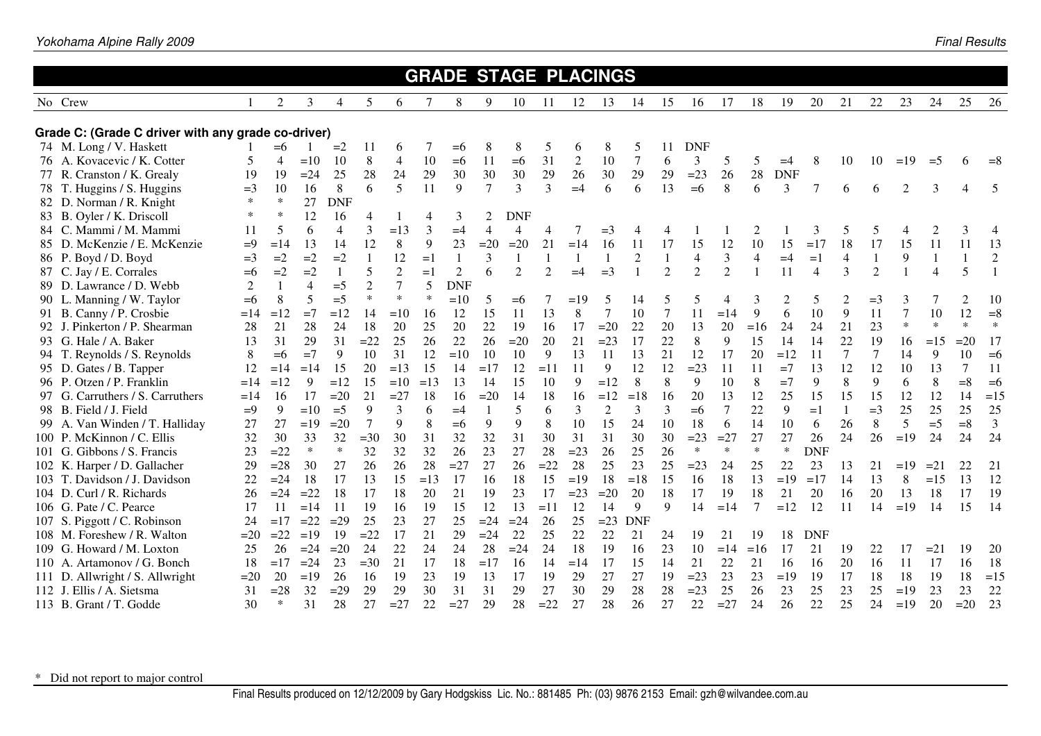|                                                    |        |                |        |                |                |                |        |                |                | <b>GRADE STAGE PLACINGS</b> |                |                  |                |              |                |                |                |                |            |                |                |                |         |                |                |              |
|----------------------------------------------------|--------|----------------|--------|----------------|----------------|----------------|--------|----------------|----------------|-----------------------------|----------------|------------------|----------------|--------------|----------------|----------------|----------------|----------------|------------|----------------|----------------|----------------|---------|----------------|----------------|--------------|
| No Crew                                            |        | $\overline{c}$ | 3      | 4              | 5              | 6              |        | 8              | 9              | 10                          |                | 12               | 13             | 14           | 15             | 16             | 17             | 18             | 19         | 20             | 21             | 22             | 23      | 24             | 25             | 26           |
|                                                    |        |                |        |                |                |                |        |                |                |                             |                |                  |                |              |                |                |                |                |            |                |                |                |         |                |                |              |
| Grade C: (Grade C driver with any grade co-driver) |        |                |        |                |                |                |        |                |                |                             |                |                  |                |              |                |                |                |                |            |                |                |                |         |                |                |              |
| 74 M. Long / V. Haskett                            |        | $= 6$          |        | $=2$           |                | 6              |        | $= 6$          | 8              | 8                           | 5              | 6                | 8              | 5            | 11             | <b>DNF</b>     |                |                |            |                |                |                |         |                |                |              |
| 76 A. Kovacevic / K. Cotter                        | 5      | 4              | $=10$  | 10             | 8              | $\overline{4}$ | 10     | $=6$           | 11             | $=6$                        | 31             | $\boldsymbol{2}$ | 10             | $\tau$       | 6              | 3              | 5              | 5              | $=4$       | 8              | 10             | 10             | $=19$   | $=$ 5          | 6              | $=$ 8        |
| 77 R. Cranston / K. Grealy                         | 19     | 19             | $=24$  | 25             | 28             | 24             | 29     | 30             | 30             | 30                          | 29             | 26               | 30             | 29           | 29             | $=23$          | 26             | 28             | <b>DNF</b> |                |                |                |         |                |                |              |
| 78 T. Huggins / S. Huggins                         | $=$ 3  | 10             | 16     | 8              | 6              | $\overline{5}$ | 11     | 9              | 7              | 3                           | 3              | $=4$             | 6              | 6            | 13             | $=6$           | 8              | 6              | 3          | 7              | 6              | 6              | 2       | 3              | 4              | 5            |
| 82 D. Norman / R. Knight                           | $\ast$ | $\ast$         | 27     | <b>DNF</b>     |                |                |        |                |                |                             |                |                  |                |              |                |                |                |                |            |                |                |                |         |                |                |              |
| 83 B. Oyler / K. Driscoll                          | ∗      | $\ast$         | 12     | 16             | $\overline{4}$ |                | 4      | 3              | 2              | <b>DNF</b>                  |                |                  |                |              |                |                |                |                |            |                |                |                |         |                |                |              |
| 84 C. Mammi / M. Mammi                             | 11     | 5              | 6      | $\overline{4}$ | 3              | $=13$          | 3      | $=4$           | $\overline{4}$ | 4                           | 4              |                  | $=$ 3          | 4            |                |                |                | 2              |            | 3              | 5              | 5              | 4       | 2              | 3              | 4            |
| 85 D. McKenzie / E. McKenzie                       | $=9$   | $=14$          | 13     | 14             | 12             | $\,8\,$        | 9      | 23             | $=20$          | $=20$                       | 21             | $=14$            | 16             | 11           | 17             | 15             | 12             | 10             | 15         | $=17$          | 18             | 17             | 15      | 11             | 11             | 13           |
| 86 P. Boyd / D. Boyd                               | $=$ 3  | $=2$           | $=2$   | $=2$           |                | 12             | $=1$   |                | 3              | $\mathbf{1}$                |                |                  |                | 2            |                | $\overline{4}$ | 3              | $\overline{4}$ | $=4$       | $=1$           | $\overline{4}$ | -1             | 9       | -1             |                | $\mathbf{2}$ |
| 87 C. Jay / E. Corrales                            | $=6$   | $=2$           | $=2$   |                |                | $\overline{2}$ | $=1$   | $\overline{2}$ | 6              | $\overline{2}$              | $\overline{2}$ | $=4$             | $=$ 3          | $\mathbf{1}$ | $\overline{2}$ | $\overline{2}$ | $\overline{2}$ | $\mathbf{1}$   | 11         | $\overline{4}$ | 3              | $\overline{2}$ |         | $\overline{4}$ | 5              |              |
| 89 D. Lawrance / D. Webb                           | 2      |                | 4      | $=5$           | 2              | $\tau$         | 5      | <b>DNF</b>     |                |                             |                |                  |                |              |                |                |                |                |            |                |                |                |         |                |                |              |
| 90 L. Manning / W. Taylor                          | $=6$   | 8              | 5      | $=5$           | $\ast$         | $\ast$         | $\ast$ | $=10$          | 5              | $= 6$                       |                | $=19$            | 5              | 14           | 5              | 5              | 4              | 3              | 2          | 5              | $\overline{c}$ | $=$ 3          | 3       |                | $\overline{c}$ | 10           |
| 91 B. Canny / P. Crosbie                           | $=14$  | $=12$          | $=7$   | $=12$          | 14             | $=10$          | 16     | 12             | 15             | 11                          | 13             | 8                | 7              | 10           | 7              | 11             | $=14$          | 9              | 6          | 10             | 9              | 11             | 7       | 10             | 12             | $= 8$        |
| 92 J. Pinkerton / P. Shearman                      | 28     | 21             | 28     | 24             | 18             | 20             | 25     | 20             | 22             | 19                          | 16             | 17               | $=20$          | 22           | 20             | 13             | 20             | $=16$          | 24         | 24             | 21             | 23             | $\ast$  | $\ast$         | $\ast$         | $\ast$       |
| 93 G. Hale / A. Baker                              | 13     | 31             | 29     | 31             | $=22$          | 25             | 26     | 22             | 26             | $=20$                       | 20             | 21               | $=23$          | 17           | 22             | 8              | 9              | 15             | 14         | 14             | 22             | 19             | 16      | $=15$          | $=20$          | 17           |
| 94 T. Reynolds / S. Reynolds                       | 8      | $=6$           | $=7$   | 9              | 10             | 31             | 12     | $=10$          | 10             | 10                          | 9              | 13               | 11             | 13           | 21             | 12             | 17             | 20             | $=12$      | 11             | 7              | 7              | 14      | 9              | 10             | $=6$         |
| 95 D. Gates / B. Tapper                            | 12     | $=14$          | $=14$  | 15             | 20             | $=13$          | 15     | 14             | $=17$          | 12                          | $=11$          | 11               | 9              | 12           | 12             | $=23$          | 11             | 11             | $=7$       | 13             | 12             | 12             | 10      | 13             | 7              | 11           |
| 96 P. Otzen / P. Franklin                          | $=14$  | $=12$          | 9      | $=12$          | 15             | $=10$          | $=13$  | 13             | 14             | 15                          | 10             | 9                | $=12$          | 8            | 8              | 9              | 10             | $\,8\,$        | $=7$       | 9              | $\,$ 8 $\,$    | 9              | 6       | 8              | $= 8$          | $=6$         |
| 97 G. Carruthers / S. Carruthers                   | $=14$  | 16             | 17     | $=20$          | 21             | $=27$          | 18     | 16             | $=20$          | 14                          | 18             | 16               | $=12$          | $=18$        | 16             | 20             | 13             | 12             | 25         | 15             | 15             | 15             | 12      | 12             | 14             | $=15$        |
| 98 B. Field / J. Field                             | $=9$   | 9              | $=10$  | $=5$           | 9              | 3              | 6      | $=4$           | -1             | 5                           | 6              | 3                | $\overline{2}$ | 3            | 3              | $=6$           | 7              | 22             | 9          | $=1$           | 1              | $=3$           | 25      | 25             | 25             | 25           |
| 99 A. Van Winden / T. Halliday                     | 27     | 27             | $=19$  | $=20$          | 7              | 9              | 8      | $=6$           | 9              | 9                           | 8              | 10               | 15             | 24           | 10             | 18             | 6              | 14             | 10         | 6              | 26             | 8              | 5       | $=$ 5          | $=8$           | 3            |
| 100 P. McKinnon / C. Ellis                         | 32     | 30             | 33     | 32             | $=30$          | 30             | 31     | 32             | 32             | 31                          | 30             | 31               | 31             | 30           | 30             | $=23$          | $=27$          | 27             | 27         | 26             | 24             | 26             | $=19$   | 24             | 24             | 24           |
| 101 G. Gibbons / S. Francis                        | 23     | $=22$          | $\ast$ | $\ast$         | 32             | 32             | 32     | 26             | 23             | 27                          | 28             | $=23$            | 26             | 25           | 26             | $\ast$         | $\ast$         | $\ast$         | $\ast$     | <b>DNF</b>     |                |                |         |                |                |              |
| 102 K. Harper / D. Gallacher                       | 29     | $=28$          | 30     | 27             | 26             | 26             | 28     | $=27$          | 27             | 26                          | $=22$          | 28               | 25             | 23           | 25             | $=23$          | 24             | 25             | 22         | 23             | 13             | 21             | $=19$   | $=21$          | 22             | 21           |
| 103 T. Davidson / J. Davidson                      | 22     | $=24$          | 18     | 17             | 13             | 15             | $=13$  | 17             | 16             | 18                          | 15             | $=19$            | 18             | $=18$        | 15             | 16             | 18             | 13             | $=19$      | $=17$          | 14             | 13             | $\,8\,$ | $=15$          | 13             | 12           |
| 104 D. Curl / R. Richards                          | 26     | $=24$          | $=22$  | 18             | 17             | 18             | 20     | 21             | 19             | 23                          | 17             | $=23$            | $=20$          | 20           | 18             | 17             | 19             | 18             | 21         | 20             | 16             | 20             | 13      | 18             | 17             | 19           |
| 106 G. Pate / C. Pearce                            | 17     | 11             | $=14$  | 11             | 19             | 16             | 19     | 15             | 12             | 13                          | $=11$          | 12               | 14             | 9            | $\mathbf Q$    | 14             | $=14$          | $\overline{7}$ | $=12$      | 12             | 11             | 14             | $=19$   | 14             | 15             | 14           |
| 107 S. Piggott / C. Robinson                       | 24     | $=17$          | $=22$  | $=29$          | 25             | 23             | 27     | 25             | $=24$          | $=24$                       | 26             | 25               | $=23$          | <b>DNF</b>   |                |                |                |                |            |                |                |                |         |                |                |              |
| 108 M. Foreshew / R. Walton                        | $=20$  | $=22$          | $=19$  | 19             | $=22$          | 17             | 21     | 29             | $=24$          | 22                          | 25             | 22               | 22             | 21           | 24             | 19             | 21             | 19             | 18         | <b>DNF</b>     |                |                |         |                |                |              |
| 109 G. Howard / M. Loxton                          | 25     | 26             | $=24$  | $=20$          | 24             | 22             | 24     | 24             | 28             | $=24$                       | 24             | 18               | 19             | 16           | 23             | 10             | $=14$          | $=16$          | 17         | 21             | 19             | 22             | 17      | $=21$          | 19             | 20           |
| 110 A. Artamonov / G. Bonch                        | 18     | $=17$          | $=24$  | 23             | $=30$          | 21             | 17     | 18             | $=17$          | 16                          | 14             | $=14$            | 17             | 15           | 14             | 21             | 22             | 21             | 16         | 16             | 20             | 16             | 11      | 17             | 16             | 18           |
| 111 D. Allwright / S. Allwright                    | $=20$  | 20             | $=19$  | 26             | 16             | 19             | 23     | 19             | 13             | 17                          | 19             | 29               | 27             | 27           | 19             | $=23$          | 23             | 23             | $=19$      | 19             | 17             | 18             | 18      | 19             | 18             | $=15$        |
| 112 J. Ellis / A. Sietsma                          | 31     | $=28$          | 32     | $=29$          | 29             | 29             | 30     | 31             | 31             | 29                          | 27             | 30               | 29             | 28           | 28             | $=23$          | 25             | 26             | 23         | 25             | 23             | 25             | $=19$   | 23             | 23             | 22           |
| 113 B. Grant / T. Godde                            | 30     | $\ast$         | 31     | 28             | 27             | $=27$          | 22     | $=27$          | 29             | 28                          | $=22$          | 27               | 28             | 26           | 27             | 22             | $=27$          | 24             | 26         | 22             | 25             | 24             | $=19$   | 20             | $=20$          | 23           |

Yokohama Alpine Rally 2009 **Final Results** 

\* Did not report to major control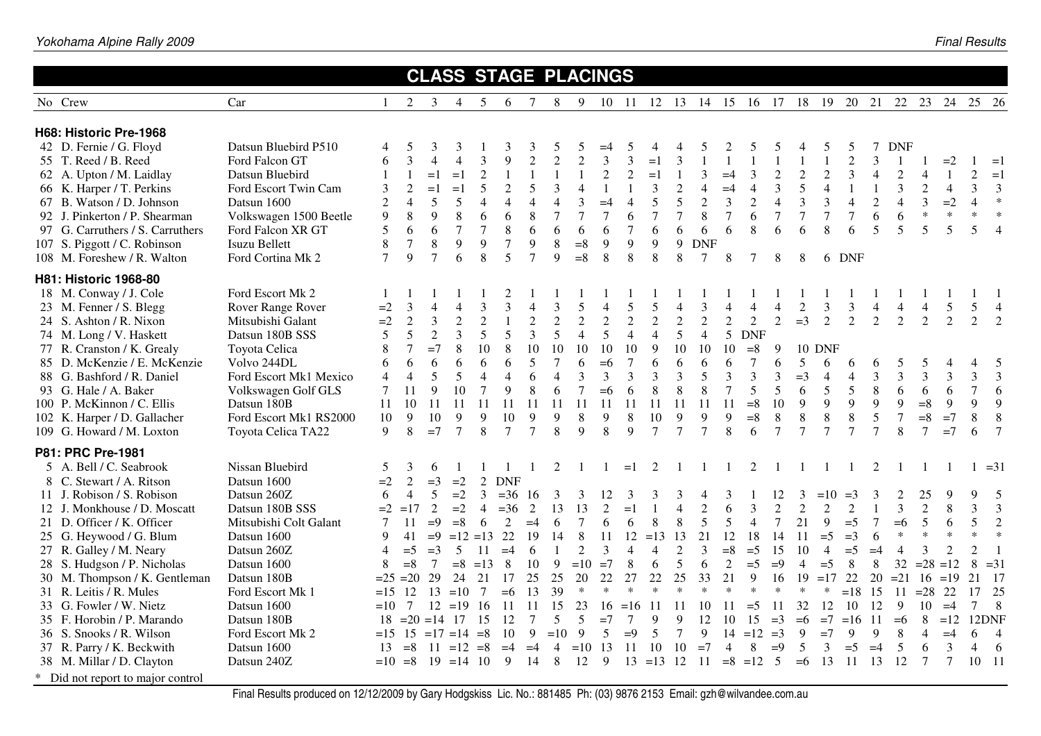|                                                                                                                                                                                                                                                                                                                                                                                                                                                                                                             |                                                                                                                                                                                                           |                                                                          |                                                                                |                                                                                 |                                                                                                                                            |                                                                     | <b>CLASS STAGE PLACINGS</b>                                                              |                                                                                                               |                                                                                           |                                                                                                        |                                                                                                   |                                                                                                       |                                                                                                     |                                                                                                   |                                                                                       |                                                                            |                                                                                                                   |                                                                                         |                                                                                                    |                                                                                                       |                                                                                       |                                                                                 |                                                                                                 |                                                                                                        |                                                                            |                                                                                               |                                                                                                                |
|-------------------------------------------------------------------------------------------------------------------------------------------------------------------------------------------------------------------------------------------------------------------------------------------------------------------------------------------------------------------------------------------------------------------------------------------------------------------------------------------------------------|-----------------------------------------------------------------------------------------------------------------------------------------------------------------------------------------------------------|--------------------------------------------------------------------------|--------------------------------------------------------------------------------|---------------------------------------------------------------------------------|--------------------------------------------------------------------------------------------------------------------------------------------|---------------------------------------------------------------------|------------------------------------------------------------------------------------------|---------------------------------------------------------------------------------------------------------------|-------------------------------------------------------------------------------------------|--------------------------------------------------------------------------------------------------------|---------------------------------------------------------------------------------------------------|-------------------------------------------------------------------------------------------------------|-----------------------------------------------------------------------------------------------------|---------------------------------------------------------------------------------------------------|---------------------------------------------------------------------------------------|----------------------------------------------------------------------------|-------------------------------------------------------------------------------------------------------------------|-----------------------------------------------------------------------------------------|----------------------------------------------------------------------------------------------------|-------------------------------------------------------------------------------------------------------|---------------------------------------------------------------------------------------|---------------------------------------------------------------------------------|-------------------------------------------------------------------------------------------------|--------------------------------------------------------------------------------------------------------|----------------------------------------------------------------------------|-----------------------------------------------------------------------------------------------|----------------------------------------------------------------------------------------------------------------|
| No Crew                                                                                                                                                                                                                                                                                                                                                                                                                                                                                                     | Car                                                                                                                                                                                                       |                                                                          | 2                                                                              | $\overline{3}$                                                                  | $\overline{4}$                                                                                                                             | 5                                                                   | 6                                                                                        | 7                                                                                                             | 8                                                                                         | 9                                                                                                      |                                                                                                   |                                                                                                       | $10 \quad 11 \quad 12$                                                                              | 13                                                                                                | 14                                                                                    | 15                                                                         | 16                                                                                                                | 17                                                                                      | 18                                                                                                 | 19                                                                                                    | 20 21                                                                                 |                                                                                 | 22 23                                                                                           |                                                                                                        | 24                                                                         |                                                                                               | 25 26                                                                                                          |
| H68: Historic Pre-1968<br>42 D. Fernie / G. Floyd<br>55 T. Reed / B. Reed<br>62 A. Upton / M. Laidlay<br>66 K. Harper / T. Perkins<br>67 B. Watson / D. Johnson<br>92 J. Pinkerton / P. Shearman<br>97 G. Carruthers / S. Carruthers<br>107 S. Piggott / C. Robinson<br>108 M. Foreshew / R. Walton                                                                                                                                                                                                         | Datsun Bluebird P510<br>Ford Falcon GT<br>Datsun Bluebird<br>Ford Escort Twin Cam<br>Datsun 1600<br>Volkswagen 1500 Beetle<br>Ford Falcon XR GT<br>Isuzu Bellett<br>Ford Cortina Mk 2                     | 4<br>6<br>$\mathbf{1}$<br>3<br>$\overline{2}$<br>9<br>5<br>8<br>$\tau$   | 5<br>3<br>$\mathbf{1}$<br>2<br>$\overline{4}$<br>8<br>6<br>$\overline{7}$<br>9 | 3<br>$\overline{4}$<br>$=1$<br>$=1$<br>5<br>9<br>6<br>$\,8\,$<br>$\overline{7}$ | 3<br>$\overline{4}$<br>$=1$<br>$=1$<br>5<br>8<br>$\overline{7}$<br>9<br>6                                                                  | 3<br>$\overline{2}$<br>5<br>$\overline{4}$<br>6<br>$\tau$<br>9<br>8 | 9<br>$\mathbf{1}$<br>$\overline{2}$<br>$\overline{4}$<br>6<br>8<br>$\boldsymbol{7}$<br>5 | $\overline{2}$<br>$\mathbf{1}$<br>5<br>$\overline{\mathcal{A}}$<br>8<br>6<br>$\overline{9}$<br>$\overline{7}$ | 5<br>$\overline{2}$<br>3<br>$\overline{4}$<br>$\overline{7}$<br>6<br>8<br>9               | $\overline{2}$<br>$\mathbf{1}$<br>$\overline{4}$<br>3<br>$\overline{7}$<br>6<br>$= 8$<br>$= 8$         | $=4$<br>$\overline{3}$<br>$\overline{2}$<br>$\mathbf{1}$<br>$=4$<br>$\overline{7}$<br>6<br>9<br>8 | 3<br>$\overline{2}$<br>$\mathbf{1}$<br>$\overline{4}$<br>6<br>$\overline{7}$<br>9<br>8                | $=1$<br>$=1$<br>$\mathfrak{Z}$<br>5<br>$\overline{7}$<br>6<br>9<br>8                                | 3<br>$\mathbf{1}$<br>$\boldsymbol{2}$<br>5<br>$\overline{7}$<br>6<br>9<br>8                       | 5<br>3<br>$\overline{4}$<br>$\sqrt{2}$<br>$\,8\,$<br>6<br><b>DNF</b><br>$\tau$        | $=4$<br>$=4$<br>$\mathfrak{Z}$<br>$\overline{7}$<br>6<br>8                 | 5<br>$\mathfrak{Z}$<br>$\overline{4}$<br>$\overline{2}$<br>$\sqrt{6}$<br>8<br>$\tau$                              | 5<br>$\sqrt{2}$<br>$\overline{3}$<br>$\overline{4}$<br>$\boldsymbol{7}$<br>6<br>8       | $\sqrt{2}$<br>5<br>3<br>$\tau$<br>6<br>8                                                           | $\overline{2}$<br>$\overline{4}$<br>3<br>$\tau$<br>8                                                  | $\overline{2}$<br>3<br>$\mathbf{1}$<br>$\overline{4}$<br>$\overline{7}$<br>6<br>6 DNF | $\overline{3}$<br>$\overline{4}$<br>$\mathbf{1}$<br>$\sqrt{2}$<br>6<br>5        | 7 DNF<br>$\overline{2}$<br>$\overline{3}$<br>$\overline{4}$<br>6<br>$\overline{5}$              | $\overline{4}$<br>2<br>3<br>$\ast$<br>5                                                                | $=2$<br>$\mathbf{1}$<br>$\overline{4}$<br>$=2$<br>$\ast$<br>$\overline{5}$ | 2<br>3<br>$\overline{4}$<br>$\ast$<br>$\overline{5}$                                          | $=1$<br>$=1$<br>3<br>$\ast$<br>$\ast$<br>$\overline{4}$                                                        |
| <b>H81: Historic 1968-80</b><br>18 M. Conway / J. Cole<br>23 M. Fenner / S. Blegg<br>24 S. Ashton / R. Nixon<br>74 M. Long / V. Haskett                                                                                                                                                                                                                                                                                                                                                                     | Ford Escort Mk 2<br>Rover Range Rover<br>Mitsubishi Galant<br>Datsun 180B SSS                                                                                                                             | $=2$<br>$=2$<br>5<br>8                                                   | 3<br>$\overline{c}$<br>5<br>7                                                  | $\overline{4}$<br>3<br>2<br>$=7$                                                | $\overline{4}$<br>$\overline{2}$<br>$\overline{3}$<br>8                                                                                    | 3<br>$\overline{2}$<br>5<br>10                                      | 3<br>5<br>8                                                                              | $\overline{4}$<br>$\overline{2}$<br>3<br>10                                                                   | 3<br>$\sqrt{2}$<br>5<br>10                                                                | 5<br>$\boldsymbol{2}$<br>$\overline{4}$<br>10                                                          | $\overline{4}$<br>$\sqrt{2}$<br>5<br>10                                                           | 5<br>$\overline{2}$<br>$\overline{4}$<br>10                                                           | 5<br>$\overline{2}$<br>$\overline{4}$<br>9                                                          | $\overline{4}$<br>$\sqrt{2}$<br>5<br>10                                                           | 3<br>$\overline{2}$<br>$\overline{4}$<br>10                                           | $\overline{4}$<br>$\overline{2}$<br>5 <sup>5</sup><br>10                   | $\overline{4}$<br>$\overline{2}$<br><b>DNF</b><br>$= 8$                                                           | $\overline{4}$<br>$\overline{2}$<br>9                                                   | $\sqrt{2}$<br>$=3$                                                                                 | 3<br>2<br><b>10 DNF</b>                                                                               | $\overline{3}$<br>2                                                                   | $\overline{4}$<br>2                                                             | $\overline{4}$<br>2                                                                             | $\overline{4}$<br>2                                                                                    | 5<br>$\mathcal{D}_{\alpha}$                                                | 5<br>2                                                                                        | $\overline{4}$<br>2                                                                                            |
| 77 R. Cranston / K. Grealy<br>85 D. McKenzie / E. McKenzie<br>88 G. Bashford / R. Daniel<br>93 G. Hale / A. Baker<br>100 P. McKinnon / C. Ellis<br>102 K. Harper / D. Gallacher<br>109 G. Howard / M. Loxton                                                                                                                                                                                                                                                                                                | Toyota Celica<br>Volvo 244DL<br>Ford Escort Mk1 Mexico<br>Volkswagen Golf GLS<br>Datsun 180B<br>Ford Escort Mk1 RS2000<br>Toyota Celica TA22                                                              | 6<br>$\overline{4}$<br>7<br>11<br>10<br>9                                | 6<br>$\overline{4}$<br>11<br>10<br>9<br>8                                      | 6<br>5<br>9<br>-11<br>10<br>$=7$                                                | 6<br>5<br>10<br>11<br>9<br>$\overline{7}$                                                                                                  | 6<br>$\overline{4}$<br>$\overline{7}$<br><sup>11</sup><br>9<br>8    | 6<br>$\overline{4}$<br>9<br>11<br>10<br>$\tau$                                           | 5<br>6<br>8<br>11<br>9<br>$\overline{7}$                                                                      | $\tau$<br>$\overline{4}$<br>6<br>11<br>9<br>8                                             | 6<br>3<br>$\tau$<br>11<br>8<br>9                                                                       | $=6$<br>$\mathfrak{Z}$<br>$=6$<br>11<br>9<br>8                                                    | $\overline{7}$<br>3<br>6<br>-11<br>8<br>9                                                             | 6<br>3<br>8<br><sup>11</sup><br>10<br>$\overline{7}$                                                | 6<br>3<br>8<br>11<br>9<br>$\overline{7}$                                                          | 6<br>5<br>8<br>11<br>9<br>$\tau$                                                      | 6<br>3<br>$\tau$<br>11<br>9<br>8                                           | $\overline{7}$<br>$\overline{3}$<br>5<br>$=8$<br>$= 8$<br>6                                                       | 6<br>$\overline{3}$<br>5<br>10<br>$\,8\,$<br>$\tau$                                     | $\mathfrak{S}$<br>$=3$<br>6<br>9<br>8<br>$\tau$                                                    | 6<br>$\overline{4}$<br>5<br>9<br>8<br>$\tau$                                                          | 6<br>$\overline{4}$<br>5<br>9<br>$\,8\,$<br>$\overline{7}$                            | 6<br>3<br>$\,8\,$<br>9<br>5<br>$\overline{7}$                                   | 5<br>3<br>6<br>9<br>$\overline{7}$<br>8                                                         | 3<br>6<br>$= 8$<br>$= 8$<br>$\tau$                                                                     | 3<br>6<br>9<br>$=7$<br>$=7$                                                | 3<br>$\overline{7}$<br>9<br>8<br>6                                                            | 5<br>3<br>6<br>9<br>8<br>$\overline{7}$                                                                        |
| P81: PRC Pre-1981<br>5 A. Bell / C. Seabrook<br>8 C. Stewart / A. Ritson<br>11 J. Robison / S. Robison                                                                                                                                                                                                                                                                                                                                                                                                      | Nissan Bluebird<br>Datsun 1600<br>Datsun 260Z                                                                                                                                                             | 5<br>$=2$<br>6                                                           | 2<br>$\overline{4}$                                                            | $=$ 3<br>5                                                                      | $=2$<br>$=2$                                                                                                                               | 2<br>3                                                              | <b>DNF</b><br>$=36$                                                                      | 16                                                                                                            | 2<br>3                                                                                    | 3                                                                                                      | 12                                                                                                | $=1$                                                                                                  | 2                                                                                                   |                                                                                                   |                                                                                       |                                                                            | 2                                                                                                                 |                                                                                         | 3                                                                                                  | $=10$                                                                                                 | $=$ 3                                                                                 | 2                                                                               |                                                                                                 | 25                                                                                                     |                                                                            | 9                                                                                             | $1 = 31$<br>5                                                                                                  |
| 12 J. Monkhouse / D. Moscatt<br>21 D. Officer / K. Officer<br>25 G. Heywood / G. Blum<br>27 R. Galley / M. Neary<br>28 S. Hudgson / P. Nicholas<br>30 M. Thompson / K. Gentleman<br>31 R. Leitis / R. Mules<br>33 G. Fowler / W. Nietz<br>35 F. Horobin / P. Marando<br>36 S. Snooks / R. Wilson<br>37 R. Parry / K. Beckwith<br>38 M. Millar / D. Clayton<br>and the state of the contract of the state of the state of the state of the state of the state of the state of<br>$\sim$ $\sim$ $\sim$ $\sim$ | Datsun 180B SSS<br>Mitsubishi Colt Galant<br>Datsun 1600<br>Datsun 260Z<br>Datsun 1600<br>Datsun 180B<br>Ford Escort Mk 1<br>Datsun 1600<br>Datsun 180B<br>Ford Escort Mk 2<br>Datsun 1600<br>Datsun 240Z | 7<br>9<br>$\overline{4}$<br>8<br>$=15$<br>$=10$<br>18<br>13<br>$=10 = 8$ | $=2$ $=17$<br>11<br>41<br>$=$ 5<br>$=$ 8<br>$= 25 = 20$<br>12<br>$=$ 8         | 2<br>$=9$<br>$=9$<br>$=$ 3<br>7<br>29<br>$=20$ $=14$ 17                         | $=2$<br>$=$ 8<br>5<br>$= 8$<br>24<br>$13 = 10$ 7<br>$12 = 19 \quad 16$<br>$=15$ 15 $=17$ $=14$ $=8$<br>$11 = 12 = 8$<br>$19 = 14 \quad 10$ | $\overline{4}$<br>6<br>$=12 = 13$<br>11<br>$=13$ 8<br>21<br>-15     | $=36$<br>2<br>22<br>$=4$<br>17<br>$=6$<br>-11<br>12<br>10<br>$=4$<br>9                   | 2<br>$=4$<br>19<br>6<br>10<br>25<br>13<br>11<br>7<br>9<br>$=4$<br>14                                          | 13<br>6<br>14<br>$\mathbf{1}$<br>9<br>25<br>39<br>15<br>5<br>$=10$<br>$\overline{4}$<br>8 | 13<br>$\overline{7}$<br>8<br>$\overline{2}$<br>$=10$<br>20<br>$\ast$<br>23<br>5<br>9<br>$=10$ 13<br>12 | $\overline{2}$<br>6<br>11<br>3<br>$=7$<br>22<br>$\ast$<br>16<br>$=7$<br>5<br>9                    | $=1$<br>6<br>12<br>$\overline{4}$<br>8<br>27<br>$\ast$<br>$=16$ 11<br>$7\phantom{.0}$<br>$=9$<br>- 11 | $\mathbf{1}$<br>8<br>$=13$<br>$\overline{4}$<br>6<br>22<br>$\ast$<br>9<br>5<br>10<br>$13 = 13$ $12$ | $\overline{4}$<br>$\,8\,$<br>13<br>$\overline{2}$<br>5<br>25<br>$\ast$<br>11<br>9<br>$\tau$<br>10 | $\sqrt{2}$<br>5<br>21<br>$\overline{3}$<br>6<br>33<br>$\ast$<br>10<br>12<br>9<br>$=7$ | 6<br>5<br>12<br>$=8$<br>$\overline{2}$<br>21<br>11<br>10<br>$\overline{4}$ | 3<br>$\overline{4}$<br>18<br>$=$ 5<br>$=5$<br>9<br>$\ast$<br>$=$ 5<br>15<br>$14 = 12 = 3$<br>8<br>$11 = 8 = 12$ 5 | $\sqrt{2}$<br>$\overline{7}$<br>14<br>15<br>$=9$<br>16<br>$\ast$<br>11<br>$=$ 3<br>$=9$ | $\overline{2}$<br>21<br>11<br>10<br>$\overline{4}$<br>19<br>$\ast$<br>32<br>$=6$<br>9<br>5<br>$=6$ | $\overline{2}$<br>9<br>$=$ 5<br>$\overline{4}$<br>$=5$<br>$=17$<br>∗<br>12<br>$=7$<br>$=7$<br>3<br>13 | 2<br>$=$ 5<br>$=$ 3<br>$=5$<br>8<br>22<br>$=18$<br>10<br>$=16$<br>9<br>$=5$<br>-11    | $\mathbf{1}$<br>7<br>6<br>$=4$<br>8<br>20<br>15<br>12<br>-11<br>9<br>$=4$<br>13 | $\overline{3}$<br>$=6$<br>$\ast$<br>$\overline{4}$<br>$=21$<br>11<br>9<br>$=6$<br>8<br>5<br>-12 | $\overline{2}$<br>5<br>3<br>$32 = 28 = 12$<br>$= 28$ 22<br>10 <sup>1</sup><br>8<br>$\overline{4}$<br>6 | 8<br>2<br>$16 = 19$<br>$=4$<br>$=12$<br>$=4$<br>3                          | $\overline{3}$<br>5<br>$\ast$<br>$\overline{2}$<br>8<br>$\overline{7}$<br>6<br>$\overline{4}$ | 3<br>$\overline{2}$<br>$\ast$<br>$=31$<br>21 17<br>17 25<br>8<br>12DNF<br>$\overline{4}$<br>6<br>$10 \quad 11$ |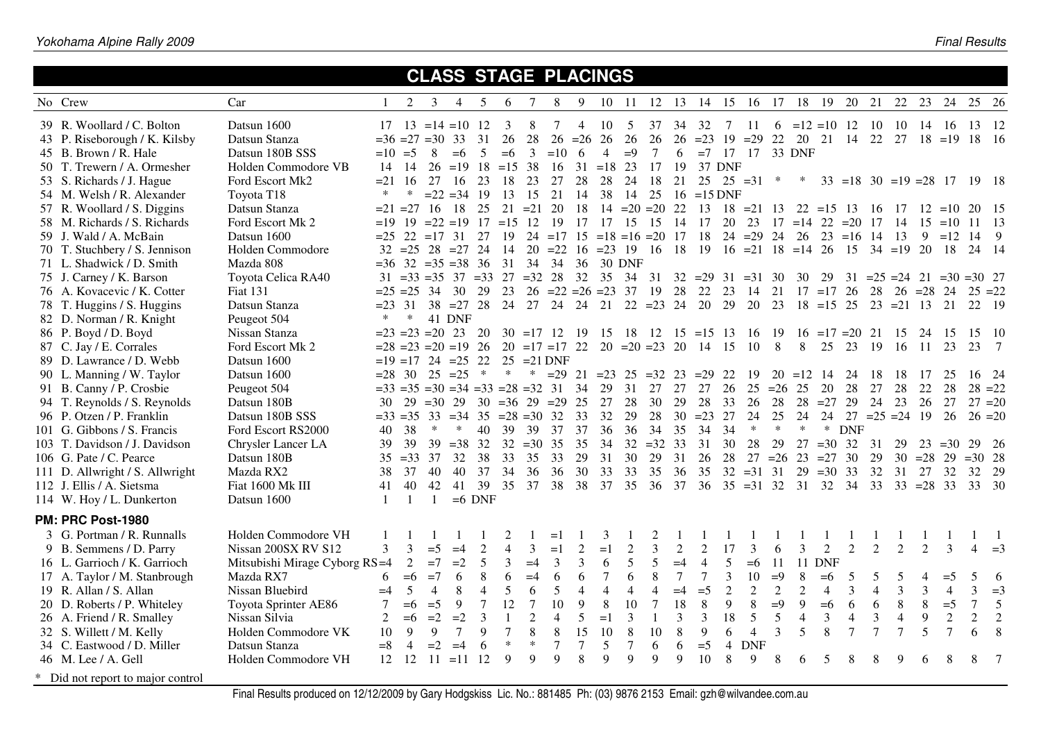### **CLASS STAGE PLACINGS**

| No Crew                           | Car                           |                | 2                       | 3              | $\overline{4}$    | 5                                                                       | 6              |                | 8                                                                       | 9              | 10             | <b>11</b>      | 12 13                                |                | 14 15          |                | 16               | 17             | 18                              | 19             | 20 21                                                            |                | 22                               | 23                     | 24                        | 25 26                    |                |
|-----------------------------------|-------------------------------|----------------|-------------------------|----------------|-------------------|-------------------------------------------------------------------------|----------------|----------------|-------------------------------------------------------------------------|----------------|----------------|----------------|--------------------------------------|----------------|----------------|----------------|------------------|----------------|---------------------------------|----------------|------------------------------------------------------------------|----------------|----------------------------------|------------------------|---------------------------|--------------------------|----------------|
| 39 R. Woollard / C. Bolton        | Datsun 1600                   | 17             |                         |                | $13 = 14 = 10$ 12 |                                                                         | 3              | 8              |                                                                         | $\overline{4}$ | 10             | 5              | 37                                   | 34             | 32             | 7              | -11              | 6              |                                 |                | $=12$ $=10$ 12 10                                                |                | 10                               | 14 16                  |                           | 13 12                    |                |
| 43 P. Riseborough / K. Kilsby     | Datsun Stanza                 |                | $=36 = 27 = 30$ 33      |                |                   | 31                                                                      | 26             | 28             |                                                                         | $26 = 26$ 26   |                | 26             | 26                                   |                |                |                |                  |                |                                 |                | $26 = 23$ 19 = 29 22 20 21 14 22 27 18 = 19 18 16                |                |                                  |                        |                           |                          |                |
| 45 B. Brown / R. Hale             | Datsun 180B SSS               |                | $=10 = 5$               | 8              | $=6$              | 5                                                                       | $=6$           | 3              | $=10$                                                                   | 6              | $\overline{4}$ | $=9$           | $7\phantom{.0}$                      | 6              |                |                |                  |                | $=7$ 17 17 33 DNF               |                |                                                                  |                |                                  |                        |                           |                          |                |
| 50 T. Trewern / A. Ormesher       | Holden Commodore VB           | 14             | -14                     |                | $26 = 19$         | -18                                                                     | $=15$          | 38             | 16                                                                      | 31             | $=18$          | 23             | 17                                   | 19             |                | 37 DNF         |                  |                |                                 |                |                                                                  |                |                                  |                        |                           |                          |                |
| 53 S. Richards / J. Hague         | Ford Escort Mk2               |                | $= 21$ 16               | 27             | 16                | 23                                                                      | 18             | 23             | 27                                                                      | 28             | 28             | 24             | 18                                   | 21             |                |                | $25 \t25 = 31$ * |                | $*$                             |                | $33 = 18$ $30 = 19 = 28$ 17 19 18                                |                |                                  |                        |                           |                          |                |
| 54 M. Welsh / R. Alexander        | Toyota T18                    |                |                         |                | $= 22 = 34$ 19    |                                                                         | 13             | 15             | 21                                                                      | 14             | 38             | 14             | 25                                   |                |                | $16 = 15$ DNF  |                  |                |                                 |                |                                                                  |                |                                  |                        |                           |                          |                |
| 57 R. Woollard / S. Diggins       | Datsun Stanza                 |                | $=21$ $=27$             | -16            | 18                | 25                                                                      |                | $21 = 21$ 20   |                                                                         | 18             |                |                | $14 = 20 = 20$ 22                    |                |                |                |                  |                |                                 |                | $13 \t18 = 21 \t13 \t22 = 15 \t13 \t16 \t17 \t12 = 10 \t20 \t15$ |                |                                  |                        |                           |                          |                |
| 58 M. Richards / S. Richards      | Ford Escort Mk 2              |                | $= 19$ 19               |                | $=22 = 19$        | 17                                                                      | $=15$          | 12             | 19                                                                      | 17             | 17             | 15             | 15                                   | 14             | 17             | 20             |                  |                |                                 |                | 23 17 = $14$ 22 = $20$ 17 14 15 = $10$                           |                |                                  |                        |                           | $11 \quad 13$            |                |
| 59 J. Wald / A. McBain            | Datsun 1600                   |                | $= 25$ 22 $= 17$ 31     |                |                   | 27                                                                      | 19             |                | $24 = 17$ $15 = 18 = 16 = 20$ 17 18                                     |                |                |                |                                      |                |                |                |                  |                |                                 |                | $24 = 29$ 24 26 23 = 16 14 13                                    |                |                                  |                        | $9 = 12 \quad 14 \quad 9$ |                          |                |
| 70 T. Stuchbery / S. Jennison     | Holden Commodore              |                | $32 = 25$ $28 = 27$ 24  |                |                   |                                                                         | 14             |                | $20 = 22$ 16 = 23 19 16 18 19 16 = 21 18 = 14 26 15 34 = 19 20 18 24 14 |                |                |                |                                      |                |                |                |                  |                |                                 |                |                                                                  |                |                                  |                        |                           |                          |                |
| 71 L. Shadwick / D. Smith         | Mazda 808                     |                | $=36$ 32 $=35$ $=38$ 36 |                |                   |                                                                         |                |                | 31 34 34                                                                | 36             | 30 DNF         |                |                                      |                |                |                |                  |                |                                 |                |                                                                  |                |                                  |                        |                           |                          |                |
| 75 J. Carney / K. Barson          | Toyota Celica RA40            |                |                         |                |                   | $31 \quad =33 \quad =35 \quad 37 \quad =33 \quad 27 \quad =32 \quad 28$ |                |                |                                                                         | 32 35          |                |                | $34$ $31$ $32$ $=29$ $31$ $=31$ $30$ |                |                |                |                  |                | 30                              | 29             |                                                                  |                | $31 = 25 = 24$ $21 = 30 = 30$ 27 |                        |                           |                          |                |
| 76 A. Kovacevic / K. Cotter       | <b>Fiat 131</b>               |                |                         |                |                   | $= 25 = 25$ 34 30 29                                                    | 23             |                | $26 = 22 = 26 = 23$ 37 19 28                                            |                |                |                |                                      |                | 22             | 23             | 14 21            |                |                                 |                | $17 = 17$ 26                                                     | 28             | $26 = 28$ 24                     |                        |                           | $25 = 22$                |                |
| 78 T. Huggins / S. Huggins        | Datsun Stanza                 |                |                         |                |                   | $= 23$ 31 38 $= 27$ 28 24 27 24 24 21 22 $= 23$ 24                      |                |                |                                                                         |                |                |                |                                      |                |                |                | 20 29 20 23      |                |                                 |                | $18 = 15$ $25$ $23 = 21$ $13$ $21$                               |                |                                  |                        |                           | 22 19                    |                |
| 82 D. Norman / R. Knight          | Peugeot 504                   | $\ast$         | $\ast$                  |                | <b>41 DNF</b>     |                                                                         |                |                |                                                                         |                |                |                |                                      |                |                |                |                  |                |                                 |                |                                                                  |                |                                  |                        |                           |                          |                |
| 86 P. Boyd / D. Boyd              | Nissan Stanza                 |                | $= 23 = 23 = 20$ 23 20  |                |                   |                                                                         |                | $30 = 17$ 12   |                                                                         | - 19           | 15             | 18             | $12 \quad 15 = 15 \quad 13$          |                |                |                | -16              | 19             |                                 |                | $16 = 17 = 20$ 21                                                |                | 15                               | 24                     | 15                        | 15 10                    |                |
| 87 C. Jay / E. Corrales           | Ford Escort Mk 2              |                |                         |                |                   | $= 28 = 23 = 20 = 19$ 26                                                |                |                | $20 = 17 = 17$ $22$ $20 = 20 = 23$ $20$ $14$ $15$                       |                |                |                |                                      |                |                |                | 10               | 8              | 8                               | 25             | 23                                                               | -19            | 16                               | $-11$                  | 23                        | 23 7                     |                |
| 89 D. Lawrance / D. Webb          | Datsun 1600                   |                | $=19$ $=17$ 24 $=25$ 22 |                |                   |                                                                         |                |                | $25 = 21$ DNF                                                           |                |                |                |                                      |                |                |                |                  |                |                                 |                |                                                                  |                |                                  |                        |                           |                          |                |
| 90 L. Manning / W. Taylor         | Datsun 1600                   |                | $= 28$ 30               |                | $25 = 25$ *       |                                                                         | $\ast$         | $\ast$         | $=29$ 21 $=23$ 25 $=32$ 23 $=29$ 22                                     |                |                |                |                                      |                |                |                | 19               |                | $20 = 12 \quad 14$              |                | 24                                                               | 18             | 18                               | 17                     |                           | 16 24                    |                |
| 91 B. Canny / P. Crosbie          | Peugeot 504                   |                |                         |                |                   | $=33$ $=35$ $=30$ $=34$ $=33$ $=28$ $=32$ 31                            |                |                |                                                                         | 34             | 29             | 31             | 27                                   | 27             | 27             | 26             | $25 = 26$ 25     |                |                                 | 20             | 28                                                               | 27             | 28                               | 22                     | 28                        | $28 = 22$                |                |
| 94 T. Reynolds / S. Reynolds      | Datsun 180B                   | 30             |                         |                |                   | $29 = 30$ $29$ $30 = 36$ $29 = 29$ $25$                                 |                |                |                                                                         |                | 27             | 28             | 30                                   | 29             | 28             | 33             | 26               |                | 28 28                           | $=27$          | 29                                                               | 24             | 23                               | 26                     | 27                        | $27 = 20$                |                |
| 96 P. Otzen / P. Franklin         | Datsun 180B SSS               |                |                         |                |                   | $=33$ $=35$ 33 $=34$ 35 $=28$ $=30$ 32                                  |                |                |                                                                         | 33             | 32             | 29             | 28                                   | 30             | $= 23$ 27      |                | 24               | 25             | 24                              |                | $24 \quad 27 = 25 = 24 \quad 19$                                 |                |                                  |                        | 26                        | $26 = 20$                |                |
| 101 G. Gibbons / S. Francis       | Ford Escort RS2000            | 40             | 38                      | $\ast$         | $\ast$            | 40                                                                      | 39             | 39             | 37                                                                      | 37             | 36             | 36             | 34                                   | 35             | 34             | 34             | $\ast$           | $\ast$         | $\ast$                          | $\ast$         | <b>DNF</b>                                                       |                |                                  |                        |                           |                          |                |
| 103 T. Davidson / J. Davidson     | Chrysler Lancer LA            | 39             | 39                      | 39             | $=38$ 32          |                                                                         |                | $32 = 30$ 35   |                                                                         | 35             | 34             |                | $32 = 32$ 33                         |                | 31             | 30             | 28               | 29             | 27                              |                | $=30$ 32                                                         | 31             | 29                               |                        | $23 = 30$                 | 29 26                    |                |
| 106 G. Pate / C. Pearce           | Datsun 180B                   |                | $35 = 33 \ 37$          |                | 32                | 38                                                                      |                | 33 35          | 33                                                                      | 29             | 31             | 30             | 29                                   | 31             | 26             | 28             |                  |                | $27 = 26$ $23 = 27$             |                | 30                                                               | 29             | $30 = 28$ 29                     |                        |                           | $=30$ 28                 |                |
| 111 D. Allwright / S. Allwright   | Mazda RX2                     | 38             | 37                      | 40             | 40                | 37                                                                      | 34             | 36             | 36                                                                      | 30             | 33             | 33             | 35                                   | 36             | 35             |                |                  |                | $32 \t=31 \t31 \t29 \t=30 \t33$ |                |                                                                  | 32             | 31 27 32                         |                        |                           | 32 29                    |                |
| 112 J. Ellis / A. Sietsma         | Fiat 1600 Mk III              | 41             | 40                      | 42             | 41                | 39                                                                      |                | 35 37          | 38                                                                      | 38             | 37             | 35             | 36                                   | 37             | 36             |                | $35 = 31$ 32     |                | 31                              | 32             | 34                                                               | 33             | $33 = 28$ 33                     |                        |                           | 33 30                    |                |
| 114 W. Hoy / L. Dunkerton         | Datsun 1600                   | $\mathbf{1}$   | $\overline{1}$          | $\overline{1}$ |                   | $=6$ DNF                                                                |                |                |                                                                         |                |                |                |                                      |                |                |                |                  |                |                                 |                |                                                                  |                |                                  |                        |                           |                          |                |
| PM: PRC Post-1980                 |                               |                |                         |                |                   |                                                                         |                |                |                                                                         |                |                |                |                                      |                |                |                |                  |                |                                 |                |                                                                  |                |                                  |                        |                           |                          |                |
| 3 G. Portman / R. Runnalls        | Holden Commodore VH           |                |                         |                |                   |                                                                         |                |                | $=$ ]                                                                   |                | 3              |                |                                      |                |                |                |                  |                |                                 |                |                                                                  |                |                                  |                        |                           |                          |                |
| 9 B. Semmens / D. Parry           | Nissan 200SX RV S12           | 3              | 3                       | $=$ 5          | $=4$              | $\overline{2}$                                                          | $\overline{4}$ | 3              | $=1$                                                                    | $\overline{2}$ | $=1$           | $\overline{2}$ | $\mathfrak{Z}$                       | $\overline{2}$ | $\overline{2}$ | 17             | $\mathfrak{Z}$   | 6              | $\overline{3}$                  | $\overline{2}$ | $\overline{2}$                                                   | $\overline{2}$ | $\overline{2}$                   | $\mathcal{D}_{\alpha}$ | 3                         | $\overline{\mathcal{A}}$ | $=$ 3          |
| 16 L. Garrioch / K. Garrioch      | Mitsubishi Mirage Cyborg RS=4 |                | 2                       | $=7$           | $=2$              | 5                                                                       | 3              | $=4$           | $\overline{3}$                                                          | $\mathfrak{Z}$ | $\sqrt{6}$     | 5              | 5                                    | $=4$           | $\overline{4}$ | 5              | $=6$             | 11             |                                 | <b>11 DNF</b>  |                                                                  |                |                                  |                        |                           |                          |                |
| 17 A. Taylor / M. Stanbrough      | Mazda RX7                     | 6              | $=6$                    | $=7$           | 6                 | 8                                                                       | 6              | $=4$           | 6                                                                       | 6              | $\overline{7}$ | 6              | 8                                    | $\overline{7}$ | $\tau$         | 3              | 10               | $=9$           | 8                               | $=6$           | 5                                                                | 5              | 5                                | 4                      | $=5$                      | 5                        | -6             |
| 19 R. Allan / S. Allan            | Nissan Bluebird               | $=4$           | 5                       | $\overline{4}$ | 8                 | $\overline{4}$                                                          | 5              | 6              | 5                                                                       | $\overline{4}$ | $\overline{4}$ | $\overline{4}$ | $\overline{4}$                       | $=4$           | $=5$           | $\overline{2}$ | $\overline{2}$   | $\overline{2}$ | $\overline{2}$                  | $\overline{4}$ | $\overline{3}$                                                   | $\overline{4}$ | 3                                | 3                      | $\overline{4}$            | $\overline{3}$           | $=3$           |
| 20 D. Roberts / P. Whiteley       | Toyota Sprinter AE86          | $\tau$         | $=6$                    | $=$ 5          | 9                 | $7\phantom{.0}$                                                         | 12             | $\tau$         | 10                                                                      | 9              | 8              | 10             | $\overline{7}$                       | 18             | $\,8\,$        | 9              | 8                | $=9$           | 9                               | $=6$           | 6                                                                | 6              | 8                                | 8                      | $=5$                      | $\overline{7}$           | 5              |
| 26 A. Friend / R. Smalley         | Nissan Silvia                 | $\overline{2}$ | $=6$                    | $=2$ $=2$      |                   | $\overline{3}$                                                          | 1              | $\mathfrak{2}$ | $\overline{4}$                                                          | 5              | $=1$           | 3              | -1                                   | $\mathfrak{Z}$ | $\mathfrak{Z}$ | 18             | 5                | 5              | $\overline{4}$                  | 3              | $\overline{4}$                                                   | 3              | $\overline{4}$                   | 9                      | $\overline{2}$            | $\overline{2}$           | 2              |
| 32 S. Willett / M. Kelly          | Holden Commodore VK           | 10             | 9                       | 9              | $\tau$            | 9                                                                       | $\tau$         | 8              | 8                                                                       | 15             | 10             | 8              | 10                                   | 8              | 9              | 6              | $\overline{4}$   | 3              | $\overline{5}$                  | 8              | $\overline{7}$                                                   | $\overline{7}$ | $\tau$                           | 5                      | $\overline{7}$            | 6                        | 8              |
| 34 C. Eastwood / D. Miller        | Datsun Stanza                 | $=$ 8          | $\overline{4}$          | $=2$           | $=4$              | 6                                                                       | $\ast$         | $\ast$         | $\overline{7}$                                                          | $\tau$         | 5              |                | 6                                    | 6              | $=5$           | $\overline{4}$ | <b>DNF</b>       |                |                                 |                |                                                                  |                |                                  |                        |                           |                          |                |
| 46 M. Lee / A. Gell               | Holden Commodore VH           | 12             | 12                      |                | $11 = 11$         | 12                                                                      | 9              | $\mathbf Q$    | $\mathbf Q$                                                             | 8              | 9              | $\mathbf Q$    | $\mathbf Q$                          | $\mathbf Q$    | 10             | 8              | 9                | 8              | 6                               | 5              | 8                                                                | 8              |                                  |                        |                           | 8                        | $\overline{7}$ |
| * Did not report to major control |                               |                |                         |                |                   |                                                                         |                |                |                                                                         |                |                |                |                                      |                |                |                |                  |                |                                 |                |                                                                  |                |                                  |                        |                           |                          |                |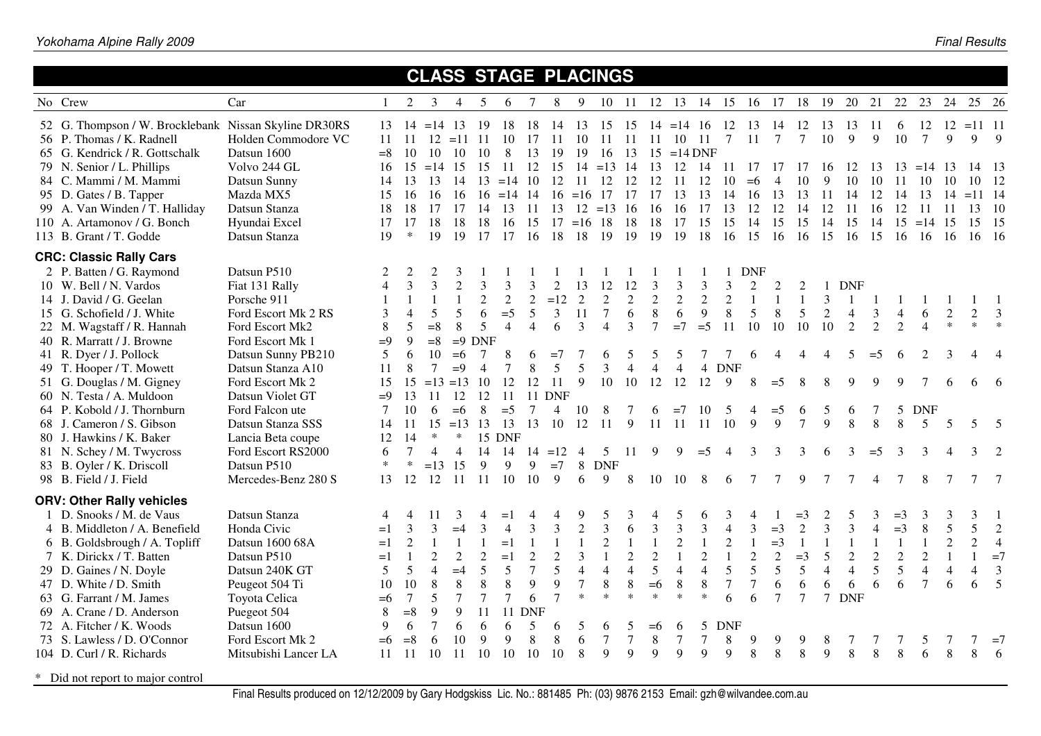# **CLASS STAGE PLACINGS**

| No Crew                                                | Car                            |                | $\overline{2}$ | 3              | $\overline{4}$          | 5              | 6              |                          | 8              | 9              | 10                       | -11            |                | 12 13          | 14 15          |                | 16             | 17                          | 18             | 19             | 20             | 21             | 22             | 23              | 24                   |                          | 25 26          |
|--------------------------------------------------------|--------------------------------|----------------|----------------|----------------|-------------------------|----------------|----------------|--------------------------|----------------|----------------|--------------------------|----------------|----------------|----------------|----------------|----------------|----------------|-----------------------------|----------------|----------------|----------------|----------------|----------------|-----------------|----------------------|--------------------------|----------------|
| 52 G. Thompson / W. Brocklebank Nissan Skyline DR30RS  |                                | 13 14          |                | $=14$          | 13                      | 19             | 18             | 18                       | 14             | 13             | 15                       | 15             |                | $14 = 14$ 16   |                | 12             | 13             | 14                          | -12            | 13             | 13             | -11            | -6             | 12              | 12                   | $=11$ 11                 |                |
| 56 P. Thomas / K. Radnell                              | Holden Commodore VC            | 11             |                | 12             | $=11$                   | -11            | 10             |                          |                |                |                          |                | 11             | 10             | 11             | $\tau$         | <b>11</b>      | 7                           | $\tau$         | 10             | 9              | $\mathbf Q$    | 10             | $\tau$          | $\mathbf Q$          | $\mathbf Q$              | $\overline{Q}$ |
| 65 G. Kendrick / R. Gottschalk                         | Datsun 1600                    | $= 8$          | 10             | 10             | 10                      | 10             | 8              | 13                       | 19             | 19             | -16                      | 13             |                | $15 = 14$ DNF  |                |                |                |                             |                |                |                |                |                |                 |                      |                          |                |
| 79 N. Senior / L. Phillips                             | Volvo 244 GL                   | 16             |                | $15 = 14$      | 15                      | 15             | -11            | 12                       | 15             | 14             | $=13$                    | -14            | 13             | 12             | 14             | -11            | 17             | 17                          | 17             | -16            | 12             | 13             | 13             | $=14$           | 13                   |                          | 14 13          |
| 84 C. Mammi / M. Mammi                                 | Datsun Sunny                   | 14             | 13             | 13             | 14                      | 13             | $=14$          | 10                       | 12             |                | 12                       | 12             | 12             | -11            | 12             | 10             | $=6$           | $\overline{4}$              | 10             | 9              | 10             | 10             | 11             | 10              |                      |                          | 10 12          |
| 95 D. Gates / B. Tapper                                | Mazda MX5<br>Datsun Stanza     | 15             | 16<br>18       | 16             | 16                      | 16             | $=14$          | 14                       | 16             | $=16$          | 17                       | 17             | 17             | 13             | 13<br>17       | 14<br>13       | 16             | 13                          | 13             | 12             | 14             | 12             | 14             | 13              | 14                   | $= 11$ 14                | 13 10          |
| 99 A. Van Winden / T. Halliday                         |                                | 18             |                | 17<br>18       | 17<br>18                | 14             | 13             |                          | 13             | 12             | $=13$                    | 16             | 16             | 16             |                |                | 12             | 12                          | 14             |                | 11             | 16<br>14       | 12<br>15       |                 |                      | 15 15                    |                |
| 110 A. Artamonov / G. Bonch<br>113 B. Grant / T. Godde | Hyundai Excel<br>Datsun Stanza | 17<br>19       | 17<br>*        | 19             | 19                      | 18<br>17       | 16<br>17       | 15<br>16                 | 17<br>18       | $=16$ 18<br>18 | -19                      | 18<br>19       | 18<br>19       | 17<br>19       | 15<br>18       | 15<br>16       | 14<br>15       | 15<br>- 16                  | 15<br>-16      | 14<br>15       | 15<br>16       | 15             | 16             | $=14$ 15<br>-16 | 16                   | 16 16                    |                |
|                                                        |                                |                |                |                |                         |                |                |                          |                |                |                          |                |                |                |                |                |                |                             |                |                |                |                |                |                 |                      |                          |                |
| <b>CRC: Classic Rally Cars</b>                         |                                |                |                |                |                         |                |                |                          |                |                |                          |                |                |                |                |                |                |                             |                |                |                |                |                |                 |                      |                          |                |
| 2 P. Batten / G. Raymond                               | Datsun P510                    | 2              |                |                |                         |                |                |                          |                |                |                          |                |                |                |                |                | <b>DNF</b>     |                             |                |                |                |                |                |                 |                      |                          |                |
| 10 W. Bell / N. Vardos                                 | Fiat 131 Rally                 | $\overline{4}$ | $\overline{3}$ | 3              | $\mathfrak{D}$          | 3              |                |                          | $\mathcal{D}$  | 13             | 12                       | 12             | 3              | 3              | 3              | 3              | $\mathcal{L}$  | $\mathcal{D}_{\mathcal{L}}$ | 2              |                | <b>DNF</b>     |                |                |                 |                      |                          |                |
| 14 J. David / G. Geelan                                | Porsche 911                    |                |                |                |                         | $\overline{2}$ | $\overline{2}$ | $\overline{2}$           | $=12$          | 2              | $\overline{2}$           | $\overline{2}$ | $\sqrt{2}$     | $\overline{2}$ | $\overline{2}$ | $\overline{2}$ |                |                             |                | 3              |                |                |                |                 |                      |                          |                |
| 15 G. Schofield / J. White                             | Ford Escort Mk 2 RS            | 3              | $\overline{4}$ | 5              | $\overline{\mathbf{5}}$ | 6              | $=5$           | 5                        | $\mathfrak{Z}$ | 11             | $\overline{7}$           | 6              | 8              | 6              | 9              | 8              | 5              | 8                           | 5              | $\overline{2}$ | $\overline{4}$ | 3              | $\overline{4}$ | 6               | $\sqrt{2}$<br>$\ast$ | $\overline{2}$<br>$\ast$ | 3              |
| 22 M. Wagstaff / R. Hannah                             | Ford Escort Mk2                | 8              | 5              | $=8$           | 8                       | 5              | $\overline{4}$ | $\Delta$                 | 6              | $\overline{3}$ | $\overline{\mathcal{L}}$ | $\mathbf{3}$   | $\overline{7}$ | $=7$           | $=5$           | -11            | 10             | 10                          | 10             | 10             | 2              | $\mathfrak{D}$ | $\overline{2}$ | $\Delta$        |                      |                          |                |
| 40 R. Marratt / J. Browne                              | Ford Escort Mk 1               | $=9$           | 9              | $= 8$          | $=9$                    | <b>DNF</b>     |                |                          |                |                |                          |                |                |                |                |                |                |                             |                |                |                |                |                |                 |                      |                          |                |
| 41 R. Dyer / J. Pollock                                | Datsun Sunny PB210             | 5              | 6              | 10             | $=6$                    | 7              |                |                          | $=7$           |                |                          |                |                |                |                |                | 6              |                             |                |                |                |                |                |                 |                      |                          |                |
| 49 T. Hooper / T. Mowett                               | Datsun Stanza A10              | 11             | 8              | 7              | $=9$                    | $\overline{4}$ |                | 8                        | 5              | 5              | 3                        | $\overline{4}$ | $\overline{4}$ | $\overline{4}$ | $\overline{4}$ | <b>DNF</b>     |                |                             |                |                |                |                |                |                 |                      |                          |                |
| 51 G. Douglas / M. Gigney                              | Ford Escort Mk 2               | 15             | 15             | $=13$ $=13$    |                         | 10             | 12             | 12                       | 11             | 9              | 10                       | 10             | 12             | 12             | 12             | 9              | 8              | $=$ 5                       | $\mathbf{8}$   |                | Q              | $\Omega$       |                |                 |                      |                          | 6              |
| 60 N. Testa / A. Muldoon                               | Datsun Violet GT               | $=9$           | 13             | -11            | 12                      | 12             | 11             |                          | <b>11 DNF</b>  |                |                          |                |                |                |                |                |                |                             |                |                |                |                |                |                 |                      |                          |                |
| 64 P. Kobold / J. Thornburn                            | Ford Falcon ute                | $\tau$         | 10             | 6              | $=6$                    | 8              | $=$ 5          | 7                        | $\overline{4}$ | 10             | 8                        |                | 6              | $=7$           | 10             |                | 4              | $=5$                        | 6              | 5              | 6              |                | 5              | <b>DNF</b>      |                      |                          |                |
| 68 J. Cameron / S. Gibson                              | Datsun Stanza SSS              | 14             | 11             | 15             | $=13$                   | 13             | 13             | 13                       | 10             | 12             | 11                       | 9              | 11             | 11             | 11             | 10             | $\mathbf Q$    | $\mathbf{Q}$                | $\tau$         | $\mathbf Q$    | 8              | 8              | 8              | 5               | 5                    | 5                        | $\overline{5}$ |
| 80 J. Hawkins / K. Baker                               | Lancia Beta coupe              | 12             | 14             | ∗              | $\ast$                  |                | <b>15 DNF</b>  |                          |                |                |                          |                |                |                |                |                |                |                             |                |                |                |                |                |                 |                      |                          |                |
| 81 N. Schey / M. Twycross                              | Ford Escort RS2000             | 6              | 7              | 4              | 4                       | 14             | 14             |                          | $14 = 12$      | $\overline{4}$ | 5                        | 11             | 9              | 9              | $=$ 5          |                | 3              | 3                           |                |                |                | $=$ 5          |                |                 |                      | 3                        | $\mathcal{L}$  |
| 83 B. Oyler / K. Driscoll                              | Datsun P510                    | $\ast$         | $\ast$         | $=13$          | 15                      | 9              | 9              | 9                        | $=7$           | 8              | <b>DNF</b>               |                |                |                |                |                |                |                             |                |                |                |                |                |                 |                      |                          |                |
| 98 B. Field / J. Field                                 | Mercedes-Benz 280 S            | 13             | 12             | 12             | -11                     | 11             | 10             | 10                       | 9              | 6              | 9                        | 8              | 10             | 10             | 8              |                |                |                             |                |                |                |                |                |                 |                      |                          |                |
| <b>ORV: Other Rally vehicles</b>                       |                                |                |                |                |                         |                |                |                          |                |                |                          |                |                |                |                |                |                |                             |                |                |                |                |                |                 |                      |                          |                |
| 1 D. Snooks / M. de Vaus                               | Datsun Stanza                  |                |                |                |                         |                |                |                          |                | 9              |                          |                |                | 5              | 6              | 3              |                |                             | $=$ 3          |                |                |                |                |                 |                      | 3                        |                |
| 4 B. Middleton / A. Benefield                          | Honda Civic                    | $=1$           | 3              |                | $=4$                    | 3              |                |                          | 3              | $\sqrt{2}$     | $\overline{3}$           | 6              | $\mathfrak{Z}$ | $\mathfrak{Z}$ | $\overline{3}$ | $\overline{4}$ | 3              | $=$ 3                       | $\overline{2}$ | 3              | 3              | $\overline{4}$ | $=$ 3          | $8\,$           | 5                    | 5                        | $\overline{2}$ |
| 6 B. Goldsbrough / A. Topliff                          | Datsun 1600 68A                | $=1$           | $\overline{2}$ |                |                         |                | $=1$           |                          |                | $\,1\,$        | $\sqrt{2}$               |                | $\mathbf{1}$   | $\overline{c}$ | $1\,$          | $\sqrt{2}$     |                | $=$ 3                       | $\overline{1}$ |                | $\overline{1}$ |                | $\overline{1}$ |                 | $\sqrt{2}$           | $\overline{2}$           | $\overline{4}$ |
| 7 K. Dirickx / T. Batten                               | Datsun P510                    | $=1$           |                | $\mathfrak{D}$ | $\overline{2}$          | $\overline{2}$ | $=1$           | $\overline{2}$           | $\overline{c}$ | 3              | $\mathbf{1}$             | $\overline{2}$ | $\sqrt{2}$     | $\mathbf{1}$   | $\sqrt{2}$     |                | $\overline{2}$ | $\overline{2}$              | $=3$           | 5              | $\overline{2}$ | $\overline{2}$ | $\overline{c}$ | $\overline{2}$  |                      | $\mathbf{1}$             | $=7$           |
| 29 D. Gaines / N. Doyle                                | Datsun 240K GT                 | 5              | 5              | $\overline{4}$ | $=4$                    | 5              | 5              | 7                        | 5              | $\overline{4}$ | $\overline{4}$           | $\overline{4}$ | $\mathfrak{S}$ | $\overline{4}$ | $\overline{4}$ | 5              | 5              | 5                           | 5              | $\overline{4}$ | $\overline{4}$ | 5              | 5              | $\overline{4}$  | $\overline{4}$       | $\overline{4}$           | $\mathfrak{Z}$ |
| 47 D. White / D. Smith                                 | Peugeot 504 Ti                 | 10             | 10             | 8              | 8                       | 8              | $8\,$          | 9                        | $\mathbf{9}$   | $\overline{7}$ | 8                        | 8              | $=6$           | $\,8\,$        | $\,8\,$        | $\overline{7}$ | $\overline{7}$ | 6                           | 6              | 6              | 6              | 6              | 6              | $\tau$          | 6                    | 6                        | 5              |
| 63 G. Farrant / M. James                               | Toyota Celica                  | $=6$           | $\tau$         | 5              | $\overline{7}$          | 7              | $\tau$         | 6                        | $\overline{7}$ | $\ast$         | $*$                      | $\ast$         | $\ast$         | $\ast$         | $\ast$         | 6              | 6              | $\tau$                      | $\tau$         |                | 7 DNF          |                |                |                 |                      |                          |                |
| 69 A. Crane / D. Anderson                              | Puegeot 504                    | 8              | $=8$           | 9              | 9                       | 11             | <b>11 DNF</b>  |                          |                |                |                          |                |                |                |                |                |                |                             |                |                |                |                |                |                 |                      |                          |                |
| 72 A. Fitcher / K. Woods                               | Datsun 1600                    | 9              | 6              | 7              | 6                       | 6              | 6              | $\overline{\mathcal{L}}$ | 6              | 5              | 6                        |                | $= 6$          |                | 5              | <b>DNF</b>     |                |                             |                |                |                |                |                |                 |                      |                          |                |
| 73 S. Lawless / D. O'Connor                            | Ford Escort Mk 2               | $=6$           | $= 8$          | 6              | 10                      | 9              | 9              | 8                        | 8              | 6              | 7                        |                | 8              | 7              | 7              | 8              | 9              | 9                           | 9              | 8              |                |                |                |                 |                      |                          | $=7$           |
| 104 D. Curl / R. Richards                              | Mitsubishi Lancer LA           | 11             | -11            | 10             | 11                      | 10             | 10             | 10                       | 10             | 8              | 9                        | 9              | $\mathbf Q$    | $\mathbf Q$    | 9              | $\mathbf Q$    | 8              | 8                           | 8              | 9              | 8              | 8              | 8              | 6               | 8                    | 8                        |                |

\* Did not report to major control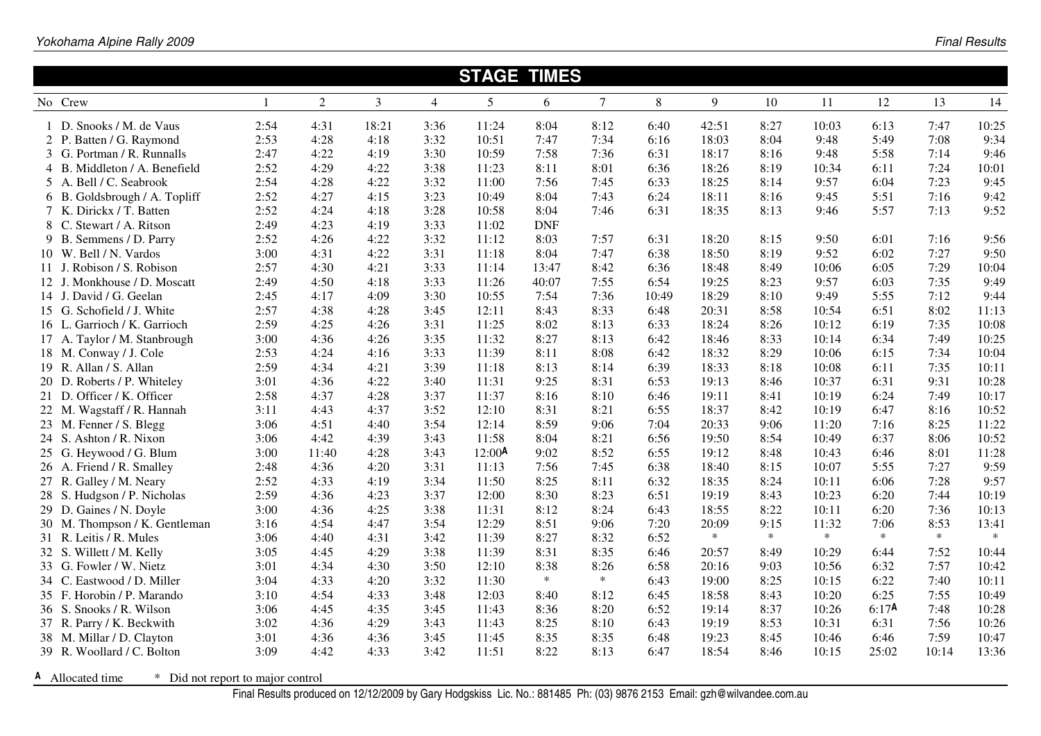|       |                                  |              |                |                |                | <b>STAGE TIMES</b> |                |                |       |        |        |        |                   |        |        |
|-------|----------------------------------|--------------|----------------|----------------|----------------|--------------------|----------------|----------------|-------|--------|--------|--------|-------------------|--------|--------|
|       | No Crew                          | $\mathbf{1}$ | $\overline{2}$ | $\overline{3}$ | $\overline{4}$ | $5\overline{)}$    | 6              | $\overline{7}$ | 8     | 9      | 10     | 11     | 12                | 13     | 14     |
|       | D. Snooks / M. de Vaus           | 2:54         | 4:31           | 18:21          | 3:36           | 11:24              | 8:04           | 8:12           | 6:40  | 42:51  | 8:27   | 10:03  | 6:13              | 7:47   | 10:25  |
|       | 2 P. Batten / G. Raymond         | 2:53         | 4:28           | 4:18           | 3:32           | 10:51              | 7:47           | 7:34           | 6:16  | 18:03  | 8:04   | 9:48   | 5:49              | 7:08   | 9:34   |
|       | 3 G. Portman / R. Runnalls       | 2:47         | 4:22           | 4:19           | 3:30           | 10:59              | 7:58           | 7:36           | 6:31  | 18:17  | 8:16   | 9:48   | 5:58              | 7:14   | 9:46   |
|       | Middleton / A. Benefield<br>4 B. | 2:52         | 4:29           | 4:22           | 3:38           | 11:23              | 8:11           | 8:01           | 6:36  | 18:26  | 8:19   | 10:34  | 6:11              | 7:24   | 10:01  |
|       | 5 A. Bell / C. Seabrook          | 2:54         | 4:28           | 4:22           | 3:32           | 11:00              | 7:56           | 7:45           | 6:33  | 18:25  | 8:14   | 9:57   | 6:04              | 7:23   | 9:45   |
|       | 6 B.<br>Goldsbrough / A. Topliff | 2:52         | 4:27           | 4:15           | 3:23           | 10:49              | 8:04           | 7:43           | 6:24  | 18:11  | 8:16   | 9:45   | 5:51              | 7:16   | 9:42   |
|       | 7 K. Dirickx / T. Batten         | 2:52         | 4:24           | 4:18           | 3:28           | 10:58              | 8:04           | 7:46           | 6:31  | 18:35  | 8:13   | 9:46   | 5:57              | 7:13   | 9:52   |
|       | 8 C.<br>Stewart / A. Ritson      | 2:49         | 4:23           | 4:19           | 3:33           | 11:02              | <b>DNF</b>     |                |       |        |        |        |                   |        |        |
|       | 9 B. Semmens / D. Parry          | 2:52         | 4:26           | 4:22           | 3:32           | 11:12              | 8:03           | 7:57           | 6:31  | 18:20  | 8:15   | 9:50   | 6:01              | 7:16   | 9:56   |
|       | 10 W. Bell / N. Vardos           | 3:00         | 4:31           | 4:22           | 3:31           | 11:18              | 8:04           | 7:47           | 6:38  | 18:50  | 8:19   | 9:52   | 6:02              | 7:27   | 9:50   |
|       | 11 J. Robison / S. Robison       | 2:57         | 4:30           | 4:21           | 3:33           | 11:14              | 13:47          | 8:42           | 6:36  | 18:48  | 8:49   | 10:06  | 6:05              | 7:29   | 10:04  |
|       | 12 J. Monkhouse / D. Moscatt     | 2:49         | 4:50           | 4:18           | 3:33           | 11:26              | 40:07          | 7:55           | 6:54  | 19:25  | 8:23   | 9:57   | 6:03              | 7:35   | 9:49   |
|       | 14 J. David / G. Geelan          | 2:45         | 4:17           | 4:09           | 3:30           | 10:55              | 7:54           | 7:36           | 10:49 | 18:29  | 8:10   | 9:49   | 5:55              | 7:12   | 9:44   |
| 15 G. | Schofield / J. White             | 2:57         | 4:38           | 4:28           | 3:45           | 12:11              | 8:43           | 8:33           | 6:48  | 20:31  | 8:58   | 10:54  | 6:51              | 8:02   | 11:13  |
|       | Garrioch / K. Garrioch<br>16 L.  | 2:59         | 4:25           | 4:26           | 3:31           | 11:25              | 8:02           | 8:13           | 6:33  | 18:24  | 8:26   | 10:12  | 6:19              | 7:35   | 10:08  |
|       | 17 A. Taylor / M. Stanbrough     | 3:00         | 4:36           | 4:26           | 3:35           | 11:32              | 8:27           | 8:13           | 6:42  | 18:46  | 8:33   | 10:14  | 6:34              | 7:49   | 10:25  |
|       | 18 M. Conway / J. Cole           | 2:53         | 4:24           | 4:16           | 3:33           | 11:39              | 8:11           | 8:08           | 6:42  | 18:32  | 8:29   | 10:06  | 6:15              | 7:34   | 10:04  |
|       | 19 R. Allan / S. Allan           | 2:59         | 4:34           | 4:21           | 3:39           | 11:18              | 8:13           | 8:14           | 6:39  | 18:33  | 8:18   | 10:08  | 6:11              | 7:35   | 10:11  |
|       | 20 D. Roberts / P. Whiteley      | 3:01         | 4:36           | 4:22           | 3:40           | 11:31              | 9:25           | 8:31           | 6:53  | 19:13  | 8:46   | 10:37  | 6:31              | 9:31   | 10:28  |
| 21 D. | Officer / K. Officer             | 2:58         | 4:37           | 4:28           | 3:37           | 11:37              | 8:16           | 8:10           | 6:46  | 19:11  | 8:41   | 10:19  | 6:24              | 7:49   | 10:17  |
|       | 22 M. Wagstaff / R. Hannah       | 3:11         | 4:43           | 4:37           | 3:52           | 12:10              | 8:31           | 8:21           | 6:55  | 18:37  | 8:42   | 10:19  | 6:47              | 8:16   | 10:52  |
|       | 23 M. Fenner / S. Blegg          | 3:06         | 4:51           | 4:40           | 3:54           | 12:14              | 8:59           | 9:06           | 7:04  | 20:33  | 9:06   | 11:20  | 7:16              | 8:25   | 11:22  |
|       | 24 S. Ashton / R. Nixon          | 3:06         | 4:42           | 4:39           | 3:43           | 11:58              | 8:04           | 8:21           | 6:56  | 19:50  | 8:54   | 10:49  | 6:37              | 8:06   | 10:52  |
| 25    | G. Heywood / G. Blum             | 3:00         | 11:40          | 4:28           | 3:43           | 12:00A             | 9:02           | 8:52           | 6:55  | 19:12  | 8:48   | 10:43  | 6:46              | 8:01   | 11:28  |
|       | 26 A. Friend / R. Smalley        | 2:48         | 4:36           | 4:20           | 3:31           | 11:13              | 7:56           | 7:45           | 6:38  | 18:40  | 8:15   | 10:07  | 5:55              | 7:27   | 9:59   |
|       | 27 R. Galley / M. Neary          | 2:52         | 4:33           | 4:19           | 3:34           | 11:50              | 8:25           | 8:11           | 6:32  | 18:35  | 8:24   | 10:11  | 6:06              | 7:28   | 9:57   |
|       | 28 S. Hudgson / P. Nicholas      | 2:59         | 4:36           | 4:23           | 3:37           | 12:00              | 8:30           | 8:23           | 6:51  | 19:19  | 8:43   | 10:23  | 6:20              | 7:44   | 10:19  |
|       | 29 D. Gaines / N. Doyle          | 3:00         | 4:36           | 4:25           | 3:38           | 11:31              | 8:12           | 8:24           | 6:43  | 18:55  | 8:22   | 10:11  | 6:20              | 7:36   | 10:13  |
|       |                                  |              | 4:54           | 4:47           |                | 12:29              | 8:51           |                | 7:20  | 20:09  | 9:15   | 11:32  | 7:06              | 8:53   | 13:41  |
| 31 R. | 30 M.<br>Thompson / K. Gentleman | 3:16         | 4:40           |                | 3:54           | 11:39              | 8:27           | 9:06<br>8:32   | 6:52  | $\ast$ | $\ast$ | $\ast$ | $\ast$            | $\ast$ | $\ast$ |
|       | Leitis / R. Mules                | 3:06         |                | 4:31           | 3:42           |                    |                |                |       |        |        |        |                   |        |        |
|       | 32 S. Willett / M. Kelly         | 3:05         | 4:45           | 4:29           | 3:38           | 11:39              | 8:31           | 8:35           | 6:46  | 20:57  | 8:49   | 10:29  | 6:44              | 7:52   | 10:44  |
|       | 33 G. Fowler / W. Nietz          | 3:01         | 4:34           | 4:30           | 3:50           | 12:10              | 8:38<br>$\ast$ | 8:26<br>$\ast$ | 6:58  | 20:16  | 9:03   | 10:56  | 6:32              | 7:57   | 10:42  |
| 34    | C.<br>Eastwood / D. Miller       | 3:04         | 4:33           | 4:20           | 3:32           | 11:30              |                |                | 6:43  | 19:00  | 8:25   | 10:15  | 6:22              | 7:40   | 10:11  |
|       | 35 F. Horobin / P. Marando       | 3:10         | 4:54           | 4:33           | 3:48           | 12:03              | 8:40           | 8:12           | 6:45  | 18:58  | 8:43   | 10:20  | 6:25              | 7:55   | 10:49  |
|       | 36 S. Snooks / R. Wilson         | 3:06         | 4:45           | 4:35           | 3:45           | 11:43              | 8:36           | 8:20           | 6:52  | 19:14  | 8:37   | 10:26  | 6:17 <sup>A</sup> | 7:48   | 10:28  |
|       | 37 R. Parry / K. Beckwith        | 3:02         | 4:36           | 4:29           | 3:43           | 11:43              | 8:25           | 8:10           | 6:43  | 19:19  | 8:53   | 10:31  | 6:31              | 7:56   | 10:26  |
|       | 38 M. Millar / D. Clayton        | 3:01         | 4:36           | 4:36           | 3:45           | 11:45              | 8:35           | 8:35           | 6:48  | 19:23  | 8:45   | 10:46  | 6:46              | 7:59   | 10:47  |
|       | 39 R. Woollard / C. Bolton       | 3:09         | 4:42           | 4:33           | 3:42           | 11:51              | 8:22           | 8:13           | 6:47  | 18:54  | 8:46   | 10:15  | 25:02             | 10:14  | 13:36  |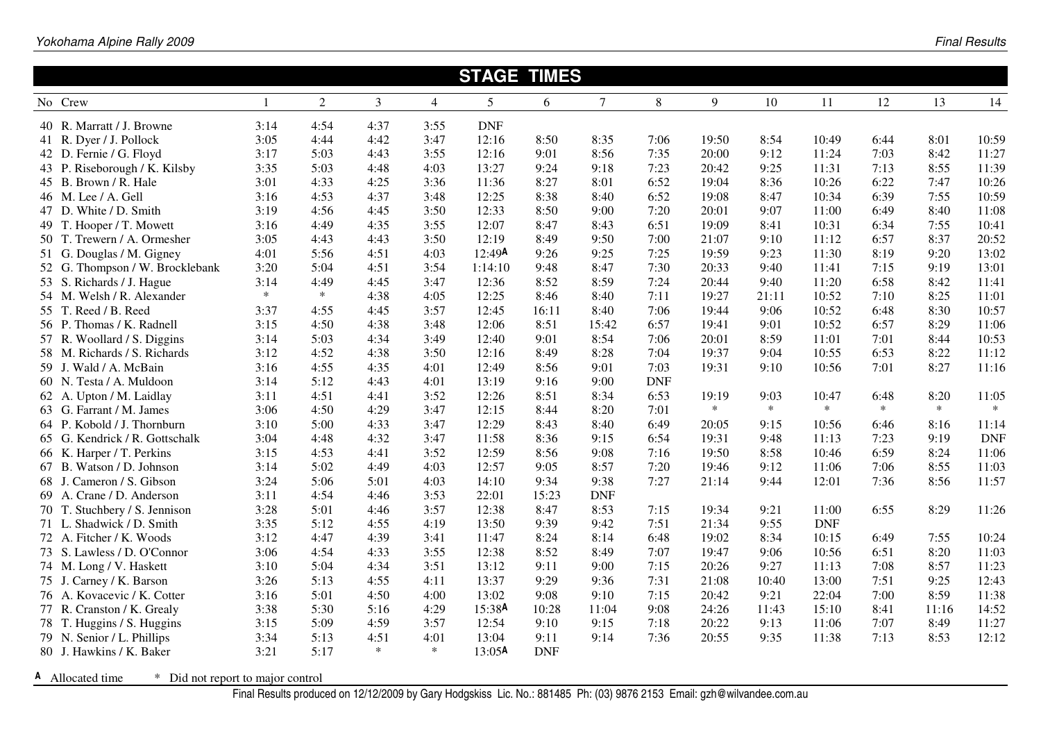|       |                                    |        |                |                |                | <b>STAGE TIMES</b> |            |                |            |        |        |            |        |        |            |
|-------|------------------------------------|--------|----------------|----------------|----------------|--------------------|------------|----------------|------------|--------|--------|------------|--------|--------|------------|
|       | No Crew                            |        | $\overline{2}$ | $\overline{3}$ | $\overline{4}$ | $5\overline{)}$    | 6          | $\overline{7}$ | 8          | 9      | 10     | 11         | 12     | 13     | 14         |
|       | 40 R. Marratt / J. Browne          | 3:14   | 4:54           | 4:37           | 3:55           | <b>DNF</b>         |            |                |            |        |        |            |        |        |            |
|       | 41 R. Dyer / J. Pollock            | 3:05   | 4:44           | 4:42           | 3:47           | 12:16              | 8:50       | 8:35           | 7:06       | 19:50  | 8:54   | 10:49      | 6:44   | 8:01   | 10:59      |
|       | 42 D. Fernie / G. Floyd            | 3:17   | 5:03           | 4:43           | 3:55           | 12:16              | 9:01       | 8:56           | 7:35       | 20:00  | 9:12   | 11:24      | 7:03   | 8:42   | 11:27      |
|       | 43 P. Riseborough / K. Kilsby      | 3:35   | 5:03           | 4:48           | 4:03           | 13:27              | 9:24       | 9:18           | 7:23       | 20:42  | 9:25   | 11:31      | 7:13   | 8:55   | 11:39      |
|       | 45 B.<br>Brown / R. Hale           | 3:01   | 4:33           | 4:25           | 3:36           | 11:36              | 8:27       | 8:01           | 6:52       | 19:04  | 8:36   | 10:26      | 6:22   | 7:47   | 10:26      |
|       | 46 M. Lee / A. Gell                | 3:16   | 4:53           | 4:37           | 3:48           | 12:25              | 8:38       | 8:40           | 6:52       | 19:08  | 8:47   | 10:34      | 6:39   | 7:55   | 10:59      |
| 47    | D. White / D. Smith                | 3:19   | 4:56           | 4:45           | 3:50           | 12:33              | 8:50       | 9:00           | 7:20       | 20:01  | 9:07   | 11:00      | 6:49   | 8:40   | 11:08      |
|       | 49 T. Hooper / T. Mowett           | 3:16   | 4:49           | 4:35           | 3:55           | 12:07              | 8:47       | 8:43           | 6:51       | 19:09  | 8:41   | 10:31      | 6:34   | 7:55   | 10:41      |
|       | 50 T. Trewern / A. Ormesher        | 3:05   | 4:43           | 4:43           | 3:50           | 12:19              | 8:49       | 9:50           | 7:00       | 21:07  | 9:10   | 11:12      | 6:57   | 8:37   | 20:52      |
|       | 51 G. Douglas / M. Gigney          | 4:01   | 5:56           | 4:51           | 4:03           | 12:49A             | 9:26       | 9:25           | 7:25       | 19:59  | 9:23   | 11:30      | 8:19   | 9:20   | 13:02      |
|       | 52 G.<br>Thompson / W. Brocklebank | 3:20   | 5:04           | 4:51           | 3:54           | 1:14:10            | 9:48       | 8:47           | 7:30       | 20:33  | 9:40   | 11:41      | 7:15   | 9:19   | 13:01      |
| 53 S. | Richards / J. Hague                | 3:14   | 4:49           | 4:45           | 3:47           | 12:36              | 8:52       | 8:59           | 7:24       | 20:44  | 9:40   | 11:20      | 6:58   | 8:42   | 11:41      |
|       | 54 M. Welsh / R. Alexander         | $\ast$ | $\ast$         | 4:38           | 4:05           | 12:25              | 8:46       | 8:40           | 7:11       | 19:27  | 21:11  | 10:52      | 7:10   | 8:25   | 11:01      |
|       | 55 T. Reed / B. Reed               | 3:37   | 4:55           | 4:45           | 3:57           | 12:45              | 16:11      | 8:40           | 7:06       | 19:44  | 9:06   | 10:52      | 6:48   | 8:30   | 10:57      |
|       | 56 P. Thomas / K. Radnell          | 3:15   | 4:50           | 4:38           | 3:48           | 12:06              | 8:51       | 15:42          | 6:57       | 19:41  | 9:01   | 10:52      | 6:57   | 8:29   | 11:06      |
|       | 57 R.<br>Woollard / S. Diggins     | 3:14   | 5:03           | 4:34           | 3:49           | 12:40              | 9:01       | 8:54           | 7:06       | 20:01  | 8:59   | 11:01      | 7:01   | 8:44   | 10:53      |
|       | 58 M. Richards / S. Richards       | 3:12   | 4:52           | 4:38           | 3:50           | 12:16              | 8:49       | 8:28           | 7:04       | 19:37  | 9:04   | 10:55      | 6:53   | 8:22   | 11:12      |
|       | 59 J. Wald / A. McBain             | 3:16   | 4:55           | 4:35           | 4:01           | 12:49              | 8:56       | 9:01           | 7:03       | 19:31  | 9:10   | 10:56      | 7:01   | 8:27   | 11:16      |
|       | 60 N. Testa / A. Muldoon           | 3:14   | 5:12           | 4:43           | 4:01           | 13:19              | 9:16       | 9:00           | <b>DNF</b> |        |        |            |        |        |            |
|       | 62 A. Upton / M. Laidlay           | 3:11   | 4:51           | 4:41           | 3:52           | 12:26              | 8:51       | 8:34           | 6:53       | 19:19  | 9:03   | 10:47      | 6:48   | 8:20   | 11:05      |
|       | 63 G. Farrant / M. James           | 3:06   | 4:50           | 4:29           | 3:47           | 12:15              | 8:44       | 8:20           | 7:01       | $\ast$ | $\ast$ | $\ast$     | $\ast$ | $\ast$ | $\ast$     |
|       | 64 P. Kobold / J. Thornburn        | 3:10   | 5:00           | 4:33           | 3:47           | 12:29              | 8:43       | 8:40           | 6:49       | 20:05  | 9:15   | 10:56      | 6:46   | 8:16   | 11:14      |
|       | 65 G. Kendrick / R. Gottschalk     | 3:04   | 4:48           | 4:32           | 3:47           | 11:58              | 8:36       | 9:15           | 6:54       | 19:31  | 9:48   | 11:13      | 7:23   | 9:19   | <b>DNF</b> |
|       | 66 K. Harper / T. Perkins          | 3:15   | 4:53           | 4:41           | 3:52           | 12:59              | 8:56       | 9:08           | 7:16       | 19:50  | 8:58   | 10:46      | 6:59   | 8:24   | 11:06      |
|       | 67 B. Watson / D. Johnson          | 3:14   | 5:02           | 4:49           | 4:03           | 12:57              | 9:05       | 8:57           | 7:20       | 19:46  | 9:12   | 11:06      | 7:06   | 8:55   | 11:03      |
|       | 68 J. Cameron / S. Gibson          | 3:24   | 5:06           | 5:01           | 4:03           | 14:10              | 9:34       | 9:38           | 7:27       | 21:14  | 9:44   | 12:01      | 7:36   | 8:56   | 11:57      |
|       | 69 A. Crane / D. Anderson          | 3:11   | 4:54           | 4:46           | 3:53           | 22:01              | 15:23      | <b>DNF</b>     |            |        |        |            |        |        |            |
|       | 70 T. Stuchbery / S. Jennison      | 3:28   | 5:01           | 4:46           | 3:57           | 12:38              | 8:47       | 8:53           | 7:15       | 19:34  | 9:21   | 11:00      | 6:55   | 8:29   | 11:26      |
|       | 71 L.<br>Shadwick / D. Smith       | 3:35   | 5:12           | 4:55           | 4:19           | 13:50              | 9:39       | 9:42           | 7:51       | 21:34  | 9:55   | <b>DNF</b> |        |        |            |
|       | 72 A. Fitcher / K. Woods           | 3:12   | 4:47           | 4:39           | 3:41           | 11:47              | 8:24       | 8:14           | 6:48       | 19:02  | 8:34   | 10:15      | 6:49   | 7:55   | 10:24      |
|       | 73 S. Lawless / D. O'Connor        | 3:06   | 4:54           | 4:33           | 3:55           | 12:38              | 8:52       | 8:49           | 7:07       | 19:47  | 9:06   | 10:56      | 6:51   | 8:20   | 11:03      |
|       | 74 M. Long / V. Haskett            | 3:10   | 5:04           | 4:34           | 3:51           | 13:12              | 9:11       | 9:00           | 7:15       | 20:26  | 9:27   | 11:13      | 7:08   | 8:57   | 11:23      |
|       | 75 J. Carney / K. Barson           | 3:26   | 5:13           | 4:55           | 4:11           | 13:37              | 9:29       | 9:36           | 7:31       | 21:08  | 10:40  | 13:00      | 7:51   | 9:25   | 12:43      |
|       | 76 A. Kovacevic / K. Cotter        | 3:16   | 5:01           | 4:50           | 4:00           | 13:02              | 9:08       | 9:10           | 7:15       | 20:42  | 9:21   | 22:04      | 7:00   | 8:59   | 11:38      |
|       | 77 R. Cranston / K. Grealy         | 3:38   | 5:30           | 5:16           | 4:29           | 15:38A             | 10:28      | 11:04          | 9:08       | 24:26  | 11:43  | 15:10      | 8:41   | 11:16  | 14:52      |
|       | 78 T. Huggins / S. Huggins         | 3:15   | 5:09           | 4:59           | 3:57           | 12:54              | 9:10       | 9:15           | 7:18       | 20:22  | 9:13   | 11:06      | 7:07   | 8:49   | 11:27      |
|       | 79 N. Senior / L. Phillips         | 3:34   | 5:13           | 4:51           | 4:01           | 13:04              | 9:11       | 9:14           | 7:36       | 20:55  | 9:35   | 11:38      | 7:13   | 8:53   | 12:12      |
|       | 80 J. Hawkins / K. Baker           | 3:21   | 5:17           | $\ast$         | $\ast$         | 13:05 <sup>A</sup> | <b>DNF</b> |                |            |        |        |            |        |        |            |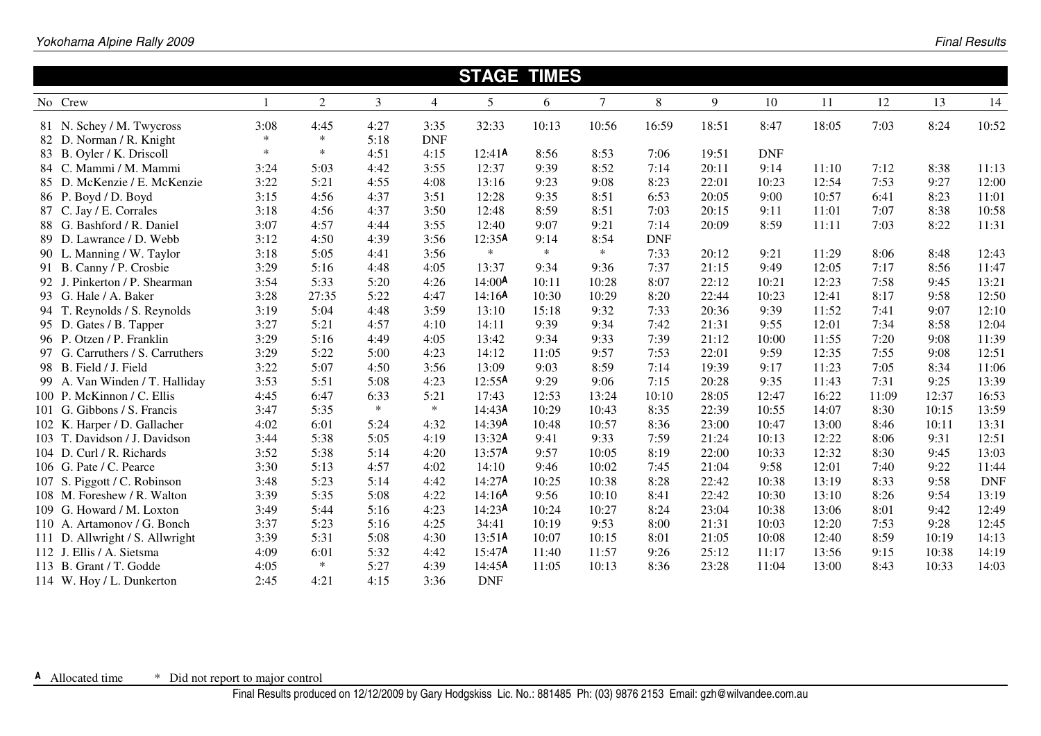|        |                                  |        |                |                |                | <b>STAGE TIMES</b> |        |        |            |       |            |       |       |       |            |
|--------|----------------------------------|--------|----------------|----------------|----------------|--------------------|--------|--------|------------|-------|------------|-------|-------|-------|------------|
|        | No Crew                          |        | $\overline{2}$ | $\overline{3}$ | $\overline{4}$ | 5                  | 6      | $\tau$ | 8          | 9     | 10         | 11    | 12    | 13    | 14         |
|        | 81 N. Schey / M. Twycross        | 3:08   | 4:45           | 4:27           | 3:35           | 32:33              | 10:13  | 10:56  | 16:59      | 18:51 | 8:47       | 18:05 | 7:03  | 8:24  | 10:52      |
|        | 82 D. Norman / R. Knight         | $\ast$ | $\ast$         | 5:18           | <b>DNF</b>     |                    |        |        |            |       |            |       |       |       |            |
|        | 83 B. Oyler / K. Driscoll        | $\ast$ | $\ast$         | 4:51           | 4:15           | 12:41A             | 8:56   | 8:53   | 7:06       | 19:51 | <b>DNF</b> |       |       |       |            |
|        | 84 C. Mammi / M. Mammi           | 3:24   | 5:03           | 4:42           | 3:55           | 12:37              | 9:39   | 8:52   | 7:14       | 20:11 | 9:14       | 11:10 | 7:12  | 8:38  | 11:13      |
|        | 85 D. McKenzie / E. McKenzie     | 3:22   | 5:21           | 4:55           | 4:08           | 13:16              | 9:23   | 9:08   | 8:23       | 22:01 | 10:23      | 12:54 | 7:53  | 9:27  | 12:00      |
|        | 86 P. Boyd / D. Boyd             | 3:15   | 4:56           | 4:37           | 3:51           | 12:28              | 9:35   | 8:51   | 6:53       | 20:05 | 9:00       | 10:57 | 6:41  | 8:23  | 11:01      |
|        | 87 C. Jay / E. Corrales          | 3:18   | 4:56           | 4:37           | 3:50           | 12:48              | 8:59   | 8:51   | 7:03       | 20:15 | 9:11       | 11:01 | 7:07  | 8:38  | 10:58      |
|        | 88 G. Bashford / R. Daniel       | 3:07   | 4:57           | 4:44           | 3:55           | 12:40              | 9:07   | 9:21   | 7:14       | 20:09 | 8:59       | 11:11 | 7:03  | 8:22  | 11:31      |
|        | 89 D.<br>Lawrance / D. Webb      | 3:12   | 4:50           | 4:39           | 3:56           | 12:35A             | 9:14   | 8:54   | <b>DNF</b> |       |            |       |       |       |            |
|        | 90 L. Manning / W. Taylor        | 3:18   | 5:05           | 4:41           | 3:56           | $\ast$             | $\ast$ | $\ast$ | 7:33       | 20:12 | 9:21       | 11:29 | 8:06  | 8:48  | 12:43      |
| 91 B.  | Canny / P. Crosbie               | 3:29   | 5:16           | 4:48           | 4:05           | 13:37              | 9:34   | 9:36   | 7:37       | 21:15 | 9:49       | 12:05 | 7:17  | 8:56  | 11:47      |
|        | 92 J. Pinkerton / P. Shearman    | 3:54   | 5:33           | 5:20           | 4:26           | 14:00A             | 10:11  | 10:28  | 8:07       | 22:12 | 10:21      | 12:23 | 7:58  | 9:45  | 13:21      |
|        | 93 G. Hale / A. Baker            | 3:28   | 27:35          | 5:22           | 4:47           | 14:16 <sup>A</sup> | 10:30  | 10:29  | 8:20       | 22:44 | 10:23      | 12:41 | 8:17  | 9:58  | 12:50      |
|        | 94 T. Reynolds / S. Reynolds     | 3:19   | 5:04           | 4:48           | 3:59           | 13:10              | 15:18  | 9:32   | 7:33       | 20:36 | 9:39       | 11:52 | 7:41  | 9:07  | 12:10      |
|        | 95 D. Gates / B. Tapper          | 3:27   | 5:21           | 4:57           | 4:10           | 14:11              | 9:39   | 9:34   | 7:42       | 21:31 | 9:55       | 12:01 | 7:34  | 8:58  | 12:04      |
|        | 96 P. Otzen / P. Franklin        | 3:29   | 5:16           | 4:49           | 4:05           | 13:42              | 9:34   | 9:33   | 7:39       | 21:12 | 10:00      | 11:55 | 7:20  | 9:08  | 11:39      |
|        | 97 G. Carruthers / S. Carruthers | 3:29   | 5:22           | 5:00           | 4:23           | 14:12              | 11:05  | 9:57   | 7:53       | 22:01 | 9:59       | 12:35 | 7:55  | 9:08  | 12:51      |
|        | 98 B. Field / J. Field           | 3:22   | 5:07           | 4:50           | 3:56           | 13:09              | 9:03   | 8:59   | 7:14       | 19:39 | 9:17       | 11:23 | 7:05  | 8:34  | 11:06      |
|        | 99 A. Van Winden / T. Halliday   | 3:53   | 5:51           | 5:08           | 4:23           | 12:55A             | 9:29   | 9:06   | 7:15       | 20:28 | 9:35       | 11:43 | 7:31  | 9:25  | 13:39      |
|        | 100 P. McKinnon / C. Ellis       | 4:45   | 6:47           | 6:33           | 5:21           | 17:43              | 12:53  | 13:24  | 10:10      | 28:05 | 12:47      | 16:22 | 11:09 | 12:37 | 16:53      |
|        | 101 G. Gibbons / S. Francis      | 3:47   | 5:35           | $\ast$         | $\ast$         | 14:43A             | 10:29  | 10:43  | 8:35       | 22:39 | 10:55      | 14:07 | 8:30  | 10:15 | 13:59      |
|        | 102 K. Harper / D. Gallacher     | 4:02   | 6:01           | 5:24           | 4:32           | 14:39A             | 10:48  | 10:57  | 8:36       | 23:00 | 10:47      | 13:00 | 8:46  | 10:11 | 13:31      |
|        | 103 T. Davidson / J. Davidson    | 3:44   | 5:38           | 5:05           | 4:19           | 13:32A             | 9:41   | 9:33   | 7:59       | 21:24 | 10:13      | 12:22 | 8:06  | 9:31  | 12:51      |
|        | 104 D. Curl / R. Richards        | 3:52   | 5:38           | 5:14           | 4:20           | 13:57A             | 9:57   | 10:05  | 8:19       | 22:00 | 10:33      | 12:32 | 8:30  | 9:45  | 13:03      |
|        | 106 G. Pate / C. Pearce          | 3:30   | 5:13           | 4:57           | 4:02           | 14:10              | 9:46   | 10:02  | 7:45       | 21:04 | 9:58       | 12:01 | 7:40  | 9:22  | 11:44      |
|        | 107 S. Piggott / C. Robinson     | 3:48   | 5:23           | 5:14           | 4:42           | 14:27 <sup>A</sup> | 10:25  | 10:38  | 8:28       | 22:42 | 10:38      | 13:19 | 8:33  | 9:58  | <b>DNF</b> |
|        | 108 M. Foreshew / R. Walton      | 3:39   | 5:35           | 5:08           | 4:22           | 14:16A             | 9:56   | 10:10  | 8:41       | 22:42 | 10:30      | 13:10 | 8:26  | 9:54  | 13:19      |
|        | 109 G. Howard / M. Loxton        | 3:49   | 5:44           | 5:16           | 4:23           | 14:23A             | 10:24  | 10:27  | 8:24       | 23:04 | 10:38      | 13:06 | 8:01  | 9:42  | 12:49      |
|        | 110 A. Artamonov / G. Bonch      | 3:37   | 5:23           | 5:16           | 4:25           | 34:41              | 10:19  | 9:53   | 8:00       | 21:31 | 10:03      | 12:20 | 7:53  | 9:28  | 12:45      |
|        | 111 D. Allwright / S. Allwright  | 3:39   | 5:31           | 5:08           | 4:30           | 13:51A             | 10:07  | 10:15  | 8:01       | 21:05 | 10:08      | 12:40 | 8:59  | 10:19 | 14:13      |
|        | 112 J. Ellis / A. Sietsma        | 4:09   | 6:01           | 5:32           | 4:42           | 15:47 <sup>A</sup> | 11:40  | 11:57  | 9:26       | 25:12 | 11:17      | 13:56 | 9:15  | 10:38 | 14:19      |
| 113 B. | Grant / T. Godde                 | 4:05   | $\ast$         | 5:27           | 4:39           | 14:45A             | 11:05  | 10:13  | 8:36       | 23:28 | 11:04      | 13:00 | 8:43  | 10:33 | 14:03      |
|        | 114 W. Hoy / L. Dunkerton        | 2:45   | 4:21           | 4:15           | 3:36           | <b>DNF</b>         |        |        |            |       |            |       |       |       |            |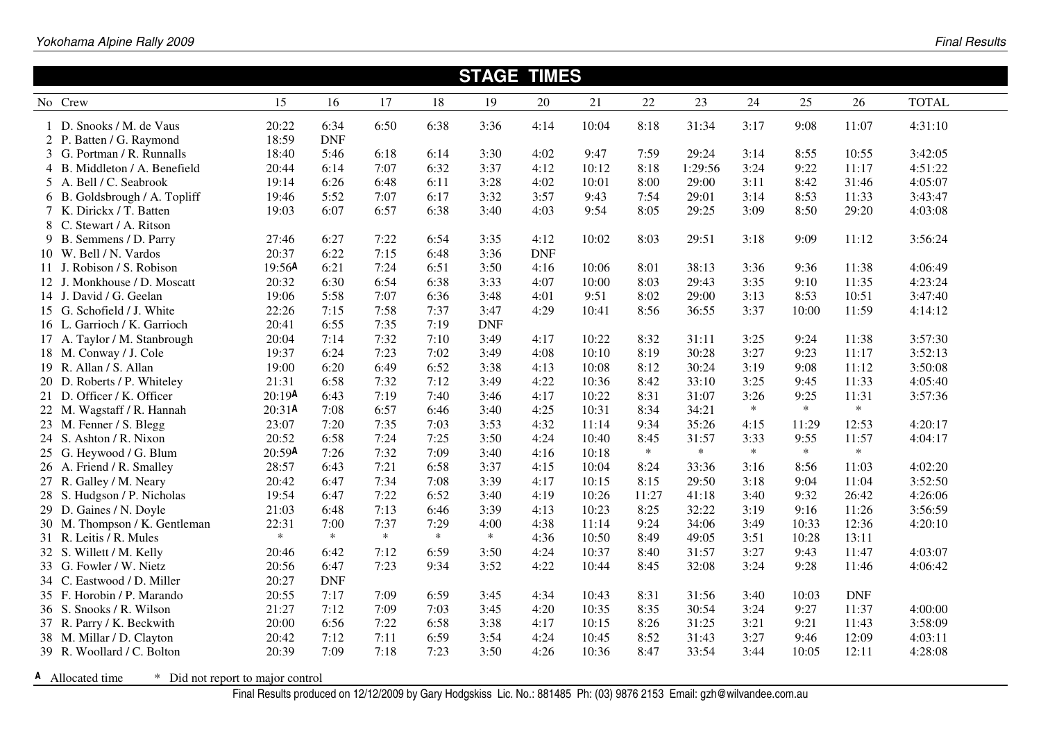|            |                                                      |                |                    |        |        | <b>STAGE TIMES</b> |            |       |        |         |        |        |            |              |
|------------|------------------------------------------------------|----------------|--------------------|--------|--------|--------------------|------------|-------|--------|---------|--------|--------|------------|--------------|
|            | No Crew                                              | 15             | 16                 | 17     | 18     | 19                 | 20         | 21    | 22     | 23      | 24     | 25     | 26         | <b>TOTAL</b> |
|            | 1 D. Snooks / M. de Vaus<br>2 P. Batten / G. Raymond | 20:22<br>18:59 | 6:34<br><b>DNF</b> | 6:50   | 6:38   | 3:36               | 4:14       | 10:04 | 8:18   | 31:34   | 3:17   | 9:08   | 11:07      | 4:31:10      |
|            | 3 G. Portman / R. Runnalls                           | 18:40          | 5:46               | 6:18   | 6:14   | 3:30               | 4:02       | 9:47  | 7:59   | 29:24   | 3:14   | 8:55   | 10:55      | 3:42:05      |
|            | Middleton / A. Benefield<br>4 B.                     | 20:44          | 6:14               | 7:07   | 6:32   | 3:37               | 4:12       | 10:12 | 8:18   | 1:29:56 | 3:24   | 9:22   | 11:17      | 4:51:22      |
|            | 5 A. Bell / C. Seabrook                              | 19:14          | 6:26               | 6:48   | 6:11   | 3:28               | 4:02       | 10:01 | 8:00   | 29:00   | 3:11   | 8:42   | 31:46      | 4:05:07      |
|            | 6 B. Goldsbrough / A. Topliff                        | 19:46          | 5:52               | 7:07   | 6:17   | 3:32               | 3:57       | 9:43  | 7:54   | 29:01   | 3:14   | 8:53   | 11:33      | 3:43:47      |
|            | 7 K. Dirickx / T. Batten                             | 19:03          | 6:07               | 6:57   | 6:38   | 3:40               | 4:03       | 9:54  | 8:05   | 29:25   | 3:09   | 8:50   | 29:20      | 4:03:08      |
|            | Stewart / A. Ritson<br>8 C.                          |                |                    |        |        |                    |            |       |        |         |        |        |            |              |
|            | 9 B.<br>Semmens / D. Parry                           | 27:46          | 6:27               | 7:22   | 6:54   | 3:35               | 4:12       | 10:02 | 8:03   | 29:51   | 3:18   | 9:09   | 11:12      | 3:56:24      |
|            | 10 W. Bell / N. Vardos                               | 20:37          | 6:22               | 7:15   | 6:48   | 3:36               | <b>DNF</b> |       |        |         |        |        |            |              |
| $11 \; J.$ | Robison / S. Robison                                 | 19:56A         | 6:21               | 7:24   | 6:51   | 3:50               | 4:16       | 10:06 | 8:01   | 38:13   | 3:36   | 9:36   | 11:38      | 4:06:49      |
|            | 12 J. Monkhouse / D. Moscatt                         | 20:32          | 6:30               | 6:54   | 6:38   | 3:33               | 4:07       | 10:00 | 8:03   | 29:43   | 3:35   | 9:10   | 11:35      | 4:23:24      |
|            | 14 J. David / G. Geelan                              | 19:06          | 5:58               | 7:07   | 6:36   | 3:48               | 4:01       | 9:51  | 8:02   | 29:00   | 3:13   | 8:53   | 10:51      | 3:47:40      |
|            | 15 G. Schofield / J. White                           | 22:26          | 7:15               | 7:58   | 7:37   | 3:47               | 4:29       | 10:41 | 8:56   | 36:55   | 3:37   | 10:00  | 11:59      | 4:14:12      |
|            | 16 L. Garrioch / K. Garrioch                         | 20:41          | 6:55               | 7:35   | 7:19   | <b>DNF</b>         |            |       |        |         |        |        |            |              |
|            | 17 A. Taylor / M. Stanbrough                         | 20:04          | 7:14               | 7:32   | 7:10   | 3:49               | 4:17       | 10:22 | 8:32   | 31:11   | 3:25   | 9:24   | 11:38      | 3:57:30      |
|            | 18 M. Conway / J. Cole                               | 19:37          | 6:24               | 7:23   | 7:02   | 3:49               | 4:08       | 10:10 | 8:19   | 30:28   | 3:27   | 9:23   | 11:17      | 3:52:13      |
|            | 19 R. Allan / S. Allan                               | 19:00          | 6:20               | 6:49   | 6:52   | 3:38               | 4:13       | 10:08 | 8:12   | 30:24   | 3:19   | 9:08   | 11:12      | 3:50:08      |
|            | 20 D. Roberts / P. Whiteley                          | 21:31          | 6:58               | 7:32   | 7:12   | 3:49               | 4:22       | 10:36 | 8:42   | 33:10   | 3:25   | 9:45   | 11:33      | 4:05:40      |
|            | 21 D. Officer / K. Officer                           | 20:19A         | 6:43               | 7:19   | 7:40   | 3:46               | 4:17       | 10:22 | 8:31   | 31:07   | 3:26   | 9:25   | 11:31      | 3:57:36      |
|            | 22 M. Wagstaff / R. Hannah                           | 20:31A         | 7:08               | 6:57   | 6:46   | 3:40               | 4:25       | 10:31 | 8:34   | 34:21   | $\ast$ | $\ast$ | $\ast$     |              |
|            | 23 M. Fenner / S. Blegg                              | 23:07          | 7:20               | 7:35   | 7:03   | 3:53               | 4:32       | 11:14 | 9:34   | 35:26   | 4:15   | 11:29  | 12:53      | 4:20:17      |
|            | 24 S. Ashton / R. Nixon                              | 20:52          | 6:58               | 7:24   | 7:25   | 3:50               | 4:24       | 10:40 | 8:45   | 31:57   | 3:33   | 9:55   | 11:57      | 4:04:17      |
|            | 25 G. Heywood / G. Blum                              | 20:59A         | 7:26               | 7:32   | 7:09   | 3:40               | 4:16       | 10:18 | $\ast$ | $\ast$  | $\ast$ | $\ast$ | $\ast$     |              |
|            | 26 A. Friend / R. Smalley                            | 28:57          | 6:43               | 7:21   | 6:58   | 3:37               | 4:15       | 10:04 | 8:24   | 33:36   | 3:16   | 8:56   | 11:03      | 4:02:20      |
|            | 27 R. Galley / M. Neary                              | 20:42          | 6:47               | 7:34   | 7:08   | 3:39               | 4:17       | 10:15 | 8:15   | 29:50   | 3:18   | 9:04   | 11:04      | 3:52:50      |
|            | 28 S. Hudgson / P. Nicholas                          | 19:54          | 6:47               | 7:22   | 6:52   | 3:40               | 4:19       | 10:26 | 11:27  | 41:18   | 3:40   | 9:32   | 26:42      | 4:26:06      |
|            | 29 D. Gaines / N. Doyle                              | 21:03          | 6:48               | 7:13   | 6:46   | 3:39               | 4:13       | 10:23 | 8:25   | 32:22   | 3:19   | 9:16   | 11:26      | 3:56:59      |
|            | 30 M. Thompson / K. Gentleman                        | 22:31          | 7:00               | 7:37   | 7:29   | 4:00               | 4:38       | 11:14 | 9:24   | 34:06   | 3:49   | 10:33  | 12:36      | 4:20:10      |
|            | 31 R. Leitis / R. Mules                              | $\ast$         | $\ast$             | $\ast$ | $\ast$ | $\ast$             | 4:36       | 10:50 | 8:49   | 49:05   | 3:51   | 10:28  | 13:11      |              |
|            | 32 S. Willett / M. Kelly                             | 20:46          | 6:42               | 7:12   | 6:59   | 3:50               | 4:24       | 10:37 | 8:40   | 31:57   | 3:27   | 9:43   | 11:47      | 4:03:07      |
|            | 33 G. Fowler / W. Nietz                              | 20:56          | 6:47               | 7:23   | 9:34   | 3:52               | 4:22       | 10:44 | 8:45   | 32:08   | 3:24   | 9:28   | 11:46      | 4:06:42      |
|            | 34 C. Eastwood / D. Miller                           | 20:27          | <b>DNF</b>         |        |        |                    |            |       |        |         |        |        |            |              |
|            | 35 F. Horobin / P. Marando                           | 20:55          | 7:17               | 7:09   | 6:59   | 3:45               | 4:34       | 10:43 | 8:31   | 31:56   | 3:40   | 10:03  | <b>DNF</b> |              |
|            | 36 S. Snooks / R. Wilson                             | 21:27          | 7:12               | 7:09   | 7:03   | 3:45               | 4:20       | 10:35 | 8:35   | 30:54   | 3:24   | 9:27   | 11:37      | 4:00:00      |
|            | 37 R. Parry / K. Beckwith                            | 20:00          | 6:56               | 7:22   | 6:58   | 3:38               | 4:17       | 10:15 | 8:26   | 31:25   | 3:21   | 9:21   | 11:43      | 3:58:09      |
|            | 38 M. Millar / D. Clayton                            | 20:42          | 7:12               | 7:11   | 6:59   | 3:54               | 4:24       | 10:45 | 8:52   | 31:43   | 3:27   | 9:46   | 12:09      | 4:03:11      |
|            | 39 R. Woollard / C. Bolton                           | 20:39          | 7:09               | 7:18   | 7:23   | 3:50               | 4:26       | 10:36 | 8:47   | 33:54   | 3:44   | 10:05  | 12:11      | 4:28:08      |
|            |                                                      |                |                    |        |        |                    |            |       |        |         |        |        |            |              |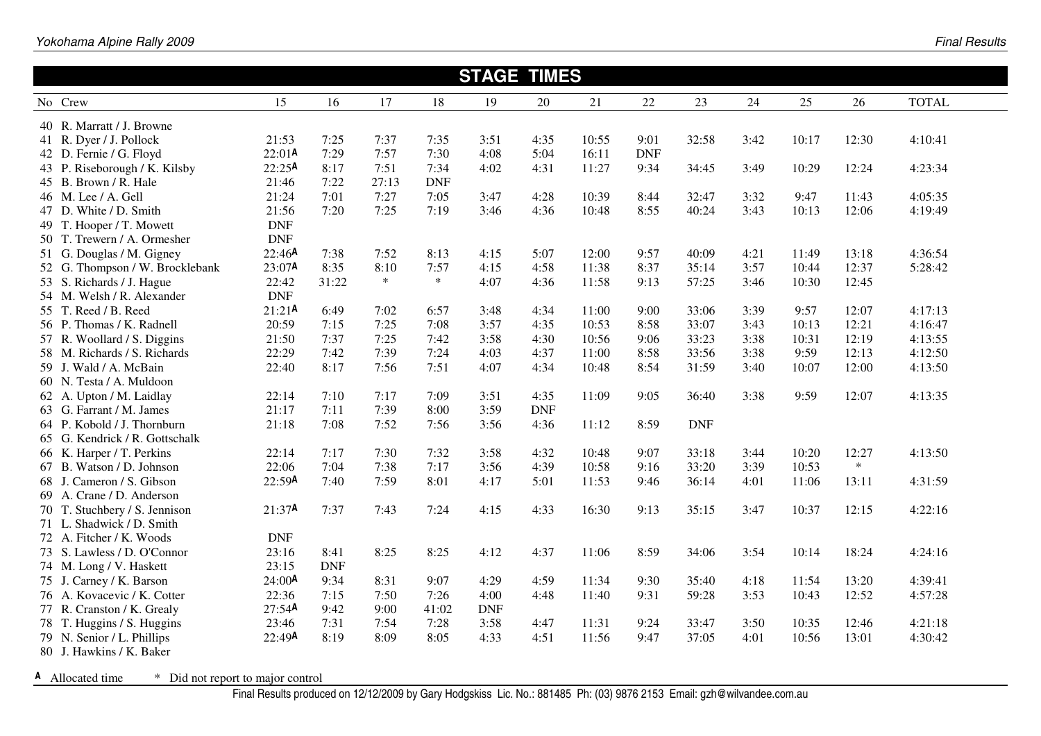| <b>STAGE TIMES</b>              |            |            |        |            |            |            |       |            |            |      |       |        |              |
|---------------------------------|------------|------------|--------|------------|------------|------------|-------|------------|------------|------|-------|--------|--------------|
| No Crew                         | 15         | 16         | 17     | 18         | 19         | 20         | 21    | 22         | 23         | 24   | 25    | 26     | <b>TOTAL</b> |
|                                 |            |            |        |            |            |            |       |            |            |      |       |        |              |
| 40 R. Marratt / J. Browne       |            |            |        |            |            |            |       |            |            |      |       |        |              |
| 41 R. Dyer / J. Pollock         | 21:53      | 7:25       | 7:37   | 7:35       | 3:51       | 4:35       | 10:55 | 9:01       | 32:58      | 3:42 | 10:17 | 12:30  | 4:10:41      |
| 42 D. Fernie / G. Floyd         | 22:01A     | 7:29       | 7:57   | 7:30       | 4:08       | 5:04       | 16:11 | <b>DNF</b> |            |      |       |        |              |
| 43 P. Riseborough / K. Kilsby   | 22:25A     | 8:17       | 7:51   | 7:34       | 4:02       | 4:31       | 11:27 | 9:34       | 34:45      | 3:49 | 10:29 | 12:24  | 4:23:34      |
| 45 B. Brown / R. Hale           | 21:46      | 7:22       | 27:13  | <b>DNF</b> |            |            |       |            |            |      |       |        |              |
| 46 M. Lee / A. Gell             | 21:24      | 7:01       | 7:27   | 7:05       | 3:47       | 4:28       | 10:39 | 8:44       | 32:47      | 3:32 | 9:47  | 11:43  | 4:05:35      |
| 47 D. White / D. Smith          | 21:56      | 7:20       | 7:25   | 7:19       | 3:46       | 4:36       | 10:48 | 8:55       | 40:24      | 3:43 | 10:13 | 12:06  | 4:19:49      |
| 49 T. Hooper / T. Mowett        | <b>DNF</b> |            |        |            |            |            |       |            |            |      |       |        |              |
| 50 T. Trewern / A. Ormesher     | <b>DNF</b> |            |        |            |            |            |       |            |            |      |       |        |              |
| 51 G. Douglas / M. Gigney       | 22:46A     | 7:38       | 7:52   | 8:13       | 4:15       | 5:07       | 12:00 | 9:57       | 40:09      | 4:21 | 11:49 | 13:18  | 4:36:54      |
| 52 G. Thompson / W. Brocklebank | 23:07A     | 8:35       | 8:10   | 7:57       | 4:15       | 4:58       | 11:38 | 8:37       | 35:14      | 3:57 | 10:44 | 12:37  | 5:28:42      |
| 53 S. Richards / J. Hague       | 22:42      | 31:22      | $\ast$ | $\ast$     | 4:07       | 4:36       | 11:58 | 9:13       | 57:25      | 3:46 | 10:30 | 12:45  |              |
| 54 M. Welsh / R. Alexander      | <b>DNF</b> |            |        |            |            |            |       |            |            |      |       |        |              |
| 55 T. Reed / B. Reed            | 21:21A     | 6:49       | 7:02   | 6:57       | 3:48       | 4:34       | 11:00 | 9:00       | 33:06      | 3:39 | 9:57  | 12:07  | 4:17:13      |
| 56 P. Thomas / K. Radnell       | 20:59      | 7:15       | 7:25   | 7:08       | 3:57       | 4:35       | 10:53 | 8:58       | 33:07      | 3:43 | 10:13 | 12:21  | 4:16:47      |
| 57 R. Woollard / S. Diggins     | 21:50      | 7:37       | 7:25   | 7:42       | 3:58       | 4:30       | 10:56 | 9:06       | 33:23      | 3:38 | 10:31 | 12:19  | 4:13:55      |
| 58 M. Richards / S. Richards    | 22:29      | 7:42       | 7:39   | 7:24       | 4:03       | 4:37       | 11:00 | 8:58       | 33:56      | 3:38 | 9:59  | 12:13  | 4:12:50      |
| 59 J. Wald / A. McBain          | 22:40      | 8:17       | 7:56   | 7:51       | 4:07       | 4:34       | 10:48 | 8:54       | 31:59      | 3:40 | 10:07 | 12:00  | 4:13:50      |
| 60 N. Testa / A. Muldoon        |            |            |        |            |            |            |       |            |            |      |       |        |              |
| 62 A. Upton / M. Laidlay        | 22:14      | 7:10       | 7:17   | 7:09       | 3:51       | 4:35       | 11:09 | 9:05       | 36:40      | 3:38 | 9:59  | 12:07  | 4:13:35      |
| 63 G. Farrant / M. James        | 21:17      | 7:11       | 7:39   | 8:00       | 3:59       | <b>DNF</b> |       |            |            |      |       |        |              |
| 64 P. Kobold / J. Thornburn     | 21:18      | 7:08       | 7:52   | 7:56       | 3:56       | 4:36       | 11:12 | 8:59       | <b>DNF</b> |      |       |        |              |
| 65 G. Kendrick / R. Gottschalk  |            |            |        |            |            |            |       |            |            |      |       |        |              |
| 66 K. Harper / T. Perkins       | 22:14      | 7:17       | 7:30   | 7:32       | 3:58       | 4:32       | 10:48 | 9:07       | 33:18      | 3:44 | 10:20 | 12:27  | 4:13:50      |
| 67 B. Watson / D. Johnson       | 22:06      | 7:04       | 7:38   | 7:17       | 3:56       | 4:39       | 10:58 | 9:16       | 33:20      | 3:39 | 10:53 | $\ast$ |              |
| 68 J. Cameron / S. Gibson       | 22:59A     | 7:40       | 7:59   | 8:01       | 4:17       | 5:01       | 11:53 | 9:46       | 36:14      | 4:01 | 11:06 | 13:11  | 4:31:59      |
| 69 A. Crane / D. Anderson       |            |            |        |            |            |            |       |            |            |      |       |        |              |
| 70 T. Stuchbery / S. Jennison   | 21:37A     | 7:37       | 7:43   | 7:24       | 4:15       | 4:33       | 16:30 | 9:13       | 35:15      | 3:47 | 10:37 | 12:15  | 4:22:16      |
| 71 L. Shadwick / D. Smith       |            |            |        |            |            |            |       |            |            |      |       |        |              |
| 72 A. Fitcher / K. Woods        | <b>DNF</b> |            |        |            |            |            |       |            |            |      |       |        |              |
| 73 S. Lawless / D. O'Connor     | 23:16      | 8:41       | 8:25   | 8:25       | 4:12       | 4:37       | 11:06 | 8:59       | 34:06      | 3:54 | 10:14 | 18:24  | 4:24:16      |
| 74 M. Long / V. Haskett         | 23:15      | <b>DNF</b> |        |            |            |            |       |            |            |      |       |        |              |
| 75 J. Carney / K. Barson        | 24:00A     | 9:34       | 8:31   | 9:07       | 4:29       | 4:59       | 11:34 | 9:30       | 35:40      | 4:18 | 11:54 | 13:20  | 4:39:41      |
| 76 A. Kovacevic / K. Cotter     | 22:36      | 7:15       | 7:50   | 7:26       | 4:00       | 4:48       | 11:40 | 9:31       | 59:28      | 3:53 | 10:43 | 12:52  | 4:57:28      |
| 77 R. Cranston / K. Grealy      | 27:54A     | 9:42       | 9:00   | 41:02      | <b>DNF</b> |            |       |            |            |      |       |        |              |
| 78 T. Huggins / S. Huggins      | 23:46      | 7:31       | 7:54   | 7:28       | 3:58       | 4:47       | 11:31 | 9:24       | 33:47      | 3:50 | 10:35 | 12:46  | 4:21:18      |
| 79 N. Senior / L. Phillips      | 22:49A     | 8:19       | 8:09   | 8:05       | 4:33       | 4:51       | 11:56 | 9:47       | 37:05      | 4:01 | 10:56 | 13:01  | 4:30:42      |
| 80 J. Hawkins / K. Baker        |            |            |        |            |            |            |       |            |            |      |       |        |              |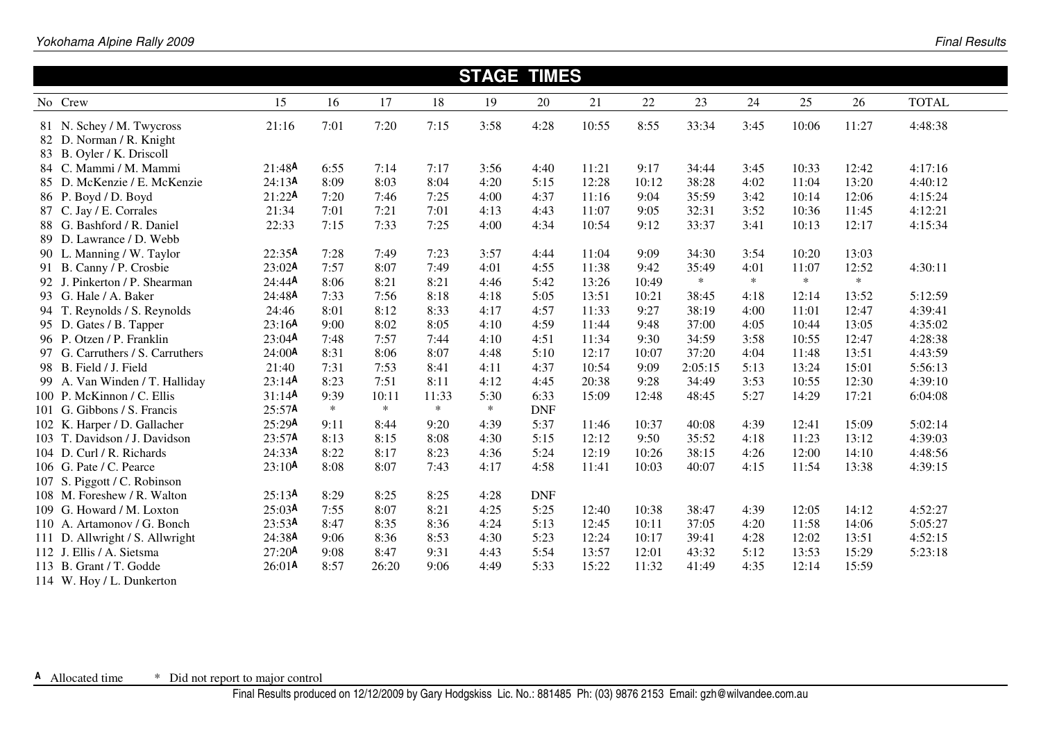|        |                                                                                    |                    |        |        |        |        | <b>STAGE TIMES</b> |       |       |         |        |        |        |              |
|--------|------------------------------------------------------------------------------------|--------------------|--------|--------|--------|--------|--------------------|-------|-------|---------|--------|--------|--------|--------------|
|        | No Crew                                                                            | 15                 | 16     | 17     | 18     | 19     | 20                 | 21    | 22    | 23      | 24     | 25     | 26     | <b>TOTAL</b> |
|        | 81 N. Schey / M. Twycross<br>82 D. Norman / R. Knight<br>83 B. Oyler / K. Driscoll | 21:16              | 7:01   | 7:20   | 7:15   | 3:58   | 4:28               | 10:55 | 8:55  | 33:34   | 3:45   | 10:06  | 11:27  | 4:48:38      |
|        | 84 C. Mammi / M. Mammi                                                             | 21:48A             | 6:55   | 7:14   | 7:17   | 3:56   | 4:40               | 11:21 | 9:17  | 34:44   | 3:45   | 10:33  | 12:42  | 4:17:16      |
|        | 85 D. McKenzie / E. McKenzie                                                       | 24:13A             | 8:09   | 8:03   | 8:04   | 4:20   | 5:15               | 12:28 | 10:12 | 38:28   | 4:02   | 11:04  | 13:20  | 4:40:12      |
|        | 86 P. Boyd / D. Boyd                                                               | 21:22A             | 7:20   | 7:46   | 7:25   | 4:00   | 4:37               | 11:16 | 9:04  | 35:59   | 3:42   | 10:14  | 12:06  | 4:15:24      |
|        | 87 C. Jay / E. Corrales                                                            | 21:34              | 7:01   | 7:21   | 7:01   | 4:13   | 4:43               | 11:07 | 9:05  | 32:31   | 3:52   | 10:36  | 11:45  | 4:12:21      |
|        | 88 G. Bashford / R. Daniel<br>89 D. Lawrance / D. Webb                             | 22:33              | 7:15   | 7:33   | 7:25   | 4:00   | 4:34               | 10:54 | 9:12  | 33:37   | 3:41   | 10:13  | 12:17  | 4:15:34      |
|        | 90 L. Manning / W. Taylor                                                          | 22:35A             | 7:28   | 7:49   | 7:23   | 3:57   | 4:44               | 11:04 | 9:09  | 34:30   | 3:54   | 10:20  | 13:03  |              |
|        | 91 B. Canny / P. Crosbie                                                           | 23:02A             | 7:57   | 8:07   | 7:49   | 4:01   | 4:55               | 11:38 | 9:42  | 35:49   | 4:01   | 11:07  | 12:52  | 4:30:11      |
|        | 92 J. Pinkerton / P. Shearman                                                      | 24:44A             | 8:06   | 8:21   | 8:21   | 4:46   | 5:42               | 13:26 | 10:49 | $\ast$  | $\ast$ | $\ast$ | $\ast$ |              |
|        | 93 G. Hale / A. Baker                                                              | 24:48A             | 7:33   | 7:56   | 8:18   | 4:18   | 5:05               | 13:51 | 10:21 | 38:45   | 4:18   | 12:14  | 13:52  | 5:12:59      |
|        | 94 T. Reynolds / S. Reynolds                                                       | 24:46              | 8:01   | 8:12   | 8:33   | 4:17   | 4:57               | 11:33 | 9:27  | 38:19   | 4:00   | 11:01  | 12:47  | 4:39:41      |
|        | 95 D. Gates / B. Tapper                                                            | 23:16A             | 9:00   | 8:02   | 8:05   | 4:10   | 4:59               | 11:44 | 9:48  | 37:00   | 4:05   | 10:44  | 13:05  | 4:35:02      |
|        | 96 P. Otzen / P. Franklin                                                          | 23:04A             | 7:48   | 7:57   | 7:44   | 4:10   | 4:51               | 11:34 | 9:30  | 34:59   | 3:58   | 10:55  | 12:47  | 4:28:38      |
|        | 97 G. Carruthers / S. Carruthers                                                   | 24:00 <sup>A</sup> | 8:31   | 8:06   | 8:07   | 4:48   | 5:10               | 12:17 | 10:07 | 37:20   | 4:04   | 11:48  | 13:51  | 4:43:59      |
|        | 98 B. Field / J. Field                                                             | 21:40              | 7:31   | 7:53   | 8:41   | 4:11   | 4:37               | 10:54 | 9:09  | 2:05:15 | 5:13   | 13:24  | 15:01  | 5:56:13      |
|        | 99 A. Van Winden / T. Halliday                                                     | 23:14A             | 8:23   | 7:51   | 8:11   | 4:12   | 4:45               | 20:38 | 9:28  | 34:49   | 3:53   | 10:55  | 12:30  | 4:39:10      |
|        | 100 P. McKinnon / C. Ellis                                                         | 31:14A             | 9:39   | 10:11  | 11:33  | 5:30   | 6:33               | 15:09 | 12:48 | 48:45   | 5:27   | 14:29  | 17:21  | 6:04:08      |
|        | 101 G. Gibbons / S. Francis                                                        | 25:57A             | $\ast$ | $\ast$ | $\ast$ | $\ast$ | <b>DNF</b>         |       |       |         |        |        |        |              |
|        | 102 K. Harper / D. Gallacher                                                       | 25:29A             | 9:11   | 8:44   | 9:20   | 4:39   | 5:37               | 11:46 | 10:37 | 40:08   | 4:39   | 12:41  | 15:09  | 5:02:14      |
|        | 103 T. Davidson / J. Davidson                                                      | 23:57A             | 8:13   | 8:15   | 8:08   | 4:30   | 5:15               | 12:12 | 9:50  | 35:52   | 4:18   | 11:23  | 13:12  | 4:39:03      |
|        | 104 D. Curl / R. Richards                                                          | 24:33A             | 8:22   | 8:17   | 8:23   | 4:36   | 5:24               | 12:19 | 10:26 | 38:15   | 4:26   | 12:00  | 14:10  | 4:48:56      |
|        | 106 G. Pate / C. Pearce                                                            | 23:10 <sup>A</sup> | 8:08   | 8:07   | 7:43   | 4:17   | 4:58               | 11:41 | 10:03 | 40:07   | 4:15   | 11:54  | 13:38  | 4:39:15      |
|        | 107 S. Piggott / C. Robinson                                                       |                    |        |        |        |        |                    |       |       |         |        |        |        |              |
|        | 108 M. Foreshew / R. Walton                                                        | 25:13A             | 8:29   | 8:25   | 8:25   | 4:28   | <b>DNF</b>         |       |       |         |        |        |        |              |
|        | 109 G. Howard / M. Loxton                                                          | 25:03A             | 7:55   | 8:07   | 8:21   | 4:25   | 5:25               | 12:40 | 10:38 | 38:47   | 4:39   | 12:05  | 14:12  | 4:52:27      |
|        | 110 A. Artamonov / G. Bonch                                                        | 23:53A             | 8:47   | 8:35   | 8:36   | 4:24   | 5:13               | 12:45 | 10:11 | 37:05   | 4:20   | 11:58  | 14:06  | 5:05:27      |
|        | 111 D. Allwright / S. Allwright                                                    | 24:38A             | 9:06   | 8:36   | 8:53   | 4:30   | 5:23               | 12:24 | 10:17 | 39:41   | 4:28   | 12:02  | 13:51  | 4:52:15      |
| 112 J. | Ellis / A. Sietsma                                                                 | 27:20 <sup>A</sup> | 9:08   | 8:47   | 9:31   | 4:43   | 5:54               | 13:57 | 12:01 | 43:32   | 5:12   | 13:53  | 15:29  | 5:23:18      |
| 113 B. | Grant / T. Godde                                                                   | 26:01 <sup>A</sup> | 8:57   | 26:20  | 9:06   | 4:49   | 5:33               | 15:22 | 11:32 | 41:49   | 4:35   | 12:14  | 15:59  |              |
|        | 114 W. Hoy / L. Dunkerton                                                          |                    |        |        |        |        |                    |       |       |         |        |        |        |              |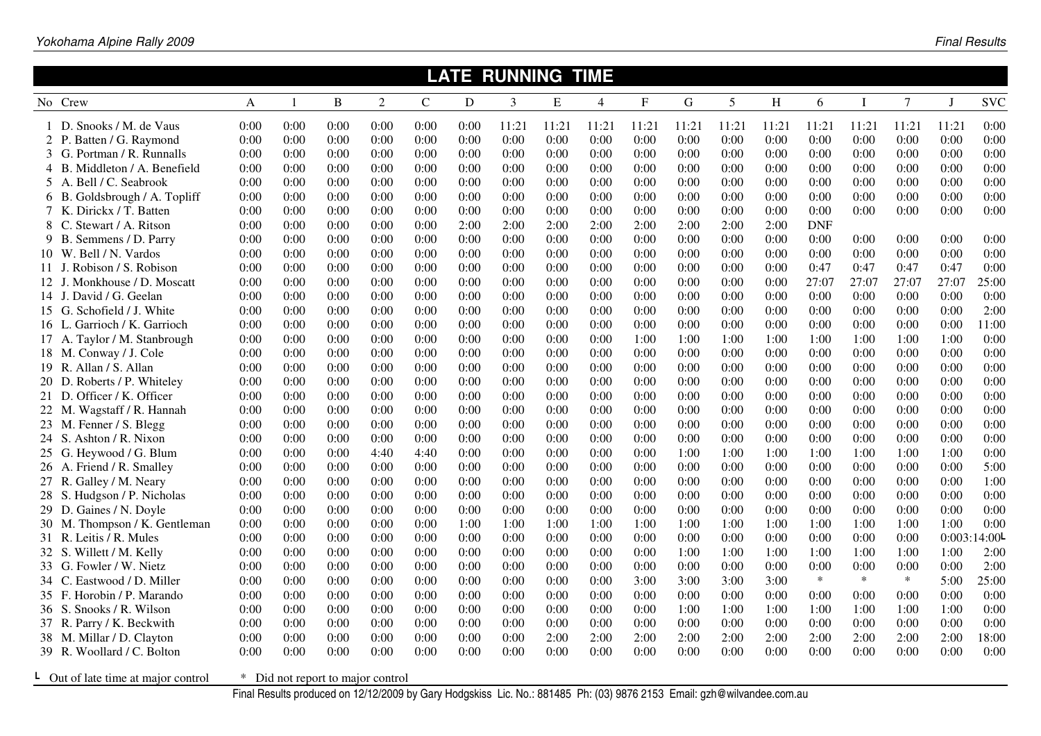|                                  |              |              |      |                |             |      | <b>LATE RUNNING</b> |       | <b>TIME</b>    |           |       |       |       |            |       |        |              |             |
|----------------------------------|--------------|--------------|------|----------------|-------------|------|---------------------|-------|----------------|-----------|-------|-------|-------|------------|-------|--------|--------------|-------------|
| No Crew                          | $\mathbf{A}$ | $\mathbf{1}$ | B    | $\overline{2}$ | $\mathbf C$ | D    | 3                   | E     | $\overline{4}$ | ${\bf F}$ | G     | 5     | H     | 6          | T     | $\tau$ | $\mathbf{I}$ | <b>SVC</b>  |
| 1 D. Snooks / M. de Vaus         | 0:00         | 0:00         | 0:00 | 0:00           | 0:00        | 0:00 | 11:21               | 11:21 | 11:21          | 11:21     | 11:21 | 11:21 | 11:21 | 11:21      | 11:21 | 11:21  | 11:21        | 0:00        |
| 2 P. Batten / G. Raymond         | 0:00         | 0:00         | 0:00 | 0:00           | 0:00        | 0:00 | 0:00                | 0:00  | 0:00           | 0:00      | 0:00  | 0:00  | 0:00  | 0:00       | 0:00  | 0:00   | 0:00         | 0:00        |
| 3 G. Portman / R. Runnalls       | 0:00         | 0:00         | 0:00 | 0:00           | 0:00        | 0:00 | 0:00                | 0:00  | 0:00           | 0:00      | 0:00  | 0:00  | 0:00  | 0:00       | 0:00  | 0:00   | 0:00         | 0:00        |
| Middleton / A. Benefield<br>4 B. | 0:00         | 0:00         | 0:00 | 0:00           | 0:00        | 0:00 | 0:00                | 0:00  | 0:00           | 0:00      | 0:00  | 0:00  | 0:00  | 0:00       | 0:00  | 0:00   | 0:00         | 0:00        |
| 5 A. Bell / C. Seabrook          | 0:00         | 0:00         | 0:00 | 0:00           | 0:00        | 0:00 | 0:00                | 0:00  | 0:00           | 0:00      | 0:00  | 0:00  | 0:00  | 0:00       | 0:00  | 0:00   | 0:00         | 0:00        |
| 6 B. Goldsbrough / A. Topliff    | 0:00         | 0:00         | 0:00 | 0:00           | 0:00        | 0:00 | 0:00                | 0:00  | 0:00           | 0:00      | 0:00  | 0:00  | 0:00  | 0:00       | 0:00  | 0:00   | 0:00         | 0:00        |
| 7 K. Dirickx / T. Batten         | 0:00         | 0:00         | 0:00 | 0:00           | 0:00        | 0:00 | 0:00                | 0:00  | 0:00           | 0:00      | 0:00  | 0:00  | 0:00  | 0:00       | 0:00  | 0:00   | 0:00         | 0:00        |
| 8 C. Stewart / A. Ritson         | 0:00         | 0:00         | 0:00 | 0:00           | 0:00        | 2:00 | 2:00                | 2:00  | 2:00           | 2:00      | 2:00  | 2:00  | 2:00  | <b>DNF</b> |       |        |              |             |
| 9 B. Semmens / D. Parry          | 0:00         | 0:00         | 0:00 | 0:00           | 0:00        | 0:00 | 0:00                | 0:00  | 0:00           | 0:00      | 0:00  | 0:00  | 0:00  | 0:00       | 0:00  | 0:00   | 0:00         | 0:00        |
| 10 W. Bell / N. Vardos           | 0:00         | 0:00         | 0:00 | 0:00           | 0:00        | 0:00 | 0:00                | 0:00  | 0:00           | 0:00      | 0:00  | 0:00  | 0:00  | 0:00       | 0:00  | 0:00   | 0:00         | 0:00        |
| 11 J. Robison / S. Robison       | 0:00         | 0:00         | 0:00 | 0:00           | 0:00        | 0:00 | 0:00                | 0:00  | 0:00           | 0:00      | 0:00  | 0:00  | 0:00  | 0:47       | 0:47  | 0:47   | 0:47         | 0:00        |
| 12 J. Monkhouse / D. Moscatt     | 0:00         | 0:00         | 0:00 | 0:00           | 0:00        | 0:00 | 0:00                | 0:00  | 0:00           | 0:00      | 0:00  | 0:00  | 0:00  | 27:07      | 27:07 | 27:07  | 27:07        | 25:00       |
| 14 J. David / G. Geelan          | 0:00         | 0:00         | 0:00 | 0:00           | 0:00        | 0:00 | 0:00                | 0:00  | 0:00           | 0:00      | 0:00  | 0:00  | 0:00  | 0:00       | 0:00  | 0:00   | 0:00         | 0:00        |
| 15 G. Schofield / J. White       | 0:00         | 0:00         | 0:00 | 0:00           | 0:00        | 0:00 | 0:00                | 0:00  | 0:00           | 0:00      | 0:00  | 0:00  | 0:00  | 0:00       | 0:00  | 0:00   | 0:00         | 2:00        |
| 16 L. Garrioch / K. Garrioch     | 0:00         | 0:00         | 0:00 | 0:00           | 0:00        | 0:00 | 0:00                | 0:00  | 0:00           | 0:00      | 0:00  | 0:00  | 0:00  | 0:00       | 0:00  | 0:00   | 0:00         | 11:00       |
| 17 A. Taylor / M. Stanbrough     | 0:00         | 0:00         | 0:00 | 0:00           | 0:00        | 0:00 | 0:00                | 0:00  | 0:00           | 1:00      | 1:00  | 1:00  | 1:00  | 1:00       | 1:00  | 1:00   | 1:00         | 0:00        |
| 18 M. Conway / J. Cole           | 0:00         | 0:00         | 0:00 | 0:00           | 0:00        | 0:00 | 0:00                | 0:00  | 0:00           | 0:00      | 0:00  | 0:00  | 0:00  | 0:00       | 0:00  | 0:00   | 0:00         | 0:00        |
| 19 R. Allan / S. Allan           | 0:00         | 0:00         | 0:00 | 0:00           | 0:00        | 0:00 | 0:00                | 0:00  | 0:00           | 0:00      | 0:00  | 0:00  | 0:00  | 0:00       | 0:00  | 0:00   | 0:00         | 0:00        |
| 20 D. Roberts / P. Whiteley      | 0:00         | 0:00         | 0:00 | 0:00           | 0:00        | 0:00 | 0:00                | 0:00  | 0:00           | 0:00      | 0:00  | 0:00  | 0:00  | 0:00       | 0:00  | 0:00   | 0:00         | 0:00        |
| 21 D. Officer / K. Officer       | 0:00         | 0:00         | 0:00 | 0:00           | 0:00        | 0:00 | 0:00                | 0:00  | 0:00           | 0:00      | 0:00  | 0:00  | 0:00  | 0:00       | 0:00  | 0:00   | 0:00         | 0:00        |
| 22 M. Wagstaff / R. Hannah       | 0:00         | 0:00         | 0:00 | 0:00           | 0:00        | 0:00 | 0:00                | 0:00  | 0:00           | 0:00      | 0:00  | 0:00  | 0:00  | 0:00       | 0:00  | 0:00   | 0:00         | 0:00        |
| 23 M. Fenner / S. Blegg          | 0:00         | 0:00         | 0:00 | 0:00           | 0:00        | 0:00 | 0:00                | 0:00  | 0:00           | 0:00      | 0:00  | 0:00  | 0:00  | 0:00       | 0:00  | 0:00   | 0:00         | 0:00        |
| 24 S. Ashton / R. Nixon          | 0:00         | 0:00         | 0:00 | 0:00           | 0:00        | 0:00 | 0:00                | 0:00  | 0:00           | 0:00      | 0:00  | 0:00  | 0:00  | 0:00       | 0:00  | 0:00   | 0:00         | 0:00        |
| 25 G. Heywood / G. Blum          | 0:00         | 0:00         | 0:00 | 4:40           | 4:40        | 0:00 | 0:00                | 0:00  | 0:00           | 0:00      | 1:00  | 1:00  | 1:00  | 1:00       | 1:00  | 1:00   | 1:00         | 0:00        |
| 26 A. Friend / R. Smalley        | 0:00         | 0:00         | 0:00 | 0:00           | 0:00        | 0:00 | 0:00                | 0:00  | 0:00           | 0:00      | 0:00  | 0:00  | 0:00  | 0:00       | 0:00  | 0:00   | 0:00         | 5:00        |
| 27 R. Galley / M. Neary          | 0:00         | 0:00         | 0:00 | 0:00           | 0:00        | 0:00 | 0:00                | 0:00  | 0:00           | 0:00      | 0:00  | 0:00  | 0:00  | 0:00       | 0:00  | 0:00   | 0:00         | 1:00        |
| 28 S. Hudgson / P. Nicholas      | 0:00         | 0:00         | 0:00 | 0:00           | 0:00        | 0:00 | 0:00                | 0:00  | 0:00           | 0:00      | 0:00  | 0:00  | 0:00  | 0:00       | 0:00  | 0:00   | 0:00         | 0:00        |
| 29 D. Gaines / N. Doyle          | 0:00         | 0:00         | 0:00 | 0:00           | 0:00        | 0:00 | 0:00                | 0:00  | 0:00           | 0:00      | 0:00  | 0:00  | 0:00  | 0:00       | 0:00  | 0:00   | 0:00         | 0:00        |
| 30 M. Thompson / K. Gentleman    | 0:00         | 0:00         | 0:00 | 0:00           | 0:00        | 1:00 | 1:00                | 1:00  | 1:00           | 1:00      | 1:00  | 1:00  | 1:00  | 1:00       | 1:00  | 1:00   | 1:00         | 0:00        |
| 31 R. Leitis / R. Mules          | 0:00         | 0:00         | 0:00 | 0:00           | 0:00        | 0:00 | 0:00                | 0:00  | 0:00           | 0:00      | 0:00  | 0:00  | 0:00  | 0:00       | 0:00  | 0:00   |              | 0:003:14:00 |
| 32 S. Willett / M. Kelly         | 0:00         | 0:00         | 0:00 | 0:00           | 0:00        | 0:00 | 0:00                | 0:00  | 0:00           | 0:00      | 1:00  | 1:00  | 1:00  | 1:00       | 1:00  | 1:00   | 1:00         | 2:00        |
| 33 G. Fowler / W. Nietz          | 0:00         | 0:00         | 0:00 | 0:00           | 0:00        | 0:00 | 0:00                | 0:00  | 0:00           | 0:00      | 0:00  | 0:00  | 0:00  | 0:00       | 0:00  | 0:00   | 0:00         | 2:00        |
| 34 C. Eastwood / D. Miller       | 0:00         | 0:00         | 0:00 | 0:00           | 0:00        | 0:00 | 0:00                | 0:00  | 0:00           | 3:00      | 3:00  | 3:00  | 3:00  | $\ast$     | $*$   | $\ast$ | 5:00         | 25:00       |
| 35 F. Horobin / P. Marando       | 0:00         | 0:00         | 0:00 | 0:00           | 0:00        | 0:00 | 0:00                | 0:00  | 0:00           | 0:00      | 0:00  | 0:00  | 0:00  | 0:00       | 0:00  | 0:00   | 0:00         | 0:00        |
| 36 S. Snooks / R. Wilson         | 0:00         | 0:00         | 0:00 | 0:00           | 0:00        | 0:00 | 0:00                | 0:00  | 0:00           | 0:00      | 1:00  | 1:00  | 1:00  | 1:00       | 1:00  | 1:00   | 1:00         | 0:00        |
| 37 R. Parry / K. Beckwith        | 0:00         | 0:00         | 0:00 | 0:00           | 0:00        | 0:00 | 0:00                | 0:00  | 0:00           | 0:00      | 0:00  | 0:00  | 0:00  | 0:00       | 0:00  | 0:00   | 0:00         | 0:00        |
| 38 M. Millar / D. Clayton        | 0:00         | 0:00         | 0:00 | 0:00           | 0:00        | 0:00 | 0:00                | 2:00  | 2:00           | 2:00      | 2:00  | 2:00  | 2:00  | 2:00       | 2:00  | 2:00   | 2:00         | 18:00       |
| 39 R. Woollard / C. Bolton       | 0:00         | 0:00         | 0:00 | 0:00           | 0:00        | 0:00 | 0:00                | 0:00  | 0:00           | 0:00      | 0:00  | 0:00  | 0:00  | 0:00       | 0:00  | 0:00   | 0:00         | 0:00        |
|                                  |              |              |      |                |             |      |                     |       |                |           |       |       |       |            |       |        |              |             |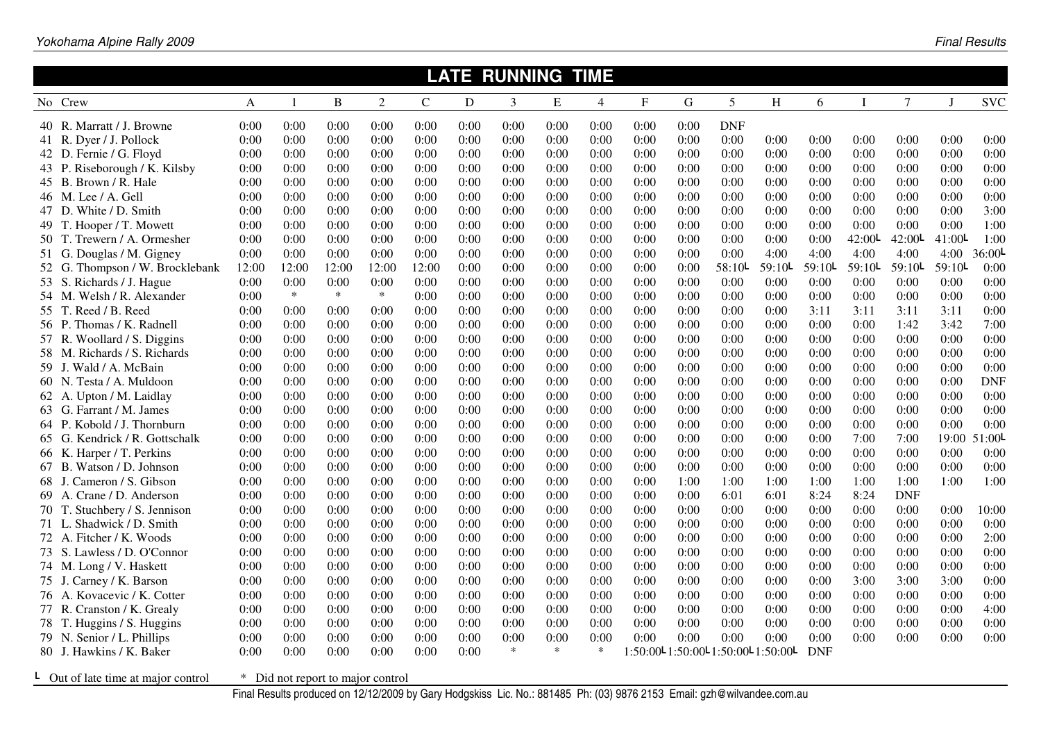|       |                                 |       |                |        |        |             |      | <b>LATE RUNNING</b> |        | <b>TIME</b> |                                  |      |            |                      |            |        |            |           |            |
|-------|---------------------------------|-------|----------------|--------|--------|-------------|------|---------------------|--------|-------------|----------------------------------|------|------------|----------------------|------------|--------|------------|-----------|------------|
|       | No Crew                         | A     | $\overline{1}$ | B      | 2      | $\mathbf C$ | D    | 3                   | E      | 4           | $\mathbf F$                      | G    | 5          | H                    | 6          | T      | $\tau$     | J         | <b>SVC</b> |
|       | 40 R. Marratt / J. Browne       | 0:00  | 0:00           | 0:00   | 0:00   | 0:00        | 0:00 | 0:00                | 0:00   | 0:00        | 0:00                             | 0:00 | <b>DNF</b> |                      |            |        |            |           |            |
|       | 41 R. Dyer / J. Pollock         | 0:00  | 0:00           | 0:00   | 0:00   | 0:00        | 0:00 | 0:00                | 0:00   | 0:00        | 0:00                             | 0:00 | 0:00       | 0:00                 | 0:00       | 0:00   | 0:00       | 0:00      | 0:00       |
|       | 42 D. Fernie / G. Floyd         | 0:00  | 0:00           | 0:00   | 0:00   | 0:00        | 0:00 | 0:00                | 0:00   | 0:00        | 0:00                             | 0:00 | 0:00       | 0:00                 | 0:00       | 0:00   | 0:00       | 0:00      | 0:00       |
| 43 P. | Riseborough / K. Kilsby         | 0:00  | 0:00           | 0:00   | 0:00   | 0:00        | 0:00 | 0:00                | 0:00   | 0:00        | 0:00                             | 0:00 | 0:00       | 0:00                 | 0:00       | 0:00   | 0:00       | 0:00      | 0:00       |
| 45 B. | . Brown / R. Hale               | 0:00  | 0:00           | 0:00   | 0:00   | 0:00        | 0:00 | 0:00                | 0:00   | 0:00        | 0:00                             | 0:00 | 0:00       | 0:00                 | 0:00       | 0:00   | 0:00       | 0:00      | 0:00       |
|       | 46 M. Lee / A. Gell             | 0:00  | 0:00           | 0:00   | 0:00   | 0:00        | 0:00 | 0:00                | 0:00   | 0:00        | 0:00                             | 0:00 | 0:00       | 0:00                 | 0:00       | 0:00   | 0:00       | 0:00      | 0:00       |
|       | 47 D. White / D. Smith          | 0:00  | 0:00           | 0:00   | 0:00   | 0:00        | 0:00 | 0:00                | 0:00   | 0:00        | 0:00                             | 0:00 | 0:00       | 0:00                 | 0:00       | 0:00   | 0:00       | 0:00      | 3:00       |
|       | 49 T. Hooper / T. Mowett        | 0:00  | 0:00           | 0:00   | 0:00   | 0:00        | 0:00 | 0:00                | 0:00   | 0:00        | 0:00                             | 0:00 | 0:00       | 0:00                 | 0:00       | 0:00   | 0:00       | 0:00      | 1:00       |
|       | 50 T. Trewern / A. Ormesher     | 0:00  | 0:00           | 0:00   | 0:00   | 0:00        | 0:00 | 0:00                | 0:00   | 0:00        | 0:00                             | 0:00 | 0:00       | 0:00                 | 0:00       | 42:00L | 42:00L     | 41:00L    | 1:00       |
|       | 51 G. Douglas / M. Gigney       | 0:00  | 0:00           | 0:00   | 0:00   | 0:00        | 0:00 | 0:00                | 0:00   | 0:00        | 0:00                             | 0:00 | 0:00       | 4:00                 | 4:00       | 4:00   | 4:00       | 4:00      | 36:00L     |
|       | 52 G. Thompson / W. Brocklebank | 12:00 | 12:00          | 12:00  | 12:00  | 12:00       | 0:00 | 0:00                | 0:00   | 0:00        | 0:00                             | 0:00 | $58:10$ L  | $59:10^{\mathsf{L}}$ | 59:10      | 59:10  | $59:10$ L  | $59:10$ L | 0:00       |
|       | 53 S. Richards / J. Hague       | 0:00  | 0:00           | 0:00   | 0:00   | 0:00        | 0:00 | 0:00                | 0:00   | 0:00        | 0:00                             | 0:00 | 0:00       | 0:00                 | 0:00       | 0:00   | 0:00       | 0:00      | 0:00       |
|       | 54 M. Welsh / R. Alexander      | 0:00  | $\ast$         | $\ast$ | $\ast$ | 0:00        | 0:00 | 0:00                | 0:00   | 0:00        | 0:00                             | 0:00 | 0:00       | 0:00                 | 0:00       | 0:00   | 0:00       | 0:00      | 0:00       |
|       | 55 T. Reed / B. Reed            | 0:00  | 0:00           | 0:00   | 0:00   | 0:00        | 0:00 | 0:00                | 0:00   | 0:00        | 0:00                             | 0:00 | 0:00       | 0:00                 | 3:11       | 3:11   | 3:11       | 3:11      | 0:00       |
|       | 56 P. Thomas / K. Radnell       | 0:00  | 0:00           | 0:00   | 0:00   | 0:00        | 0:00 | 0:00                | 0:00   | 0:00        | 0:00                             | 0:00 | 0:00       | 0:00                 | 0:00       | 0:00   | 1:42       | 3:42      | 7:00       |
|       | 57 R. Woollard / S. Diggins     | 0:00  | 0:00           | 0:00   | 0:00   | 0:00        | 0:00 | 0:00                | 0:00   | 0:00        | 0:00                             | 0:00 | 0:00       | 0:00                 | 0:00       | 0:00   | 0:00       | 0:00      | 0:00       |
|       | 58 M. Richards / S. Richards    | 0:00  | 0:00           | 0:00   | 0:00   | 0:00        | 0:00 | 0:00                | 0:00   | 0:00        | 0:00                             | 0:00 | 0:00       | 0:00                 | 0:00       | 0:00   | 0:00       | 0:00      | 0:00       |
|       | 59 J. Wald / A. McBain          | 0:00  | 0:00           | 0:00   | 0:00   | 0:00        | 0:00 | 0:00                | 0:00   | 0:00        | 0:00                             | 0:00 | 0:00       | 0:00                 | 0:00       | 0:00   | 0:00       | 0:00      | 0:00       |
|       | 60 N. Testa / A. Muldoon        | 0:00  | 0:00           | 0:00   | 0:00   | 0:00        | 0:00 | 0:00                | 0:00   | 0:00        | 0:00                             | 0:00 | 0:00       | 0:00                 | 0:00       | 0:00   | 0:00       | 0:00      | <b>DNF</b> |
|       | 62 A. Upton / M. Laidlay        | 0:00  | 0:00           | 0:00   | 0:00   | 0:00        | 0:00 | 0:00                | 0:00   | 0:00        | 0:00                             | 0:00 | 0:00       | 0:00                 | 0:00       | 0:00   | 0:00       | 0:00      | 0:00       |
|       | 63 G. Farrant / M. James        | 0:00  | 0:00           | 0:00   | 0:00   | 0:00        | 0:00 | 0:00                | 0:00   | 0:00        | 0:00                             | 0:00 | 0:00       | 0:00                 | 0:00       | 0:00   | 0:00       | 0:00      | 0:00       |
| 64 P. | Kobold / J. Thornburn           | 0:00  | 0:00           | 0:00   | 0:00   | 0:00        | 0:00 | 0:00                | 0:00   | 0:00        | 0:00                             | 0:00 | 0:00       | 0:00                 | 0:00       | 0:00   | 0:00       | 0:00      | 0:00       |
|       | 65 G. Kendrick / R. Gottschalk  | 0:00  | 0:00           | 0:00   | 0:00   | 0:00        | 0:00 | 0:00                | 0:00   | 0:00        | 0:00                             | 0:00 | 0:00       | 0:00                 | 0:00       | 7:00   | 7:00       | 19:00     | $51:00$ L  |
|       | 66 K. Harper / T. Perkins       | 0:00  | 0:00           | 0:00   | 0:00   | 0:00        | 0:00 | 0:00                | 0:00   | 0:00        | 0:00                             | 0:00 | 0:00       | 0:00                 | 0:00       | 0:00   | 0:00       | 0:00      | 0:00       |
|       | 67 B. Watson / D. Johnson       | 0:00  | 0:00           | 0:00   | 0:00   | 0:00        | 0:00 | 0:00                | 0:00   | 0:00        | 0:00                             | 0:00 | 0:00       | 0:00                 | 0:00       | 0:00   | 0:00       | 0:00      | 0:00       |
|       | 68 J. Cameron / S. Gibson       | 0:00  | 0:00           | 0:00   | 0:00   | 0:00        | 0:00 | 0:00                | 0:00   | 0:00        | 0:00                             | 1:00 | 1:00       | 1:00                 | 1:00       | 1:00   | 1:00       | 1:00      | 1:00       |
|       | 69 A. Crane / D. Anderson       | 0:00  | 0:00           | 0:00   | 0:00   | 0:00        | 0:00 | 0:00                | 0:00   | 0:00        | 0:00                             | 0:00 | 6:01       | 6:01                 | 8:24       | 8:24   | <b>DNF</b> |           |            |
|       | 70 T. Stuchbery / S. Jennison   | 0:00  | 0:00           | 0:00   | 0:00   | 0:00        | 0:00 | 0:00                | 0:00   | 0:00        | 0:00                             | 0:00 | 0:00       | 0:00                 | 0:00       | 0:00   | 0:00       | 0:00      | 10:00      |
|       | 71 L. Shadwick / D. Smith       | 0:00  | 0:00           | 0:00   | 0:00   | 0:00        | 0:00 | 0:00                | 0:00   | 0:00        | 0:00                             | 0:00 | 0:00       | 0:00                 | 0:00       | 0:00   | 0:00       | 0:00      | 0:00       |
|       | 72 A. Fitcher / K. Woods        | 0:00  | 0:00           | 0:00   | 0:00   | 0:00        | 0:00 | 0:00                | 0:00   | 0:00        | 0:00                             | 0:00 | 0:00       | 0:00                 | 0:00       | 0:00   | 0:00       | 0:00      | 2:00       |
|       | 73 S. Lawless / D. O'Connor     | 0:00  | 0:00           | 0:00   | 0:00   | 0:00        | 0:00 | 0:00                | 0:00   | 0:00        | 0:00                             | 0:00 | 0:00       | 0:00                 | 0:00       | 0:00   | 0:00       | 0:00      | 0:00       |
|       | 74 M. Long / V. Haskett         | 0:00  | 0:00           | 0:00   | 0:00   | 0:00        | 0:00 | 0:00                | 0:00   | 0:00        | 0:00                             | 0:00 | 0:00       | 0:00                 | 0:00       | 0:00   | 0:00       | 0:00      | 0:00       |
|       | 75 J. Carney / K. Barson        | 0:00  | 0:00           | 0:00   | 0:00   | 0:00        | 0:00 | 0:00                | 0:00   | 0:00        | 0:00                             | 0:00 | 0:00       | 0:00                 | 0:00       | 3:00   | 3:00       | 3:00      | 0:00       |
|       | 76 A. Kovacevic / K. Cotter     | 0:00  | 0:00           | 0:00   | 0:00   | 0:00        | 0:00 | 0:00                | 0:00   | 0:00        | 0:00                             | 0:00 | 0:00       | 0:00                 | 0:00       | 0:00   | 0:00       | 0:00      | 0:00       |
|       | 77 R. Cranston / K. Grealy      | 0:00  | 0:00           | 0:00   | 0:00   | 0:00        | 0:00 | 0:00                | 0:00   | 0:00        | 0:00                             | 0:00 | 0:00       | 0:00                 | 0:00       | 0:00   | 0:00       | 0:00      | 4:00       |
|       | 78 T. Huggins / S. Huggins      | 0:00  | 0:00           | 0:00   | 0:00   | 0:00        | 0:00 | 0:00                | 0:00   | 0:00        | 0:00                             | 0:00 | 0:00       | 0:00                 | 0:00       | 0:00   | 0:00       | 0:00      | 0:00       |
|       | 79 N. Senior / L. Phillips      | 0:00  | 0:00           | 0:00   | 0:00   | 0:00        | 0:00 | 0:00                | 0:00   | 0:00        | 0:00                             | 0:00 | 0:00       | 0:00                 | 0:00       | 0:00   | 0:00       | 0:00      | 0:00       |
|       | 80 J. Hawkins / K. Baker        | 0:00  | 0:00           | 0:00   | 0:00   | 0:00        | 0:00 | $\ast$              | $\ast$ | $\ast$      | 1:50:00-1:50:00-1:50:00-1:50:00- |      |            |                      | <b>DNF</b> |        |            |           |            |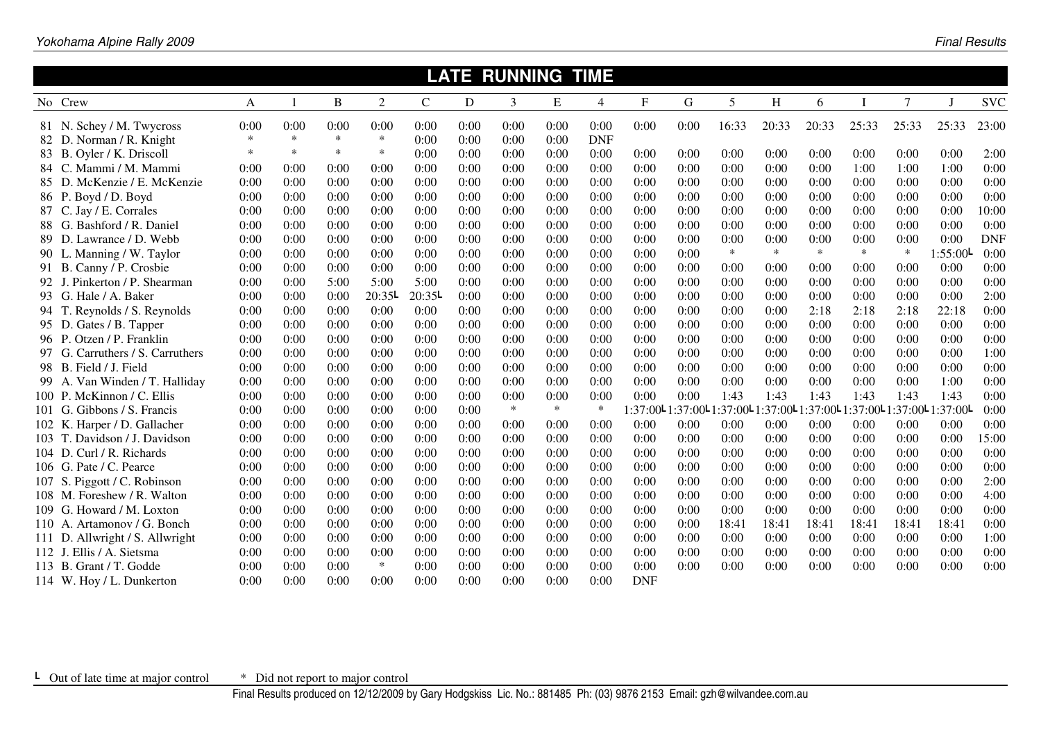|        |                                  |        |        |        |                |              |      | <b>LATE RUNNING TIME</b> |        |                |              |      |                         |        |                                        |         |        |                                           |            |
|--------|----------------------------------|--------|--------|--------|----------------|--------------|------|--------------------------|--------|----------------|--------------|------|-------------------------|--------|----------------------------------------|---------|--------|-------------------------------------------|------------|
|        | No Crew                          | A      |        | B      | $\overline{2}$ | $\mathsf{C}$ | D    | 3                        | E      | $\overline{4}$ | $\mathbf{F}$ | G    | 5                       | H      | 6                                      |         | $\tau$ | J                                         | <b>SVC</b> |
|        | 81 N. Schey / M. Twycross        | 0:00   | 0:00   | 0:00   | 0:00           | 0:00         | 0:00 | 0:00                     | 0:00   | 0:00           | 0:00         | 0:00 | 16:33                   | 20:33  | 20:33                                  | 25:33   | 25:33  | 25:33                                     | 23:00      |
| 82 D.  | Norman / R. Knight               | $\ast$ | $\ast$ | $\ast$ | $\ast$         | 0:00         | 0:00 | 0:00                     | 0:00   | <b>DNF</b>     |              |      |                         |        |                                        |         |        |                                           |            |
|        | 83 B. Oyler / K. Driscoll        | $\ast$ | $\ast$ | $\ast$ | $\ast$         | 0:00         | 0:00 | 0:00                     | 0:00   | 0:00           | 0:00         | 0:00 | 0:00                    | 0:00   | 0:00                                   | 0:00    | 0:00   | 0:00                                      | 2:00       |
|        | 84 C. Mammi / M. Mammi           | 0:00   | 0:00   | 0:00   | 0:00           | 0:00         | 0:00 | 0:00                     | 0:00   | 0:00           | 0:00         | 0:00 | 0:00                    | 0:00   | 0:00                                   | 1:00    | 1:00   | 1:00                                      | 0:00       |
| 85 D.  | McKenzie / E. McKenzie           | 0:00   | 0:00   | 0:00   | 0:00           | 0:00         | 0:00 | 0:00                     | 0:00   | 0:00           | 0:00         | 0:00 | 0:00                    | 0:00   | 0:00                                   | 0:00    | 0:00   | 0:00                                      | 0:00       |
|        | 86 P. Boyd / D. Boyd             | 0:00   | 0:00   | 0:00   | 0:00           | 0:00         | 0:00 | 0:00                     | 0:00   | 0:00           | 0:00         | 0:00 | 0:00                    | 0:00   | 0:00                                   | 0:00    | 0:00   | 0:00                                      | 0:00       |
|        | 87 C. Jay / E. Corrales          | 0:00   | 0:00   | 0:00   | 0:00           | 0:00         | 0:00 | 0:00                     | 0:00   | 0:00           | 0:00         | 0:00 | 0:00                    | 0:00   | 0:00                                   | 0:00    | 0:00   | 0:00                                      | 10:00      |
|        | 88 G. Bashford / R. Daniel       | 0:00   | 0:00   | 0:00   | 0:00           | 0:00         | 0:00 | 0:00                     | 0:00   | 0:00           | 0:00         | 0:00 | 0:00                    | 0:00   | 0:00                                   | 0:00    | 0:00   | 0:00                                      | 0:00       |
|        | 89 D. Lawrance / D. Webb         | 0:00   | 0:00   | 0:00   | 0:00           | 0:00         | 0:00 | 0:00                     | 0:00   | 0:00           | 0:00         | 0:00 | 0:00                    | 0:00   | 0:00                                   | 0:00    | 0:00   | 0:00                                      | <b>DNF</b> |
|        | 90 L. Manning / W. Taylor        | 0:00   | 0:00   | 0:00   | 0:00           | 0:00         | 0:00 | 0:00                     | 0:00   | 0:00           | 0:00         | 0:00 | $\ast$                  | $\ast$ | $\ast$                                 | $\ast$  | $\ast$ | $1:55:00$ L                               | 0:00       |
|        | 91 B. Canny / P. Crosbie         | 0:00   | 0:00   | 0:00   | 0:00           | 0:00         | 0:00 | 0:00                     | 0:00   | 0:00           | 0:00         | 0:00 | 0:00                    | 0:00   | 0:00                                   | 0:00    | 0:00   | 0:00                                      | 0:00       |
|        | 92 J. Pinkerton / P. Shearman    | 0:00   | 0:00   | 5:00   | 5:00           | 5:00         | 0:00 | 0:00                     | 0:00   | 0:00           | 0:00         | 0:00 | 0:00                    | 0:00   | 0:00                                   | 0:00    | 0:00   | 0:00                                      | 0:00       |
|        | 93 G. Hale / A. Baker            | 0:00   | 0:00   | 0:00   | 20:35L         | 20:35L       | 0:00 | 0:00                     | 0:00   | 0:00           | 0:00         | 0:00 | 0:00                    | 0:00   | 0:00                                   | 0:00    | 0:00   | 0:00                                      | 2:00       |
|        | 94 T. Reynolds / S. Reynolds     | 0:00   | 0:00   | 0:00   | 0:00           | 0:00         | 0:00 | 0:00                     | 0:00   | 0:00           | 0:00         | 0:00 | 0:00                    | 0:00   | 2:18                                   | 2:18    | 2:18   | 22:18                                     | 0:00       |
|        | 95 D. Gates / B. Tapper          | 0:00   | 0:00   | 0:00   | 0:00           | 0:00         | 0:00 | 0:00                     | 0:00   | 0:00           | 0:00         | 0:00 | 0:00                    | 0:00   | 0:00                                   | 0:00    | 0:00   | 0:00                                      | 0:00       |
|        | 96 P. Otzen / P. Franklin        | 0:00   | 0:00   | 0:00   | 0:00           | 0:00         | 0:00 | 0:00                     | 0:00   | 0:00           | 0:00         | 0:00 | 0:00                    | 0:00   | 0:00                                   | 0:00    | 0:00   | 0:00                                      | 0:00       |
|        | 97 G. Carruthers / S. Carruthers | 0:00   | 0:00   | 0:00   | 0:00           | 0:00         | 0:00 | 0:00                     | 0:00   | 0:00           | 0:00         | 0:00 | 0:00                    | 0:00   | 0:00                                   | 0:00    | 0:00   | 0:00                                      | 1:00       |
|        | 98 B. Field / J. Field           | 0:00   | 0:00   | 0:00   | 0:00           | 0:00         | 0:00 | 0:00                     | 0:00   | 0:00           | 0:00         | 0:00 | 0:00                    | 0:00   | 0:00                                   | 0:00    | 0:00   | 0:00                                      | 0:00       |
|        | 99 A. Van Winden / T. Halliday   | 0:00   | 0:00   | 0:00   | 0:00           | 0:00         | 0:00 | 0:00                     | 0:00   | 0:00           | 0:00         | 0:00 | 0:00                    | 0:00   | 0:00                                   | 0:00    | 0:00   | 1:00                                      | 0:00       |
|        | 100 P. McKinnon / C. Ellis       | 0:00   | 0:00   | 0:00   | 0:00           | 0:00         | 0:00 | 0:00                     | 0:00   | 0:00           | 0:00         | 0:00 | 1:43                    | 1:43   | 1:43                                   | 1:43    | 1:43   | 1:43                                      | 0:00       |
|        | 101 G. Gibbons / S. Francis      | 0:00   | 0:00   | 0:00   | 0:00           | 0:00         | 0:00 | $\ast$                   | $\ast$ | $\ast$         |              |      | :37:00-1:37:00-1:37:00- |        | :37:00 $\text{L}$ 1:37:00 $\text{L}$ 1 | :37:00L |        | l:37:00 <sup>L</sup> 1:37:00 <sup>L</sup> | 0:00       |
|        | 102 K. Harper / D. Gallacher     | 0:00   | 0:00   | 0:00   | 0:00           | 0:00         | 0:00 | 0:00                     | 0:00   | 0:00           | 0:00         | 0:00 | 0:00                    | 0:00   | 0:00                                   | 0:00    | 0:00   | 0:00                                      | 0:00       |
| 103 T. | . Davidson / J. Davidson         | 0:00   | 0:00   | 0:00   | 0:00           | 0:00         | 0:00 | 0:00                     | 0:00   | 0:00           | 0:00         | 0:00 | 0:00                    | 0:00   | 0:00                                   | 0:00    | 0:00   | 0:00                                      | 15:00      |
| 104 D. | Curl / R. Richards               | 0:00   | 0:00   | 0:00   | 0:00           | 0:00         | 0:00 | 0:00                     | 0:00   | 0:00           | 0:00         | 0:00 | 0:00                    | 0:00   | 0:00                                   | 0:00    | 0:00   | 0:00                                      | 0:00       |
|        | 106 G. Pate / C. Pearce          | 0:00   | 0:00   | 0:00   | 0:00           | 0:00         | 0:00 | 0:00                     | 0:00   | 0:00           | 0:00         | 0:00 | 0:00                    | 0:00   | 0:00                                   | 0:00    | 0:00   | 0:00                                      | 0:00       |
|        | 107 S. Piggott / C. Robinson     | 0:00   | 0:00   | 0:00   | 0:00           | 0:00         | 0:00 | 0:00                     | 0:00   | 0:00           | 0:00         | 0:00 | 0:00                    | 0:00   | 0:00                                   | 0:00    | 0:00   | 0:00                                      | 2:00       |
|        | 108 M. Foreshew / R. Walton      | 0:00   | 0:00   | 0:00   | 0:00           | 0:00         | 0:00 | 0:00                     | 0:00   | 0:00           | 0:00         | 0:00 | 0:00                    | 0:00   | 0:00                                   | 0:00    | 0:00   | 0:00                                      | 4:00       |
|        | 109 G. Howard / M. Loxton        | 0:00   | 0:00   | 0:00   | 0:00           | 0:00         | 0:00 | 0:00                     | 0:00   | 0:00           | 0:00         | 0:00 | 0:00                    | 0:00   | 0:00                                   | 0:00    | 0:00   | 0:00                                      | 0:00       |
|        | 110 A. Artamonov / G. Bonch      | 0:00   | 0:00   | 0:00   | 0:00           | 0:00         | 0:00 | 0:00                     | 0:00   | 0:00           | 0:00         | 0:00 | 18:41                   | 18:41  | 18:41                                  | 18:41   | 18:41  | 18:41                                     | 0:00       |
|        | 111 D. Allwright / S. Allwright  | 0:00   | 0:00   | 0:00   | 0:00           | 0:00         | 0:00 | 0:00                     | 0:00   | 0:00           | 0:00         | 0:00 | 0:00                    | 0:00   | 0:00                                   | 0:00    | 0:00   | 0:00                                      | 1:00       |
| 112 J. | Ellis / A. Sietsma               | 0:00   | 0:00   | 0:00   | 0:00           | 0:00         | 0:00 | 0:00                     | 0:00   | 0:00           | 0:00         | 0:00 | 0:00                    | 0:00   | 0:00                                   | 0:00    | 0:00   | 0:00                                      | 0:00       |
| 113 B  | Grant / T. Godde                 | 0:00   | 0:00   | 0:00   | $\ast$         | 0:00         | 0:00 | 0:00                     | 0:00   | 0:00           | 0:00         | 0:00 | 0:00                    | 0:00   | 0:00                                   | 0:00    | 0:00   | 0:00                                      | 0:00       |
|        | 114 W. Hoy / L. Dunkerton        | 0:00   | 0:00   | 0:00   | 0:00           | 0:00         | 0:00 | 0:00                     | 0:00   | 0:00           | <b>DNF</b>   |      |                         |        |                                        |         |        |                                           |            |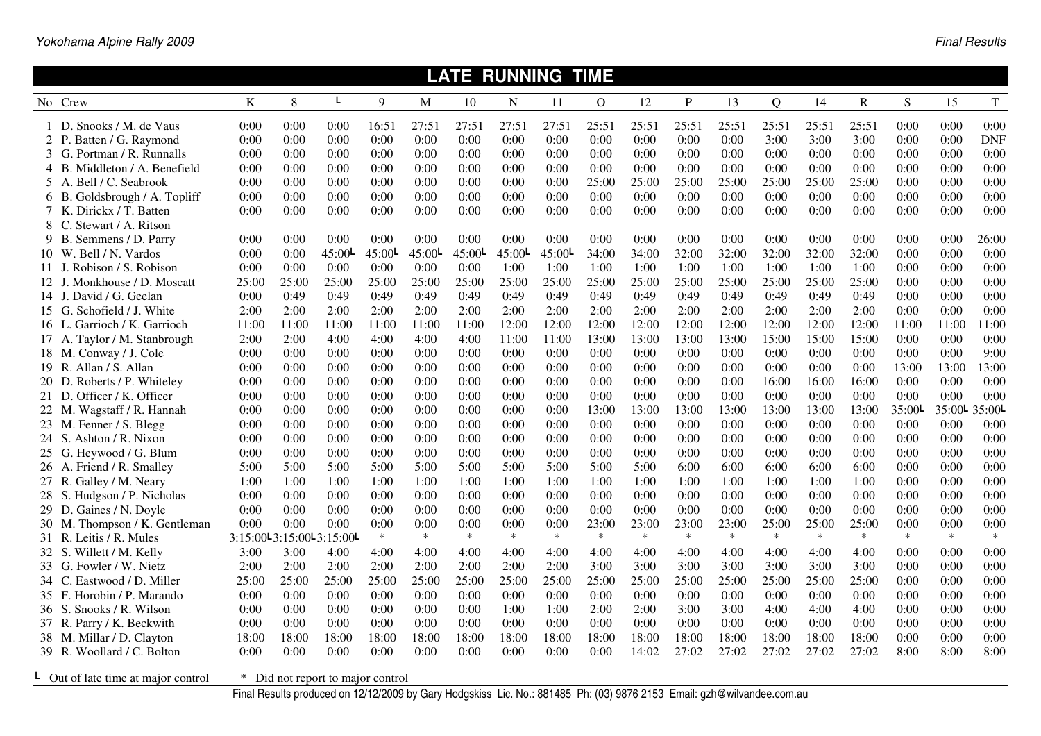|       |                                  |       |       |                                     |           |        |           | <b>LATE RUNNING</b> |        | <b>TIME</b> |        |        |        |                |        |              |           |           |             |
|-------|----------------------------------|-------|-------|-------------------------------------|-----------|--------|-----------|---------------------|--------|-------------|--------|--------|--------|----------------|--------|--------------|-----------|-----------|-------------|
|       | No Crew                          | K     | 8     | L.                                  | 9         | M      | 10        | $\mathbf N$         | 11     | $\Omega$    | 12     | P      | 13     | $\overline{Q}$ | 14     | $\mathbb{R}$ | S         | 15        | $\mathbf T$ |
|       | 1 D. Snooks / M. de Vaus         | 0:00  | 0:00  | 0:00                                | 16:51     | 27:51  | 27:51     | 27:51               | 27:51  | 25:51       | 25:51  | 25:51  | 25:51  | 25:51          | 25:51  | 25:51        | 0:00      | 0:00      | 0:00        |
|       | 2 P. Batten / G. Raymond         | 0:00  | 0:00  | 0:00                                | 0:00      | 0:00   | 0:00      | 0:00                | 0:00   | 0:00        | 0:00   | 0:00   | 0:00   | 3:00           | 3:00   | 3:00         | 0:00      | 0:00      | <b>DNF</b>  |
|       | 3 G. Portman / R. Runnalls       | 0:00  | 0:00  | 0:00                                | 0:00      | 0:00   | 0:00      | 0:00                | 0:00   | 0:00        | 0:00   | 0:00   | 0:00   | 0:00           | 0:00   | 0:00         | 0:00      | 0:00      | 0:00        |
|       | Middleton / A. Benefield<br>4 B. | 0:00  | 0:00  | 0:00                                | 0:00      | 0:00   | 0:00      | 0:00                | 0:00   | 0:00        | 0:00   | 0:00   | 0:00   | 0:00           | 0:00   | 0:00         | 0:00      | 0:00      | 0:00        |
|       | 5 A. Bell / C. Seabrook          | 0:00  | 0:00  | 0:00                                | 0:00      | 0:00   | 0:00      | 0:00                | 0:00   | 25:00       | 25:00  | 25:00  | 25:00  | 25:00          | 25:00  | 25:00        | 0:00      | 0:00      | 0:00        |
|       | 6 B. Goldsbrough / A. Topliff    | 0:00  | 0:00  | 0:00                                | 0:00      | 0:00   | 0:00      | 0:00                | 0:00   | 0:00        | 0:00   | 0:00   | 0:00   | 0:00           | 0:00   | 0:00         | 0:00      | 0:00      | 0:00        |
|       | 7 K. Dirickx / T. Batten         | 0:00  | 0:00  | 0:00                                | 0:00      | 0:00   | 0:00      | 0:00                | 0:00   | 0:00        | 0:00   | 0:00   | 0:00   | 0:00           | 0:00   | 0:00         | 0:00      | 0:00      | 0:00        |
|       | 8 C. Stewart / A. Ritson         |       |       |                                     |           |        |           |                     |        |             |        |        |        |                |        |              |           |           |             |
|       | 9 B.<br>Semmens / D. Parry       | 0:00  | 0:00  | 0:00                                | 0:00      | 0:00   | 0:00      | 0:00                | 0:00   | 0:00        | 0:00   | 0:00   | 0:00   | 0:00           | 0:00   | 0:00         | 0:00      | 0:00      | 26:00       |
|       | 10 W. Bell / N. Vardos           | 0:00  | 0:00  | 45:00L                              | $45:00$ L | 45:00  | $45:00$ L | $45:00$ L           | 45:00L | 34:00       | 34:00  | 32:00  | 32:00  | 32:00          | 32:00  | 32:00        | 0:00      | 0:00      | 0:00        |
|       | 11 J. Robison / S. Robison       | 0:00  | 0:00  | 0:00                                | 0:00      | 0:00   | 0:00      | 1:00                | 1:00   | 1:00        | 1:00   | 1:00   | 1:00   | 1:00           | 1:00   | 1:00         | 0:00      | 0:00      | 0:00        |
|       | 12 J. Monkhouse / D. Moscatt     | 25:00 | 25:00 | 25:00                               | 25:00     | 25:00  | 25:00     | 25:00               | 25:00  | 25:00       | 25:00  | 25:00  | 25:00  | 25:00          | 25:00  | 25:00        | 0:00      | 0:00      | 0:00        |
|       | 14 J. David / G. Geelan          | 0:00  | 0:49  | 0:49                                | 0:49      | 0:49   | 0:49      | 0:49                | 0:49   | 0:49        | 0:49   | 0:49   | 0:49   | 0:49           | 0:49   | 0:49         | 0:00      | 0:00      | 0:00        |
|       | 15 G. Schofield / J. White       | 2:00  | 2:00  | 2:00                                | 2:00      | 2:00   | 2:00      | 2:00                | 2:00   | 2:00        | 2:00   | 2:00   | 2:00   | 2:00           | 2:00   | 2:00         | 0:00      | 0:00      | 0:00        |
|       | 16 L. Garrioch / K. Garrioch     | 11:00 | 11:00 | 11:00                               | 11:00     | 11:00  | 11:00     | 12:00               | 12:00  | 12:00       | 12:00  | 12:00  | 12:00  | 12:00          | 12:00  | 12:00        | 11:00     | 11:00     | 11:00       |
|       | 17 A. Taylor / M. Stanbrough     | 2:00  | 2:00  | 4:00                                | 4:00      | 4:00   | 4:00      | 11:00               | 11:00  | 13:00       | 13:00  | 13:00  | 13:00  | 15:00          | 15:00  | 15:00        | 0:00      | 0:00      | 0:00        |
|       | 18 M. Conway / J. Cole           | 0:00  | 0:00  | 0:00                                | 0:00      | 0:00   | 0:00      | 0:00                | 0:00   | 0:00        | 0:00   | 0:00   | 0:00   | 0:00           | 0:00   | 0:00         | 0:00      | 0:00      | 9:00        |
|       | 19 R. Allan / S. Allan           | 0:00  | 0:00  | 0:00                                | 0:00      | 0:00   | 0:00      | 0:00                | 0:00   | 0:00        | 0:00   | 0:00   | 0:00   | 0:00           | 0:00   | 0:00         | 13:00     | 13:00     | 13:00       |
|       | 20 D. Roberts / P. Whiteley      | 0:00  | 0:00  | 0:00                                | 0:00      | 0:00   | 0:00      | 0:00                | 0:00   | 0:00        | 0:00   | 0:00   | 0:00   | 16:00          | 16:00  | 16:00        | 0:00      | 0:00      | 0:00        |
|       | 21 D. Officer / K. Officer       | 0:00  | 0:00  | 0:00                                | 0:00      | 0:00   | 0:00      | 0:00                | 0:00   | 0:00        | 0:00   | 0:00   | 0:00   | 0:00           | 0:00   | 0:00         | 0:00      | 0:00      | 0:00        |
|       | 22 M. Wagstaff / R. Hannah       | 0:00  | 0:00  | 0:00                                | 0:00      | 0:00   | 0:00      | 0:00                | 0:00   | 13:00       | 13:00  | 13:00  | 13:00  | 13:00          | 13:00  | 13:00        | $35:00$ L | $35:00$ L | $35:00$ L   |
|       | 23 M. Fenner / S. Blegg          | 0:00  | 0:00  | 0:00                                | 0:00      | 0:00   | 0:00      | 0:00                | 0:00   | 0:00        | 0:00   | 0:00   | 0:00   | 0:00           | 0:00   | 0:00         | 0:00      | 0:00      | 0:00        |
|       | 24 S. Ashton / R. Nixon          | 0:00  | 0:00  | 0:00                                | 0:00      | 0:00   | 0:00      | 0:00                | 0:00   | 0:00        | 0:00   | 0:00   | 0:00   | 0:00           | 0:00   | 0:00         | 0:00      | 0:00      | 0:00        |
|       | 25 G. Heywood / G. Blum          | 0:00  | 0:00  | 0:00                                | 0:00      | 0:00   | 0:00      | 0:00                | 0:00   | 0:00        | 0:00   | 0:00   | 0:00   | 0:00           | 0:00   | 0:00         | 0:00      | 0:00      | 0:00        |
|       | 26 A. Friend / R. Smalley        | 5:00  | 5:00  | 5:00                                | 5:00      | 5:00   | 5:00      | 5:00                | 5:00   | 5:00        | 5:00   | 6:00   | 6:00   | 6:00           | 6:00   | 6:00         | 0:00      | 0:00      | 0:00        |
|       | 27 R. Galley / M. Neary          | 1:00  | 1:00  | 1:00                                | 1:00      | 1:00   | 1:00      | 1:00                | 1:00   | 1:00        | 1:00   | 1:00   | 1:00   | 1:00           | 1:00   | 1:00         | 0:00      | 0:00      | 0:00        |
|       | 28 S. Hudgson / P. Nicholas      | 0:00  | 0:00  | 0:00                                | 0:00      | 0:00   | 0:00      | 0:00                | 0:00   | 0:00        | 0:00   | 0:00   | 0:00   | 0:00           | 0:00   | 0:00         | 0:00      | 0:00      | 0:00        |
|       | 29 D. Gaines / N. Doyle          | 0:00  | 0:00  | 0:00                                | 0:00      | 0:00   | 0:00      | 0:00                | 0:00   | 0:00        | 0:00   | 0:00   | 0:00   | 0:00           | 0:00   | 0:00         | 0:00      | 0:00      | 0:00        |
|       | 30 M. Thompson / K. Gentleman    | 0:00  | 0:00  | 0:00                                | 0:00      | 0:00   | 0:00      | 0:00                | 0:00   | 23:00       | 23:00  | 23:00  | 23:00  | 25:00          | 25:00  | 25:00        | 0:00      | 0:00      | 0:00        |
|       | 31 R. Leitis / R. Mules          |       |       | $3:15:00$ - $3:15:00$ - $3:15:00$ - | $\ast$    | $\ast$ | $\ast$    | $\ast$              | $\ast$ | $\ast$      | $\ast$ | $\ast$ | $\ast$ | $\ast$         | $\ast$ | $\ast$       | $\ast$    | $\ast$    | $\ast$      |
| 32 S. | Willett / M. Kelly               | 3:00  | 3:00  | 4:00                                | 4:00      | 4:00   | 4:00      | 4:00                | 4:00   | 4:00        | 4:00   | 4:00   | 4:00   | 4:00           | 4:00   | 4:00         | 0:00      | 0:00      | 0:00        |
|       | 33 G. Fowler / W. Nietz          | 2:00  | 2:00  | 2:00                                | 2:00      | 2:00   | 2:00      | 2:00                | 2:00   | 3:00        | 3:00   | 3:00   | 3:00   | 3:00           | 3:00   | 3:00         | 0:00      | 0:00      | 0:00        |
|       | 34 C. Eastwood / D. Miller       | 25:00 | 25:00 | 25:00                               | 25:00     | 25:00  | 25:00     | 25:00               | 25:00  | 25:00       | 25:00  | 25:00  | 25:00  | 25:00          | 25:00  | 25:00        | 0:00      | 0:00      | 0:00        |
|       | 35 F. Horobin / P. Marando       | 0:00  | 0:00  | 0:00                                | 0:00      | 0:00   | 0:00      | 0:00                | 0:00   | 0:00        | 0:00   | 0:00   | 0:00   | 0:00           | 0:00   | 0:00         | 0:00      | 0:00      | 0:00        |
| 36 S. | Snooks / R. Wilson               | 0:00  | 0:00  | 0:00                                | 0:00      | 0:00   | 0:00      | 1:00                | 1:00   | 2:00        | 2:00   | 3:00   | 3:00   | 4:00           | 4:00   | 4:00         | 0:00      | 0:00      | 0:00        |
|       | 37 R. Parry / K. Beckwith        | 0:00  | 0:00  | 0:00                                | 0:00      | 0:00   | 0:00      | 0:00                | 0:00   | 0:00        | 0:00   | 0:00   | 0:00   | 0:00           | 0:00   | 0:00         | 0:00      | 0:00      | 0:00        |
|       | 38 M. Millar / D. Clayton        | 18:00 | 18:00 | 18:00                               | 18:00     | 18:00  | 18:00     | 18:00               | 18:00  | 18:00       | 18:00  | 18:00  | 18:00  | 18:00          | 18:00  | 18:00        | 0:00      | 0:00      | 0:00        |
|       | 39 R. Woollard / C. Bolton       | 0:00  | 0:00  | 0:00                                | 0:00      | 0:00   | 0:00      | 0:00                | 0:00   | 0:00        | 14:02  | 27:02  | 27:02  | 27:02          | 27:02  | 27:02        | 8:00      | 8:00      | 8:00        |
|       |                                  |       |       |                                     |           |        |           |                     |        |             |        |        |        |                |        |              |           |           |             |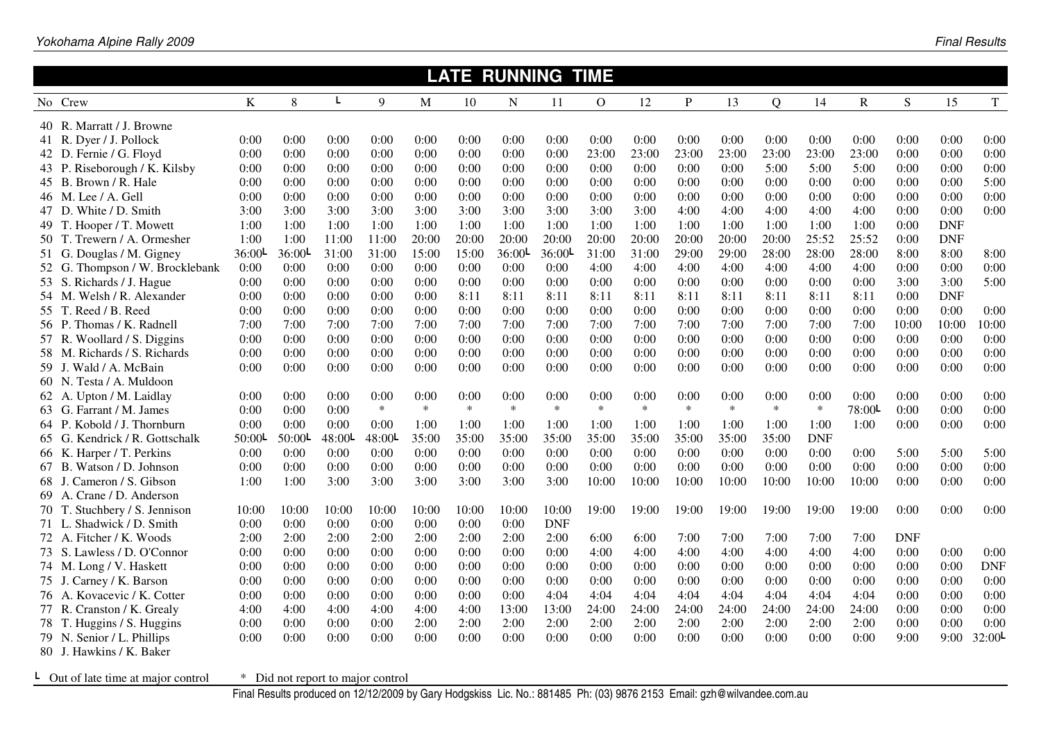|                                 |           |           |        |           |        |        | <b>LATE RUNNING</b> |            | <b>TIME</b> |        |              |        |                |            |             |            |            |            |
|---------------------------------|-----------|-----------|--------|-----------|--------|--------|---------------------|------------|-------------|--------|--------------|--------|----------------|------------|-------------|------------|------------|------------|
| No Crew                         | K         | 8         | L      | 9         | M      | 10     | ${\bf N}$           | 11         | $\Omega$    | 12     | $\mathbf{P}$ | 13     | $\overline{Q}$ | 14         | $\mathbf R$ | S          | 15         | T          |
| 40 R. Marratt / J. Browne       |           |           |        |           |        |        |                     |            |             |        |              |        |                |            |             |            |            |            |
| 41 R. Dyer / J. Pollock         | 0:00      | 0:00      | 0:00   | 0:00      | 0:00   | 0:00   | 0:00                | 0:00       | 0:00        | 0:00   | 0:00         | 0:00   | 0:00           | 0:00       | 0:00        | 0:00       | 0:00       | 0:00       |
| 42 D. Fernie / G. Floyd         | 0:00      | 0:00      | 0:00   | 0:00      | 0:00   | 0:00   | 0:00                | 0:00       | 23:00       | 23:00  | 23:00        | 23:00  | 23:00          | 23:00      | 23:00       | 0:00       | 0:00       | 0:00       |
| 43 P. Riseborough / K. Kilsby   | 0:00      | 0:00      | 0:00   | 0:00      | 0:00   | 0:00   | 0:00                | 0:00       | 0:00        | 0:00   | 0:00         | 0:00   | 5:00           | 5:00       | 5:00        | 0:00       | 0:00       | 0:00       |
| 45 B. Brown / R. Hale           | 0:00      | 0:00      | 0:00   | 0:00      | 0:00   | 0:00   | 0:00                | 0:00       | 0:00        | 0:00   | 0:00         | 0:00   | 0:00           | 0:00       | 0:00        | 0:00       | 0:00       | 5:00       |
| 46 M. Lee / A. Gell             | 0:00      | 0:00      | 0:00   | 0:00      | 0:00   | 0:00   | 0:00                | 0:00       | 0:00        | 0:00   | 0:00         | 0:00   | 0:00           | 0:00       | 0:00        | 0:00       | 0:00       | 0:00       |
| 47 D. White / D. Smith          | 3:00      | 3:00      | 3:00   | 3:00      | 3:00   | 3:00   | 3:00                | 3:00       | 3:00        | 3:00   | 4:00         | 4:00   | 4:00           | 4:00       | 4:00        | 0:00       | 0:00       | 0:00       |
| 49 T. Hooper / T. Mowett        | 1:00      | 1:00      | 1:00   | 1:00      | 1:00   | 1:00   | 1:00                | 1:00       | 1:00        | 1:00   | 1:00         | 1:00   | 1:00           | 1:00       | 1:00        | 0:00       | <b>DNF</b> |            |
| 50 T. Trewern / A. Ormesher     | 1:00      | 1:00      | 11:00  | 11:00     | 20:00  | 20:00  | 20:00               | 20:00      | 20:00       | 20:00  | 20:00        | 20:00  | 20:00          | 25:52      | 25:52       | 0:00       | <b>DNF</b> |            |
| 51 G. Douglas / M. Gigney       | 36:00L    | $36:00$ L | 31:00  | 31:00     | 15:00  | 15:00  | $36:00$ L           | $36:00$ L  | 31:00       | 31:00  | 29:00        | 29:00  | 28:00          | 28:00      | 28:00       | 8:00       | 8:00       | 8:00       |
| 52 G. Thompson / W. Brocklebank | 0:00      | 0:00      | 0:00   | 0:00      | 0:00   | 0:00   | 0:00                | 0:00       | 4:00        | 4:00   | 4:00         | 4:00   | 4:00           | 4:00       | 4:00        | 0:00       | 0:00       | 0:00       |
| 53 S. Richards / J. Hague       | 0:00      | 0:00      | 0:00   | 0:00      | 0:00   | 0:00   | 0:00                | 0:00       | 0:00        | 0:00   | 0:00         | 0:00   | 0:00           | 0:00       | 0:00        | 3:00       | 3:00       | 5:00       |
| 54 M. Welsh / R. Alexander      | 0:00      | 0:00      | 0:00   | 0:00      | 0:00   | 8:11   | 8:11                | 8:11       | 8:11        | 8:11   | 8:11         | 8:11   | 8:11           | 8:11       | 8:11        | 0:00       | <b>DNF</b> |            |
| 55 T. Reed / B. Reed            | 0:00      | 0:00      | 0:00   | 0:00      | 0:00   | 0:00   | 0:00                | 0:00       | 0:00        | 0:00   | 0:00         | 0:00   | 0:00           | 0:00       | 0:00        | 0:00       | 0:00       | 0:00       |
| 56 P. Thomas / K. Radnell       | 7:00      | 7:00      | 7:00   | 7:00      | 7:00   | 7:00   | 7:00                | 7:00       | 7:00        | 7:00   | 7:00         | 7:00   | 7:00           | 7:00       | 7:00        | 10:00      | 10:00      | 10:00      |
| 57 R. Woollard / S. Diggins     | 0:00      | 0:00      | 0:00   | 0:00      | 0:00   | 0:00   | 0:00                | 0:00       | 0:00        | 0:00   | 0:00         | 0:00   | 0:00           | 0:00       | 0:00        | 0:00       | 0:00       | 0:00       |
| 58 M. Richards / S. Richards    | 0:00      | 0:00      | 0:00   | 0:00      | 0:00   | 0:00   | 0:00                | 0:00       | 0:00        | 0:00   | 0:00         | 0:00   | 0:00           | 0:00       | 0:00        | 0:00       | 0:00       | 0:00       |
| 59 J. Wald / A. McBain          | 0:00      | 0:00      | 0:00   | 0:00      | 0:00   | 0:00   | 0:00                | 0:00       | 0:00        | 0:00   | 0:00         | 0:00   | 0:00           | 0:00       | 0:00        | 0:00       | 0:00       | 0:00       |
| 60 N. Testa / A. Muldoon        |           |           |        |           |        |        |                     |            |             |        |              |        |                |            |             |            |            |            |
| 62 A. Upton / M. Laidlay        | 0:00      | 0:00      | 0:00   | 0:00      | 0:00   | 0:00   | 0:00                | 0:00       | 0:00        | 0:00   | 0:00         | 0:00   | 0:00           | 0:00       | 0:00        | 0:00       | 0:00       | 0:00       |
| 63 G. Farrant / M. James        | 0:00      | 0:00      | 0:00   | $\ast$    | $\ast$ | $\ast$ | $\ast$              | $\ast$     | $\ast$      | $\ast$ | $\ast$       | $\ast$ | $\ast$         | $\ast$     | 78:00L      | 0:00       | 0:00       | 0:00       |
| 64 P. Kobold / J. Thornburn     | 0:00      | 0:00      | 0:00   | 0:00      | 1:00   | 1:00   | 1:00                | 1:00       | 1:00        | 1:00   | 1:00         | 1:00   | 1:00           | 1:00       | 1:00        | 0:00       | 0:00       | 0:00       |
| 65 G. Kendrick / R. Gottschalk  | $50:00$ L | $50:00$ L | 48:00L | $48:00$ L | 35:00  | 35:00  | 35:00               | 35:00      | 35:00       | 35:00  | 35:00        | 35:00  | 35:00          | <b>DNF</b> |             |            |            |            |
| 66 K. Harper / T. Perkins       | 0:00      | 0:00      | 0:00   | 0:00      | 0:00   | 0:00   | 0:00                | 0:00       | 0:00        | 0:00   | 0:00         | 0:00   | 0:00           | 0:00       | 0:00        | 5:00       | 5:00       | 5:00       |
| 67 B.<br>Watson / D. Johnson    | 0:00      | 0:00      | 0:00   | 0:00      | 0:00   | 0:00   | 0:00                | 0:00       | 0:00        | 0:00   | 0:00         | 0:00   | 0:00           | 0:00       | 0:00        | 0:00       | 0:00       | 0:00       |
| 68 J. Cameron / S. Gibson       | 1:00      | 1:00      | 3:00   | 3:00      | 3:00   | 3:00   | 3:00                | 3:00       | 10:00       | 10:00  | 10:00        | 10:00  | 10:00          | 10:00      | 10:00       | 0:00       | 0:00       | 0:00       |
| 69 A. Crane / D. Anderson       |           |           |        |           |        |        |                     |            |             |        |              |        |                |            |             |            |            |            |
| 70 T. Stuchbery / S. Jennison   | 10:00     | 10:00     | 10:00  | 10:00     | 10:00  | 10:00  | 10:00               | 10:00      | 19:00       | 19:00  | 19:00        | 19:00  | 19:00          | 19:00      | 19:00       | 0:00       | 0:00       | 0:00       |
| 71 L. Shadwick / D. Smith       | 0:00      | 0:00      | 0:00   | 0:00      | 0:00   | 0:00   | 0:00                | <b>DNF</b> |             |        |              |        |                |            |             |            |            |            |
| 72 A. Fitcher / K. Woods        | 2:00      | 2:00      | 2:00   | 2:00      | 2:00   | 2:00   | 2:00                | 2:00       | 6:00        | 6:00   | 7:00         | 7:00   | 7:00           | 7:00       | 7:00        | <b>DNF</b> |            |            |
| 73 S. Lawless / D. O'Connor     | 0:00      | 0:00      | 0:00   | 0:00      | 0:00   | 0:00   | 0:00                | 0:00       | 4:00        | 4:00   | 4:00         | 4:00   | 4:00           | 4:00       | 4:00        | 0:00       | 0:00       | 0:00       |
| 74 M. Long / V. Haskett         | 0:00      | 0:00      | 0:00   | 0:00      | 0:00   | 0:00   | 0:00                | 0:00       | 0:00        | 0:00   | 0:00         | 0:00   | 0:00           | 0:00       | 0:00        | 0:00       | 0:00       | <b>DNF</b> |
| 75 J. Carney / K. Barson        | 0:00      | 0:00      | 0:00   | 0:00      | 0:00   | 0:00   | 0:00                | 0:00       | 0:00        | 0:00   | 0:00         | 0:00   | 0:00           | 0:00       | 0:00        | 0:00       | 0:00       | 0:00       |
| 76 A. Kovacevic / K. Cotter     | 0:00      | 0:00      | 0:00   | 0:00      | 0:00   | 0:00   | 0:00                | 4:04       | 4:04        | 4:04   | 4:04         | 4:04   | 4:04           | 4:04       | 4:04        | 0:00       | 0:00       | 0:00       |
| 77 R. Cranston / K. Grealy      | 4:00      | 4:00      | 4:00   | 4:00      | 4:00   | 4:00   | 13:00               | 13:00      | 24:00       | 24:00  | 24:00        | 24:00  | 24:00          | 24:00      | 24:00       | 0:00       | 0:00       | 0:00       |
| 78 T. Huggins / S. Huggins      | 0:00      | 0:00      | 0:00   | 0:00      | 2:00   | 2:00   | 2:00                | 2:00       | 2:00        | 2:00   | 2:00         | 2:00   | 2:00           | 2:00       | 2:00        | 0:00       | 0:00       | 0:00       |
| 79 N. Senior / L. Phillips      | 0:00      | 0:00      | 0:00   | 0:00      | 0:00   | 0:00   | 0:00                | 0:00       | 0:00        | 0:00   | 0:00         | 0:00   | 0:00           | 0:00       | 0:00        | 9:00       | 9:00       | $32:00$ L  |
| 80 J. Hawkins / K. Baker        |           |           |        |           |        |        |                     |            |             |        |              |        |                |            |             |            |            |            |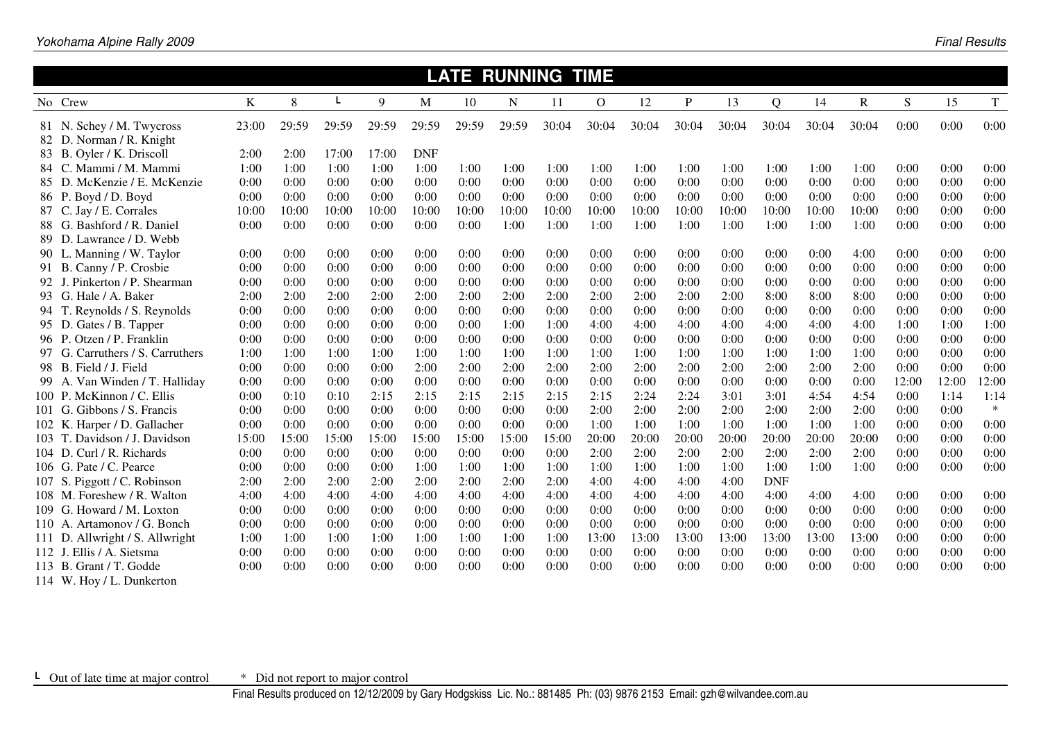|        |                                  |         |       |       |       |            | <b>LATE RUNNING</b> |       |       | <b>TIME</b>    |       |       |       |                |       |             |       |       |             |
|--------|----------------------------------|---------|-------|-------|-------|------------|---------------------|-------|-------|----------------|-------|-------|-------|----------------|-------|-------------|-------|-------|-------------|
|        | No Crew                          | $\bf K$ | 8     | Г     | 9     | M          | 10                  | N     | 11    | $\overline{O}$ | 12    | P     | 13    | $\overline{Q}$ | 14    | $\mathbf R$ | S     | 15    | $\mathbf T$ |
|        | 81 N. Schey / M. Twycross        | 23:00   | 29:59 | 29:59 | 29:59 | 29:59      | 29:59               | 29:59 | 30:04 | 30:04          | 30:04 | 30:04 | 30:04 | 30:04          | 30:04 | 30:04       | 0:00  | 0:00  | 0:00        |
|        | 82 D. Norman / R. Knight         |         |       |       |       |            |                     |       |       |                |       |       |       |                |       |             |       |       |             |
|        | 83 B. Oyler / K. Driscoll        | 2:00    | 2:00  | 17:00 | 17:00 | <b>DNF</b> |                     |       |       |                |       |       |       |                |       |             |       |       |             |
|        | 84 C. Mammi / M. Mammi           | 1:00    | 1:00  | 1:00  | 1:00  | 1:00       | 1:00                | 1:00  | 1:00  | 1:00           | 1:00  | 1:00  | 1:00  | 1:00           | 1:00  | 1:00        | 0:00  | 0:00  | 0:00        |
|        | 85 D. McKenzie / E. McKenzie     | 0:00    | 0:00  | 0:00  | 0:00  | 0:00       | 0:00                | 0:00  | 0:00  | 0:00           | 0:00  | 0:00  | 0:00  | 0:00           | 0:00  | 0:00        | 0:00  | 0:00  | 0:00        |
|        | 86 P. Boyd / D. Boyd             | 0:00    | 0:00  | 0:00  | 0:00  | 0:00       | 0:00                | 0:00  | 0:00  | 0:00           | 0:00  | 0:00  | 0:00  | 0:00           | 0:00  | 0:00        | 0:00  | 0:00  | 0:00        |
|        | 87 C. Jay / E. Corrales          | 10:00   | 10:00 | 10:00 | 10:00 | 10:00      | 10:00               | 10:00 | 10:00 | 10:00          | 10:00 | 10:00 | 10:00 | 10:00          | 10:00 | 10:00       | 0:00  | 0:00  | 0:00        |
|        | 88 G. Bashford / R. Daniel       | 0:00    | 0:00  | 0:00  | 0:00  | 0:00       | 0:00                | 1:00  | 1:00  | 1:00           | 1:00  | 1:00  | 1:00  | 1:00           | 1:00  | 1:00        | 0:00  | 0:00  | 0:00        |
| 89     | D. Lawrance / D. Webb            |         |       |       |       |            |                     |       |       |                |       |       |       |                |       |             |       |       |             |
|        | 90 L. Manning / W. Taylor        | 0:00    | 0:00  | 0:00  | 0:00  | 0:00       | 0:00                | 0:00  | 0:00  | 0:00           | 0:00  | 0:00  | 0:00  | 0:00           | 0:00  | 4:00        | 0:00  | 0:00  | 0:00        |
|        | 91 B. Canny / P. Crosbie         | 0:00    | 0:00  | 0:00  | 0:00  | 0:00       | 0:00                | 0:00  | 0:00  | 0:00           | 0:00  | 0:00  | 0:00  | 0:00           | 0:00  | 0:00        | 0:00  | 0:00  | 0:00        |
|        | 92 J. Pinkerton / P. Shearman    | 0:00    | 0:00  | 0:00  | 0:00  | 0:00       | 0:00                | 0:00  | 0:00  | 0:00           | 0:00  | 0:00  | 0:00  | 0:00           | 0:00  | 0:00        | 0:00  | 0:00  | 0:00        |
|        | 93 G. Hale / A. Baker            | 2:00    | 2:00  | 2:00  | 2:00  | 2:00       | 2:00                | 2:00  | 2:00  | 2:00           | 2:00  | 2:00  | 2:00  | 8:00           | 8:00  | 8:00        | 0:00  | 0:00  | 0:00        |
|        | 94 T. Reynolds / S. Reynolds     | 0:00    | 0:00  | 0:00  | 0:00  | 0:00       | 0:00                | 0:00  | 0:00  | 0:00           | 0:00  | 0:00  | 0:00  | 0:00           | 0:00  | 0:00        | 0:00  | 0:00  | 0:00        |
|        | 95 D. Gates / B. Tapper          | 0:00    | 0:00  | 0:00  | 0:00  | 0:00       | 0:00                | 1:00  | 1:00  | 4:00           | 4:00  | 4:00  | 4:00  | 4:00           | 4:00  | 4:00        | 1:00  | 1:00  | 1:00        |
|        | 96 P. Otzen / P. Franklin        | 0:00    | 0:00  | 0:00  | 0:00  | 0:00       | 0:00                | 0:00  | 0:00  | 0:00           | 0:00  | 0:00  | 0:00  | 0:00           | 0:00  | 0:00        | 0:00  | 0:00  | 0:00        |
|        | 97 G. Carruthers / S. Carruthers | 1:00    | 1:00  | 1:00  | 1:00  | 1:00       | 1:00                | 1:00  | 1:00  | 1:00           | 1:00  | 1:00  | 1:00  | 1:00           | 1:00  | 1:00        | 0:00  | 0:00  | 0:00        |
|        | 98 B. Field / J. Field           | 0:00    | 0:00  | 0:00  | 0:00  | 2:00       | 2:00                | 2:00  | 2:00  | 2:00           | 2:00  | 2:00  | 2:00  | 2:00           | 2:00  | 2:00        | 0:00  | 0:00  | 0:00        |
|        | 99 A. Van Winden / T. Halliday   | 0:00    | 0:00  | 0:00  | 0:00  | 0:00       | 0:00                | 0:00  | 0:00  | 0:00           | 0:00  | 0:00  | 0:00  | 0:00           | 0:00  | 0:00        | 12:00 | 12:00 | 12:00       |
|        | 100 P. McKinnon / C. Ellis       | 0:00    | 0:10  | 0:10  | 2:15  | 2:15       | 2:15                | 2:15  | 2:15  | 2:15           | 2:24  | 2:24  | 3:01  | 3:01           | 4:54  | 4:54        | 0:00  | 1:14  | 1:14        |
|        | 101 G. Gibbons / S. Francis      | 0:00    | 0:00  | 0:00  | 0:00  | 0:00       | 0:00                | 0:00  | 0:00  | 2:00           | 2:00  | 2:00  | 2:00  | 2:00           | 2:00  | 2:00        | 0:00  | 0:00  | $\ast$      |
|        | 102 K. Harper / D. Gallacher     | 0:00    | 0:00  | 0:00  | 0:00  | 0:00       | 0:00                | 0:00  | 0:00  | 1:00           | 1:00  | 1:00  | 1:00  | 1:00           | 1:00  | 1:00        | 0:00  | 0:00  | 0:00        |
|        | 103 T. Davidson / J. Davidson    | 15:00   | 15:00 | 15:00 | 15:00 | 15:00      | 15:00               | 15:00 | 15:00 | 20:00          | 20:00 | 20:00 | 20:00 | 20:00          | 20:00 | 20:00       | 0:00  | 0:00  | 0:00        |
| 104 D. | Curl / R. Richards               | 0:00    | 0:00  | 0:00  | 0:00  | 0:00       | 0:00                | 0:00  | 0:00  | 2:00           | 2:00  | 2:00  | 2:00  | 2:00           | 2:00  | 2:00        | 0:00  | 0:00  | 0:00        |
|        | 106 G. Pate / C. Pearce          | 0:00    | 0:00  | 0:00  | 0:00  | 1:00       | 1:00                | 1:00  | 1:00  | 1:00           | 1:00  | 1:00  | 1:00  | 1:00           | 1:00  | 1:00        | 0:00  | 0:00  | 0:00        |
|        | 107 S. Piggott / C. Robinson     | 2:00    | 2:00  | 2:00  | 2:00  | 2:00       | 2:00                | 2:00  | 2:00  | 4:00           | 4:00  | 4:00  | 4:00  | <b>DNF</b>     |       |             |       |       |             |
|        | 108 M. Foreshew / R. Walton      | 4:00    | 4:00  | 4:00  | 4:00  | 4:00       | 4:00                | 4:00  | 4:00  | 4:00           | 4:00  | 4:00  | 4:00  | 4:00           | 4:00  | 4:00        | 0:00  | 0:00  | 0:00        |
|        | 109 G. Howard / M. Loxton        | 0:00    | 0:00  | 0:00  | 0:00  | 0:00       | 0:00                | 0:00  | 0:00  | 0:00           | 0:00  | 0:00  | 0:00  | 0:00           | 0:00  | 0:00        | 0:00  | 0:00  | 0:00        |
|        | 110 A. Artamonov / G. Bonch      | 0:00    | 0:00  | 0:00  | 0:00  | 0:00       | 0:00                | 0:00  | 0:00  | 0:00           | 0:00  | 0:00  | 0:00  | 0:00           | 0:00  | 0:00        | 0:00  | 0:00  | 0:00        |
| 111 D. | Allwright / S. Allwright         | 1:00    | 1:00  | 1:00  | 1:00  | 1:00       | 1:00                | 1:00  | 1:00  | 13:00          | 13:00 | 13:00 | 13:00 | 13:00          | 13:00 | 13:00       | 0:00  | 0:00  | 0:00        |
| 112 J. | Ellis / A. Sietsma               | 0:00    | 0:00  | 0:00  | 0:00  | 0:00       | 0:00                | 0:00  | 0:00  | 0:00           | 0:00  | 0:00  | 0:00  | 0:00           | 0:00  | 0:00        | 0:00  | 0:00  | 0:00        |
| 113 B. | Grant / T. Godde                 | 0:00    | 0:00  | 0:00  | 0:00  | 0:00       | 0:00                | 0:00  | 0:00  | 0:00           | 0:00  | 0:00  | 0:00  | 0:00           | 0:00  | 0:00        | 0:00  | 0:00  | 0:00        |
|        | 114 W. Hoy / L. Dunkerton        |         |       |       |       |            |                     |       |       |                |       |       |       |                |       |             |       |       |             |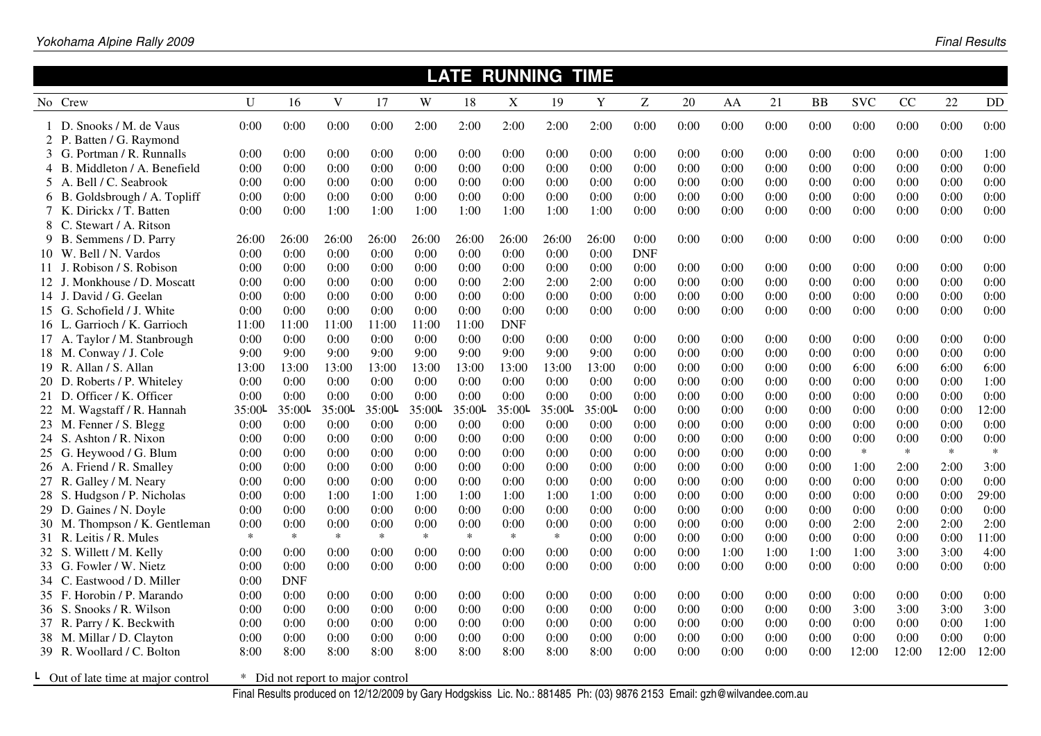|                               |              |            |             |           |           | <b>LATE</b> | <b>RUNNING</b> |           | <b>TIME</b> |            |      |      |      |           |            |       |        |           |
|-------------------------------|--------------|------------|-------------|-----------|-----------|-------------|----------------|-----------|-------------|------------|------|------|------|-----------|------------|-------|--------|-----------|
| No Crew                       | $\mathbf{U}$ | 16         | $\mathbf V$ | 17        | W         | 18          | $\mathbf X$    | 19        | $\mathbf Y$ | Z          | 20   | AA   | 21   | <b>BB</b> | <b>SVC</b> | CC    | 22     | <b>DD</b> |
| 1 D. Snooks / M. de Vaus      | 0:00         | 0:00       | 0:00        | 0:00      | 2:00      | 2:00        | 2:00           | 2:00      | 2:00        | 0:00       | 0:00 | 0:00 | 0:00 | 0:00      | 0:00       | 0:00  | 0:00   | 0:00      |
| 2 P. Batten / G. Raymond      |              |            |             |           |           |             |                |           |             |            |      |      |      |           |            |       |        |           |
| 3 G. Portman / R. Runnalls    | 0:00         | 0:00       | 0:00        | 0:00      | 0:00      | 0:00        | 0:00           | 0:00      | 0:00        | 0:00       | 0:00 | 0:00 | 0:00 | 0:00      | 0:00       | 0:00  | 0:00   | 1:00      |
| 4 B. Middleton / A. Benefield | 0:00         | 0:00       | 0:00        | 0:00      | 0:00      | 0:00        | 0:00           | 0:00      | 0:00        | 0:00       | 0:00 | 0:00 | 0:00 | 0:00      | 0:00       | 0:00  | 0:00   | 0:00      |
| 5 A. Bell / C. Seabrook       | 0:00         | 0:00       | 0:00        | 0:00      | 0:00      | 0:00        | 0:00           | 0:00      | 0:00        | 0:00       | 0:00 | 0:00 | 0:00 | 0:00      | 0:00       | 0:00  | 0:00   | 0:00      |
| 6 B. Goldsbrough / A. Topliff | 0:00         | 0:00       | 0:00        | 0:00      | 0:00      | 0:00        | 0:00           | 0:00      | 0:00        | 0:00       | 0:00 | 0:00 | 0:00 | 0:00      | 0:00       | 0:00  | 0:00   | 0:00      |
| 7 K. Dirickx / T. Batten      | 0:00         | 0:00       | 1:00        | 1:00      | 1:00      | 1:00        | 1:00           | 1:00      | 1:00        | 0:00       | 0:00 | 0:00 | 0:00 | 0:00      | 0:00       | 0:00  | 0:00   | 0:00      |
| 8 C. Stewart / A. Ritson      |              |            |             |           |           |             |                |           |             |            |      |      |      |           |            |       |        |           |
| 9 B. Semmens / D. Parry       | 26:00        | 26:00      | 26:00       | 26:00     | 26:00     | 26:00       | 26:00          | 26:00     | 26:00       | 0:00       | 0:00 | 0:00 | 0:00 | 0:00      | 0:00       | 0:00  | 0:00   | 0:00      |
| 10 W. Bell / N. Vardos        | 0:00         | 0:00       | 0:00        | 0:00      | 0:00      | 0:00        | 0:00           | 0:00      | 0:00        | <b>DNF</b> |      |      |      |           |            |       |        |           |
| 11 J. Robison / S. Robison    | 0:00         | 0:00       | 0:00        | 0:00      | 0:00      | 0:00        | 0:00           | 0:00      | 0:00        | 0:00       | 0:00 | 0:00 | 0:00 | 0:00      | 0:00       | 0:00  | 0:00   | 0:00      |
| 12 J. Monkhouse / D. Moscatt  | 0:00         | 0:00       | 0:00        | 0:00      | 0:00      | 0:00        | 2:00           | 2:00      | 2:00        | 0:00       | 0:00 | 0:00 | 0:00 | 0:00      | 0:00       | 0:00  | 0:00   | 0:00      |
| 14 J. David / G. Geelan       | 0:00         | 0:00       | 0:00        | 0:00      | 0:00      | 0:00        | 0:00           | 0:00      | 0:00        | 0:00       | 0:00 | 0:00 | 0:00 | 0:00      | 0:00       | 0:00  | 0:00   | 0:00      |
| 15 G. Schofield / J. White    | 0:00         | 0:00       | 0:00        | 0:00      | 0:00      | 0:00        | 0:00           | 0:00      | 0:00        | 0:00       | 0:00 | 0:00 | 0:00 | 0:00      | 0:00       | 0:00  | 0:00   | 0:00      |
| 16 L. Garrioch / K. Garrioch  | 11:00        | 11:00      | 11:00       | 11:00     | 11:00     | 11:00       | <b>DNF</b>     |           |             |            |      |      |      |           |            |       |        |           |
| 17 A. Taylor / M. Stanbrough  | 0:00         | 0:00       | 0:00        | 0:00      | 0:00      | 0:00        | 0:00           | 0:00      | 0:00        | 0:00       | 0:00 | 0:00 | 0:00 | 0:00      | 0:00       | 0:00  | 0:00   | 0:00      |
| 18 M. Conway / J. Cole        | 9:00         | 9:00       | 9:00        | 9:00      | 9:00      | 9:00        | 9:00           | 9:00      | 9:00        | 0:00       | 0:00 | 0:00 | 0:00 | 0:00      | 0:00       | 0:00  | 0:00   | 0:00      |
| 19 R. Allan / S. Allan        | 13:00        | 13:00      | 13:00       | 13:00     | 13:00     | 13:00       | 13:00          | 13:00     | 13:00       | 0:00       | 0:00 | 0:00 | 0:00 | 0:00      | 6:00       | 6:00  | 6:00   | 6:00      |
| 20 D. Roberts / P. Whiteley   | 0:00         | 0:00       | 0:00        | 0:00      | 0:00      | 0:00        | 0:00           | 0:00      | 0:00        | 0:00       | 0:00 | 0:00 | 0:00 | 0:00      | 0:00       | 0:00  | 0:00   | 1:00      |
| 21 D. Officer / K. Officer    | 0:00         | 0:00       | 0:00        | 0:00      | 0:00      | 0:00        | 0:00           | 0:00      | 0:00        | 0:00       | 0:00 | 0:00 | 0:00 | 0:00      | 0:00       | 0:00  | 0:00   | 0:00      |
| 22 M. Wagstaff / R. Hannah    | $35:00$ L    | $35:00$ L  | $35:00$ L   | $35:00$ L | $35:00$ L | $35:00$ L   | $35:00$ L      | $35:00$ L | $35:00$ L   | 0:00       | 0:00 | 0:00 | 0:00 | 0:00      | 0:00       | 0:00  | 0:00   | 12:00     |
| 23 M. Fenner / S. Blegg       | 0:00         | 0:00       | 0:00        | 0:00      | 0:00      | 0:00        | 0:00           | 0:00      | 0:00        | 0:00       | 0:00 | 0:00 | 0:00 | 0:00      | 0:00       | 0:00  | 0:00   | 0:00      |
| 24 S. Ashton / R. Nixon       | 0:00         | 0:00       | 0:00        | 0:00      | 0:00      | 0:00        | 0:00           | 0:00      | 0:00        | 0:00       | 0:00 | 0:00 | 0:00 | 0:00      | 0:00       | 0:00  | 0:00   | 0:00      |
| 25 G. Heywood / G. Blum       | 0:00         | 0:00       | 0:00        | 0:00      | 0:00      | 0:00        | 0:00           | 0:00      | 0:00        | 0:00       | 0:00 | 0:00 | 0:00 | 0:00      | $\ast$     | $*$   | $\ast$ | $\ast$    |
| 26 A. Friend / R. Smalley     | 0:00         | 0:00       | 0:00        | 0:00      | 0:00      | 0:00        | 0:00           | 0:00      | 0:00        | 0:00       | 0:00 | 0:00 | 0:00 | 0:00      | 1:00       | 2:00  | 2:00   | 3:00      |
| 27 R. Galley / M. Neary       | 0:00         | 0:00       | 0:00        | 0:00      | 0:00      | 0:00        | 0:00           | 0:00      | 0:00        | 0:00       | 0:00 | 0:00 | 0:00 | 0:00      | 0:00       | 0:00  | 0:00   | 0:00      |
| 28 S. Hudgson / P. Nicholas   | 0:00         | 0:00       | 1:00        | 1:00      | 1:00      | 1:00        | 1:00           | 1:00      | 1:00        | 0:00       | 0:00 | 0:00 | 0:00 | 0:00      | 0:00       | 0:00  | 0:00   | 29:00     |
| 29 D. Gaines / N. Doyle       | 0:00         | 0:00       | 0:00        | 0:00      | 0:00      | 0:00        | 0:00           | 0:00      | 0:00        | 0:00       | 0:00 | 0:00 | 0:00 | 0:00      | 0:00       | 0:00  | 0:00   | 0:00      |
| 30 M. Thompson / K. Gentleman | 0:00         | 0:00       | 0:00        | 0:00      | 0:00      | 0:00        | 0:00           | 0:00      | 0:00        | 0:00       | 0:00 | 0:00 | 0:00 | 0:00      | 2:00       | 2:00  | 2:00   | 2:00      |
| 31 R. Leitis / R. Mules       | $\ast$       | $\ast$     | $\ast$      | $\ast$    | $\ast$    | $\ast$      | $\ast$         | $\ast$    | 0:00        | 0:00       | 0:00 | 0:00 | 0:00 | 0:00      | 0:00       | 0:00  | 0:00   | 11:00     |
| 32 S. Willett / M. Kelly      | 0:00         | 0:00       | 0:00        | 0:00      | 0:00      | 0:00        | 0:00           | 0:00      | 0:00        | 0:00       | 0:00 | 1:00 | 1:00 | 1:00      | 1:00       | 3:00  | 3:00   | 4:00      |
| 33 G. Fowler / W. Nietz       | 0:00         | 0:00       | 0:00        | 0:00      | 0:00      | 0:00        | 0:00           | 0:00      | 0:00        | 0:00       | 0:00 | 0:00 | 0:00 | 0:00      | 0:00       | 0:00  | 0:00   | 0:00      |
| 34 C. Eastwood / D. Miller    | 0:00         | <b>DNF</b> |             |           |           |             |                |           |             |            |      |      |      |           |            |       |        |           |
| 35 F. Horobin / P. Marando    | 0:00         | 0:00       | 0:00        | 0:00      | 0:00      | 0:00        | 0:00           | 0:00      | 0:00        | 0:00       | 0:00 | 0:00 | 0:00 | 0:00      | 0:00       | 0:00  | 0:00   | 0:00      |
| 36 S. Snooks / R. Wilson      | 0:00         | 0:00       | 0:00        | 0:00      | 0:00      | 0:00        | 0:00           | 0:00      | 0:00        | 0:00       | 0:00 | 0:00 | 0:00 | 0:00      | 3:00       | 3:00  | 3:00   | 3:00      |
| 37 R. Parry / K. Beckwith     | 0:00         | 0:00       | 0:00        | 0:00      | 0:00      | 0:00        | 0:00           | 0:00      | 0:00        | 0:00       | 0:00 | 0:00 | 0:00 | 0:00      | 0:00       | 0:00  | 0:00   | 1:00      |
| 38 M. Millar / D. Clayton     | 0:00         | 0:00       | 0:00        | 0:00      | 0:00      | 0:00        | 0:00           | 0:00      | 0:00        | 0:00       | 0:00 | 0:00 | 0:00 | 0:00      | 0:00       | 0:00  | 0:00   | 0:00      |
| 39 R. Woollard / C. Bolton    | 8:00         | 8:00       | 8:00        | 8:00      | 8:00      | 8:00        | 8:00           | 8:00      | 8:00        | 0:00       | 0:00 | 0:00 | 0:00 | 0:00      | 12:00      | 12:00 | 12:00  | 12:00     |
|                               |              |            |             |           |           |             |                |           |             |            |      |      |      |           |            |       |        |           |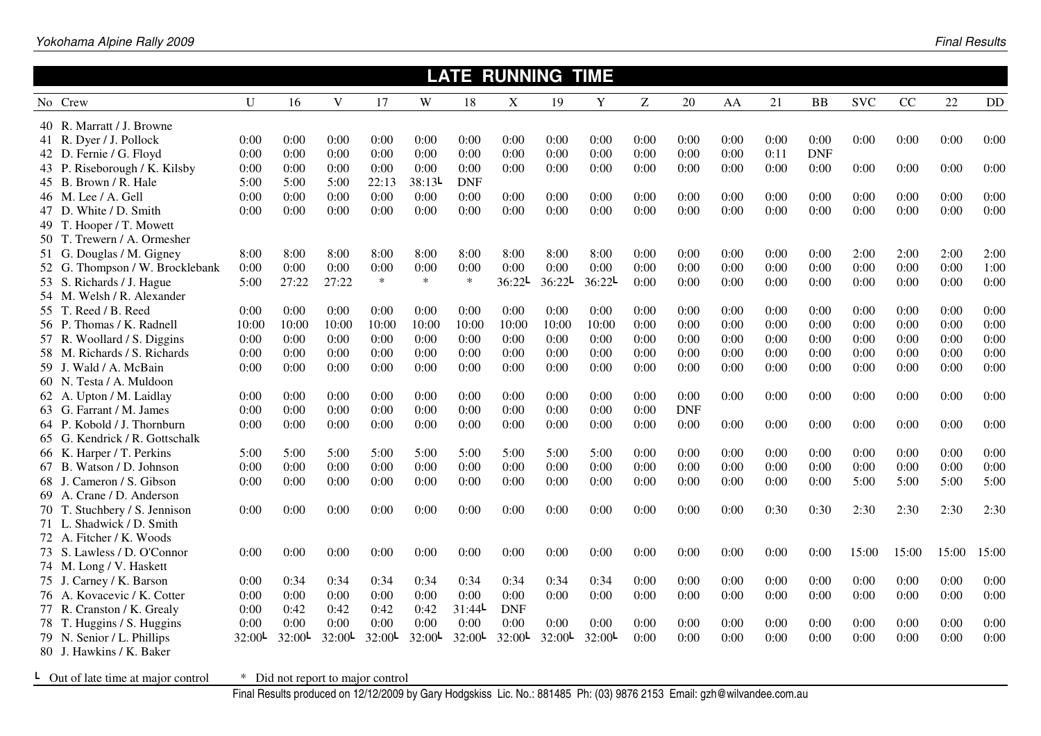|       |                                 |           |           |           |           |           |            | <b>LATE RUNNING</b> |           | <b>TIME</b> |      |            |      |      |            |            |       |       |           |
|-------|---------------------------------|-----------|-----------|-----------|-----------|-----------|------------|---------------------|-----------|-------------|------|------------|------|------|------------|------------|-------|-------|-----------|
|       | No Crew                         | U         | 16        | V         | 17        | W         | 18         | $\mathbf X$         | 19        | Y           | Z    | 20         | AA   | 21   | <b>BB</b>  | <b>SVC</b> | CC    | 22    | <b>DD</b> |
|       | 40 R. Marratt / J. Browne       |           |           |           |           |           |            |                     |           |             |      |            |      |      |            |            |       |       |           |
|       | 41 R. Dyer / J. Pollock         | 0:00      | 0:00      | 0:00      | 0:00      | 0:00      | 0:00       | 0:00                | 0:00      | 0:00        | 0:00 | 0:00       | 0:00 | 0:00 | 0:00       | 0:00       | 0:00  | 0:00  | 0:00      |
|       | 42 D. Fernie / G. Floyd         | 0:00      | 0:00      | 0:00      | 0:00      | 0:00      | 0:00       | 0:00                | 0:00      | 0:00        | 0:00 | 0:00       | 0:00 | 0:11 | <b>DNF</b> |            |       |       |           |
| 43 P. | Riseborough / K. Kilsby         | 0:00      | 0:00      | 0:00      | 0:00      | 0:00      | 0:00       | 0:00                | 0:00      | 0:00        | 0:00 | 0:00       | 0:00 | 0:00 | 0:00       | 0:00       | 0:00  | 0:00  | 0:00      |
|       | 45 B. Brown / R. Hale           | 5:00      | 5:00      | 5:00      | 22:13     | 38:13L    | <b>DNF</b> |                     |           |             |      |            |      |      |            |            |       |       |           |
|       | 46 M. Lee / A. Gell             | 0:00      | 0:00      | 0:00      | 0:00      | 0:00      | 0:00       | 0:00                | 0:00      | 0:00        | 0:00 | 0:00       | 0:00 | 0:00 | 0:00       | 0:00       | 0:00  | 0:00  | 0:00      |
|       | 47 D. White / D. Smith          | 0:00      | 0:00      | 0:00      | 0:00      | 0:00      | 0:00       | 0:00                | 0:00      | 0:00        | 0:00 | 0:00       | 0:00 | 0:00 | 0:00       | 0:00       | 0:00  | 0:00  | 0:00      |
|       | 49 T. Hooper / T. Mowett        |           |           |           |           |           |            |                     |           |             |      |            |      |      |            |            |       |       |           |
|       | 50 T. Trewern / A. Ormesher     |           |           |           |           |           |            |                     |           |             |      |            |      |      |            |            |       |       |           |
|       | 51 G. Douglas / M. Gigney       | 8:00      | 8:00      | 8:00      | 8:00      | 8:00      | 8:00       | 8:00                | 8:00      | 8:00        | 0:00 | 0:00       | 0:00 | 0:00 | 0:00       | 2:00       | 2:00  | 2:00  | 2:00      |
|       | 52 G. Thompson / W. Brocklebank | 0:00      | 0:00      | 0:00      | 0:00      | 0:00      | 0:00       | 0:00                | 0:00      | 0:00        | 0:00 | 0:00       | 0:00 | 0:00 | 0:00       | 0:00       | 0:00  | 0:00  | 1:00      |
|       | 53 S. Richards / J. Hague       | 5:00      | 27:22     | 27:22     | $\ast$    | $\ast$    | $\ast$     | 36:22L              | $36:22$ L | 36:22L      | 0:00 | 0:00       | 0:00 | 0:00 | 0:00       | 0:00       | 0:00  | 0:00  | 0:00      |
|       | 54 M. Welsh / R. Alexander      |           |           |           |           |           |            |                     |           |             |      |            |      |      |            |            |       |       |           |
|       | 55 T. Reed / B. Reed            | 0:00      | 0:00      | 0:00      | 0:00      | 0:00      | 0:00       | 0:00                | 0:00      | 0:00        | 0:00 | 0:00       | 0:00 | 0:00 | 0:00       | 0:00       | 0:00  | 0:00  | 0:00      |
|       | 56 P. Thomas / K. Radnell       | 10:00     | 10:00     | 10:00     | 10:00     | 10:00     | 10:00      | 10:00               | 10:00     | 10:00       | 0:00 | 0:00       | 0:00 | 0:00 | 0:00       | 0:00       | 0:00  | 0:00  | 0:00      |
|       | 57 R. Woollard / S. Diggins     | 0:00      | 0:00      | 0:00      | 0:00      | 0:00      | 0:00       | 0:00                | 0:00      | 0:00        | 0:00 | 0:00       | 0:00 | 0:00 | 0:00       | 0:00       | 0:00  | 0:00  | 0:00      |
|       | 58 M. Richards / S. Richards    | 0:00      | 0:00      | 0:00      | 0:00      | 0:00      | 0:00       | 0:00                | 0:00      | 0:00        | 0:00 | 0:00       | 0:00 | 0:00 | 0:00       | 0:00       | 0:00  | 0:00  | 0:00      |
|       | 59 J. Wald / A. McBain          | 0:00      | 0:00      | 0:00      | 0:00      | 0:00      | 0:00       | 0:00                | 0:00      | 0:00        | 0:00 | 0:00       | 0:00 | 0:00 | 0:00       | 0:00       | 0:00  | 0:00  | 0:00      |
|       | 60 N. Testa / A. Muldoon        |           |           |           |           |           |            |                     |           |             |      |            |      |      |            |            |       |       |           |
|       | 62 A. Upton / M. Laidlay        | 0:00      | 0:00      | 0:00      | 0:00      | 0:00      | 0:00       | 0:00                | 0:00      | 0:00        | 0:00 | 0:00       | 0:00 | 0:00 | 0:00       | 0:00       | 0:00  | 0:00  | 0:00      |
|       | 63 G. Farrant / M. James        | 0:00      | 0:00      | 0:00      | 0:00      | 0:00      | 0:00       | 0:00                | 0:00      | 0:00        | 0:00 | <b>DNF</b> |      |      |            |            |       |       |           |
|       | 64 P. Kobold / J. Thornburn     | 0:00      | 0:00      | 0:00      | 0:00      | 0:00      | 0:00       | 0:00                | 0:00      | 0:00        | 0:00 | 0:00       | 0:00 | 0:00 | 0:00       | 0:00       | 0:00  | 0:00  | 0:00      |
|       | 65 G. Kendrick / R. Gottschalk  |           |           |           |           |           |            |                     |           |             |      |            |      |      |            |            |       |       |           |
|       | 66 K. Harper / T. Perkins       | 5:00      | 5:00      | 5:00      | 5:00      | 5:00      | 5:00       | 5:00                | 5:00      | 5:00        | 0:00 | 0:00       | 0:00 | 0:00 | 0:00       | 0:00       | 0:00  | 0:00  | 0:00      |
| 67 B. | Watson / D. Johnson             | 0:00      | 0:00      | 0:00      | 0:00      | 0:00      | 0:00       | 0:00                | 0:00      | 0:00        | 0:00 | 0:00       | 0:00 | 0:00 | 0:00       | 0:00       | 0:00  | 0:00  | 0:00      |
|       | 68 J. Cameron / S. Gibson       | 0:00      | 0:00      | 0:00      | 0:00      | 0:00      | 0:00       | 0:00                | 0:00      | 0:00        | 0:00 | 0:00       | 0:00 | 0:00 | 0:00       | 5:00       | 5:00  | 5:00  | 5:00      |
|       | 69 A. Crane / D. Anderson       |           |           |           |           |           |            |                     |           |             |      |            |      |      |            |            |       |       |           |
|       | 70 T. Stuchbery / S. Jennison   | 0:00      | 0:00      | 0:00      | 0:00      | 0:00      | 0:00       | 0:00                | 0:00      | 0:00        | 0:00 | 0:00       | 0:00 | 0:30 | 0:30       | 2:30       | 2:30  | 2:30  | 2:30      |
|       | 71 L. Shadwick / D. Smith       |           |           |           |           |           |            |                     |           |             |      |            |      |      |            |            |       |       |           |
|       | 72 A. Fitcher / K. Woods        |           |           |           |           |           |            |                     |           |             |      |            |      |      |            |            |       |       |           |
|       | 73 S. Lawless / D. O'Connor     | 0:00      | 0:00      | 0:00      | 0:00      | 0:00      | 0:00       | 0:00                | 0:00      | 0:00        | 0:00 | 0:00       | 0:00 | 0:00 | 0:00       | 15:00      | 15:00 | 15:00 | 15:00     |
|       | 74 M. Long / V. Haskett         |           |           |           |           |           |            |                     |           |             |      |            |      |      |            |            |       |       |           |
|       | 75 J. Carney / K. Barson        | 0:00      | 0:34      | 0:34      | 0:34      | 0:34      | 0:34       | 0:34                | 0:34      | 0:34        | 0:00 | 0:00       | 0:00 | 0:00 | 0:00       | 0:00       | 0:00  | 0:00  | 0:00      |
|       | 76 A. Kovacevic / K. Cotter     | 0:00      | 0:00      | 0:00      | 0:00      | 0:00      | 0:00       | 0:00                | 0:00      | 0:00        | 0:00 | 0:00       | 0:00 | 0:00 | 0:00       | 0:00       | 0:00  | 0:00  | 0:00      |
|       | 77 R. Cranston / K. Grealy      | 0:00      | 0:42      | 0:42      | 0:42      | 0:42      | 31:44      | <b>DNF</b>          |           |             |      |            |      |      |            |            |       |       |           |
|       | 78 T. Huggins / S. Huggins      | 0:00      | 0:00      | 0:00      | 0:00      | 0:00      | 0:00       | 0:00                | 0:00      | 0:00        | 0:00 | 0:00       | 0:00 | 0:00 | 0:00       | 0:00       | 0:00  | 0:00  | 0:00      |
|       | 79 N. Senior / L. Phillips      | $32:00$ L | $32:00$ L | $32:00$ L | $32:00$ L | $32:00$ L | $32:00$ L  | $32:00$ L           | $32:00$ L | $32:00$ L   | 0:00 | 0:00       | 0:00 | 0:00 | 0:00       | 0:00       | 0:00  | 0:00  | 0:00      |
|       | 80 J. Hawkins / K. Baker        |           |           |           |           |           |            |                     |           |             |      |            |      |      |            |            |       |       |           |
|       |                                 |           |           |           |           |           |            |                     |           |             |      |            |      |      |            |            |       |       |           |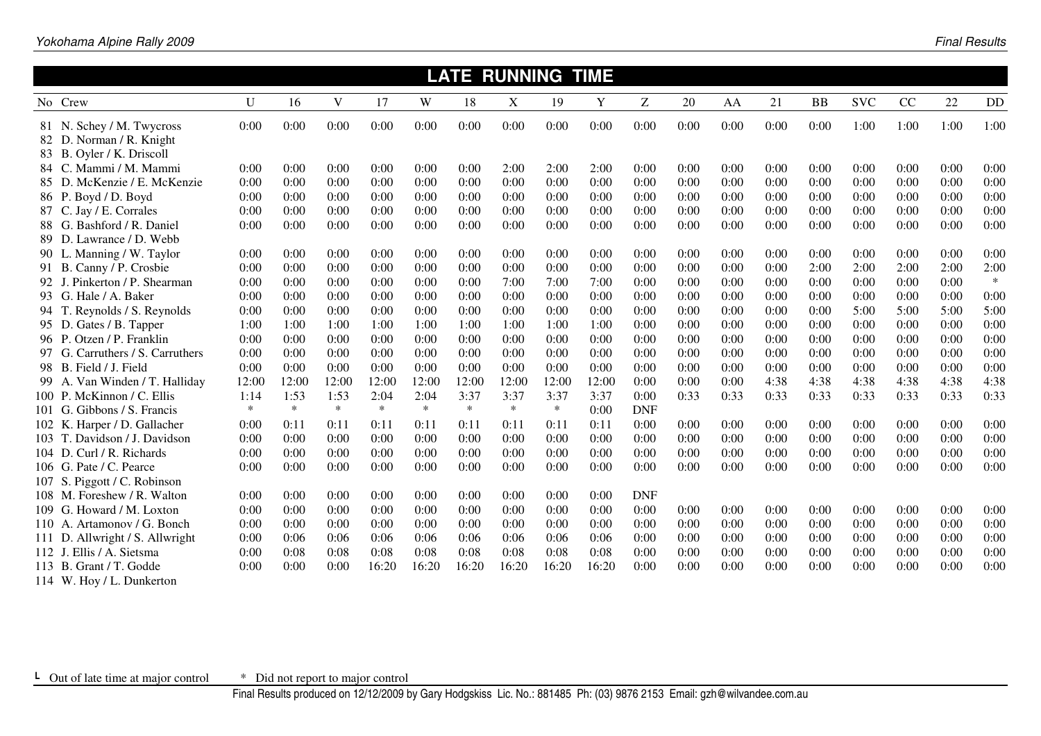|        |                                  |              |        |        |        |        |        | <b>LATE RUNNING</b> |        | <b>TIME</b> |            |      |      |      |           |            |      |      |        |
|--------|----------------------------------|--------------|--------|--------|--------|--------|--------|---------------------|--------|-------------|------------|------|------|------|-----------|------------|------|------|--------|
|        | No Crew                          | $\mathbf{U}$ | 16     | V      | 17     | W      | 18     | X                   | 19     | Y           | Z          | 20   | AA   | 21   | <b>BB</b> | <b>SVC</b> | CC   | 22   | DD     |
|        | 81 N. Schey / M. Twycross        | 0:00         | 0:00   | 0:00   | 0:00   | 0:00   | 0:00   | 0:00                | 0:00   | 0:00        | 0:00       | 0:00 | 0:00 | 0:00 | 0:00      | 1:00       | 1:00 | 1:00 | 1:00   |
|        | 82 D. Norman / R. Knight         |              |        |        |        |        |        |                     |        |             |            |      |      |      |           |            |      |      |        |
|        | 83 B. Oyler / K. Driscoll        |              |        |        |        |        |        |                     |        |             |            |      |      |      |           |            |      |      |        |
|        | 84 C. Mammi / M. Mammi           | 0:00         | 0:00   | 0:00   | 0:00   | 0:00   | 0:00   | 2:00                | 2:00   | 2:00        | 0:00       | 0:00 | 0:00 | 0:00 | 0:00      | 0:00       | 0:00 | 0:00 | 0:00   |
|        | 85 D. McKenzie / E. McKenzie     | 0:00         | 0:00   | 0:00   | 0:00   | 0:00   | 0:00   | 0:00                | 0:00   | 0:00        | 0:00       | 0:00 | 0:00 | 0:00 | 0:00      | 0:00       | 0:00 | 0:00 | 0:00   |
|        | 86 P. Boyd / D. Boyd             | 0:00         | 0:00   | 0:00   | 0:00   | 0:00   | 0:00   | 0:00                | 0:00   | 0:00        | 0:00       | 0:00 | 0:00 | 0:00 | 0:00      | 0:00       | 0:00 | 0:00 | 0:00   |
|        | 87 C. Jay / E. Corrales          | 0:00         | 0:00   | 0:00   | 0:00   | 0:00   | 0:00   | 0:00                | 0:00   | 0:00        | 0:00       | 0:00 | 0:00 | 0:00 | 0:00      | 0:00       | 0:00 | 0:00 | 0:00   |
|        | 88 G. Bashford / R. Daniel       | 0:00         | 0:00   | 0:00   | 0:00   | 0:00   | 0:00   | 0:00                | 0:00   | 0:00        | 0:00       | 0:00 | 0:00 | 0:00 | 0:00      | 0:00       | 0:00 | 0:00 | 0:00   |
| 89     | D. Lawrance / D. Webb            |              |        |        |        |        |        |                     |        |             |            |      |      |      |           |            |      |      |        |
|        | 90 L. Manning / W. Taylor        | 0:00         | 0:00   | 0:00   | 0:00   | 0:00   | 0:00   | 0:00                | 0:00   | 0:00        | 0:00       | 0:00 | 0:00 | 0:00 | 0:00      | 0:00       | 0:00 | 0:00 | 0:00   |
|        | 91 B. Canny / P. Crosbie         | 0:00         | 0:00   | 0:00   | 0:00   | 0:00   | 0:00   | 0:00                | 0:00   | 0:00        | 0:00       | 0:00 | 0:00 | 0:00 | 2:00      | 2:00       | 2:00 | 2:00 | 2:00   |
|        | 92 J. Pinkerton / P. Shearman    | 0:00         | 0:00   | 0:00   | 0:00   | 0:00   | 0:00   | 7:00                | 7:00   | 7:00        | 0:00       | 0:00 | 0:00 | 0:00 | 0:00      | 0:00       | 0:00 | 0:00 | $\ast$ |
|        | 93 G. Hale / A. Baker            | 0:00         | 0:00   | 0:00   | 0:00   | 0:00   | 0:00   | 0:00                | 0:00   | 0:00        | 0:00       | 0:00 | 0:00 | 0:00 | 0:00      | 0:00       | 0:00 | 0:00 | 0:00   |
|        | 94 T. Reynolds / S. Reynolds     | 0:00         | 0:00   | 0:00   | 0:00   | 0:00   | 0:00   | 0:00                | 0:00   | 0:00        | 0:00       | 0:00 | 0:00 | 0:00 | 0:00      | 5:00       | 5:00 | 5:00 | 5:00   |
|        | 95 D. Gates / B. Tapper          | 1:00         | 1:00   | 1:00   | 1:00   | 1:00   | 1:00   | 1:00                | 1:00   | 1:00        | 0:00       | 0:00 | 0:00 | 0:00 | 0:00      | 0:00       | 0:00 | 0:00 | 0:00   |
|        | 96 P. Otzen / P. Franklin        | 0:00         | 0:00   | 0:00   | 0:00   | 0:00   | 0:00   | 0:00                | 0:00   | 0:00        | 0:00       | 0:00 | 0:00 | 0:00 | 0:00      | 0:00       | 0:00 | 0:00 | 0:00   |
|        | 97 G. Carruthers / S. Carruthers | 0:00         | 0:00   | 0:00   | 0:00   | 0:00   | 0:00   | 0:00                | 0:00   | 0:00        | 0:00       | 0:00 | 0:00 | 0:00 | 0:00      | 0:00       | 0:00 | 0:00 | 0:00   |
|        | 98 B. Field / J. Field           | 0:00         | 0:00   | 0:00   | 0:00   | 0:00   | 0:00   | 0:00                | 0:00   | 0:00        | 0:00       | 0:00 | 0:00 | 0:00 | 0:00      | 0:00       | 0:00 | 0:00 | 0:00   |
|        | 99 A. Van Winden / T. Halliday   | 12:00        | 12:00  | 12:00  | 12:00  | 12:00  | 12:00  | 12:00               | 12:00  | 12:00       | 0:00       | 0:00 | 0:00 | 4:38 | 4:38      | 4:38       | 4:38 | 4:38 | 4:38   |
|        | 100 P. McKinnon / C. Ellis       | 1:14         | 1:53   | 1:53   | 2:04   | 2:04   | 3:37   | 3:37                | 3:37   | 3:37        | 0:00       | 0:33 | 0:33 | 0:33 | 0:33      | 0:33       | 0:33 | 0:33 | 0:33   |
|        | 101 G. Gibbons / S. Francis      | $\ast$       | $\ast$ | $\ast$ | $\ast$ | $\ast$ | $\ast$ | $\ast$              | $\ast$ | 0:00        | <b>DNF</b> |      |      |      |           |            |      |      |        |
|        | 102 K. Harper / D. Gallacher     | 0:00         | 0:11   | 0:11   | 0:11   | 0:11   | 0:11   | 0:11                | 0:11   | 0:11        | 0:00       | 0:00 | 0:00 | 0:00 | 0:00      | 0:00       | 0:00 | 0:00 | 0:00   |
|        | 103 T. Davidson / J. Davidson    | 0:00         | 0:00   | 0:00   | 0:00   | 0:00   | 0:00   | 0:00                | 0:00   | 0:00        | 0:00       | 0:00 | 0:00 | 0:00 | 0:00      | 0:00       | 0:00 | 0:00 | 0:00   |
|        | 104 D. Curl / R. Richards        | 0:00         | 0:00   | 0:00   | 0:00   | 0:00   | 0:00   | 0:00                | 0:00   | 0:00        | 0:00       | 0:00 | 0:00 | 0:00 | 0:00      | 0:00       | 0:00 | 0:00 | 0:00   |
|        | 106 G. Pate / C. Pearce          | 0:00         | 0:00   | 0:00   | 0:00   | 0:00   | 0:00   | 0:00                | 0:00   | 0:00        | 0:00       | 0:00 | 0:00 | 0:00 | 0:00      | 0:00       | 0:00 | 0:00 | 0:00   |
|        | 107 S. Piggott / C. Robinson     |              |        |        |        |        |        |                     |        |             |            |      |      |      |           |            |      |      |        |
|        | 108 M. Foreshew / R. Walton      | 0:00         | 0:00   | 0:00   | 0:00   | 0:00   | 0:00   | 0:00                | 0:00   | 0:00        | <b>DNF</b> |      |      |      |           |            |      |      |        |
|        | 109 G. Howard / M. Loxton        | 0:00         | 0:00   | 0:00   | 0:00   | 0:00   | 0:00   | 0:00                | 0:00   | 0:00        | 0:00       | 0:00 | 0:00 | 0:00 | 0:00      | 0:00       | 0:00 | 0:00 | 0:00   |
|        | 110 A. Artamonov / G. Bonch      | 0:00         | 0:00   | 0:00   | 0:00   | 0:00   | 0:00   | 0:00                | 0:00   | 0:00        | 0:00       | 0:00 | 0:00 | 0:00 | 0:00      | 0:00       | 0:00 | 0:00 | 0:00   |
| 111 D. | Allwright / S. Allwright         | 0:00         | 0:06   | 0:06   | 0:06   | 0:06   | 0:06   | 0:06                | 0:06   | 0:06        | 0:00       | 0:00 | 0:00 | 0:00 | 0:00      | 0:00       | 0:00 | 0:00 | 0:00   |
|        | 112 J. Ellis / A. Sietsma        | 0:00         | 0:08   | 0:08   | 0:08   | 0:08   | 0:08   | 0:08                | 0:08   | 0:08        | 0:00       | 0:00 | 0:00 | 0:00 | 0:00      | 0:00       | 0:00 | 0:00 | 0:00   |
| 113 B  | Grant / T. Godde                 | 0:00         | 0:00   | 0:00   | 16:20  | 16:20  | 16:20  | 16:20               | 16:20  | 16:20       | 0:00       | 0:00 | 0:00 | 0:00 | 0:00      | 0:00       | 0:00 | 0:00 | 0:00   |
|        | 114 W. Hoy / L. Dunkerton        |              |        |        |        |        |        |                     |        |             |            |      |      |      |           |            |      |      |        |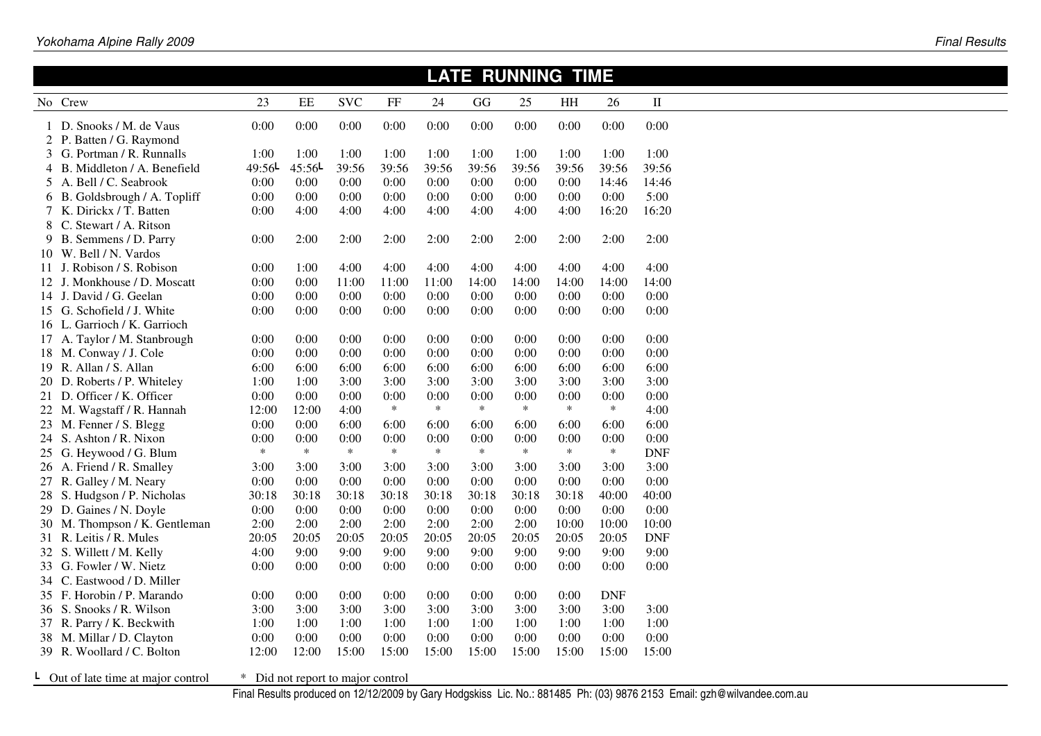|   |                                                  |                |                                   |                |                |                |                |                | <b>LATE RUNNING TIME</b> |                |              |
|---|--------------------------------------------------|----------------|-----------------------------------|----------------|----------------|----------------|----------------|----------------|--------------------------|----------------|--------------|
|   | No Crew                                          | 23             | EE                                | <b>SVC</b>     | FF             | 24             | GG             | 25             | HH                       | 26             | $\mathbf{I}$ |
|   | 1 D. Snooks / M. de Vaus                         | 0:00           | 0:00                              | 0:00           | 0:00           | 0:00           | 0:00           | 0:00           | 0:00                     | 0:00           | 0:00         |
|   | 2 P. Batten / G. Raymond                         |                |                                   |                |                |                |                |                |                          |                |              |
|   | 3 G. Portman / R. Runnalls                       | 1:00           | 1:00                              | 1:00           | 1:00           | 1:00           | 1:00           | 1:00           | 1:00                     | 1:00           | 1:00         |
|   | 4 B. Middleton / A. Benefield                    | 49:56L         | 45:56L                            | 39:56          | 39:56          | 39:56          | 39:56          | 39:56          | 39:56                    | 39:56          | 39:56        |
|   | 5 A. Bell / C. Seabrook                          | 0:00           | 0:00                              | 0:00           | 0:00           | 0:00           | 0:00           | 0:00           | 0:00                     | 14:46          | 14:46        |
|   | 6 B. Goldsbrough / A. Topliff                    | 0:00           | 0:00                              | 0:00           | 0:00           | 0:00           | 0:00           | 0:00           | 0:00                     | 0:00           | 5:00         |
|   | 7 K. Dirickx / T. Batten                         | 0:00           | 4:00                              | 4:00           | 4:00           | 4:00           | 4:00           | 4:00           | 4:00                     | 16:20          | 16:20        |
|   | 8 C. Stewart / A. Ritson                         |                |                                   |                |                |                |                |                |                          |                |              |
|   | 9 B. Semmens / D. Parry                          | 0:00           | 2:00                              | 2:00           | 2:00           | 2:00           | 2:00           | 2:00           | 2:00                     | 2:00           | 2:00         |
|   | 10 W. Bell / N. Vardos                           |                |                                   |                |                |                |                |                |                          |                |              |
|   | 11 J. Robison / S. Robison                       | 0:00           | 1:00                              | 4:00           | 4:00           | 4:00           | 4:00           | 4:00           | 4:00                     | 4:00           | 4:00         |
|   | 12 J. Monkhouse / D. Moscatt                     | 0:00           | 0:00                              | 11:00          | 11:00          | 11:00          | 14:00          | 14:00          | 14:00                    | 14:00          | 14:00        |
|   | 14 J. David / G. Geelan                          | 0:00           | 0:00                              | 0:00           | 0:00           | 0:00           | 0:00           | 0:00           | 0:00                     | 0:00           | 0:00         |
|   | 15 G. Schofield / J. White                       | 0:00           | 0:00                              | 0:00           | 0:00           | 0:00           | 0:00           | 0:00           | 0:00                     | 0:00           | 0:00         |
|   | 16 L. Garrioch / K. Garrioch                     |                |                                   |                |                |                |                |                |                          |                |              |
|   | 17 A. Taylor / M. Stanbrough                     | 0:00           | 0:00                              | 0:00           | 0:00           | 0:00           | 0:00           | 0:00           | 0:00                     | 0:00           | 0:00         |
|   |                                                  | 0:00           | 0:00                              | 0:00           | 0:00           | 0:00           | 0:00           | 0:00           | 0:00                     | 0:00           | 0:00         |
|   | 18 M. Conway / J. Cole<br>19 R. Allan / S. Allan | 6:00           | 6:00                              | 6:00           | 6:00           | 6:00           | 6:00           | 6:00           | 6:00                     | 6:00           | 6:00         |
|   | 20 D. Roberts / P. Whiteley                      |                | 1:00                              |                |                | 3:00           |                |                | 3:00                     |                | 3:00         |
|   |                                                  | 1:00           |                                   | 3:00           | 3:00           |                | 3:00           | 3:00           |                          | 3:00           |              |
|   | 21 D. Officer / K. Officer                       | 0:00           | 0:00                              | 0:00           | 0:00<br>$\ast$ | 0:00<br>$\ast$ | 0:00<br>$\ast$ | 0:00<br>$\ast$ | 0:00<br>$\ast$           | 0:00<br>$\ast$ | 0:00         |
|   | 22 M. Wagstaff / R. Hannah                       | 12:00          | 12:00                             | 4:00           |                |                |                |                |                          |                | 4:00         |
|   | 23 M. Fenner / S. Blegg                          | 0:00           | 0:00                              | 6:00           | 6:00           | 6:00           | 6:00           | 6:00           | 6:00                     | 6:00           | 6:00         |
|   | 24 S. Ashton / R. Nixon                          | 0:00<br>$\ast$ | 0:00<br>$\ast$                    | 0:00<br>$\ast$ | 0:00<br>$\ast$ | 0:00<br>$\ast$ | 0:00<br>$\ast$ | 0:00<br>$\ast$ | 0:00<br>$\ast$           | 0:00<br>$\ast$ | 0:00         |
|   | 25 G. Heywood / G. Blum                          |                |                                   |                |                |                |                |                |                          |                | <b>DNF</b>   |
|   | 26 A. Friend / R. Smalley                        | 3:00           | 3:00                              | 3:00           | 3:00           | 3:00           | 3:00           | 3:00           | 3:00                     | 3:00           | 3:00         |
|   | 27 R. Galley / M. Neary                          | 0:00           | 0:00                              | 0:00           | 0:00           | 0:00           | 0:00           | 0:00           | 0:00                     | 0:00           | 0:00         |
|   | 28 S. Hudgson / P. Nicholas                      | 30:18          | 30:18                             | 30:18          | 30:18          | 30:18          | 30:18          | 30:18          | 30:18                    | 40:00          | 40:00        |
|   | 29 D. Gaines / N. Doyle                          | 0:00           | 0:00                              | 0:00           | 0:00           | 0:00           | 0:00           | 0:00           | 0:00                     | 0:00           | 0:00         |
|   | 30 M. Thompson / K. Gentleman                    | 2:00           | 2:00                              | 2:00           | 2:00           | 2:00           | 2:00           | 2:00           | 10:00                    | 10:00          | 10:00        |
|   | 31 R. Leitis / R. Mules                          | 20:05          | 20:05                             | 20:05          | 20:05          | 20:05          | 20:05          | 20:05          | 20:05                    | 20:05          | <b>DNF</b>   |
|   | 32 S. Willett / M. Kelly                         | 4:00           | 9:00                              | 9:00           | 9:00           | 9:00           | 9:00           | 9:00           | 9:00                     | 9:00           | 9:00         |
|   | 33 G. Fowler / W. Nietz                          | 0:00           | 0:00                              | 0:00           | 0:00           | 0:00           | 0:00           | 0:00           | 0:00                     | 0:00           | 0:00         |
|   | 34 C. Eastwood / D. Miller                       |                |                                   |                |                |                |                |                |                          |                |              |
|   | 35 F. Horobin / P. Marando                       | 0:00           | 0:00                              | 0:00           | 0:00           | 0:00           | 0:00           | 0:00           | 0:00                     | <b>DNF</b>     |              |
|   | 36 S. Snooks / R. Wilson                         | 3:00           | 3:00                              | 3:00           | 3:00           | 3:00           | 3:00           | 3:00           | 3:00                     | 3:00           | 3:00         |
|   | 37 R. Parry / K. Beckwith                        | 1:00           | 1:00                              | 1:00           | 1:00           | 1:00           | 1:00           | 1:00           | 1:00                     | 1:00           | 1:00         |
|   | 38 M. Millar / D. Clayton                        | 0:00           | 0:00                              | 0:00           | 0:00           | 0:00           | 0:00           | 0:00           | 0:00                     | 0:00           | 0:00         |
|   | 39 R. Woollard / C. Bolton                       | 12:00          | 12:00                             | 15:00          | 15:00          | 15:00          | 15:00          | 15:00          | 15:00                    | 15:00          | 15:00        |
| L | Out of late time at major control                |                | * Did not report to major control |                |                |                |                |                |                          |                |              |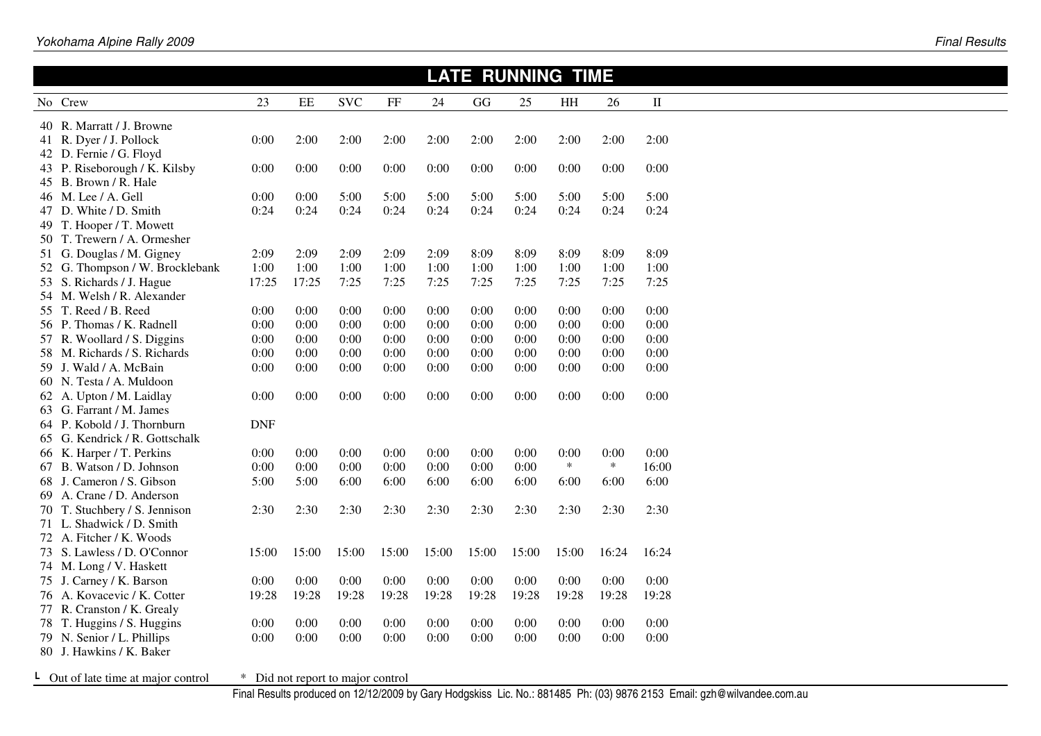|                                                                                                                                                                                                                                        |                                                                                                                                                                             |       |       |       |       |       |       | <b>LATE RUNNING TIME</b> |        |              |  |  |  |  |  |
|----------------------------------------------------------------------------------------------------------------------------------------------------------------------------------------------------------------------------------------|-----------------------------------------------------------------------------------------------------------------------------------------------------------------------------|-------|-------|-------|-------|-------|-------|--------------------------|--------|--------------|--|--|--|--|--|
| 23<br>$\rm{EE}$<br><b>SVC</b><br>$\rm FF$<br>24<br>GG<br>HH<br>26<br>$\rm II$<br>No Crew<br>25<br>40 R. Marratt / J. Browne<br>41 R. Dyer / J. Pollock<br>0:00<br>2:00<br>2:00<br>2:00<br>2:00<br>2:00<br>2:00<br>2:00<br>2:00<br>2:00 |                                                                                                                                                                             |       |       |       |       |       |       |                          |        |              |  |  |  |  |  |
|                                                                                                                                                                                                                                        |                                                                                                                                                                             |       |       |       |       |       |       |                          |        |              |  |  |  |  |  |
|                                                                                                                                                                                                                                        |                                                                                                                                                                             |       |       |       |       |       |       |                          |        |              |  |  |  |  |  |
|                                                                                                                                                                                                                                        |                                                                                                                                                                             |       |       |       |       |       |       |                          |        |              |  |  |  |  |  |
| 42 D. Fernie / G. Floyd                                                                                                                                                                                                                |                                                                                                                                                                             |       |       |       |       |       |       |                          |        |              |  |  |  |  |  |
| 43 P. Riseborough / K. Kilsby                                                                                                                                                                                                          | 0:00                                                                                                                                                                        | 0:00  | 0:00  | 0:00  | 0:00  | 0:00  | 0:00  | 0:00                     | 0:00   | 0:00         |  |  |  |  |  |
| 45 B. Brown / R. Hale                                                                                                                                                                                                                  |                                                                                                                                                                             |       |       |       |       |       |       |                          |        |              |  |  |  |  |  |
| 46 M. Lee / A. Gell                                                                                                                                                                                                                    | 0:00                                                                                                                                                                        | 0:00  | 5:00  | 5:00  | 5:00  | 5:00  | 5:00  | 5:00                     | 5:00   | 5:00         |  |  |  |  |  |
| 47 D. White / D. Smith                                                                                                                                                                                                                 | 0:24                                                                                                                                                                        | 0:24  | 0:24  | 0:24  | 0:24  | 0:24  | 0:24  | 0:24                     | 0:24   | 0:24         |  |  |  |  |  |
| 49 T. Hooper / T. Mowett                                                                                                                                                                                                               |                                                                                                                                                                             |       |       |       |       |       |       |                          |        |              |  |  |  |  |  |
| 50 T. Trewern / A. Ormesher                                                                                                                                                                                                            |                                                                                                                                                                             |       |       |       |       |       |       |                          |        |              |  |  |  |  |  |
| 51 G. Douglas / M. Gigney                                                                                                                                                                                                              | 2:09                                                                                                                                                                        | 2:09  | 2:09  | 2:09  | 2:09  | 8:09  | 8:09  | 8:09                     | 8:09   | 8:09<br>1:00 |  |  |  |  |  |
| 52 G. Thompson / W. Brocklebank                                                                                                                                                                                                        | 1:00<br>1:00<br>1:00<br>1:00<br>1:00<br>1:00<br>1:00<br>1:00<br>1:00<br>7:25<br>53 S. Richards / J. Hague<br>17:25<br>17:25<br>7:25<br>7:25<br>7:25<br>7:25<br>7:25<br>7:25 |       |       |       |       |       |       |                          |        |              |  |  |  |  |  |
|                                                                                                                                                                                                                                        |                                                                                                                                                                             |       |       |       |       |       |       |                          |        | 7:25         |  |  |  |  |  |
| 54 M. Welsh / R. Alexander                                                                                                                                                                                                             |                                                                                                                                                                             |       |       |       |       |       |       |                          |        |              |  |  |  |  |  |
| 55 T. Reed / B. Reed                                                                                                                                                                                                                   | 0:00                                                                                                                                                                        | 0:00  | 0:00  | 0:00  | 0:00  | 0:00  | 0:00  | 0:00                     | 0:00   | 0:00         |  |  |  |  |  |
| 56 P. Thomas / K. Radnell                                                                                                                                                                                                              | 0:00                                                                                                                                                                        | 0:00  | 0:00  | 0:00  | 0:00  | 0:00  | 0:00  | 0:00                     | 0:00   | 0:00         |  |  |  |  |  |
| 57 R. Woollard / S. Diggins                                                                                                                                                                                                            | 0:00                                                                                                                                                                        | 0:00  | 0:00  | 0:00  | 0:00  | 0:00  | 0:00  | 0:00                     | 0:00   | 0:00         |  |  |  |  |  |
| 58 M. Richards / S. Richards                                                                                                                                                                                                           | 0:00                                                                                                                                                                        | 0:00  | 0:00  | 0:00  | 0:00  | 0:00  | 0:00  | 0:00                     | 0:00   | 0:00         |  |  |  |  |  |
| 59 J. Wald / A. McBain                                                                                                                                                                                                                 | 0:00                                                                                                                                                                        | 0:00  | 0:00  | 0:00  | 0:00  | 0:00  | 0:00  | 0:00                     | 0:00   | 0:00         |  |  |  |  |  |
| 60 N. Testa / A. Muldoon                                                                                                                                                                                                               |                                                                                                                                                                             |       |       |       |       |       |       |                          |        |              |  |  |  |  |  |
| 62 A. Upton / M. Laidlay                                                                                                                                                                                                               | 0:00                                                                                                                                                                        | 0:00  | 0:00  | 0:00  | 0:00  | 0:00  | 0:00  | 0:00                     | 0:00   | 0:00         |  |  |  |  |  |
| 63 G. Farrant / M. James                                                                                                                                                                                                               |                                                                                                                                                                             |       |       |       |       |       |       |                          |        |              |  |  |  |  |  |
| 64 P. Kobold / J. Thornburn                                                                                                                                                                                                            | <b>DNF</b>                                                                                                                                                                  |       |       |       |       |       |       |                          |        |              |  |  |  |  |  |
| 65 G. Kendrick / R. Gottschalk                                                                                                                                                                                                         |                                                                                                                                                                             |       |       |       |       |       |       |                          |        |              |  |  |  |  |  |
| 66 K. Harper / T. Perkins                                                                                                                                                                                                              | 0:00                                                                                                                                                                        | 0:00  | 0:00  | 0:00  | 0:00  | 0:00  | 0:00  | 0:00                     | 0:00   | 0:00         |  |  |  |  |  |
| 67 B. Watson / D. Johnson                                                                                                                                                                                                              | 0:00                                                                                                                                                                        | 0:00  | 0:00  | 0:00  | 0:00  | 0:00  | 0:00  | $\ast$                   | $\ast$ | 16:00        |  |  |  |  |  |
| 68 J. Cameron / S. Gibson                                                                                                                                                                                                              | 5:00                                                                                                                                                                        | 5:00  | 6:00  | 6:00  | 6:00  | 6:00  | 6:00  | 6:00                     | 6:00   | 6:00         |  |  |  |  |  |
| 69 A. Crane / D. Anderson                                                                                                                                                                                                              |                                                                                                                                                                             |       |       |       |       |       |       |                          |        |              |  |  |  |  |  |
| 70 T. Stuchbery / S. Jennison                                                                                                                                                                                                          | 2:30                                                                                                                                                                        | 2:30  | 2:30  | 2:30  | 2:30  | 2:30  | 2:30  | 2:30                     | 2:30   | 2:30         |  |  |  |  |  |
| 71 L. Shadwick / D. Smith                                                                                                                                                                                                              |                                                                                                                                                                             |       |       |       |       |       |       |                          |        |              |  |  |  |  |  |
| 72 A. Fitcher / K. Woods                                                                                                                                                                                                               |                                                                                                                                                                             |       |       |       |       |       |       |                          |        |              |  |  |  |  |  |
| 73 S. Lawless / D. O'Connor                                                                                                                                                                                                            | 15:00                                                                                                                                                                       | 15:00 | 15:00 | 15:00 | 15:00 | 15:00 | 15:00 | 15:00                    | 16:24  | 16:24        |  |  |  |  |  |
| 74 M. Long / V. Haskett                                                                                                                                                                                                                |                                                                                                                                                                             |       |       |       |       |       |       |                          |        |              |  |  |  |  |  |
| 75 J. Carney / K. Barson                                                                                                                                                                                                               | 0:00                                                                                                                                                                        | 0:00  | 0:00  | 0:00  | 0:00  | 0:00  | 0:00  | 0:00                     | 0:00   | 0:00         |  |  |  |  |  |
| 76 A. Kovacevic / K. Cotter                                                                                                                                                                                                            | 19:28                                                                                                                                                                       | 19:28 | 19:28 | 19:28 | 19:28 | 19:28 | 19:28 | 19:28                    | 19:28  | 19:28        |  |  |  |  |  |
| 77 R. Cranston / K. Grealy                                                                                                                                                                                                             |                                                                                                                                                                             |       |       |       |       |       |       |                          |        |              |  |  |  |  |  |
| 78 T. Huggins / S. Huggins                                                                                                                                                                                                             | 0:00                                                                                                                                                                        | 0:00  | 0:00  | 0:00  | 0:00  | 0:00  | 0:00  | 0:00                     | 0:00   | 0:00         |  |  |  |  |  |
| 79 N. Senior / L. Phillips                                                                                                                                                                                                             | 0:00                                                                                                                                                                        | 0:00  | 0:00  | 0:00  | 0:00  | 0:00  | 0:00  | 0:00                     | 0:00   | 0:00         |  |  |  |  |  |
| 80 J. Hawkins / K. Baker                                                                                                                                                                                                               |                                                                                                                                                                             |       |       |       |       |       |       |                          |        |              |  |  |  |  |  |
|                                                                                                                                                                                                                                        |                                                                                                                                                                             |       |       |       |       |       |       |                          |        |              |  |  |  |  |  |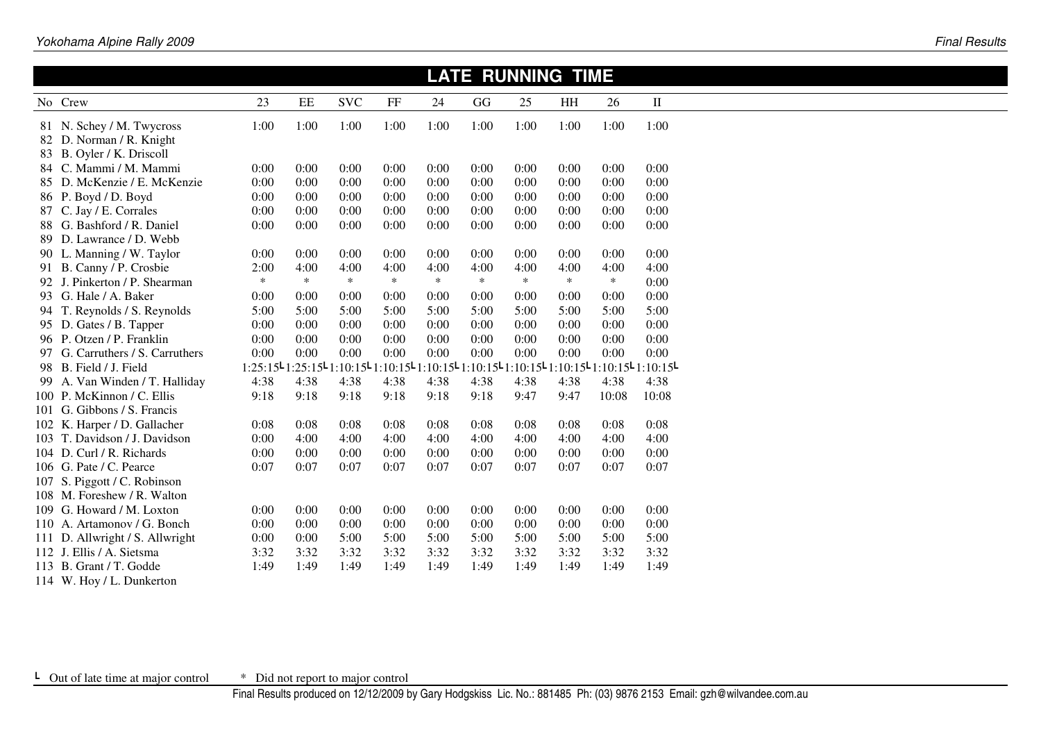|                                  |        |           |                                                                                  |          |        | <b>LATE RUNNING TIME</b> |        |        |        |              |
|----------------------------------|--------|-----------|----------------------------------------------------------------------------------|----------|--------|--------------------------|--------|--------|--------|--------------|
| No Crew                          | 23     | $\rm{EE}$ | <b>SVC</b>                                                                       | $\rm FF$ | 24     | GG                       | 25     | HH     | 26     | $\mathbf{I}$ |
| 81 N. Schey / M. Twycross        | 1:00   | 1:00      | 1:00                                                                             | 1:00     | 1:00   | 1:00                     | 1:00   | 1:00   | 1:00   | 1:00         |
| 82 D. Norman / R. Knight         |        |           |                                                                                  |          |        |                          |        |        |        |              |
| 83 B. Oyler / K. Driscoll        |        |           |                                                                                  |          |        |                          |        |        |        |              |
| 84 C. Mammi / M. Mammi           | 0:00   | 0:00      | 0:00                                                                             | 0:00     | 0:00   | 0:00                     | 0:00   | 0:00   | 0:00   | 0:00         |
| 85 D. McKenzie / E. McKenzie     | 0:00   | 0:00      | 0:00                                                                             | 0:00     | 0:00   | 0:00                     | 0:00   | 0:00   | 0:00   | 0:00         |
| 86 P. Boyd / D. Boyd             | 0:00   | 0:00      | 0:00                                                                             | 0:00     | 0:00   | 0:00                     | 0:00   | 0:00   | 0:00   | 0:00         |
| 87 C. Jay / E. Corrales          | 0:00   | 0:00      | 0:00                                                                             | 0:00     | 0:00   | 0:00                     | 0:00   | 0:00   | 0:00   | 0:00         |
| 88 G. Bashford / R. Daniel       | 0:00   | 0:00      | 0:00                                                                             | 0:00     | 0:00   | 0:00                     | 0:00   | 0:00   | 0:00   | 0:00         |
| 89 D. Lawrance / D. Webb         |        |           |                                                                                  |          |        |                          |        |        |        |              |
| 90 L. Manning / W. Taylor        | 0:00   | 0:00      | 0:00                                                                             | 0:00     | 0:00   | 0:00                     | 0:00   | 0:00   | 0:00   | 0:00         |
| 91 B. Canny / P. Crosbie         | 2:00   | 4:00      | 4:00                                                                             | 4:00     | 4:00   | 4:00                     | 4:00   | 4:00   | 4:00   | 4:00         |
| 92 J. Pinkerton / P. Shearman    | $\ast$ | $\ast$    | $\ast$                                                                           | $\ast$   | $\ast$ | $\ast$                   | $\ast$ | $\ast$ | $\ast$ | 0:00         |
| 93 G. Hale / A. Baker            | 0:00   | 0:00      | 0:00                                                                             | 0:00     | 0:00   | 0:00                     | 0:00   | 0:00   | 0:00   | 0:00         |
| 94 T. Reynolds / S. Reynolds     | 5:00   | 5:00      | 5:00                                                                             | 5:00     | 5:00   | 5:00                     | 5:00   | 5:00   | 5:00   | 5:00         |
| 95 D. Gates / B. Tapper          | 0:00   | 0:00      | 0:00                                                                             | 0:00     | 0:00   | 0:00                     | 0:00   | 0:00   | 0:00   | 0:00         |
| 96 P. Otzen / P. Franklin        | 0:00   | 0:00      | 0:00                                                                             | 0:00     | 0:00   | 0:00                     | 0:00   | 0:00   | 0:00   | 0:00         |
| 97 G. Carruthers / S. Carruthers | 0:00   | 0:00      | 0:00                                                                             | 0:00     | 0:00   | 0:00                     | 0:00   | 0:00   | 0:00   | 0:00         |
| 98 B. Field / J. Field           |        |           | 1:25:1541:10:1541:10:1541:10:1541:10:1541:10:1541:10:1541:10:1541:10:1541:10:154 |          |        |                          |        |        |        |              |
| 99 A. Van Winden / T. Halliday   | 4:38   | 4:38      | 4:38                                                                             | 4:38     | 4:38   | 4:38                     | 4:38   | 4:38   | 4:38   | 4:38         |
| 100 P. McKinnon / C. Ellis       | 9:18   | 9:18      | 9:18                                                                             | 9:18     | 9:18   | 9:18                     | 9:47   | 9:47   | 10:08  | 10:08        |
| 101 G. Gibbons / S. Francis      |        |           |                                                                                  |          |        |                          |        |        |        |              |
| 102 K. Harper / D. Gallacher     | 0:08   | 0:08      | 0:08                                                                             | 0:08     | 0:08   | 0:08                     | 0:08   | 0:08   | 0:08   | 0:08         |
| 103 T. Davidson / J. Davidson    | 0:00   | 4:00      | 4:00                                                                             | 4:00     | 4:00   | 4:00                     | 4:00   | 4:00   | 4:00   | 4:00         |
| 104 D. Curl / R. Richards        | 0:00   | 0:00      | 0:00                                                                             | 0:00     | 0:00   | 0:00                     | 0:00   | 0:00   | 0:00   | 0:00         |
| 106 G. Pate / C. Pearce          | 0:07   | 0:07      | 0:07                                                                             | 0:07     | 0:07   | 0:07                     | 0:07   | 0:07   | 0:07   | 0:07         |
| 107 S. Piggott / C. Robinson     |        |           |                                                                                  |          |        |                          |        |        |        |              |
| 108 M. Foreshew / R. Walton      |        |           |                                                                                  |          |        |                          |        |        |        |              |
| 109 G. Howard / M. Loxton        | 0:00   | 0:00      | 0:00                                                                             | 0:00     | 0:00   | 0:00                     | 0:00   | 0:00   | 0:00   | 0:00         |
| 110 A. Artamonov / G. Bonch      | 0:00   | 0:00      | 0:00                                                                             | 0:00     | 0:00   | 0:00                     | 0:00   | 0:00   | 0:00   | 0:00         |
| 111 D. Allwright / S. Allwright  | 0:00   | 0:00      | 5:00                                                                             | 5:00     | 5:00   | 5:00                     | 5:00   | 5:00   | 5:00   | 5:00         |
| 112 J. Ellis / A. Sietsma        | 3:32   | 3:32      | 3:32                                                                             | 3:32     | 3:32   | 3:32                     | 3:32   | 3:32   | 3:32   | 3:32         |
| 113 B. Grant / T. Godde          | 1:49   | 1:49      | 1:49                                                                             | 1:49     | 1:49   | 1:49                     | 1:49   | 1:49   | 1:49   | 1:49         |
| 114 W. Hoy / L. Dunkerton        |        |           |                                                                                  |          |        |                          |        |        |        |              |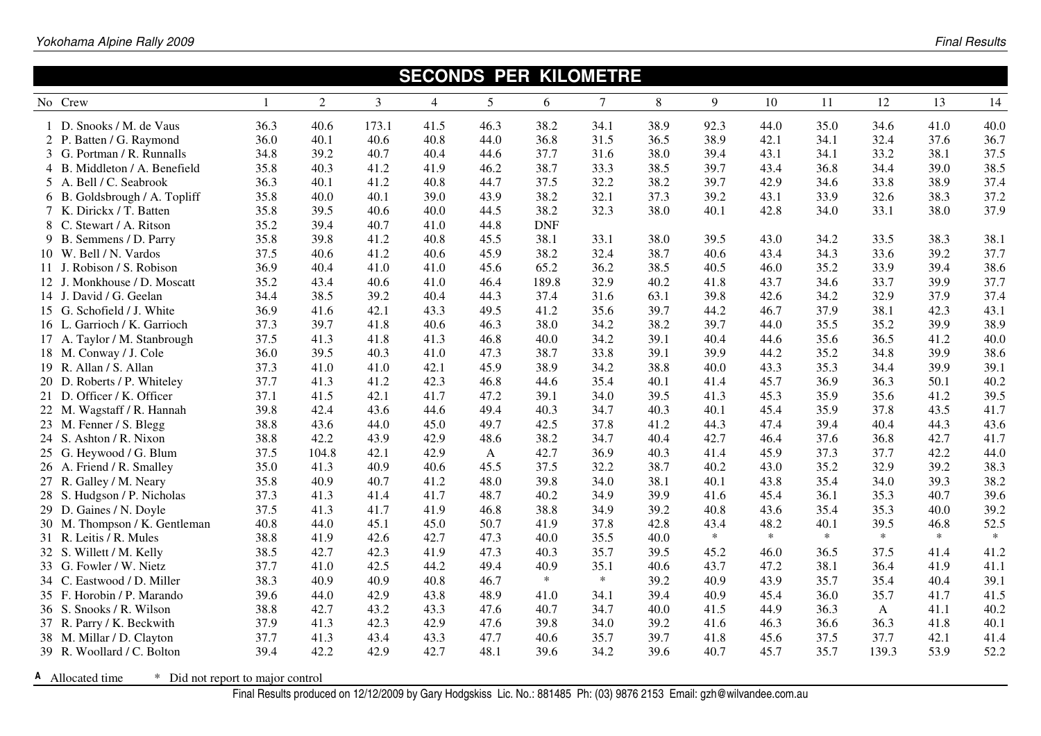|                                  |      |                |       |                |              | <b>SECONDS PER KILOMETRE</b> |                |      |        |        |        |        |        |        |
|----------------------------------|------|----------------|-------|----------------|--------------|------------------------------|----------------|------|--------|--------|--------|--------|--------|--------|
| No Crew                          |      | $\overline{2}$ | 3     | $\overline{4}$ | 5            | 6                            | $\overline{7}$ | 8    | 9      | 10     | 11     | 12     | 13     | 14     |
| 1 D. Snooks / M. de Vaus         | 36.3 | 40.6           | 173.1 | 41.5           | 46.3         | 38.2                         | 34.1           | 38.9 | 92.3   | 44.0   | 35.0   | 34.6   | 41.0   | 40.0   |
| 2 P. Batten / G. Raymond         | 36.0 | 40.1           | 40.6  | 40.8           | 44.0         | 36.8                         | 31.5           | 36.5 | 38.9   | 42.1   | 34.1   | 32.4   | 37.6   | 36.7   |
| 3 G. Portman / R. Runnalls       | 34.8 | 39.2           | 40.7  | 40.4           | 44.6         | 37.7                         | 31.6           | 38.0 | 39.4   | 43.1   | 34.1   | 33.2   | 38.1   | 37.5   |
| 4 B. Middleton / A. Benefield    | 35.8 | 40.3           | 41.2  | 41.9           | 46.2         | 38.7                         | 33.3           | 38.5 | 39.7   | 43.4   | 36.8   | 34.4   | 39.0   | 38.5   |
| 5 A. Bell / C. Seabrook          | 36.3 | 40.1           | 41.2  | 40.8           | 44.7         | 37.5                         | 32.2           | 38.2 | 39.7   | 42.9   | 34.6   | 33.8   | 38.9   | 37.4   |
| 6 B.<br>Goldsbrough / A. Topliff | 35.8 | 40.0           | 40.1  | 39.0           | 43.9         | 38.2                         | 32.1           | 37.3 | 39.2   | 43.1   | 33.9   | 32.6   | 38.3   | 37.2   |
| 7 K. Dirickx / T. Batten         | 35.8 | 39.5           | 40.6  | 40.0           | 44.5         | 38.2                         | 32.3           | 38.0 | 40.1   | 42.8   | 34.0   | 33.1   | 38.0   | 37.9   |
| 8 C. Stewart / A. Ritson         | 35.2 | 39.4           | 40.7  | 41.0           | 44.8         | <b>DNF</b>                   |                |      |        |        |        |        |        |        |
| 9 B.<br>Semmens / D. Parry       | 35.8 | 39.8           | 41.2  | 40.8           | 45.5         | 38.1                         | 33.1           | 38.0 | 39.5   | 43.0   | 34.2   | 33.5   | 38.3   | 38.1   |
| 10 W. Bell / N. Vardos           | 37.5 | 40.6           | 41.2  | 40.6           | 45.9         | 38.2                         | 32.4           | 38.7 | 40.6   | 43.4   | 34.3   | 33.6   | 39.2   | 37.7   |
| 11 J. Robison / S. Robison       | 36.9 | 40.4           | 41.0  | 41.0           | 45.6         | 65.2                         | 36.2           | 38.5 | 40.5   | 46.0   | 35.2   | 33.9   | 39.4   | 38.6   |
| 12 J. Monkhouse / D. Moscatt     | 35.2 | 43.4           | 40.6  | 41.0           | 46.4         | 189.8                        | 32.9           | 40.2 | 41.8   | 43.7   | 34.6   | 33.7   | 39.9   | 37.7   |
| 14 J. David / G. Geelan          | 34.4 | 38.5           | 39.2  | 40.4           | 44.3         | 37.4                         | 31.6           | 63.1 | 39.8   | 42.6   | 34.2   | 32.9   | 37.9   | 37.4   |
| 15 G. Schofield / J. White       | 36.9 | 41.6           | 42.1  | 43.3           | 49.5         | 41.2                         | 35.6           | 39.7 | 44.2   | 46.7   | 37.9   | 38.1   | 42.3   | 43.1   |
| 16 L. Garrioch / K. Garrioch     | 37.3 | 39.7           | 41.8  | 40.6           | 46.3         | 38.0                         | 34.2           | 38.2 | 39.7   | 44.0   | 35.5   | 35.2   | 39.9   | 38.9   |
| 17 A. Taylor / M. Stanbrough     | 37.5 | 41.3           | 41.8  | 41.3           | 46.8         | 40.0                         | 34.2           | 39.1 | 40.4   | 44.6   | 35.6   | 36.5   | 41.2   | 40.0   |
| 18 M. Conway / J. Cole           | 36.0 | 39.5           | 40.3  | 41.0           | 47.3         | 38.7                         | 33.8           | 39.1 | 39.9   | 44.2   | 35.2   | 34.8   | 39.9   | 38.6   |
| 19 R. Allan / S. Allan           | 37.3 | 41.0           | 41.0  | 42.1           | 45.9         | 38.9                         | 34.2           | 38.8 | 40.0   | 43.3   | 35.3   | 34.4   | 39.9   | 39.1   |
| 20 D. Roberts / P. Whiteley      | 37.7 | 41.3           | 41.2  | 42.3           | 46.8         | 44.6                         | 35.4           | 40.1 | 41.4   | 45.7   | 36.9   | 36.3   | 50.1   | 40.2   |
| 21 D. Officer / K. Officer       | 37.1 | 41.5           | 42.1  | 41.7           | 47.2         | 39.1                         | 34.0           | 39.5 | 41.3   | 45.3   | 35.9   | 35.6   | 41.2   | 39.5   |
| 22 M. Wagstaff / R. Hannah       | 39.8 | 42.4           | 43.6  | 44.6           | 49.4         | 40.3                         | 34.7           | 40.3 | 40.1   | 45.4   | 35.9   | 37.8   | 43.5   | 41.7   |
| 23 M. Fenner / S. Blegg          | 38.8 | 43.6           | 44.0  | 45.0           | 49.7         | 42.5                         | 37.8           | 41.2 | 44.3   | 47.4   | 39.4   | 40.4   | 44.3   | 43.6   |
| 24 S. Ashton / R. Nixon          | 38.8 | 42.2           | 43.9  | 42.9           | 48.6         | 38.2                         | 34.7           | 40.4 | 42.7   | 46.4   | 37.6   | 36.8   | 42.7   | 41.7   |
| 25 G. Heywood / G. Blum          | 37.5 | 104.8          | 42.1  | 42.9           | $\mathbf{A}$ | 42.7                         | 36.9           | 40.3 | 41.4   | 45.9   | 37.3   | 37.7   | 42.2   | 44.0   |
| 26 A. Friend / R. Smalley        | 35.0 | 41.3           | 40.9  | 40.6           | 45.5         | 37.5                         | 32.2           | 38.7 | 40.2   | 43.0   | 35.2   | 32.9   | 39.2   | 38.3   |
| 27 R. Galley / M. Neary          | 35.8 | 40.9           | 40.7  | 41.2           | 48.0         | 39.8                         | 34.0           | 38.1 | 40.1   | 43.8   | 35.4   | 34.0   | 39.3   | 38.2   |
| 28 S. Hudgson / P. Nicholas      | 37.3 | 41.3           | 41.4  | 41.7           | 48.7         | 40.2                         | 34.9           | 39.9 | 41.6   | 45.4   | 36.1   | 35.3   | 40.7   | 39.6   |
| 29 D.<br>Gaines / N. Doyle       | 37.5 | 41.3           | 41.7  | 41.9           | 46.8         | 38.8                         | 34.9           | 39.2 | 40.8   | 43.6   | 35.4   | 35.3   | 40.0   | 39.2   |
| 30 M. Thompson / K. Gentleman    | 40.8 | 44.0           | 45.1  | 45.0           | 50.7         | 41.9                         | 37.8           | 42.8 | 43.4   | 48.2   | 40.1   | 39.5   | 46.8   | 52.5   |
| 31 R. Leitis / R. Mules          | 38.8 | 41.9           | 42.6  | 42.7           | 47.3         | 40.0                         | 35.5           | 40.0 | $\ast$ | $\ast$ | $\ast$ | $\ast$ | $\ast$ | $\ast$ |
| 32 S. Willett / M. Kelly         | 38.5 | 42.7           | 42.3  | 41.9           | 47.3         | 40.3                         | 35.7           | 39.5 | 45.2   | 46.0   | 36.5   | 37.5   | 41.4   | 41.2   |
| 33 G. Fowler / W. Nietz          | 37.7 | 41.0           | 42.5  | 44.2           | 49.4         | 40.9                         | 35.1           | 40.6 | 43.7   | 47.2   | 38.1   | 36.4   | 41.9   | 41.1   |
| 34 C. Eastwood / D. Miller       | 38.3 | 40.9           | 40.9  | 40.8           | 46.7         | $\ast$                       | $\ast$         | 39.2 | 40.9   | 43.9   | 35.7   | 35.4   | 40.4   | 39.1   |
| 35 F. Horobin / P. Marando       | 39.6 | 44.0           | 42.9  | 43.8           | 48.9         | 41.0                         | 34.1           | 39.4 | 40.9   | 45.4   | 36.0   | 35.7   | 41.7   | 41.5   |
| 36 S. Snooks / R. Wilson         | 38.8 | 42.7           | 43.2  | 43.3           | 47.6         | 40.7                         | 34.7           | 40.0 | 41.5   | 44.9   | 36.3   | A      | 41.1   | 40.2   |
| 37 R. Parry / K. Beckwith        | 37.9 | 41.3           | 42.3  | 42.9           | 47.6         | 39.8                         | 34.0           | 39.2 | 41.6   | 46.3   | 36.6   | 36.3   | 41.8   | 40.1   |
| 38 M. Millar / D. Clayton        | 37.7 | 41.3           | 43.4  | 43.3           | 47.7         | 40.6                         | 35.7           | 39.7 | 41.8   | 45.6   | 37.5   | 37.7   | 42.1   | 41.4   |
| 39 R. Woollard / C. Bolton       | 39.4 | 42.2           | 42.9  | 42.7           | 48.1         | 39.6                         | 34.2           | 39.6 | 40.7   | 45.7   | 35.7   | 139.3  | 53.9   | 52.2   |
|                                  |      |                |       |                |              |                              |                |      |        |        |        |        |        |        |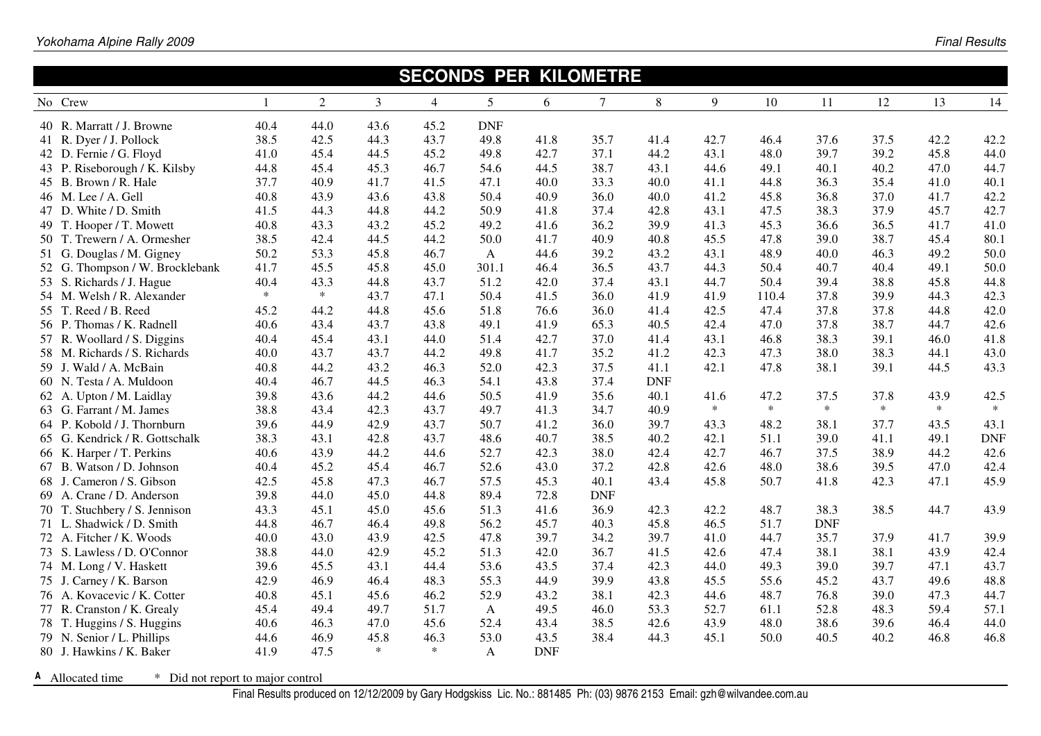| <b>SECONDS PER KILOMETRE</b> |                                      |                |                |                |                |              |            |            |            |        |        |            |        |        |            |
|------------------------------|--------------------------------------|----------------|----------------|----------------|----------------|--------------|------------|------------|------------|--------|--------|------------|--------|--------|------------|
|                              | No Crew                              | $\overline{1}$ | $\overline{2}$ | $\overline{3}$ | $\overline{4}$ | 5            | 6          | $\tau$     | $\,8\,$    | 9      | 10     | 11         | 12     | 13     | 14         |
|                              | 40 R. Marratt / J. Browne            | 40.4           | 44.0           | 43.6           | 45.2           | <b>DNF</b>   |            |            |            |        |        |            |        |        |            |
|                              | 41 R. Dyer / J. Pollock              | 38.5           | 42.5           | 44.3           | 43.7           | 49.8         | 41.8       | 35.7       | 41.4       | 42.7   | 46.4   | 37.6       | 37.5   | 42.2   | 42.2       |
|                              | 42 D. Fernie / G. Floyd              | 41.0           | 45.4           | 44.5           | 45.2           | 49.8         | 42.7       | 37.1       | 44.2       | 43.1   | 48.0   | 39.7       | 39.2   | 45.8   | 44.0       |
|                              | 43 P. Riseborough / K. Kilsby        | 44.8           | 45.4           | 45.3           | 46.7           | 54.6         | 44.5       | 38.7       | 43.1       | 44.6   | 49.1   | 40.1       | 40.2   | 47.0   | 44.7       |
| 45 B.                        | Brown / R. Hale                      | 37.7           | 40.9           | 41.7           | 41.5           | 47.1         | 40.0       | 33.3       | 40.0       | 41.1   | 44.8   | 36.3       | 35.4   | 41.0   | 40.1       |
|                              | 46 M. Lee / A. Gell                  | 40.8           | 43.9           | 43.6           | 43.8           | 50.4         | 40.9       | 36.0       | 40.0       | 41.2   | 45.8   | 36.8       | 37.0   | 41.7   | 42.2       |
|                              | 47 D. White / D. Smith               | 41.5           | 44.3           | 44.8           | 44.2           | 50.9         | 41.8       | 37.4       | 42.8       | 43.1   | 47.5   | 38.3       | 37.9   | 45.7   | 42.7       |
|                              | 49 T. Hooper / T. Mowett             | 40.8           | 43.3           | 43.2           | 45.2           | 49.2         | 41.6       | 36.2       | 39.9       | 41.3   | 45.3   | 36.6       | 36.5   | 41.7   | 41.0       |
|                              | 50 T. Trewern / A. Ormesher          | 38.5           | 42.4           | 44.5           | 44.2           | 50.0         | 41.7       | 40.9       | 40.8       | 45.5   | 47.8   | 39.0       | 38.7   | 45.4   | 80.1       |
| 51 G.                        | Douglas / M. Gigney                  | 50.2           | 53.3           | 45.8           | 46.7           | $\mathbf{A}$ | 44.6       | 39.2       | 43.2       | 43.1   | 48.9   | 40.0       | 46.3   | 49.2   | 50.0       |
|                              | . Thompson / W. Brocklebank<br>52 G. | 41.7           | 45.5           | 45.8           | 45.0           | 301.1        | 46.4       | 36.5       | 43.7       | 44.3   | 50.4   | 40.7       | 40.4   | 49.1   | 50.0       |
|                              | 53 S. Richards / J. Hague            | 40.4           | 43.3           | 44.8           | 43.7           | 51.2         | 42.0       | 37.4       | 43.1       | 44.7   | 50.4   | 39.4       | 38.8   | 45.8   | 44.8       |
|                              | 54 M. Welsh / R. Alexander           | $\ast$         | $\ast$         | 43.7           | 47.1           | 50.4         | 41.5       | 36.0       | 41.9       | 41.9   | 110.4  | 37.8       | 39.9   | 44.3   | 42.3       |
|                              | 55 T. Reed / B. Reed                 | 45.2           | 44.2           | 44.8           | 45.6           | 51.8         | 76.6       | 36.0       | 41.4       | 42.5   | 47.4   | 37.8       | 37.8   | 44.8   | 42.0       |
|                              | 56 P. Thomas / K. Radnell            | 40.6           | 43.4           | 43.7           | 43.8           | 49.1         | 41.9       | 65.3       | 40.5       | 42.4   | 47.0   | 37.8       | 38.7   | 44.7   | 42.6       |
|                              | 57 R. Woollard / S. Diggins          | 40.4           | 45.4           | 43.1           | 44.0           | 51.4         | 42.7       | 37.0       | 41.4       | 43.1   | 46.8   | 38.3       | 39.1   | 46.0   | 41.8       |
|                              | 58 M. Richards / S. Richards         | 40.0           | 43.7           | 43.7           | 44.2           | 49.8         | 41.7       | 35.2       | 41.2       | 42.3   | 47.3   | 38.0       | 38.3   | 44.1   | 43.0       |
|                              | 59 J. Wald / A. McBain               | 40.8           | 44.2           | 43.2           | 46.3           | 52.0         | 42.3       | 37.5       | 41.1       | 42.1   | 47.8   | 38.1       | 39.1   | 44.5   | 43.3       |
|                              | 60 N. Testa / A. Muldoon             | 40.4           | 46.7           | 44.5           | 46.3           | 54.1         | 43.8       | 37.4       | <b>DNF</b> |        |        |            |        |        |            |
|                              | 62 A. Upton / M. Laidlay             | 39.8           | 43.6           | 44.2           | 44.6           | 50.5         | 41.9       | 35.6       | 40.1       | 41.6   | 47.2   | 37.5       | 37.8   | 43.9   | 42.5       |
|                              | 63 G. Farrant / M. James             | 38.8           | 43.4           | 42.3           | 43.7           | 49.7         | 41.3       | 34.7       | 40.9       | $\ast$ | $\ast$ | $\ast$     | $\ast$ | $\ast$ | $\ast$     |
|                              | 64 P. Kobold / J. Thornburn          | 39.6           | 44.9           | 42.9           | 43.7           | 50.7         | 41.2       | 36.0       | 39.7       | 43.3   | 48.2   | 38.1       | 37.7   | 43.5   | 43.1       |
|                              | 65 G. Kendrick / R. Gottschalk       | 38.3           | 43.1           | 42.8           | 43.7           | 48.6         | 40.7       | 38.5       | 40.2       | 42.1   | 51.1   | 39.0       | 41.1   | 49.1   | <b>DNF</b> |
|                              | 66 K. Harper / T. Perkins            | 40.6           | 43.9           | 44.2           | 44.6           | 52.7         | 42.3       | 38.0       | 42.4       | 42.7   | 46.7   | 37.5       | 38.9   | 44.2   | 42.6       |
|                              | 67 B. Watson / D. Johnson            | 40.4           | 45.2           | 45.4           | 46.7           | 52.6         | 43.0       | 37.2       | 42.8       | 42.6   | 48.0   | 38.6       | 39.5   | 47.0   | 42.4       |
|                              | 68 J. Cameron / S. Gibson            | 42.5           | 45.8           | 47.3           | 46.7           | 57.5         | 45.3       | 40.1       | 43.4       | 45.8   | 50.7   | 41.8       | 42.3   | 47.1   | 45.9       |
|                              | 69 A. Crane / D. Anderson            | 39.8           | 44.0           | 45.0           | 44.8           | 89.4         | 72.8       | <b>DNF</b> |            |        |        |            |        |        |            |
|                              | 70 T. Stuchbery / S. Jennison        | 43.3           | 45.1           | 45.0           | 45.6           | 51.3         | 41.6       | 36.9       | 42.3       | 42.2   | 48.7   | 38.3       | 38.5   | 44.7   | 43.9       |
| 71 L.                        | Shadwick / D. Smith                  | 44.8           | 46.7           | 46.4           | 49.8           | 56.2         | 45.7       | 40.3       | 45.8       | 46.5   | 51.7   | <b>DNF</b> |        |        |            |
|                              | 72 A. Fitcher / K. Woods             | 40.0           | 43.0           | 43.9           | 42.5           | 47.8         | 39.7       | 34.2       | 39.7       | 41.0   | 44.7   | 35.7       | 37.9   | 41.7   | 39.9       |
|                              | 73 S. Lawless / D. O'Connor          | 38.8           | 44.0           | 42.9           | 45.2           | 51.3         | 42.0       | 36.7       | 41.5       | 42.6   | 47.4   | 38.1       | 38.1   | 43.9   | 42.4       |
|                              | 74 M. Long / V. Haskett              | 39.6           | 45.5           | 43.1           | 44.4           | 53.6         | 43.5       | 37.4       | 42.3       | 44.0   | 49.3   | 39.0       | 39.7   | 47.1   | 43.7       |
|                              | 75 J. Carney / K. Barson             | 42.9           | 46.9           | 46.4           | 48.3           | 55.3         | 44.9       | 39.9       | 43.8       | 45.5   | 55.6   | 45.2       | 43.7   | 49.6   | 48.8       |
|                              | 76 A. Kovacevic / K. Cotter          | 40.8           | 45.1           | 45.6           | 46.2           | 52.9         | 43.2       | 38.1       | 42.3       | 44.6   | 48.7   | 76.8       | 39.0   | 47.3   | 44.7       |
|                              | 77 R.<br>Cranston / K. Grealy        | 45.4           | 49.4           | 49.7           | 51.7           | $\mathbf{A}$ | 49.5       | 46.0       | 53.3       | 52.7   | 61.1   | 52.8       | 48.3   | 59.4   | 57.1       |
|                              | 78 T. Huggins / S. Huggins           | 40.6           | 46.3           | 47.0           | 45.6           | 52.4         | 43.4       | 38.5       | 42.6       | 43.9   | 48.0   | 38.6       | 39.6   | 46.4   | 44.0       |
|                              | 79 N. Senior / L. Phillips           | 44.6           | 46.9           | 45.8           | 46.3           | 53.0         | 43.5       | 38.4       | 44.3       | 45.1   | 50.0   | 40.5       | 40.2   | 46.8   | 46.8       |
|                              | 80 J. Hawkins / K. Baker             | 41.9           | 47.5           | $\ast$         | $\ast$         | $\mathbf{A}$ | <b>DNF</b> |            |            |        |        |            |        |        |            |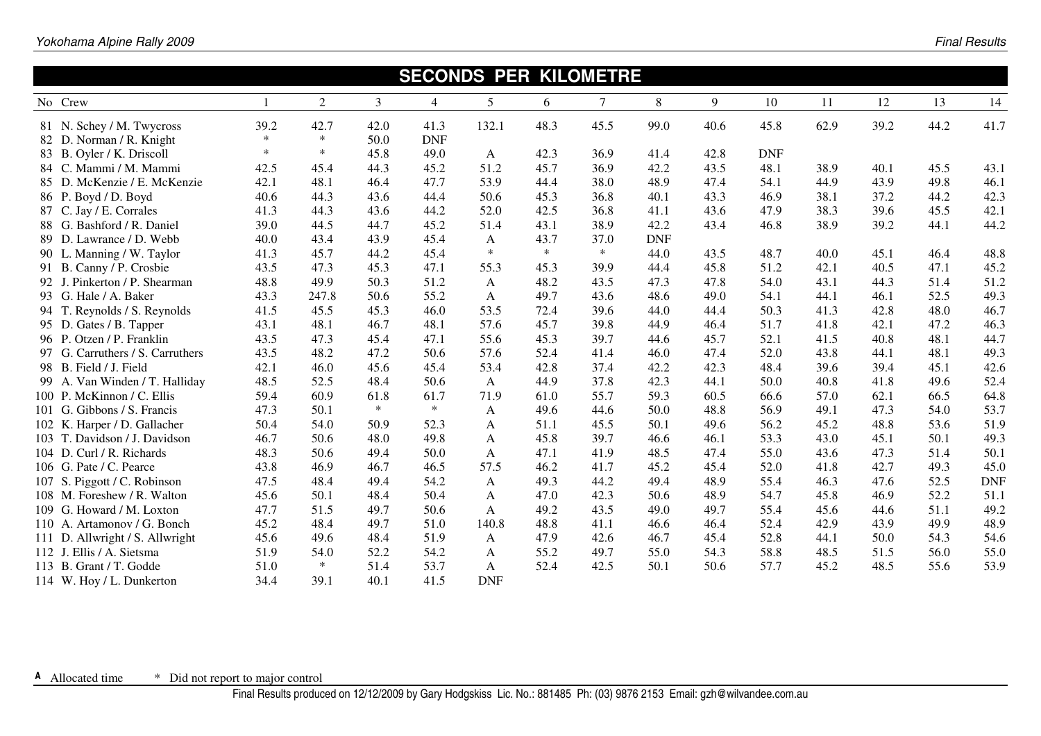|        | <b>SECONDS PER KILOMETRE</b>     |                |                |        |                |              |        |                |            |      |            |      |      |      |            |
|--------|----------------------------------|----------------|----------------|--------|----------------|--------------|--------|----------------|------------|------|------------|------|------|------|------------|
|        | No Crew                          | $\blacksquare$ | $\overline{2}$ | 3      | $\overline{4}$ | 5            | 6      | $\overline{7}$ | 8          | 9    | 10         | 11   | 12   | 13   | 14         |
|        | 81 N. Schey / M. Twycross        | 39.2           | 42.7           | 42.0   | 41.3           | 132.1        | 48.3   | 45.5           | 99.0       | 40.6 | 45.8       | 62.9 | 39.2 | 44.2 | 41.7       |
|        | Norman / R. Knight<br>82 D.      | $\ast$         | $\ast$         | 50.0   | <b>DNF</b>     |              |        |                |            |      |            |      |      |      |            |
|        | 83 B. Oyler / K. Driscoll        | $\ast$         | $\ast$         | 45.8   | 49.0           | A            | 42.3   | 36.9           | 41.4       | 42.8 | <b>DNF</b> |      |      |      |            |
|        | 84 C. Mammi / M. Mammi           | 42.5           | 45.4           | 44.3   | 45.2           | 51.2         | 45.7   | 36.9           | 42.2       | 43.5 | 48.1       | 38.9 | 40.1 | 45.5 | 43.1       |
|        | 85 D. McKenzie / E. McKenzie     | 42.1           | 48.1           | 46.4   | 47.7           | 53.9         | 44.4   | 38.0           | 48.9       | 47.4 | 54.1       | 44.9 | 43.9 | 49.8 | 46.1       |
|        | 86 P. Boyd / D. Boyd             | 40.6           | 44.3           | 43.6   | 44.4           | 50.6         | 45.3   | 36.8           | 40.1       | 43.3 | 46.9       | 38.1 | 37.2 | 44.2 | 42.3       |
|        | 87 C. Jay / E. Corrales          | 41.3           | 44.3           | 43.6   | 44.2           | 52.0         | 42.5   | 36.8           | 41.1       | 43.6 | 47.9       | 38.3 | 39.6 | 45.5 | 42.1       |
|        | 88 G. Bashford / R. Daniel       | 39.0           | 44.5           | 44.7   | 45.2           | 51.4         | 43.1   | 38.9           | 42.2       | 43.4 | 46.8       | 38.9 | 39.2 | 44.1 | 44.2       |
| 89     | Lawrance / D. Webb<br>D.         | 40.0           | 43.4           | 43.9   | 45.4           | $\mathbf{A}$ | 43.7   | 37.0           | <b>DNF</b> |      |            |      |      |      |            |
|        | 90 L. Manning / W. Taylor        | 41.3           | 45.7           | 44.2   | 45.4           | $\ast$       | $\ast$ | $\ast$         | 44.0       | 43.5 | 48.7       | 40.0 | 45.1 | 46.4 | 48.8       |
|        | 91 B.<br>Canny / P. Crosbie      | 43.5           | 47.3           | 45.3   | 47.1           | 55.3         | 45.3   | 39.9           | 44.4       | 45.8 | 51.2       | 42.1 | 40.5 | 47.1 | 45.2       |
|        | 92 J. Pinkerton / P. Shearman    | 48.8           | 49.9           | 50.3   | 51.2           | A            | 48.2   | 43.5           | 47.3       | 47.8 | 54.0       | 43.1 | 44.3 | 51.4 | 51.2       |
|        | 93 G. Hale / A. Baker            | 43.3           | 247.8          | 50.6   | 55.2           | A            | 49.7   | 43.6           | 48.6       | 49.0 | 54.1       | 44.1 | 46.1 | 52.5 | 49.3       |
|        | 94 T. Reynolds / S. Reynolds     | 41.5           | 45.5           | 45.3   | 46.0           | 53.5         | 72.4   | 39.6           | 44.0       | 44.4 | 50.3       | 41.3 | 42.8 | 48.0 | 46.7       |
|        | 95 D. Gates / B. Tapper          | 43.1           | 48.1           | 46.7   | 48.1           | 57.6         | 45.7   | 39.8           | 44.9       | 46.4 | 51.7       | 41.8 | 42.1 | 47.2 | 46.3       |
|        | 96 P. Otzen / P. Franklin        | 43.5           | 47.3           | 45.4   | 47.1           | 55.6         | 45.3   | 39.7           | 44.6       | 45.7 | 52.1       | 41.5 | 40.8 | 48.1 | 44.7       |
|        | 97 G. Carruthers / S. Carruthers | 43.5           | 48.2           | 47.2   | 50.6           | 57.6         | 52.4   | 41.4           | 46.0       | 47.4 | 52.0       | 43.8 | 44.1 | 48.1 | 49.3       |
|        | 98 B. Field / J. Field           | 42.1           | 46.0           | 45.6   | 45.4           | 53.4         | 42.8   | 37.4           | 42.2       | 42.3 | 48.4       | 39.6 | 39.4 | 45.1 | 42.6       |
|        | 99 A. Van Winden / T. Halliday   | 48.5           | 52.5           | 48.4   | 50.6           | $\mathbf{A}$ | 44.9   | 37.8           | 42.3       | 44.1 | 50.0       | 40.8 | 41.8 | 49.6 | 52.4       |
|        | 100 P. McKinnon / C. Ellis       | 59.4           | 60.9           | 61.8   | 61.7           | 71.9         | 61.0   | 55.7           | 59.3       | 60.5 | 66.6       | 57.0 | 62.1 | 66.5 | 64.8       |
|        | 101 G. Gibbons / S. Francis      | 47.3           | 50.1           | $\ast$ | $\ast$         | A            | 49.6   | 44.6           | 50.0       | 48.8 | 56.9       | 49.1 | 47.3 | 54.0 | 53.7       |
|        | 102 K. Harper / D. Gallacher     | 50.4           | 54.0           | 50.9   | 52.3           | A            | 51.1   | 45.5           | 50.1       | 49.6 | 56.2       | 45.2 | 48.8 | 53.6 | 51.9       |
|        | 103 T. Davidson / J. Davidson    | 46.7           | 50.6           | 48.0   | 49.8           | A            | 45.8   | 39.7           | 46.6       | 46.1 | 53.3       | 43.0 | 45.1 | 50.1 | 49.3       |
|        | 104 D. Curl / R. Richards        | 48.3           | 50.6           | 49.4   | 50.0           | A            | 47.1   | 41.9           | 48.5       | 47.4 | 55.0       | 43.6 | 47.3 | 51.4 | 50.1       |
| 106 G. | Pate / C. Pearce                 | 43.8           | 46.9           | 46.7   | 46.5           | 57.5         | 46.2   | 41.7           | 45.2       | 45.4 | 52.0       | 41.8 | 42.7 | 49.3 | 45.0       |
|        | 107 S. Piggott / C. Robinson     | 47.5           | 48.4           | 49.4   | 54.2           | A            | 49.3   | 44.2           | 49.4       | 48.9 | 55.4       | 46.3 | 47.6 | 52.5 | <b>DNF</b> |
|        | 108 M. Foreshew / R. Walton      | 45.6           | 50.1           | 48.4   | 50.4           | A            | 47.0   | 42.3           | 50.6       | 48.9 | 54.7       | 45.8 | 46.9 | 52.2 | 51.1       |
|        | 109 G. Howard / M. Loxton        | 47.7           | 51.5           | 49.7   | 50.6           | A            | 49.2   | 43.5           | 49.0       | 49.7 | 55.4       | 45.6 | 44.6 | 51.1 | 49.2       |
|        | 110 A. Artamonov / G. Bonch      | 45.2           | 48.4           | 49.7   | 51.0           | 140.8        | 48.8   | 41.1           | 46.6       | 46.4 | 52.4       | 42.9 | 43.9 | 49.9 | 48.9       |
|        | 111 D. Allwright / S. Allwright  | 45.6           | 49.6           | 48.4   | 51.9           | $\mathbf{A}$ | 47.9   | 42.6           | 46.7       | 45.4 | 52.8       | 44.1 | 50.0 | 54.3 | 54.6       |
|        | 112 J. Ellis / A. Sietsma        | 51.9           | 54.0           | 52.2   | 54.2           | $\mathbf{A}$ | 55.2   | 49.7           | 55.0       | 54.3 | 58.8       | 48.5 | 51.5 | 56.0 | 55.0       |
| 113 B. | Grant / T. Godde                 | 51.0           | $\ast$         | 51.4   | 53.7           | $\mathbf{A}$ | 52.4   | 42.5           | 50.1       | 50.6 | 57.7       | 45.2 | 48.5 | 55.6 | 53.9       |
|        | 114 W. Hoy / L. Dunkerton        | 34.4           | 39.1           | 40.1   | 41.5           | <b>DNF</b>   |        |                |            |      |            |      |      |      |            |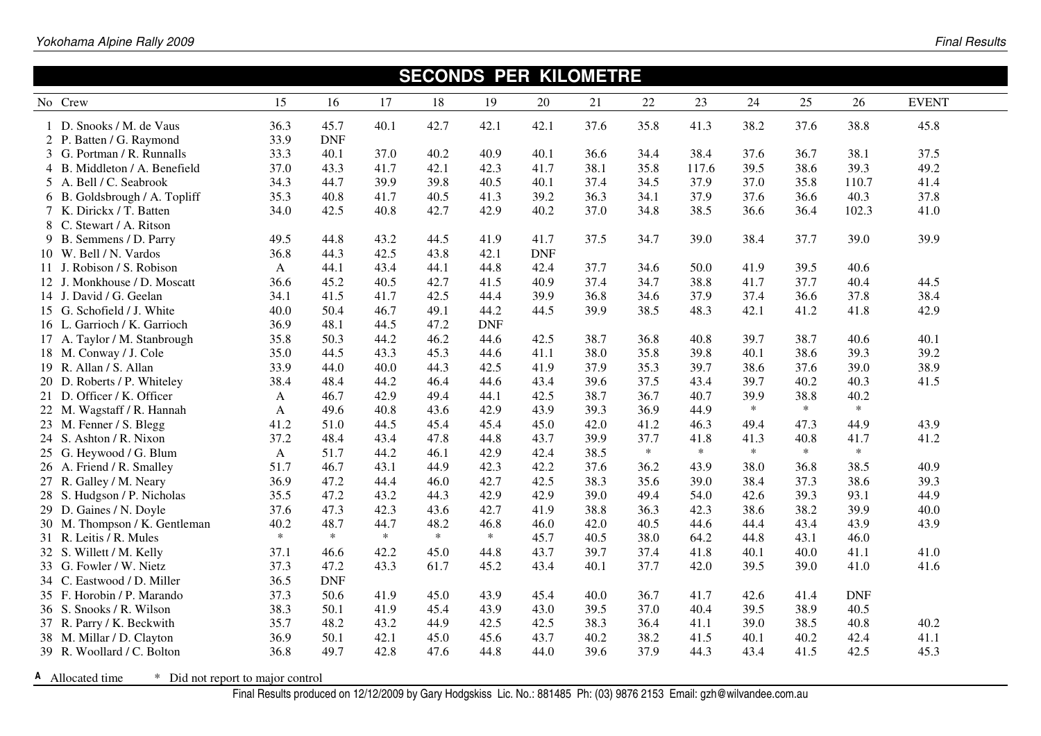| <b>SECONDS PER KILOMETRE</b> |                                                      |              |                    |        |        |            |            |      |        |        |        |        |            |              |
|------------------------------|------------------------------------------------------|--------------|--------------------|--------|--------|------------|------------|------|--------|--------|--------|--------|------------|--------------|
|                              | No Crew                                              | 15           | 16                 | 17     | 18     | 19         | 20         | 21   | 22     | 23     | 24     | 25     | 26         | <b>EVENT</b> |
|                              | 1 D. Snooks / M. de Vaus<br>2 P. Batten / G. Raymond | 36.3<br>33.9 | 45.7<br><b>DNF</b> | 40.1   | 42.7   | 42.1       | 42.1       | 37.6 | 35.8   | 41.3   | 38.2   | 37.6   | 38.8       | 45.8         |
|                              | 3 G. Portman / R. Runnalls                           | 33.3         | 40.1               | 37.0   | 40.2   | 40.9       | 40.1       | 36.6 | 34.4   | 38.4   | 37.6   | 36.7   | 38.1       | 37.5         |
|                              | 4 B. Middleton / A. Benefield                        | 37.0         | 43.3               | 41.7   | 42.1   | 42.3       | 41.7       | 38.1 | 35.8   | 117.6  | 39.5   | 38.6   | 39.3       | 49.2         |
|                              | 5 A. Bell / C. Seabrook                              | 34.3         | 44.7               | 39.9   | 39.8   | 40.5       | 40.1       | 37.4 | 34.5   | 37.9   | 37.0   | 35.8   | 110.7      | 41.4         |
|                              | 6 B. Goldsbrough / A. Topliff                        | 35.3         | 40.8               | 41.7   | 40.5   | 41.3       | 39.2       | 36.3 | 34.1   | 37.9   | 37.6   | 36.6   | 40.3       | 37.8         |
|                              | 7 K. Dirickx / T. Batten                             | 34.0         | 42.5               | 40.8   | 42.7   | 42.9       | 40.2       | 37.0 | 34.8   | 38.5   | 36.6   | 36.4   | 102.3      | 41.0         |
|                              | 8 C. Stewart / A. Ritson                             |              |                    |        |        |            |            |      |        |        |        |        |            |              |
|                              | 9 B. Semmens / D. Parry                              | 49.5         | 44.8               | 43.2   | 44.5   | 41.9       | 41.7       | 37.5 | 34.7   | 39.0   | 38.4   | 37.7   | 39.0       | 39.9         |
|                              | 10 W. Bell / N. Vardos                               | 36.8         | 44.3               | 42.5   | 43.8   | 42.1       | <b>DNF</b> |      |        |        |        |        |            |              |
|                              | 11 J. Robison / S. Robison                           | A            | 44.1               | 43.4   | 44.1   | 44.8       | 42.4       | 37.7 | 34.6   | 50.0   | 41.9   | 39.5   | 40.6       |              |
|                              | 12 J. Monkhouse / D. Moscatt                         | 36.6         | 45.2               | 40.5   | 42.7   | 41.5       | 40.9       | 37.4 | 34.7   | 38.8   | 41.7   | 37.7   | 40.4       | 44.5         |
|                              | 14 J. David / G. Geelan                              | 34.1         | 41.5               | 41.7   | 42.5   | 44.4       | 39.9       | 36.8 | 34.6   | 37.9   | 37.4   | 36.6   | 37.8       | 38.4         |
|                              | 15 G. Schofield / J. White                           | 40.0         | 50.4               | 46.7   | 49.1   | 44.2       | 44.5       | 39.9 | 38.5   | 48.3   | 42.1   | 41.2   | 41.8       | 42.9         |
|                              | 16 L. Garrioch / K. Garrioch                         | 36.9         | 48.1               | 44.5   | 47.2   | <b>DNF</b> |            |      |        |        |        |        |            |              |
|                              | 17 A. Taylor / M. Stanbrough                         | 35.8         | 50.3               | 44.2   | 46.2   | 44.6       | 42.5       | 38.7 | 36.8   | 40.8   | 39.7   | 38.7   | 40.6       | 40.1         |
|                              | 18 M. Conway / J. Cole                               | 35.0         | 44.5               | 43.3   | 45.3   | 44.6       | 41.1       | 38.0 | 35.8   | 39.8   | 40.1   | 38.6   | 39.3       | 39.2         |
|                              | 19 R. Allan / S. Allan                               | 33.9         | 44.0               | 40.0   | 44.3   | 42.5       | 41.9       | 37.9 | 35.3   | 39.7   | 38.6   | 37.6   | 39.0       | 38.9         |
|                              | 20 D. Roberts / P. Whiteley                          | 38.4         | 48.4               | 44.2   | 46.4   | 44.6       | 43.4       | 39.6 | 37.5   | 43.4   | 39.7   | 40.2   | 40.3       | 41.5         |
|                              | 21 D. Officer / K. Officer                           | A            | 46.7               | 42.9   | 49.4   | 44.1       | 42.5       | 38.7 | 36.7   | 40.7   | 39.9   | 38.8   | 40.2       |              |
|                              | 22 M. Wagstaff / R. Hannah                           | A            | 49.6               | 40.8   | 43.6   | 42.9       | 43.9       | 39.3 | 36.9   | 44.9   | $\ast$ | $\ast$ | $\ast$     |              |
|                              | 23 M. Fenner / S. Blegg                              | 41.2         | 51.0               | 44.5   | 45.4   | 45.4       | 45.0       | 42.0 | 41.2   | 46.3   | 49.4   | 47.3   | 44.9       | 43.9         |
|                              | 24 S. Ashton / R. Nixon                              | 37.2         | 48.4               | 43.4   | 47.8   | 44.8       | 43.7       | 39.9 | 37.7   | 41.8   | 41.3   | 40.8   | 41.7       | 41.2         |
|                              | 25 G. Heywood / G. Blum                              | A            | 51.7               | 44.2   | 46.1   | 42.9       | 42.4       | 38.5 | $\ast$ | $\ast$ | $\ast$ | $\ast$ | $\ast$     |              |
|                              | 26 A. Friend / R. Smalley                            | 51.7         | 46.7               | 43.1   | 44.9   | 42.3       | 42.2       | 37.6 | 36.2   | 43.9   | 38.0   | 36.8   | 38.5       | 40.9         |
|                              | 27 R. Galley / M. Neary                              | 36.9         | 47.2               | 44.4   | 46.0   | 42.7       | 42.5       | 38.3 | 35.6   | 39.0   | 38.4   | 37.3   | 38.6       | 39.3         |
|                              | 28 S. Hudgson / P. Nicholas                          | 35.5         | 47.2               | 43.2   | 44.3   | 42.9       | 42.9       | 39.0 | 49.4   | 54.0   | 42.6   | 39.3   | 93.1       | 44.9         |
|                              | 29 D. Gaines / N. Doyle                              | 37.6         | 47.3               | 42.3   | 43.6   | 42.7       | 41.9       | 38.8 | 36.3   | 42.3   | 38.6   | 38.2   | 39.9       | 40.0         |
|                              | 30 M. Thompson / K. Gentleman                        | 40.2         | 48.7               | 44.7   | 48.2   | 46.8       | 46.0       | 42.0 | 40.5   | 44.6   | 44.4   | 43.4   | 43.9       | 43.9         |
|                              | 31 R. Leitis / R. Mules                              | $\ast$       | $\ast$             | $\ast$ | $\ast$ | $\ast$     | 45.7       | 40.5 | 38.0   | 64.2   | 44.8   | 43.1   | 46.0       |              |
|                              | 32 S. Willett / M. Kelly                             | 37.1         | 46.6               | 42.2   | 45.0   | 44.8       | 43.7       | 39.7 | 37.4   | 41.8   | 40.1   | 40.0   | 41.1       | 41.0         |
|                              | 33 G. Fowler / W. Nietz                              | 37.3         | 47.2               | 43.3   | 61.7   | 45.2       | 43.4       | 40.1 | 37.7   | 42.0   | 39.5   | 39.0   | 41.0       | 41.6         |
|                              | 34 C. Eastwood / D. Miller                           | 36.5         | <b>DNF</b>         |        |        |            |            |      |        |        |        |        |            |              |
|                              | 35 F. Horobin / P. Marando                           | 37.3         | 50.6               | 41.9   | 45.0   | 43.9       | 45.4       | 40.0 | 36.7   | 41.7   | 42.6   | 41.4   | <b>DNF</b> |              |
|                              | 36 S. Snooks / R. Wilson                             | 38.3         | 50.1               | 41.9   | 45.4   | 43.9       | 43.0       | 39.5 | 37.0   | 40.4   | 39.5   | 38.9   | 40.5       |              |
|                              | 37 R. Parry / K. Beckwith                            | 35.7         | 48.2               | 43.2   | 44.9   | 42.5       | 42.5       | 38.3 | 36.4   | 41.1   | 39.0   | 38.5   | 40.8       | 40.2         |
|                              | 38 M. Millar / D. Clayton                            | 36.9         | 50.1               | 42.1   | 45.0   | 45.6       | 43.7       | 40.2 | 38.2   | 41.5   | 40.1   | 40.2   | 42.4       | 41.1         |
|                              | 39 R. Woollard / C. Bolton                           | 36.8         | 49.7               | 42.8   | 47.6   | 44.8       | 44.0       | 39.6 | 37.9   | 44.3   | 43.4   | 41.5   | 42.5       | 45.3         |
|                              |                                                      |              |                    |        |        |            |            |      |        |        |        |        |            |              |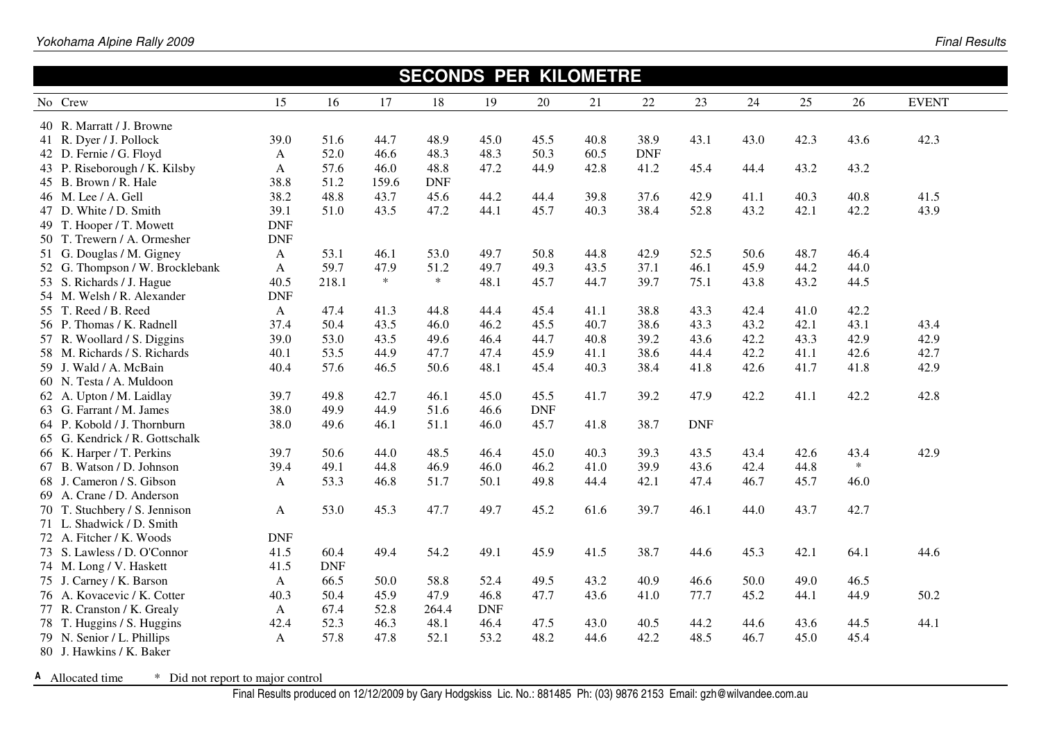| <b>SECONDS PER KILOMETRE</b>    |              |            |        |            |            |            |      |            |            |      |      |        |              |  |
|---------------------------------|--------------|------------|--------|------------|------------|------------|------|------------|------------|------|------|--------|--------------|--|
| No Crew                         | 15           | 16         | 17     | 18         | 19         | 20         | 21   | 22         | 23         | 24   | 25   | 26     | <b>EVENT</b> |  |
| 40 R. Marratt / J. Browne       |              |            |        |            |            |            |      |            |            |      |      |        |              |  |
| 41 R. Dyer / J. Pollock         | 39.0         | 51.6       | 44.7   | 48.9       | 45.0       | 45.5       | 40.8 | 38.9       | 43.1       | 43.0 | 42.3 | 43.6   | 42.3         |  |
| 42 D. Fernie / G. Floyd         | A            | 52.0       | 46.6   | 48.3       | 48.3       | 50.3       | 60.5 | <b>DNF</b> |            |      |      |        |              |  |
| 43 P. Riseborough / K. Kilsby   | A            | 57.6       | 46.0   | 48.8       | 47.2       | 44.9       | 42.8 | 41.2       | 45.4       | 44.4 | 43.2 | 43.2   |              |  |
| 45 B. Brown / R. Hale           | 38.8         | 51.2       | 159.6  | <b>DNF</b> |            |            |      |            |            |      |      |        |              |  |
| 46 M. Lee $/$ A. Gell           | 38.2         | 48.8       | 43.7   | 45.6       | 44.2       | 44.4       | 39.8 | 37.6       | 42.9       | 41.1 | 40.3 | 40.8   | 41.5         |  |
| 47 D. White / D. Smith          | 39.1         | 51.0       | 43.5   | 47.2       | 44.1       | 45.7       | 40.3 | 38.4       | 52.8       | 43.2 | 42.1 | 42.2   | 43.9         |  |
| 49 T. Hooper / T. Mowett        | <b>DNF</b>   |            |        |            |            |            |      |            |            |      |      |        |              |  |
| 50 T. Trewern / A. Ormesher     | <b>DNF</b>   |            |        |            |            |            |      |            |            |      |      |        |              |  |
| 51 G. Douglas / M. Gigney       | A            | 53.1       | 46.1   | 53.0       | 49.7       | 50.8       | 44.8 | 42.9       | 52.5       | 50.6 | 48.7 | 46.4   |              |  |
| 52 G. Thompson / W. Brocklebank | $\mathbf{A}$ | 59.7       | 47.9   | 51.2       | 49.7       | 49.3       | 43.5 | 37.1       | 46.1       | 45.9 | 44.2 | 44.0   |              |  |
| 53 S. Richards / J. Hague       | 40.5         | 218.1      | $\ast$ | $\ast$     | 48.1       | 45.7       | 44.7 | 39.7       | 75.1       | 43.8 | 43.2 | 44.5   |              |  |
| 54 M. Welsh / R. Alexander      | <b>DNF</b>   |            |        |            |            |            |      |            |            |      |      |        |              |  |
| 55 T. Reed / B. Reed            | A            | 47.4       | 41.3   | 44.8       | 44.4       | 45.4       | 41.1 | 38.8       | 43.3       | 42.4 | 41.0 | 42.2   |              |  |
| 56 P. Thomas / K. Radnell       | 37.4         | 50.4       | 43.5   | 46.0       | 46.2       | 45.5       | 40.7 | 38.6       | 43.3       | 43.2 | 42.1 | 43.1   | 43.4         |  |
| 57 R. Woollard / S. Diggins     | 39.0         | 53.0       | 43.5   | 49.6       | 46.4       | 44.7       | 40.8 | 39.2       | 43.6       | 42.2 | 43.3 | 42.9   | 42.9         |  |
| 58 M. Richards / S. Richards    | 40.1         | 53.5       | 44.9   | 47.7       | 47.4       | 45.9       | 41.1 | 38.6       | 44.4       | 42.2 | 41.1 | 42.6   | 42.7         |  |
| 59 J. Wald / A. McBain          | 40.4         | 57.6       | 46.5   | 50.6       | 48.1       | 45.4       | 40.3 | 38.4       | 41.8       | 42.6 | 41.7 | 41.8   | 42.9         |  |
| 60 N. Testa / A. Muldoon        |              |            |        |            |            |            |      |            |            |      |      |        |              |  |
| 62 A. Upton / M. Laidlay        | 39.7         | 49.8       | 42.7   | 46.1       | 45.0       | 45.5       | 41.7 | 39.2       | 47.9       | 42.2 | 41.1 | 42.2   | 42.8         |  |
| 63 G. Farrant / M. James        | 38.0         | 49.9       | 44.9   | 51.6       | 46.6       | <b>DNF</b> |      |            |            |      |      |        |              |  |
| 64 P. Kobold / J. Thornburn     | 38.0         | 49.6       | 46.1   | 51.1       | 46.0       | 45.7       | 41.8 | 38.7       | <b>DNF</b> |      |      |        |              |  |
| 65 G. Kendrick / R. Gottschalk  |              |            |        |            |            |            |      |            |            |      |      |        |              |  |
| 66 K. Harper / T. Perkins       | 39.7         | 50.6       | 44.0   | 48.5       | 46.4       | 45.0       | 40.3 | 39.3       | 43.5       | 43.4 | 42.6 | 43.4   | 42.9         |  |
| 67 B. Watson / D. Johnson       | 39.4         | 49.1       | 44.8   | 46.9       | 46.0       | 46.2       | 41.0 | 39.9       | 43.6       | 42.4 | 44.8 | $\ast$ |              |  |
| 68 J. Cameron / S. Gibson       | A            | 53.3       | 46.8   | 51.7       | 50.1       | 49.8       | 44.4 | 42.1       | 47.4       | 46.7 | 45.7 | 46.0   |              |  |
| 69 A. Crane / D. Anderson       |              |            |        |            |            |            |      |            |            |      |      |        |              |  |
| 70 T. Stuchbery / S. Jennison   | A            | 53.0       | 45.3   | 47.7       | 49.7       | 45.2       | 61.6 | 39.7       | 46.1       | 44.0 | 43.7 | 42.7   |              |  |
| 71 L. Shadwick / D. Smith       |              |            |        |            |            |            |      |            |            |      |      |        |              |  |
| 72 A. Fitcher / K. Woods        | <b>DNF</b>   |            |        |            |            |            |      |            |            |      |      |        |              |  |
| 73 S. Lawless / D. O'Connor     | 41.5         | 60.4       | 49.4   | 54.2       | 49.1       | 45.9       | 41.5 | 38.7       | 44.6       | 45.3 | 42.1 | 64.1   | 44.6         |  |
| 74 M. Long / V. Haskett         | 41.5         | <b>DNF</b> |        |            |            |            |      |            |            |      |      |        |              |  |
| 75 J. Carney / K. Barson        | A            | 66.5       | 50.0   | 58.8       | 52.4       | 49.5       | 43.2 | 40.9       | 46.6       | 50.0 | 49.0 | 46.5   |              |  |
| 76 A. Kovacevic / K. Cotter     | 40.3         | 50.4       | 45.9   | 47.9       | 46.8       | 47.7       | 43.6 | 41.0       | 77.7       | 45.2 | 44.1 | 44.9   | 50.2         |  |
| 77 R. Cranston / K. Grealy      | A            | 67.4       | 52.8   | 264.4      | <b>DNF</b> |            |      |            |            |      |      |        |              |  |
| 78 T. Huggins / S. Huggins      | 42.4         | 52.3       | 46.3   | 48.1       | 46.4       | 47.5       | 43.0 | 40.5       | 44.2       | 44.6 | 43.6 | 44.5   | 44.1         |  |
| 79 N. Senior / L. Phillips      | A            | 57.8       | 47.8   | 52.1       | 53.2       | 48.2       | 44.6 | 42.2       | 48.5       | 46.7 | 45.0 | 45.4   |              |  |
| 80 J. Hawkins / K. Baker        |              |            |        |            |            |            |      |            |            |      |      |        |              |  |